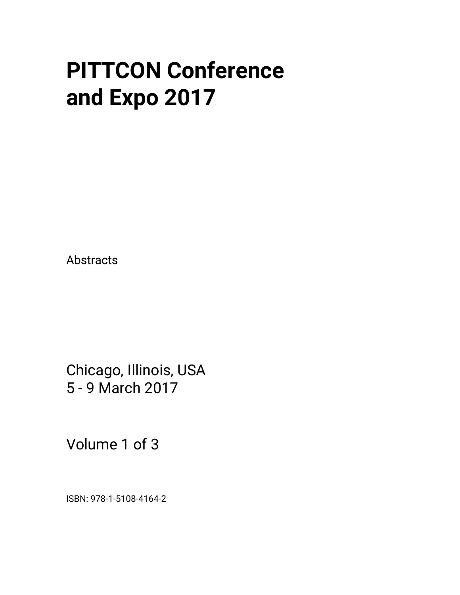# **PITTCON Conference and Expo 2017**

Abstracts

Chicago, Illinois, USA 5 - 9 March 2017

Volume 1 of 3

ISBN: 978-1-5108-4164-2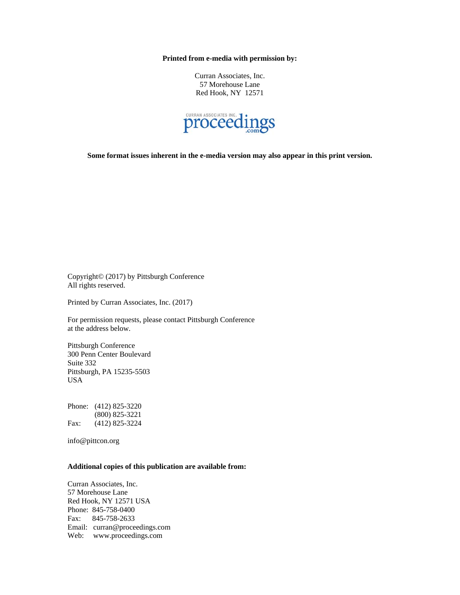**Printed from e-media with permission by:** 

Curran Associates, Inc. 57 Morehouse Lane Red Hook, NY 12571



**Some format issues inherent in the e-media version may also appear in this print version.** 

Copyright© (2017) by Pittsburgh Conference All rights reserved.

Printed by Curran Associates, Inc. (2017)

For permission requests, please contact Pittsburgh Conference at the address below.

Pittsburgh Conference 300 Penn Center Boulevard Suite 332 Pittsburgh, PA 15235-5503 USA

Phone: (412) 825-3220 (800) 825-3221 Fax: (412) 825-3224

info@pittcon.org

# **Additional copies of this publication are available from:**

Curran Associates, Inc. 57 Morehouse Lane Red Hook, NY 12571 USA Phone: 845-758-0400 Fax: 845-758-2633 Email: curran@proceedings.com Web: www.proceedings.com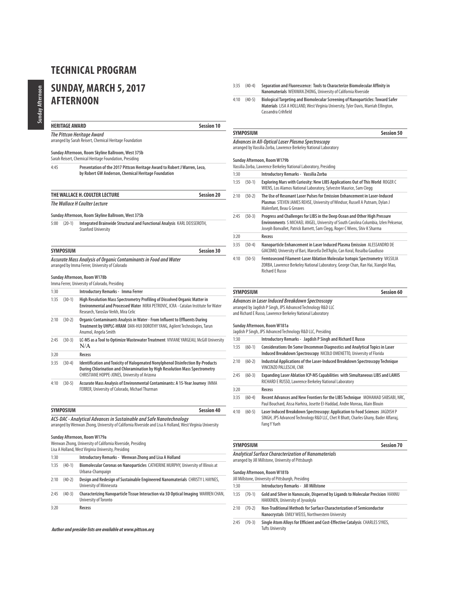# **SUNDAY, MARCH 5, 2017 AFTERNOON**

### **HERITAGE AWARD** Session 10

**The Pittcon Heritage Award**

# arranged by Sarah Reisert, Chemical Heritage Foundation

# **Sunday Afternoon, Room Skyline Ballroom, West 375b**

Sarah Reisert, Chemical Heritage Foundation, Presiding

4:45 **Presentation of the 2017 Pittcon Heritage Award to Robert J Warren, Leco, by Robert GW Anderson, Chemical Heritage Foundation** 

### **THE WALLACE H. COULTER LECTURE Session 20**

**The Wallace H Coulter Lecture**

#### **Sunday Afternoon, Room Skyline Ballroom, West 375b**

5:00 (20-1) **Integrated Brainwide Structural and Functional Analysis** KARL DEISSEROTH, Stanford University

| <b>SYMPOSIUM</b>                                                 | <b>Session 30</b> |
|------------------------------------------------------------------|-------------------|
| Accurate Mass Analysis of Organic Contaminants in Food and Water |                   |

# arranged by Imma Ferrer, University of Colorado

### **Sunday Afternoon, Room W178b**

|      |          | Imma Ferrer, University of Colorado, Presiding                                                                                                                                                                  |
|------|----------|-----------------------------------------------------------------------------------------------------------------------------------------------------------------------------------------------------------------|
| 1:30 |          | Introductory Remarks - Imma Ferrer                                                                                                                                                                              |
| 1:35 | $(30-1)$ | High Resolution Mass Spectrometry Profiling of Dissolved Organic Matter in<br>Environmental and Processed Water MIRA PETROVIC, ICRA - Catalan Institute for Water<br>Research, Yaroslav Verkh, Mira Celic       |
| 2:10 | $(30-2)$ | Organic Contaminants Analysis in Water - From Influent to Effluents During<br>Treatment by UHPLC-HRAM DAN-HUI DOROTHY YANG, Agilent Technologies, Tarun<br>Anumol, Angela Smith                                 |
| 2:45 | $(30-3)$ | LC-MS as a Tool to Optimize Wastewater Treatment VIVIANE YARGEAU, McGill University<br>N/A                                                                                                                      |
| 3:20 |          | Recess                                                                                                                                                                                                          |
| 3:35 | $(30-4)$ | Identification and Toxicity of Halogenated Nonylphenol Disinfection By-Products<br>During Chlorination and Chloramination by High Resolution Mass Spectrometry<br>CHRISTIANE HOPPE-JONES, University of Arizona |
| 4:10 | $(30-5)$ | Accurate Mass Analysis of Environmental Contaminants: A 15-Year Journey IMMA<br>FERRER, University of Colorado, Michael Thurman                                                                                 |

# **SYMPOSIUM Session 40**

**ACS-DAC - A***nalytical Advances in Sustainable and Safe Nanotechnology<br>arranged by Wenwan Zhong, University of California Riverside and Lisa A Holland, West Virginia University* 

#### **Sunday Afternoon, Room W179a**

| Wenwan Zhong, University of California Riverside, Presiding |  |
|-------------------------------------------------------------|--|
|-------------------------------------------------------------|--|

|      |          | Lisa A Holland, West Virginia University, Presiding                                                         |
|------|----------|-------------------------------------------------------------------------------------------------------------|
| 1:30 |          | Introductory Remarks - Wenwan Zhong and Lisa A Holland                                                      |
| 1:35 | $(40-1)$ | Biomolecular Coronas on Nanoparticles CATHERINE MURPHY, University of Illinois at<br>Urbana-Champaign       |
| 2:10 | $(40-2)$ | Design and Redesign of Sustainable Engineered Nanomaterials CHRISTY L HAYNES,<br>University of Minnesota    |
| 2:45 | $(40-3)$ | Characterizing Nanoparticle Tissue Interaction via 3D Optical Imaging WARREN CHAN,<br>University of Toronto |
| 3:20 |          | Recess                                                                                                      |

### **Author and presider lists are available at www.pittcon.org**

3:35 (40-4) **Separation and Fluorescence: Tools to Characterize Biomolecular Affinity in Nanomaterials** WENWAN ZHONG, University of California Riverside

4:10 (40-5) **Biological Targeting and Biomolecular Screening of Nanoparticles: Toward Safer Materials** LISA A HOLLAND, West Virginia University, Tyler Davis, Marriah Ellington, Cassandra Crihfield

#### **SYMPOSIUM Session 50**

**Advances in All-Optical Laser Plasma Spectroscopy** arranged by Vassilia Zorba, Lawrence Berkeley National Laboratory

#### **Sunday Afternoon, Room W179b**

|      | $J$ unuay Arternoon, nooni w 17 20                               |
|------|------------------------------------------------------------------|
|      | Vassilia Zorba, Lawrence Berkeley National Laboratory, Presiding |
| 1:30 | Introductory Remarks - Vassilia Zorba                            |

| 1:35 | $(50-1)$ | Exploring Mars with Curiosity: New LIBS Applications Out of This World ROGER C<br>WIENS, Los Alamos National Laboratory, Sylvestre Maurice, Sam Clegg                                   |
|------|----------|-----------------------------------------------------------------------------------------------------------------------------------------------------------------------------------------|
| 2:10 | $(50-2)$ | The Use of Resonant Laser Pulses for Emission Enhancement in Laser-Induced<br>Plasmas STEVEN JAMES REHSE, University of Windsor, Russell A Putnam, Dylan J<br>Malenfant, Beau G Greaves |

- 2:45 (50-3) **Progress and Challenges for LIBS in the Deep Ocean and Other High Pressure Environments** S MICHAEL ANGEL, University of South Carolina Columbia, Izlen Peksenar, Joseph Bonvallet, Patrick Barnett, Sam Clegg, Roger C Wiens, Shiv K Sharma 3:20 **Recess**
- 3:35 (50-4) **Nanoparticle Enhancement in Laser Induced Plasma Emission** ALESSANDRO DE GIACOMO, University of Bari, Marcella Dell'Aglio, Can Koral, Rosalba Gaudiuso
- 4:10 (50-5) **Femtosecond Filament-Laser Ablation Molecular Isotopic Spectrometry** VASSILIA ZORBA, Lawrence Berkeley National Laboratory, George Chan, Ran Hai, Xianglei Mao, Richard E Russo

#### **SYMPOSIUM Session 60**

#### **Advances in Laser Induced Breakdown Spectroscopy** arranged by Jagdish P Singh, JPS Advanced Technology R&D LLC

and Richard E Russo, Lawrence Berkeley National Laboratory

### **Sunday Afternoon, Room W181a**

|      |          | Jagdish P Singh, JPS Advanced Technology R&D LLC, Presiding                                                                                                                         |
|------|----------|-------------------------------------------------------------------------------------------------------------------------------------------------------------------------------------|
| 1:30 |          | Introductory Remarks - Jagdish P Singh and Richard E Russo                                                                                                                          |
| 1:35 | $(60-1)$ | Considerations On Some Uncommon Diagnostics and Analytical Topics in Laser<br>Induced Breakdown Spectroscopy NICOLO OMENETTO, University of Florida                                 |
| 2:10 | $(60-2)$ | Industrial Applications of the Laser-Induced Breakdown Spectroscopy Technique<br>VINCENZO PALLESCHI, CNR                                                                            |
| 2:45 | $(60-3)$ | Expanding Laser Ablation ICP-MS Capabilities with Simultaneous LIBS and LAMIS<br>RICHARD E RUSSO, Lawrence Berkeley National Laboratory                                             |
| 3:20 |          | Recess                                                                                                                                                                              |
| 3:35 | $(60-4)$ | Recent Advances and New Frontiers for the LIBS Technique MOHAMAD SABSABI, NRC,<br>Paul Bouchard, Aissa Harhira, Josette El-Haddad, Andre Moreau, Alain Blouin                       |
| 4:10 | $(60-5)$ | Laser Induced Breakdown Spectroscopy: Application to Food Sciences JAGDISH P<br>SINGH, JPS Advanced Technology R&D LLC, Chet R Bhatt, Charles Ghany, Bader Alfarraj,<br>Fang Y Yueh |

# **SYMPOSIUM Session 70**

**Analytical Surface Characterization of Nanomaterials**  arranged by Jill Millstone, University of Pittsburgh

#### **Sunday Afternoon, Room W181b**

|      | JUIJUAV AILEIJJUUJI, NUUJIJ VY 10 I.U<br>Jill Millstone, University of Pittsburgh, Presiding |                                                                                                                            |  |
|------|----------------------------------------------------------------------------------------------|----------------------------------------------------------------------------------------------------------------------------|--|
| 1:30 |                                                                                              | <b>Introductory Remarks - Jill Millstone</b>                                                                               |  |
| 1:35 | $(70-1)$                                                                                     | Gold and Silver in Nanoscale, Dispersed by Ligands to Molecular Precision HANNU<br>HAKKINEN, University of Jyvaskyla       |  |
| 2:10 | $(70-2)$                                                                                     | Non-Traditional Methods for Surface Characterization of Semiconductor<br>Nanocrystals EMILY WEISS, Northwestern University |  |
| 2.45 | $(70-3)$                                                                                     | Single Atom Alloys for Efficient and Cost-Effective Catalysis CHARLES SYKES                                                |  |

2:45 (70-3) **Single Atom Alloys for Efficient and Cost-Effective Catalysis** CHARLES SYKES, Tufts University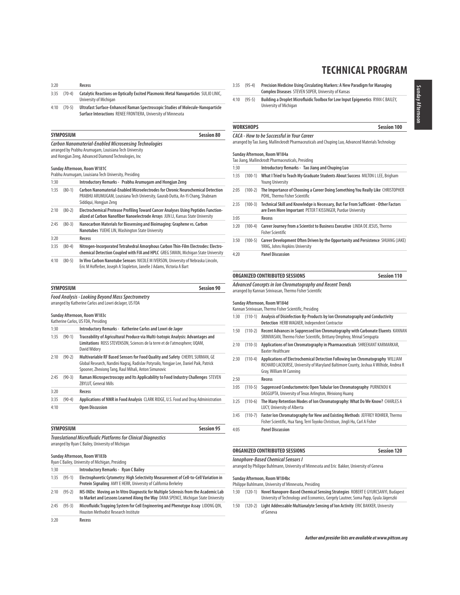| 3:20 |                 | Recess                                                                                                        |
|------|-----------------|---------------------------------------------------------------------------------------------------------------|
|      | $3:35$ $(70-4)$ | Catalytic Reactions on Optically Excited Plasmonic Metal Nanoparticles SULJO LINIC,<br>University of Michigan |
| 4.10 | (70 F)          | <b>Hitusfact Currence Enhanced Daman Cnacturescanis Ctuding of Malasula Nanonauticle</b>                      |

4:10 (70-5) **Ultrafast Surface-Enhanced Raman Spectroscopic Studies of Molecule-Nanoparticle Surface Interactions** RENEE FRONTIERA, University of Minnesota

#### **SYMPOSIUM** Session 80

#### **Carbon Nanomaterial-Enabled Microsensing Technologies** arranged by Prabhu Arumugam, Louisiana Tech University

and Hongjun Zeng, Advanced Diamond Technologies, Inc

#### **Sunday Afternoon, Room W181C**

| Prabhu Arumugam, Louisiana Tech University, Presiding |  |  |  |  |
|-------------------------------------------------------|--|--|--|--|
|-------------------------------------------------------|--|--|--|--|

| 1:30 |          | Introductory Remarks - Prabhu Arumugam and Hongjun Zeng                                                                                                                                     |
|------|----------|---------------------------------------------------------------------------------------------------------------------------------------------------------------------------------------------|
| 1:35 | $(80-1)$ | Carbon Nanomaterial-Enabled Microelectrodes for Chronic Neurochemical Detection<br>PRABHU ARUMUGAM, Louisiana Tech University, Gaurab Dutta, An-Yi Chang, Shabnam<br>Siddigui, Hongjun Zeng |
| 2:10 | $(80-2)$ | Electrochemical Protease Profiling Toward Cancer Analyses Using Peptides Function-<br>alized at Carbon Nanofiber Nanoelectrode Arrays JUN LI, Kansas State University                       |
| 2:45 | $(80-3)$ | Nanocarbon Materials for Biosensing and Bioimaging: Graphene vs. Carbon<br>Nanotubes YUEHE LIN, Washington State University                                                                 |
| 3:20 |          | Recess                                                                                                                                                                                      |
| 3:35 | $(80-4)$ | Nitrogen-Incorporated Tetrahedral Amorphous Carbon Thin-Film Electrodes: Electro-<br>chemical Detection Coupled with FIA and HPLC GREG SWAIN, Michigan State University                     |
| 4:10 | $(80-5)$ | In Vivo Carbon Nanotube Sensors NICOLE M IVERSON, University of Nebraska Lincoln,<br>Eric M Hofferber, Joseph A Stapleton, Janelle J Adams, Victoria A Bart                                 |

# **SYMPOSIUM** Session 90

**Food Analysis - Looking Beyond Mass Spectrometry** arranged by Katherine Carlos and Lowri deJager, US FDA

#### **Sunday Afternoon, Room W183c**

|      |          | Katherine Carlos, US FDA, Presiding                                                                                                                                                                                            |
|------|----------|--------------------------------------------------------------------------------------------------------------------------------------------------------------------------------------------------------------------------------|
| 1:30 |          | Introductory Remarks - Katherine Carlos and Lowri de Jager                                                                                                                                                                     |
| 1:35 | $(90-1)$ | Traceability of Agricultural Produce via Multi-Isotopic Analysis: Advantages and<br>Limitations ROSS STEVENSON, Sciences de la terre et de l'atmosphere; UQAM,<br>David Widory                                                 |
| 2:10 | $(90-2)$ | Multivariable RF Based Sensors for Food Quality and Safety CHERYL SURMAN, GE<br>Global Research, Nandini Nagraj, Radislav Potyrailo, Yongjae Lee, Daniel Paik, Patrick<br>Spooner, Zhexiong Tang, Raul Mihali, Anton Simunovic |
| 2:45 | $(90-3)$ | Raman Microspectroscopy and Its Applicability to Food Industry Challenges STEVEN<br><b>ZBYLUT, General Mills</b>                                                                                                               |
| 3:20 |          | Recess                                                                                                                                                                                                                         |
| 3:35 | $(90-4)$ | Applications of NMR in Food Analysis CLARK RIDGE, U.S. Food and Drug Administration                                                                                                                                            |
| 4.10 |          | <b>Onen Discussion</b>                                                                                                                                                                                                         |

| SYMPOSIUM | <b>Session 95</b> |
|-----------|-------------------|
|           |                   |

**Translational Microfluidic Platforms for Clinical Diagnostics** arranged by Ryan C Bailey, University of Michigan

#### **Sunday Afternoon, Room W183b** Ryan C Bailey, University of Michigan, Presiding

|      | Ryall C Dalley, University Of Michigan, Flesluing |
|------|---------------------------------------------------|
| 1:30 | Introductory Remarks - Ryan C Bailey              |

| 1:35 | $(95-1)$ | Electrophoretic Cytometry: High Selectivity Measurement of Cell-to-Cell Variation in<br>Protein Signaling AMY E HERR, University of California Berkeley                   |
|------|----------|---------------------------------------------------------------------------------------------------------------------------------------------------------------------------|
| 2:10 | $(95-2)$ | MS-INDx: Moving an In Vitro Diagnostic for Multiple Sclerosis from the Academic Lab<br>to Market and Lessons Learned Along the Way DANA SPENCE, Michigan State University |
| 2:45 | $(95-3)$ | Microfluidic Trapping System for Cell Engineering and Phenotype Assay LIDONG QIN,<br><b>Houston Methodist Research Institute</b>                                          |
| 3:20 |          | Recess                                                                                                                                                                    |

- 3:35 (95-4) **Precision Medicine Using Circulating Markers: A New Paradigm for Managing Complex Diseases** STEVEN SOPER, University of Kansas
- 4:10 (95-5) **Building a Droplet Microfluidic Toolbox for Low Input Epigenetics** RYAN C BAILEY, University of Michigan

# WORKSHOPS Session 100

#### **CACA - How to be Successful in Your Career**

arranged by Tao Jiang, Mallinckrodt Pharmaceuticals and Chuping Luo, Advanced Materials Technology

|  | Sunday Afternoon, Room W184a |  |  |
|--|------------------------------|--|--|
|--|------------------------------|--|--|

|           | Tao Jiang, Mallinckrodt Pharmaceuticals, Presiding                                                                                                 |
|-----------|----------------------------------------------------------------------------------------------------------------------------------------------------|
|           | Introductory Remarks - Tao Jiang and Chuping Luo                                                                                                   |
| $(100-1)$ | What I Tried to Teach My Graduate Students About Success MILTON L LEE, Brigham<br><b>Young University</b>                                          |
| $(100-2)$ | The Importance of Choosing a Career Doing Something You Really Like CHRISTOPHER<br>POHL. Thermo Fisher Scientific                                  |
|           | Technical Skill and Knowledge is Necessary, But Far From Sufficient - Other Factors<br>are Even More Important PETERT KISSINGER, Purdue University |
|           | Recess                                                                                                                                             |
| $(100-4)$ | Career Journey from a Scientist to Business Executive LINDA DE JESUS, Thermo<br><b>Fisher Scientific</b>                                           |
| $(100-5)$ | Career Development Often Driven by the Opportunity and Persistence SHUANG (JAKE)<br>YANG, Johns Hopkins University                                 |
|           | <b>Panel Discussion</b>                                                                                                                            |
|           | $(100-3)$                                                                                                                                          |

**ORGANIZED CONTRIBUTED SESSIONS** Session 110

### **Advanced Concepts in Ion Chromatography and Recent Trends** arranged by Kannan Srinivasan, Thermo Fisher Scientific **Sunday Afternoon, Room W184d** Kannan Srinivasan, Thermo Fisher Scientific, Presiding 1:30 (110-1) **Analysis of Disinfection By-Products by Ion Chromatography and Conductivity Detection** HERB WAGNER, Independent Contractor 1:50 (110-2) **Recent Advances in Suppressed Ion Chromatography with Carbonate Eluents** KANNAN SRINIVASAN, Thermo Fisher Scientific, Brittany Omphroy, Mrinal Sengupta 2:10 (110-3) **Applications of Ion Chromatography in Pharmaceuticals** SHREEKANT KARMARKAR, Baxter Healthcare 2:30 (110-4) **Applications of Electrochemical Detection Following Ion Chromatography** WILLIAM RICHARD LACOURSE, University of Maryland Baltimore County, Joshua A Wilhide, Andrea R Gray, William M Cunning 2:50 **Recess** 3:05 (110-5) **Suppressed Conductometric Open Tubular Ion Chromatography** PURNENDU K DASGUPTA, University of Texas Arlington, Weixiong Huang

- 3:25 (110-6) **The Many Retention Modes of Ion Chromatography: What Do We Know?** CHARLES A LUCY, University of Alberta
- 3:45 (110-7) **Faster Ion Chromatography for New and Existing Methods** JEFFREY ROHRER, Thermo Fisher Scientific, Hua Yang, Terri Toyoko Christison, Jingli Hu, Carl A Fisher

# **ORGANIZED CONTRIBUTED SESSIONS** SESSIONS

#### **Ionophore-Based Chemical Sensors I**

arranged by Philippe Buhlmann, University of Minnesota and Eric Bakker, University of Geneva

**Sunday Afternoon, Room W184bc**

- Philippe Buhlmann, University of Minnesota, Presiding
- 1:30 (120-1) **Novel Nanopore-Based Chemical Sensing Strategies** ROBERT E GYURCSANYI, Budapest University of Technology and Economics, Gergely Lautner, Soma Papp, Gyula Jágerszki
- 1:50 (120-2) **Light Addressable Multianalyte Sensing of Ion Activity** ERIC BAKKER, University of Geneva

<sup>4:05</sup> **Panel Discussion**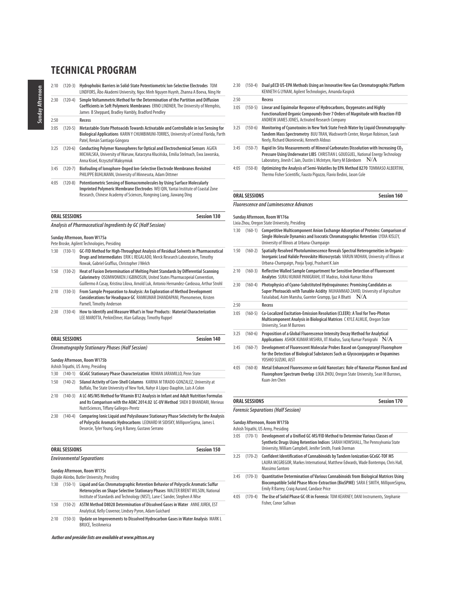| 2:10 | $(120-3)$ | Hydrophobic Barriers in Solid-State Potentiometric Ion-Selective Electrodes TOM<br>LINDFORS, Åbo Akademi University, Ngoc Minh Nguyen Huynh, Zhanna A Boeva, Ning He                                                                 |
|------|-----------|--------------------------------------------------------------------------------------------------------------------------------------------------------------------------------------------------------------------------------------|
| 2:30 | $(120-4)$ | Simple Voltammetric Method for the Determination of the Partition and Diffusion<br>Coefficients in Soft Polymeric Membranes ERNO LINDNER, The University of Memphis,<br>James B Sheppard, Bradley Hambly, Bradford Pendley           |
| 2:50 |           | Recess                                                                                                                                                                                                                               |
| 3:05 | $(120-5)$ | Metastable-State Photoacids Towards Activatable and Controllable in Ion Sensing for<br>Biological Applications KARIN Y CHUMBIMUNI-TORRES, University of Central Florida, Parth<br>Patel, Renán Santiago Góngora                      |
| 3:25 | $(120-6)$ | Conducting Polymer Nanospheres for Optical and Electrochemical Sensors AGATA<br>MICHALSKA, University of Warsaw, Katarzyna Kłucińska, Emilia Stelmach, Ewa Jaworska,<br>Anna Kisiel, Krzysztof Maksymiuk                             |
| 3:45 | $(120-7)$ | Biofouling of lonophore-Doped Ion-Selective Electrode Membranes Revisited<br>PHILIPPE BUHLMANN, University of Minnesota, Adam Dittmer                                                                                                |
| 4:05 | $(120-8)$ | Potentiometric Sensing of Biomacromolecules by Using Surface Molecularly<br>Imprinted Polymeric Membrane Electrodes WEI QIN, Yantai Institute of Coastal Zone<br>Research, Chinese Academy of Sciences, Rongning Liang, Jiawang Ding |

|  | <b>ORAL SESSIONS</b> |  |  |  |  |  |  |  |  | <b>Session 130</b> |  |
|--|----------------------|--|--|--|--|--|--|--|--|--------------------|--|
|  |                      |  |  |  |  |  |  |  |  |                    |  |

#### **Analysis of Pharmaceutical Ingredients by GC (Half Session)**

#### **Sunday Afternoon, Room W175a**

Pete Broske, Agilent Technologies, Presiding

- 1:30 (130-1) **GC-FID Method for High-Throughput Analysis of Residual Solvents in Pharmaceutical Drugs and Intermediates** ERIK L REGALADO, Merck Research Laboratories, Timothy Nowak, Gabriel Graffius, Christopher J Welch
- 1:50 (130-2) **Heat of Fusion Determination of Melting Point Standards by Differential Scanning Calorimetry** OSOMWONKEN J IGBINOSUN, United States Pharmacopeial Convention, Guillermo A Casay, Kristina Lilova, Arnold Luk, Antonio Hernandez-Cardosoa, Arthur Strohl
- 2:10 (130-3) **From Sample Preparation to Analysis: An Exploration of Method Development Considerations for Headspace GC** RAMKUMAR DHANDAPANI, Phenomenex, Kristen Parnell, Timothy Anderson
- 2:30 (130-4) **How to Identify and Measure What's in Your Products: Material Characterization**  LEE MAROTTA, PerkinElmer, Alan Gallaspy, Timothy Ruppel

| ORAL SESSIONS                                       | <b>Session 140</b> |
|-----------------------------------------------------|--------------------|
| Church she susubu Chation suu Dhaasa (Half Cossisu) |                    |

**Chromatography Stationary Phases (Half Session)**

**Sunday Afternoon, Room W175b** Ashish Tripathi, US Army, Presiding

- 1:30 (140-1) **GCxGC Stationary Phase Characterization** ROMAN JARAMILLO, Penn State
- 1:50 (140-2) **Silanol Activity of Core-Shell Columns** KARINA M TIRADO-GONZALEZ, University at Buffalo, The State University of New York, Nahyr A López-Dauphin, Luis A Colon
- 2:10 (140-3) **A LC-MS/MS Method for Vitamin B12 Analysis in Infant and Adult Nutrition Formulas and Its Comparison with the AOAC 2014.02 LC-UV Method** SNEH D BHANDARI, Merieux NutriSciences, Tiffany Gallegos-Peretz
- 2:30 (140-4) **Comparing Ionic Liquid and Polysiloxane Stationary Phase Selectivity for the Analysis of Polycyclic Aromatic Hydrocarbons** LEONARD M SIDISKY, MilliporeSigma, James L Desorcie, Tyler Young, Greg A Baney, Gustavo Serrano

| <b>ORAL SESSIONS</b>             | Session 150 |
|----------------------------------|-------------|
| <b>Environmental Separations</b> |             |

#### **Sunday Afternoon, Room W175c**

|      |           | Olujide Akinbo, Butler University, Presiding                                                                                                                                                                                                      |
|------|-----------|---------------------------------------------------------------------------------------------------------------------------------------------------------------------------------------------------------------------------------------------------|
| 1:30 | $(150-1)$ | Liquid and Gas Chromatographic Retention Behavior of Polycyclic Aromatic Sulfur<br>Heterocycles on Shape Selective Stationary Phases WALTER BRENT WILSON, National<br>Institute of Standards and Technology (NIST), Lane C Sander, Stephen A Wise |
| 1:50 | $(150-2)$ | ASTM Method D8028 Determination of Dissolved Gases in Water ANNE JUREK, EST<br>Analytical, Kelly Cravenor, Lindsey Pyron, Adam Guichard                                                                                                           |
|      |           | $2.40$ $(450.2)$ $(1.1.1)$ $(1.1.1)$ $(1.1.1)$ $(1.1.1)$ $(1.1)$ $(1.1)$ $(1.1)$ $(1.1)$ $(1.1)$ $(1.1)$ $(1.1)$ $(1.1)$ $(1.1)$                                                                                                                  |

2:10 (150-3) **Update on Improvements to Dissolved Hydrocarbon Gases in Water Analysis** MARK L BRUCE, TestAmerica

**Author and presider lists are available at www.pittcon.org** 

2:30 (150-4) **Dual μECD US-EPA Methods Using an Innovative New Gas Chromatographic Platform** KENNETH G LYNAM, Agilent Technologies, Amanda Kaspick

#### 2:50 **Recess**

- 3:05 (150-5) **Linear and Equimolar Response of Hydrocarbons, Oxygenates and Highly Functionalized Organic Compounds Over 7 Orders of Magnitude with Reaction-FID** ANDREW JAMES JONES, Activated Research Company
- 3:25 (150-6) **Monitoring of Cyanotoxins in New York State Fresh Water by Liquid Chromatography-Tandem Mass Spectrometry** BUU TRAN, Wadsworth Center, Morgan Robinson, Sarah Neely, Richard Okoniewski, Kenneth Aldous
- 3:45 (150-7) Rapid In-Situ Measurements of Mineral Carbonates Dissolution with Increasing CO<sub>2</sub> **Pressure Using Underwater LIBS** CHRISTIAN L GOUEGUEL, National Energy Technology Laboratory, Jinesh C Jain, Dustin L McIntyre, Harry M Edenborn  $-N/A$
- 4:05 (150-8) **Optimizing the Analysis of Semi-Volatiles by EPA Method 8270** TOMMASO ALBERTINI, Thermo Fisher Scientific, Fausto Pigozzo, Flavio Bedini, Jason Cole

#### **ORAL SESSIONS Session 160**

#### **Fluorescence and Luminescence Advances**

#### **Sunday Afternoon, Room W176a**

Lixia Zhou, Oregon State University, Presiding

1:30 (160-1) **Competitive Multicomponent Anion Exchange Adsorption of Proteins: Comparison of Single Molecule Dynamics and Isocratic Chromatographic Retention** LYDIA KISLEY, University of Illinois at Urbana-Champaign 1:50 (160-2) **Spatially Resolved Photoluminescence Reveals Spectral Heterogeneities in Organic-Inorganic Lead Halide Perovskite Microcrystals** VARUN MOHAN, University of Illinois at Urbana-Champaign, Pooja Tyagi, Prashant K Jain 2:10 (160-3) **Reflective Walled Sample Compartment for Sensitive Detection of Fluorescent Analytes** SURAJ KUMAR PANIGRAHI, IIT Madras, Ashok Kumar Mishra 2:30 (160-4) **Photophysics of Cyano-Substituted Hydroquinones: Promising Candidates as Super Photoacids with Tunable Acidity** MUHAMMAD ZAHID, University of Agriculture Faisalabad, Asim Mansha, Guenter Grampp, Ijaz A Bhatti  $-N/A$ 2:50 **Recess** 3:05 (160-5) **Co-Localized Excitation-Emission Resolution (CLEER): A Tool for Two-Photon Multicomponent Analysis in Biological Matrices** C KYLE ALMLIE, Oregon State University, Sean M Burrows 3:25 (160-6) **Proposition of a Global Fluorescence Intensity Decay Method for Analytical Applications** ASHOK KUMAR MISHRA, IIT Madras, Suraj Kumar Panigrahi N/A 3:45 (160-7) **Development of Fluorescent Molecular Probes Based on Cyanopyranyl Fluorophore for the Detection of Biological Substances Such as Glycoconjugates or Dopamines** YOSHIO SUZUKI, AIST 4:05 (160-8) **Metal Enhanced Fluorescence on Gold Nanostars: Role of Nanostar Plasmon Band and Fluorophore Spectrum Overlap** LIXIA ZHOU, Oregon State University, Sean M Burrows,

#### **ORAL SESSIONS Session 170**

### **Forensic Separations (Half Session)**

Kuan-Jen Chen

**Sunday Afternoon, Room W175b**

Ashish Tripathi, US Army, Presiding

- 3:05 (170-1) **Development of a Unified GC-MS/FID Method to Determine Various Classes of Synthetic Drugs Using Retention Indices** SARAH HOWSHALL, The Pennsylvania State University, William Campbell, Jenifer Smith, Frank Dorman
- 3:25 (170-2) **Confident Identification of Cannabinoids by Tandem Ionization GCxGC-TOF MS**  LAURA MCGREGOR, Markes International, Matthew Edwards, Wade Bontempo, Chris Hall, Massimo Santoro
- 3:45 (170-3) **Quantitative Determination of Various Cannabinoids from Biological Matrices Using Biocompatible Solid Phase Micro-Extraction (BioSPME)** SARA E SMITH, MilliporeSigma, Emily R Barrey, Craig Aurand, Candace Price
- 4:05 (170-4) **The Use of Solid Phase GC-IR in Forensic** TOM KEARNEY, DANI Instruments, Stephanie Fisher, Conor Sullivan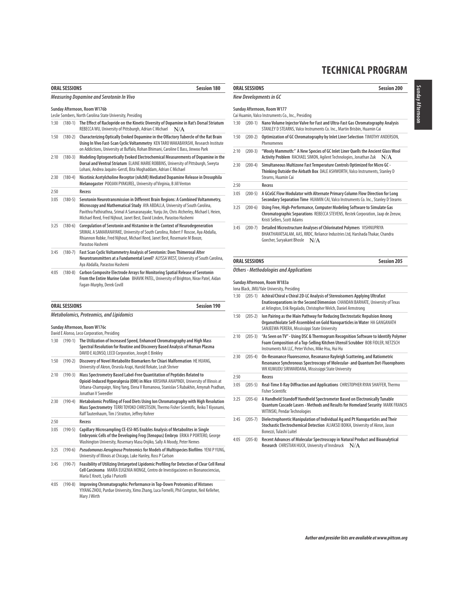|                                      | <b>ORAL SESSIONS</b> | <b>Session 180</b>                                                                                                                                                                                                                                                                                                                     |
|--------------------------------------|----------------------|----------------------------------------------------------------------------------------------------------------------------------------------------------------------------------------------------------------------------------------------------------------------------------------------------------------------------------------|
|                                      |                      | <b>Measuring Dopamine and Serotonin In Vivo</b>                                                                                                                                                                                                                                                                                        |
|                                      |                      | Sunday Afternoon, Room W176b                                                                                                                                                                                                                                                                                                           |
|                                      |                      | Leslie Sombers, North Carolina State University, Presiding                                                                                                                                                                                                                                                                             |
| 1:30                                 | $(180-1)$            | The Effect of Raclopride on the Kinetic Diversity of Dopamine in Rat's Dorsal Striatum<br>REBECCA WU, University of Pittsburgh, Adrian C Michael<br>N/A                                                                                                                                                                                |
| 1:50                                 | $(180-2)$            | Characterizing Optically Evoked Dopamine in the Olfactory Tubercle of the Rat Brain<br>Using In Vivo Fast-Scan Cyclic Voltammetry KEN TARO WAKABAYASHI, Research Institute<br>on Addictions, University at Buffalo, Rohan Bhimani, Caroline E Bass, Jinwoo Park                                                                        |
| 2:10                                 | $(180-3)$            | Modeling Optogenetically Evoked Electrochemical Measurements of Dopamine in the<br>Dorsal and Ventral Striatum ELAINE MARIE ROBBINS, University of Pittsburgh, Sweyta<br>Lohani, Andrea Jaquins-Gerstl, Bita Moghaddam, Adrian C Michael                                                                                               |
| 2:30                                 | $(180-4)$            | Nicotinic Acetylcholine Receptor (nAchR) Mediated Dopamine Release in Drosophila<br>Melanogaster POOJAN PYAKUREL, University of Virginia, B Jill Venton                                                                                                                                                                                |
| 2:50                                 |                      | Recess                                                                                                                                                                                                                                                                                                                                 |
| 3:05                                 | $(180-5)$            | Serotonin Neurotransmission in Different Brain Regions: A Combined Voltammetry,<br>Microscopy and Mathematical Study AYA ABDALLA, University of South Carolina,<br>Pavithra Pathirathna, Srimal A Samaranayake, Yunju Jin, Chris Atcherley, Michael L Heien,<br>Michael Reed, Fred Nijhout, Janet Best, David Linden, Parastoo Hashemi |
| 3:25                                 | $(180-6)$            | Coregulation of Serotonin and Histamine in the Context of Neurodegeneration<br>SRIMAL A SAMARANAYAKE, University of South Carolina, Robert F Roscoe, Aya Abdalla,<br>Rhiannon Robke, Fred Nijhout, Michael Reed, Janet Best, Rosemarie M Booze,<br>Parastoo Hashemi                                                                    |
| 3:45                                 | $(180 - 7)$          | Fast Scan Cyclic Voltammetry Analysis of Serotonin: Does Thimerosal Alter<br>Neurotransmitters at a Fundamental Level? ALYSSA WEST, University of South Carolina,<br>Aya Abdalla, Parastoo Hashemi                                                                                                                                     |
| 4:05                                 | $(180-8)$            | Carbon Composite Electrode Arrays for Monitoring Spatial Release of Serotonin<br>From the Entire Murine Colon BHAVIK PATEL, University of Brighton, Nirav Patel, Aidan<br>Fagan-Murphy, Derek Covill                                                                                                                                   |
|                                      | <b>ORAL SESSIONS</b> | <b>Session 190</b>                                                                                                                                                                                                                                                                                                                     |
|                                      |                      | <b>Metabolomics, Proteomics, and Lipidomics</b>                                                                                                                                                                                                                                                                                        |
|                                      |                      | Sunday Afternoon, Room W176c<br>David E Alonso, Leco Corporation, Presiding                                                                                                                                                                                                                                                            |
| 1:30                                 | $(190-1)$            | The Utilization of Increased Speed, Enhanced Chromatography and High Mass<br>Spectral Resolution for Routine and Discovery Based Analysis of Human Plasma<br>DAVID E ALONSO, LECO Corporation, Joseph E Binkley                                                                                                                        |
| 1:50                                 | $(190-2)$            | Discovery of Novel Metabolite Biomarkers for Chiari Malformation HE HUANG,<br>University of Akron, Orseola Arapi, Harold Rekate, Leah Shriver                                                                                                                                                                                          |
| 2:10                                 | $(190-3)$            | Mass Spectrometry Based Label-Free Quantitation of Peptides Related to                                                                                                                                                                                                                                                                 |
|                                      |                      | Opioid-Induced Hyperalgesia (OIH) in Mice KRISHNA ANAPINDI, University of Illinois at<br>Jonathan V Sweedler                                                                                                                                                                                                                           |
|                                      | $(190-4)$            | Ralf Tautenhaum, Tim J Stratton, Jeffrey Rohrer                                                                                                                                                                                                                                                                                        |
|                                      |                      | Urbana-Champaign, Ning Yang, Elena V Romanova, Stanislav S Rubakhin, Amynah Pradhan,<br>Metabolomic Profiling of Food Diets Using Ion Chromatography with High Resolution<br>Mass Spectrometry TERRI TOYOKO CHRISTISON, Thermo Fisher Scientific, Reiko T Kiyonami,<br>Recess                                                          |
|                                      | $(190-5)$            | Capillary Microsampling CE-ESI-MS Enables Analysis of Metabolites in Single<br>Embryonic Cells of the Developing Frog (Xenopus) Embryo ERIKA P PORTERO, George<br>Washington University, Rosemary Masu Onjiko, Sally A Moody, Peter Nemes                                                                                              |
|                                      | $(190-6)$            | Pseudomonas Aeruginosa Proteomics for Models of Multispecies Biofilms YENI PYUNG,<br>University of Illinois at Chicago, Luke Hanley, Ross P Carlson                                                                                                                                                                                    |
| 2:30<br>2:50<br>3:05<br>3:25<br>3:45 | $(190-7)$            | Feasibility of Utilizing Untargeted Lipidomic Profiling for Detection of Clear Cell Renal<br>Cell Carcinoma MARÍA EUGENIA MONGE, Centro de Investigaciones en Bionanociencias,<br>María E Knott, Lydia I Puricelli                                                                                                                     |

|                                                                                   | <b>ORAL SESSIONS</b> | <b>Session 200</b>                                                                                                                                                                         |  |  |  |  |  |  |
|-----------------------------------------------------------------------------------|----------------------|--------------------------------------------------------------------------------------------------------------------------------------------------------------------------------------------|--|--|--|--|--|--|
|                                                                                   |                      | New Developments in GC                                                                                                                                                                     |  |  |  |  |  |  |
| Sunday Afternoon, Room W177<br>Cai Huamin, Valco Instruments Co., Inc., Presiding |                      |                                                                                                                                                                                            |  |  |  |  |  |  |
| 1:30                                                                              | $(200-1)$            | Nano Volume Injector Valve for Fast and Ultra-Fast Gas Chromatography Analysis<br>STANLEY D STEARNS, Valco Instruments Co. Inc., Martin Brisbin, Huamin Cai                                |  |  |  |  |  |  |
| 1:50                                                                              | $(200-2)$            | Optimization of GC Chromatography by Inlet Liner Selection TIMOTHY ANDERSON,<br>Phenomenex                                                                                                 |  |  |  |  |  |  |
| 2:10                                                                              | $(200-3)$            | "Wooly Mammoth:" A New Species of GC Inlet Liner Quells the Ancient Glass Wool<br>Activity Problem RACHAEL SIMON, Agilent Technologies, Jonathan Zuk<br>N/A                                |  |  |  |  |  |  |
| 2:30                                                                              | $(200-4)$            | Simultaneous Multizone Fast Temperature Controls Optimized for Micro GC -<br>Thinking Outside the Airbath Box DALE ASHWORTH, Valco Instruments, Stanley D<br>Stearns, Huamin Cai           |  |  |  |  |  |  |
| 2:50                                                                              |                      | Recess                                                                                                                                                                                     |  |  |  |  |  |  |
| 3:05                                                                              | $(200-5)$            | A GCxGC Flow Modulator with Alternate Primary Column Flow Direction for Long<br>Secondary Separation Time HUAMIN CAI, Valco Instruments Co. Inc., Stanley D Stearns                        |  |  |  |  |  |  |
| 3:25                                                                              | $(200-6)$            | Using Free, High-Performance, Computer Modeling Software to Simulate Gas<br>Chromatographic Separations REBECCA STEVENS, Restek Corporation, Jaap de Zeeuw,<br>Kristi Sellers, Scott Adams |  |  |  |  |  |  |
| 3:45                                                                              | $(200 - 7)$          | Detailed Microstructure Analyses of Chlorinated Polymers VISHNUPRIYA<br>BHAKTHAVATSALAM, AAS, RRDC, Reliance Industries Ltd, Harshada Thakar, Chandra<br>Goecher, Suryakant Bhosle<br>N/A  |  |  |  |  |  |  |

# **ORAL SESSIONS** Session 205

## **Others - Methodologies and Applications**

**Sunday Afternoon, Room W183a**

Iona Black, JMU/Yale University, Presiding

- 1:30 (205-1) **Achiral/Chiral x Chiral 2D-LC Analysis of Stereoisomers Applying Ultrafast Enatioseparations in the Second Dimension** CHANDAN BARHATE, University of Texas at Arlington, Erik Regalado, Christopher Welch, Daniel Armstrong
- 1:50 (205-2) **Ion Pairing as the Main Pathway for Reducing Electrostatic Repulsion Among Organothiolate Self-Assembled on Gold Nanoparticles in Water** HA GANGANATH SANJEEWA PERERA, Mississippi State University
- 2:10 (205-3) **"As Seen on TV" Using DSC & Thermogram Recognition Software to Identify Polymer Foam Composition of a Top-Selling Kitchen Utensil Scrubber** BOB FIDLER, NETZSCH Instruments NA LLC, Peter Vichos, Mike Hsu, Hui Hu
- 2:30 (205-4) **On-Resonance Fluorescence, Resonance Rayleigh Scattering, and Ratiometric Resonance Synchronous Spectroscopy of Molecular- and Quantum Dot-Fluorophores** WK KUMUDU SIRIWARDANA, Mississippi State University

2:50 **Recess** 

- 3:05 (205-5) **Real-Time X-Ray Diffraction and Applications** CHRISTOPHER RYAN SHAFFER, Thermo Fisher Scientific
- 3:25 (205-6) **A Handheld Standoff Handheld Spectrometer Based on Electronically Tunable Quantum Cascade Lasers - Methods and Results for Homeland Security** MARK FRANCIS WITINSKI, Pendar Technologies
- 3:45 (205-7) **Dielectrophoretic Manipulation of Individual Ag and Pt Nanoparticles and Their Stochastic Electrochemical Detection** ALIAKSEI BOIKA, University of Akron, Jason Bonezzi, Tulashi Luitel
- 4:05 (205-8) **Recent Advances of Molecular Spectroscopy in Natural Product and Bioanalytical Research** CHRISTIAN HUCK, University of Innsbruck N/A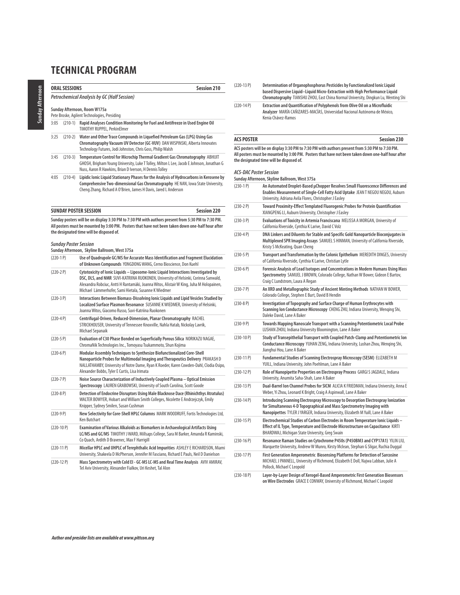### **ORAL SESSIONS** Session 210 **Petrochemical Analysis by GC (Half Session) Sunday Afternoon, Room W175a** Pete Broske, Agilent Technologies, Presiding 3:05 (210-1) **Rapid Analyses Condition Monitoring for Fuel and Antifreeze in Used Engine Oil**  TIMOTHY RUPPEL, PerkinElmer 3:25 (210-2) **Water and Other Trace Compounds in Liquefied Petroleum Gas (LPG) Using Gas Chromatography Vacuum UV Detector (GC-VUV)** DAN WISPINSKI, Alberta Innovates Technology Futures, Jodi Johnston, Chris Goss, Philip Walsh 3:45 (210-3) **Temperature Control for Microchip Thermal Gradient Gas Chromatography** ABHIJIT GHOSH, Brigham Young University, Luke T Tolley, Milton L Lee, Jacob E Johnson, Jonathan G Nuss, Aaron R Hawkins, Brian D Iverson, H Dennis Tolley

4:05 (210-4) **Lipidic Ionic Liquid Stationary Phases for the Analysis of Hydrocarbons in Kerosene by Comprehensive Two-dimensional Gas Chromatography** HE NAN, Iowa State University, Cheng Zhang, Richard A O'Brien, James H Davis, Jared L Anderson

| <b>SUNDAY POSTER SESSION</b>                                                                                                                                                                                                                   | <b>Session 220</b> |
|------------------------------------------------------------------------------------------------------------------------------------------------------------------------------------------------------------------------------------------------|--------------------|
| Sunday posters will be on display 3:30 PM to 7:30 PM with authors present from 5:30 PM to 7:30 PM.                                                                                                                                             |                    |
| $\mathbf{A} \mathbf{B}$ . The constant $\mathbf{A}$ is the constant of the constant $\mathbf{A}$ is the constant of the constant of the constant of the constant of the constant of the constant of the constant of the constant of the consta |                    |

**All posters must be mounted by 3:00 PM. Posters that have not been taken down one-half hour after the designated time will be disposed of.**

### **Sunday Poster Session**

**Sunday Afternoon, Skyline Ballroom, West 375a**

| $(220-1)$    | Use of Quadrupole GC/MS for Accurate Mass Identification and Fragment Elucidation<br>of Unknown Compounds YONGDONG WANG, Cerno Bioscience, Don Kuehl                                                                                                                                                                        |
|--------------|-----------------------------------------------------------------------------------------------------------------------------------------------------------------------------------------------------------------------------------------------------------------------------------------------------------------------------|
| $(220-2P)$   | Cytotoxicity of lonic Liquids - Liposome-lonic Liquid Interactions Investigated by<br>DSC, DLS, and NMR SUVI-KATRIINA RUOKONEN, University of Helsinki, Corinna Sanwald,<br>Alexandra Robciuc, Antti H Rantamäki, Joanna Witos, Alistair W King, Juha M Holopainen,<br>Michael Lämmerhofer, Sami Hietala, Susanne K Wiedmer |
| $(220-3P)$   | Interactions Between Biomass-Dissolving Ionic Liquids and Lipid Vesicles Studied by<br>Localized Surface Plasmon Resonance SUSANNE K WIEDMER, University of Helsinki,<br>Joanna Witos, Giacomo Russo, Suvi-Katriina Ruokonen                                                                                                |
| $(220 - 4P)$ | Centrifugal-Driven, Reduced-Dimension, Planar Chromatography RACHEL<br>STRICKHOUSER, University of Tennessee Knoxville, Nahla Hatab, Nickolay Lavrik,<br>Michael Sepanaik                                                                                                                                                   |
| $(220-5P)$   | Evaluation of C30 Phase Bonded on Superficially Porous Silica NORIKAZU NAGAE,<br>ChromaNik Technologies Inc., Tomoyasu Tsukammoto, Shun Kojima                                                                                                                                                                              |
| $(220-6P)$   | Modular Assembly Techniques to Synthesize Biofunctionalized Core-Shell<br>Nanoparticle Probes for Multimodal Imaging and Therapeutics Delivery PRAKASH D<br>NALLATHAMBY, University of Notre Dame, Ryan K Roeder, Karen Cowden-Dahl, Clodia Osipo,<br>Alexander Bobbs, Tyler E Curtis, Lisa Irimata                         |
| $(220 - 7)$  | Noise Source Characterization of Inductively Coupled Plasma - Optical Emission<br>Spectroscopy LAUREN GRABOWSKI, University of South Carolina, Scott Goode                                                                                                                                                                  |
| $(220-8P)$   | Detection of Endocrine Disruptors Using Male Blacknose Dace (Rhinichthys Atratulus)<br>WALTER BOWYER, Hobart and William Smith Colleges, Nicolette E Andrzejczyk, Emily<br>Knipper, Sydney Smilen, Susan Cushman                                                                                                            |
| $(220-9P)$   | New Selectivity for Core-Shell HPLC Columns MARK WOODRUFF, Fortis Technologies Ltd,<br><b>Ken Butchart</b>                                                                                                                                                                                                                  |
| $(220-10P)$  | Examination of Various Alkaloids as Biomarkers in Archaeological Artifacts Using<br>LC/MS and GC/MS TIMOTHY J WARD, Millsaps College, Sara M Barker, Amanda R Kaminski,<br>Co Quach, Ardith D Bravenec, Max F Harrigill                                                                                                     |
| $(220-11P)$  | Micellar HPLC and UHPLC of Terephthalic Acid Impurities ASHLEY E RICHARDSON, Miami<br>University, Shakeela D McPherson, Jennifer M Fasciano, Richard E Pauls, Neil D Danielson                                                                                                                                              |
| $(220-12P)$  | Mass Spectrometry with Cold EI - GC-MS LC-MS and Real Time Analysis AVIV AMIRAV,<br>Tel Aviv University, Alexander Fialkov, Uri Keshet, Tal Alon                                                                                                                                                                            |

- (220-13 P) **Determination of Organophosphorus Pesticides by Functionalized Ionic Liquid based Dispersive Liquid–Liquid Micro-Extraction with High Performance Liquid Chromatography** TIANSHU ZHOU, East China Normal University, Dingkun Lu, Wenting Shi
- (220-14 P) **Extraction and Quantification of Polyphenols from Olive Oil on a Microfluidic Analyzer** MARÍA CAÑIZARES-MACÍAS, Universidad Nacional Autónoma de México, Kenia Chávez-Ramos

### ACS POSTER Session 230

**ACS posters will be on display 3:30 PM to 7:30 PM with authors present from 5:30 PM to 7:30 PM. All posters must be mounted by 3:00 PM. Posters that have not been taken down one-half hour after the designated time will be disposed of.**

#### **ACS-DAC Poster Session**

**Sunday Afternoon, Skyline Ballroom, West 375a**

| $(230-1)$    | An Automated Droplet-Based µChopper Resolves Small Fluorescence Differences and<br>Enables Measurement of Single-Cell Fatty Acid Uptake JEAN T NEGOU NEGOU, Auburn<br>University, Adriana Avila Flores, Christopher J Easley                   |
|--------------|------------------------------------------------------------------------------------------------------------------------------------------------------------------------------------------------------------------------------------------------|
| $(230-2)$ P) | Toward Proximity-Effect Templated Fluorogenic Probes for Protein Quantification<br>XIANGPENG LI, Auburn University, Christopher J Easley                                                                                                       |
| $(230-3)$ P) | Evaluations of Toxicity in Artemia Franciscana MELISSA A MORGAN, University of<br>California Riverside, Cynthia K Larive, David C Volz                                                                                                         |
| $(230-4P)$   | DNA Linkers and Diluents for Stable and Specific Gold Nanoparticle Bioconjugates in<br>Multiplexed SPR Imaging Assays SAMUEL S HINMAN, University of California Riverside,<br>Kristy S McKeating, Quan Cheng                                   |
| $(230-5P)$   | Transport and Transformation by the Colonic Epithelium MEREDITH DINGES, University<br>of California Riverside, Cynthia K Larive, Christian Lytle                                                                                               |
| $(230-6)$    | Forensic Analysis of Lead Isotopes and Concentrations in Modern Humans Using Mass<br>Spectrometry SAMUEL J BROWN, Colorado College, Nathan W Bower, Gideon E Bartov,<br>Craig C Lundstrom, Laura A Regan                                       |
| $(230 - 7)$  | An XRD and Metallographic Study of Ancient Minting Methods NATHAN W BOWER,<br>Colorado College, Stephen E Burt, David B Hendin                                                                                                                 |
| $(230-8)$    | Investigation of Topography and Surface Charge of Human Erythrocytes with<br>Scanning Ion Conductance Microscopy CHENG ZHU, Indiana University, Wenging Shi,<br>Daleke David, Lane A Baker                                                     |
| $(230-9P)$   | Towards Mapping Nanoscale Transport with a Scanning Potentiometric Local Probe<br>LUSHAN ZHOU, Indiana University Bloomington, Lane A Baker                                                                                                    |
| $(230-10P)$  | Study of Transepithelial Transport with Coupled Patch-Clamp and Potentiometric lon<br>Conductance Microscopy YUHAN ZENG, Indiana University, Lushan Zhou, Wenging Shi,<br>Jianghui Hou, Lane A Baker                                           |
| $(230-11P)$  | Fundamental Studies of Scanning Electrospray Microscopy (SESM) ELIZABETH M<br>YUILL, Indiana University, John Poehlman, Lane A Baker                                                                                                           |
| $(230-12P)$  | Role of Nanopipette Properties on Electrospray Process GARGI S JAGDALE, Indiana<br>University, Anumita Saha-Shah, Lane A Baker                                                                                                                 |
| $(230-13 P)$ | Dual-Barrel Ion Channel Probes for SICM ALICIA K FRIEDMAN, Indiana University, Anna E<br>Weber, Yi Zhou, Leonard K Bright, Craig A Aspinwall, Lane A Baker                                                                                     |
| $(230-14P)$  | Introducing Scanning Electrospray Microscopy to Desorption Electrospray lonization<br>for Simultaneous 4-D Topographical and Mass Spectrometry Imaging with<br>Nanopipettes TYLER JYARGER, Indiana University, Elizabeth M Yuill, Lane A Baker |
| $(230-15P)$  | Electrochemical Studies of Carbon Electrodes in Room Temperature Ionic Liquids -<br>Effect of IL Type, Temperature and Electrode Microstructure on Capacitance KIRTI<br>BHARDWAJ, Michigan State University, Greg Swain                        |
| $(230-16P)$  | Resonance Raman Studies on Cytochrome P450s (P450BM3 and CYP17A1) YILIN LIU,<br>Marquette University, Andrew W Munro, Kirsty Mclean, Stephan G Sligar, Ruchia Duggal                                                                           |
| $(230-17P)$  | First Generation Amperometric Biosensing Platforms for Detection of Sarcosine<br>MICHAEL J PANNELL, University of Richmond, Elizabeth E Doll, Najwa Labban, Julie A<br>Pollock, Michael C Leopold                                              |
| $(230-18P)$  | Layer-by-Layer Design of Xerogel-Based Amperometric First Generation Biosensors<br>on Wire Electrodes GRACE E CONWAY, University of Richmond, Michael C Leopold                                                                                |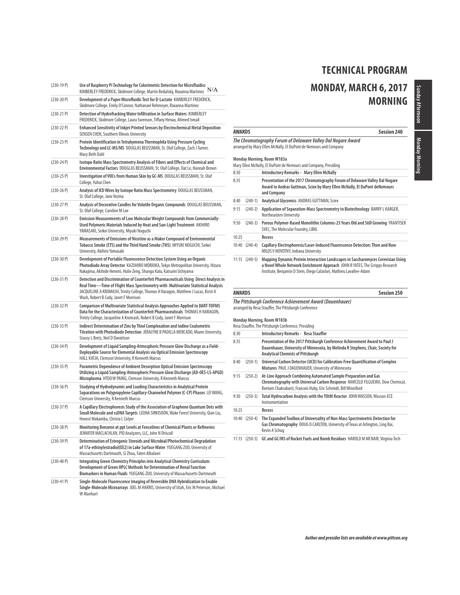# **MONDAY, MARCH 6, 2017 MORNING**

| $(230-19P)$   | Use of Raspberry Pi Technology for Colorimetric Detection for Microfluidics<br>KIMBERLEY FREDERICK, Skidmore College, Martin Bedulskij, Roxanna Martinez $N/A$                                                                                                                                           |
|---------------|----------------------------------------------------------------------------------------------------------------------------------------------------------------------------------------------------------------------------------------------------------------------------------------------------------|
| (230-20 P)    | Development of a Paper Microfluidic Test for D-Lactate KIMBERLEY FREDERICK,<br>Skidmore College, Emily O'Connor, Nathanael Rehmeyer, Roxanna Martinez                                                                                                                                                    |
| $(230-21)$ P) | Detection of Hydrofracking Water Infiltration in Surface Waters KIMBERLEY<br>FREDERICK, Skidmore College, Laura Swenson, Tiffany Henao, Ahmed Ismail                                                                                                                                                     |
| (230-22 P)    | <b>Enhanced Sensitivity of Inkjet Printed Sensors by Electrochemical Metal Deposition</b><br>SENSEN CHEN, Southern Illinois University                                                                                                                                                                   |
| $(230-23 P)$  | Protein Identification in Tetrahymena Thermophila Using Pressure Cycling<br>Technology and LC-MS/MS DOUGLAS BEUSSMAN, St. Olaf College, Zach J Turner,<br>Mary Beth Dahl                                                                                                                                 |
| $(230-24P)$   | Isotope Ratio Mass Spectrometry Analysis of Fibers and Effects of Chemical and<br>Environmental Factors DOUGLAS BEUSSMAN, St. Olaf College, Dat Le, Hannah Brown                                                                                                                                         |
| (230-25 P)    | Investigation of VOCs from Human Skin by GC-MS DOUGLAS BEUSSMAN, St. Olaf<br>College, Yuhui Chen                                                                                                                                                                                                         |
| $(230-26)$    | Analysis of IED Wires by Isotope Ratio Mass Spectrometry DOUGLAS BEUSSMAN,<br>St. Olaf College, Jane Vezina                                                                                                                                                                                              |
| $(230-27P)$   | Analysis of Decorative Candles for Volatile Organic Compounds DOUGLAS BEUSSMAN,<br>St. Olaf College, Caroline M Loe                                                                                                                                                                                      |
| $(230-28P)$   | Emission Measurements of Low Molecular Weight Compounds from Commercially-<br>Used Polymeric Materials Induced by Heat and Sun-Light Treatment AKIHIRO<br>YAMASAKI, Seikei University, Miyuki Noguchi                                                                                                    |
| $(230-29P)$   | Measurements of Emissions of Nicotine as a Maker Compound of Environmental<br>Tobacco Smoke (ETS) and the Third Hand Smoke (THS) MIYUKI NOGUCHI, Seikei<br>University, Akihiro Yamasaki                                                                                                                  |
| $(230-30P)$   | Development of Portable Fluorescence Detection System Using an Organic<br>Photodiode Array Detector KAZUHIRO MORIOKA, Tokyo Metropolitan University, Hizuru<br>Nakajima, Akihide Hemmi, Hulie Zeng, Shungo Kato, Katsumi Uchiyama                                                                        |
| $(230-31 P)$  | Detection and Discrimination of Counterfeit Pharmaceuticals Using Direct Analysis in<br>Real Time—Time of Flight Mass Spectrometry with Multivariate Statistical Analysis<br>JACQUELINE A KROMASH, Trinity College, Thomas H Naragon, Matthew J Lucas, Kirsti A<br>Wash, Robert B Cody, Janet F Morrison |
| $(230-32 P)$  | <b>Comparison of Multivariate Statistical Analysis Approaches Applied to DART-TOFMS</b><br>Data for the Characterization of Counterfeit Pharmaceuticals THOMAS H NARAGON,<br>Trinity College, Jacqueline A Kromash, Robert B Cody, Janet F Morrison                                                      |
| (230-33 P)    | Indirect Determination of Zinc by Thiol Complexation and Iodine Coulometric<br>Titration with Photodiode Detection JERALYNE B PADILLA MERCADO, Miami University,<br>Stacey L Bretz, Neil D Danielson                                                                                                     |
| $(230-34P)$   | Development of Liquid Sampling-Atmospheric Pressure Glow Discharge as a Field-<br>Deployable Source for Elemental Analysis via Optical Emission Spectroscopy<br>HALL KATJA, Clemson University, R Kenneth Marcus                                                                                         |
| $(230-35P)$   | Parametric Dependence of Ambient Desorption Optical Emission Spectroscopy<br>Utilizing a Liquid Sampling-Atmospheric Pressure Glow Discharge (AD-OES-LS-APGD)<br>Microplasma HTOO W PAING, Clemson University, R Kenneth Marcus                                                                          |
| $(230-36)$    | Studying of Hydrodynamic and Loading Characteristics in Analytical Protein<br>Separations on Polypropylene Capillary-Channeled Polymer (C-CP) Phases LEI WANG,<br>Clemson University, R Kenneth Marcus                                                                                                   |
| $(230-37P)$   | A Capillary Electrophoresis Study of the Association of Graphene Quantum Dots with<br>Small Molecule and ssDNA Targets LEONA SIRKISOON, Wake Forest University, Qian Liu,<br>Honest Makamba, Christa L Colyer                                                                                            |
| $(230-38P)$   | Monitoring Benzene at ppt Levels at Fencelines of Chemical Plants or Refineries<br>JENNIFER MACLACHLAN, PID Analyzers, LLC, John N Driscoll                                                                                                                                                              |
| $(230-39P)$   | Determination of Estrogenic Steroids and Microbial/Photochemical Degradation<br>of 17a-ethinylestradiol(EE2) in Lake Surface Water YUEGANG ZUO, University of<br>Massachusetts Dartmouth, Si Zhou, Faten Albalawi                                                                                        |
| $(230-40P)$   | Integrating Green Chemistry Principles into Analytical Chemistry Curriculum:<br>Development of Green HPLC Methods for Determination of Renal Function<br>Biomarkers in Human Fluids YUEGANG ZUO, University of Massachusetts Dartmouth                                                                   |
| $(230-41P)$   | Single-Molecule Fluorescence Imaging of Reversible DNA Hybridization to Enable<br>Single-Molecule Microarrays JOEL M HARRIS, University of Utah, Eric M Peterson, Michael<br>W Manhart                                                                                                                   |

| <b>AWARDS</b> |                | <b>Session 240</b>                                                                                                                                                                                                                      |
|---------------|----------------|-----------------------------------------------------------------------------------------------------------------------------------------------------------------------------------------------------------------------------------------|
|               |                | The Chromatography Forum of Delaware Valley Dal Nogare Award<br>arranged by Mary Ellen McNally, El DuPont de Nemours and Company                                                                                                        |
|               |                | Monday Morning, Room W183a                                                                                                                                                                                                              |
|               |                | Mary Ellen McNally, El DuPont de Nemours and Company, Presiding                                                                                                                                                                         |
| 8:30          |                | <b>Introductory Remarks - Mary Ellen McNally</b>                                                                                                                                                                                        |
| 8:35          |                | Presentation of the 2017 Chromatography Forum of Delaware Valley Dal Nogare<br>Award to Andras Guttman, Sciex by Mary Ellen McNally, El DuPont deNemours<br>and Company                                                                 |
| 8:40          | $(240-1)$      | Analytical Glycomics ANDRAS GUTTMAN, Sciex                                                                                                                                                                                              |
| 9:15          | $(240-2)$      | Application of Separation-Mass Spectrometry to Biotechnology BARRY L KARGER,<br>Northeastern University                                                                                                                                 |
| 9:50          | $(240-3)$      | Porous Polymer-Based Monolithic Columns-25 Years Old and Still Growing FRANTISEK<br>SVEC, The Molecular Foundry, LBNL                                                                                                                   |
| 10:25         |                | Recess                                                                                                                                                                                                                                  |
| 10:40         | $(240-4)$      | Capillary Electrophoresis/Laser-Induced Fluorescence Detection: Then and Now<br>MILOS V NOVOTNY, Indiana University                                                                                                                     |
|               | $11:15(240-5)$ | Mapping Dynamic Protein Interaction Landscapes in Saccharomyces Cerevisiae Using<br>a Novel Whole Network Enrichment Approach JOHN R YATES, The Scripps Research<br>Institute, Benjamin D Stein, Diego Calzolari, Mathieu Lavallee-Adam |

## **AWARDS Session 250**

**The Pittsburgh Conference Achievement Award (Dauenhauer)** arranged by Resa Stauffer, The Pittsburgh Conference

# **Monday Morning, Room W183b**

|       |           | Resa Stauffer, The Pittsburgh Conference, Presiding                                                                                                                                                                  |
|-------|-----------|----------------------------------------------------------------------------------------------------------------------------------------------------------------------------------------------------------------------|
| 8:30  |           | Introductory Remarks - Resa Stauffer                                                                                                                                                                                 |
| 8:35  |           | Presentation of the 2017 Pittsburgh Conference Achievement Award to Paul J<br>Dauenhauer, University of Minnesota, by Melinda R Stephens, Chair, Society for<br><b>Analytical Chemists of Pittsburgh</b>             |
| 8:40  | $(250-1)$ | Universal Carbon Detector (UCD) for Calibration-Free Quantification of Complex<br>Mixtures PAUL J DAUENHAUER, University of Minnesota                                                                                |
| 9:15  | $(250-2)$ | At-Line Approach Combining Automated Sample Preparation and Gas<br>Chromatography with Universal Carbon Response MARCELO FILGUEIRA, Dow Chemical,<br>Reetam Chakrabarti, Francois Huby, Eric Schmidt, Bill Winniford |
| 9:50  | $(250-3)$ | Total Hydrocarbon Analysis with the TOtM Reactor JOHN WASSON, Wasson-ECE<br>Instrumentation                                                                                                                          |
| 10:25 |           | Recess                                                                                                                                                                                                               |
| 10:40 | $(250-4)$ | The Expanded Toolbox of Universality of Non-Mass Spectrometric Detection for<br>Gas Chromatography DOUG D CARLTON, University of Texas at Arlington, Ling Bai,<br>Kevin A Schua                                      |

11:15 (250-5) **GC and GC/MS of Rocket Fuels and Bomb Residues** HAROLD M MCNAIR, Virginia Tech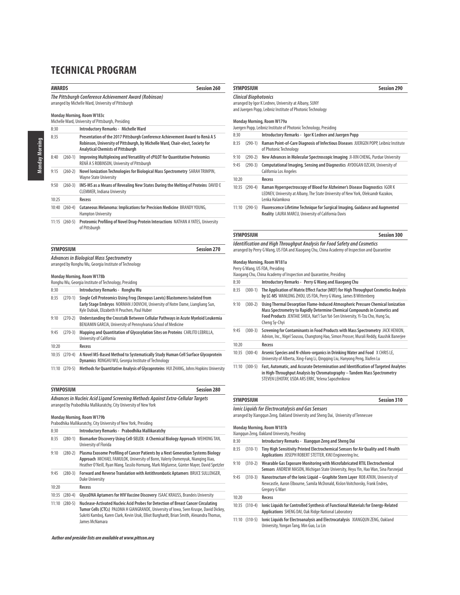| <b>AWARDS</b> |                  | <b>Session 260</b>                                                                                                                                                                                              |
|---------------|------------------|-----------------------------------------------------------------------------------------------------------------------------------------------------------------------------------------------------------------|
|               |                  | The Pittsburgh Conference Achievement Award (Robinson)<br>arranged by Michelle Ward, University of Pittsburgh                                                                                                   |
|               |                  | Monday Morning, Room W183c<br>Michelle Ward, University of Pittsburgh, Presiding                                                                                                                                |
| 8:30          |                  | Introductory Remarks - Michelle Ward                                                                                                                                                                            |
| 8:35          |                  | Presentation of the 2017 Pittsburgh Conference Achievement Award to Renã A S<br>Robinson, University of Pittsburgh, by Michelle Ward, Chair-elect, Society for<br><b>Analytical Chemists of Pittsburgh</b>      |
| 8:40          | $(260-1)$        | Improving Multiplexing and Versatility of cPILOT for Quantitative Proteomics<br>RENÃ A S ROBINSON, University of Pittsburgh                                                                                     |
| 9:15          | $(260-2)$        | Novel Ionization Technologies for Biological Mass Spectrometry SARAH TRIMPIN,<br><b>Wayne State University</b>                                                                                                  |
| 9:50          | $(260-3)$        | IMS-MS as a Means of Revealing New States During the Melting of Proteins DAVID E<br><b>CLEMMER, Indiana University</b>                                                                                          |
| 10:25         |                  | Recess                                                                                                                                                                                                          |
|               | 10:40 (260-4)    | Cutaneous Melanoma: Implications for Precision Medicine BRANDY YOUNG,<br><b>Hampton University</b>                                                                                                              |
|               | $11:15(260-5)$   | Proteomic Profiling of Novel Drug-Protein Interactions NATHAN A YATES, University<br>of Pittsburgh                                                                                                              |
|               | <b>SYMPOSIUM</b> | <b>Session 270</b>                                                                                                                                                                                              |
|               |                  | <b>Advances in Biological Mass Spectrometry</b><br>arranged by Ronghu Wu, Georgia Institute of Technology<br>Monday Morning, Room W178b                                                                         |
|               |                  | Ronghu Wu, Georgia Institute of Technology, Presiding                                                                                                                                                           |
| 8:30          |                  | Introductory Remarks - Ronghu Wu                                                                                                                                                                                |
| 8:35          | $(270-1)$        | Single Cell Proteomics Using Frog (Xenopus Laevis) Blastomeres Isolated from<br>Early Stage Embryos NORMAN J DOVICHI, University of Notre Dame, Liangliang Sun,<br>Kyle Dubiak, Elizabeth H Peuchen, Paul Huber |
| 9:10          | $(270-2)$        | Understanding the Crosstalk Between Cellular Pathways in Acute Myeloid Leukemia<br>BENJAMIN GARCIA, University of Pennsylvania School of Medicine                                                               |
| 9:45          | $(270-3)$        | Mapping and Quantitation of Glycosylation Sites on Proteins CARLITO LEBRILLA,<br>University of California                                                                                                       |
| 10:20         |                  | Recess                                                                                                                                                                                                          |

|  | 10:35 (270-4) A Novel MS-Based Method to Systematically Study Human Cell Surface Glycoprotein |
|--|-----------------------------------------------------------------------------------------------|
|  | Dynamics RONGHU WU, Georgia Institute of Technology                                           |

11:10 (270-5) **Methods for Quantitative Analysis of Glycoproteins** HUI ZHANG, Johns Hopkins University

# **SYMPOSIUM Session 280 Advances in Nucleic Acid Ligand Screening Methods Against Extra-Cellular Targets**

Prabodhika Mallikaratchy, City University of New York, Presiding

arranged by Prabodhika Mallikaratchy, City University of New York

# **Monday Morning, Room W179b**

|       |                | Pradoditika Maliikarattiiv, tity Ulliversity of New Tork, Presiding                                                                                                                                                                                                                        |
|-------|----------------|--------------------------------------------------------------------------------------------------------------------------------------------------------------------------------------------------------------------------------------------------------------------------------------------|
| 8:30  |                | Introductory Remarks - Prabodhika Mallikaratchy                                                                                                                                                                                                                                            |
| 8:35  | $(280-1)$      | Biomarker Discovery Using Cell-SELEX: A Chemical Biology Approach WEIHONG TAN,<br>University of Florida                                                                                                                                                                                    |
| 9:10  | $(280-2)$      | Plasma Exosome Profiling of Cancer Patients by a Next Generation Systems Biology<br>Approach MICHAEL FAMULOK, University of Bonn, Valeriy Domenyuk, Nianging Xiao,<br>Heather O'Neill, Ryan Wang, Tassilo Hornung, Mark Miglarese, Günter Mayer, David Spetzler                            |
| 9:45  | $(280-3)$      | Forward and Reverse Translation with Antithrombotic Aptamers BRUCE SULLENGER,<br>Duke University                                                                                                                                                                                           |
| 10:20 |                | Recess                                                                                                                                                                                                                                                                                     |
| 10:35 | $(280-4)$      | GlycoDNA Aptamers for HIV Vaccine Discovery ISAAC KRAUSS, Brandeis University                                                                                                                                                                                                              |
|       | $11:10(280-5)$ | Nuclease-Activated Nucleic Acid Probes for Detection of Breast Cancer Circulating<br>Tumor Cells (CTCs) PALOMA H GIANGRANDE, University of Iowa, Sven Kruspe, David Dickey,<br>Sukriti Kamboj, Karen Clark, Kevin Urak, Elliot Burghardt, Brian Smith, Alexandra Thomas,<br>James McNamara |

**Author and presider lists are available at www.pittcon.org** 

|       | <b>SYMPOSIUM</b>             | <b>Session 290</b>                                                                                                                                                                                              |
|-------|------------------------------|-----------------------------------------------------------------------------------------------------------------------------------------------------------------------------------------------------------------|
|       | <b>Clinical Biophotonics</b> | arranged by Igor K Lednev, University at Albany, SUNY<br>and Juergen Popp, Leibniz Institute of Photonic Technology<br>Monday Morning, Room W179a                                                               |
| 8:30  |                              | Juergen Popp, Leibniz Institute of Photonic Technology, Presiding<br>Introductory Remarks - Igor K Lednev and Juergen Popp                                                                                      |
| 8:35  | $(290-1)$                    | Raman Point-of-Care Diagnosis of Infectious Diseases JUERGEN POPP, Leibniz Institute<br>of Photonic Technology                                                                                                  |
| 9:10  | $(290-2)$                    | New Advances in Molecular Spectroscopic Imaging JI-XIN CHENG, Purdue University                                                                                                                                 |
| 9:45  | $(290-3)$                    | Computational Imaging, Sensing and Diagnostics AYDOGAN OZCAN, University of<br>California Los Angeles                                                                                                           |
| 10:20 |                              | Recess                                                                                                                                                                                                          |
| 10:35 | $(290-4)$                    | Raman Hyperspectroscopy of Blood for Alzheimer's Disease Diagnostics IGOR K<br>LEDNEV, University at Albany, The State University of New York, Oleksandr Kazakov,<br>Lenka Halamkova                            |
|       | $11:10(290-5)$               | Fluorescence Lifetime Technique for Surgical Imaging, Guidance and Augmented<br>Reality LAURA MARCU, University of California Davis                                                                             |
|       | <b>SYMPOSIUM</b>             | Session 300                                                                                                                                                                                                     |
|       |                              | <b>Identification and High Throughput Analysis for Food Safety and Cosmetics</b><br>arranged by Perry G Wang, US FDA and Xiaogang Chu, China Academy of Inspection and Quarantine<br>Monday Morning, Room W181a |
|       |                              | Perry G Wang, US FDA, Presiding<br>Xiaogang Chu, China Academy of Inspection and Quarantine, Presiding                                                                                                          |

| 8:30  |           | Introductory Remarks - Perry G Wang and Xiaogang Chu                                                                                                                                                                                                              |
|-------|-----------|-------------------------------------------------------------------------------------------------------------------------------------------------------------------------------------------------------------------------------------------------------------------|
| 8:35  | $(300-1)$ | The Application of Matrix Effect Factor (MEF) for High Throughput Cosmetics Analysis<br>by LC-MS WANLONG ZHOU, US FDA, Perry G Wang, James B Wittenberg                                                                                                           |
| 9:10  | $(300-2)$ | Using Thermal Desorption Flame-Induced Atmospheric Pressure Chemical Ionization<br>Mass Spectrometry to Rapidly Determine Chemical Compounds in Cosmetics and<br>Food Products JENTAIE SHIEA, Nat'l Sun Yat-Sen University, Yi-Tzu Cho, Hung Su,<br>Cheng Sy-Chyi |
| 9:45  | $(300-3)$ | Screening for Contaminants in Food Products with Mass Spectrometry JACK HENION,<br>Advion, Inc., Nigel Sousou, Changtong Hao, Simon Prosser, Murali Reddy, Kaushik Banerjee                                                                                       |
| 10:20 |           | Recess                                                                                                                                                                                                                                                            |
| 10:35 | $(300-4)$ | Arsenic Species and N-chloro-organics in Drinking Water and Food X CHRIS LE,<br>University of Alberta, Xing-Fang Li, Qingging Liu, Hanyong Peng, Xiufen Lu                                                                                                        |
| 11:10 | $(300-5)$ | Fast, Automatic, and Accurate Determination and Identification of Targeted Analytes<br>in High-Throughput Analysis by Chromatography - Tandem Mass Spectrometry<br>STEVEN LEHOTAY, USDA ARS ERRC, Yelena Sapozhnikova                                             |

|      | <b>SYMPOSIUM</b> | Session 310                                                                                                                                                      |  |
|------|------------------|------------------------------------------------------------------------------------------------------------------------------------------------------------------|--|
|      |                  | <b>Ionic Liquids for Electrocatalysis and Gas Sensors</b><br>arranged by Xianggun Zeng, Oakland University and Sheng Dai, University of Tennessee                |  |
|      |                  | Monday Morning, Room W181b<br>Xianggun Zeng, Oakland University, Presiding                                                                                       |  |
| 8:30 |                  | Introductory Remarks - Xianggun Zeng and Sheng Dai                                                                                                               |  |
| 8:35 | $(310-1)$        | Tiny High Sensitivity Printed Electrochemical Sensors for Air Quality and E-Health<br>Applications JOSEPH ROBERT STETTER, KWJ Engineering Inc.                   |  |
| 9:10 | $(310-2)$        | Wearable Gas Exposure Monitoring with Microfabricated RTIL Electrochemical<br>Sensors ANDREW MASON, Michigan State University, Heyu Yin, Hao Wan, Sina Parsnejad |  |

| 9:45 | $(310-3)$ | Nanostructure of the Ionic Liquid - Graphite Stern Layer ROB ATKIN, University of<br>Newcastle, Aaron Elbourne, Samila McDonald, Kislon Voitchovsky, Frank Endres,<br><b>Gregory G Warr</b> |  |  |  |  |  |
|------|-----------|---------------------------------------------------------------------------------------------------------------------------------------------------------------------------------------------|--|--|--|--|--|
|      |           |                                                                                                                                                                                             |  |  |  |  |  |

10:20 **Recess**

10:35 (310-4) **Ionic Liquids for Controlled Synthesis of Functional Materials for Energy-Related Applications** SHENG DAI, Oak Ridge National Laboratory

11:10 (310-5) **Ionic Liquids for Electroanalysis and Electrocatalysis** XIANGQUN ZENG, Oakland University, Yongan Tang, Min Guo, Lu Lin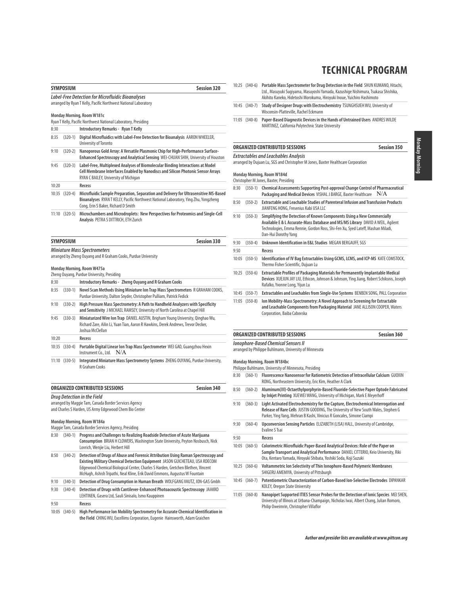|       | <b>SYMPOSIUM</b> | <b>Session 320</b>                                                                                                                                                                                                                                                                                                                  |
|-------|------------------|-------------------------------------------------------------------------------------------------------------------------------------------------------------------------------------------------------------------------------------------------------------------------------------------------------------------------------------|
|       |                  | Label-Free Detection for Microfluidic Bioanalyses<br>arranged by Ryan T Kelly, Pacific Northwest National Laboratory                                                                                                                                                                                                                |
|       |                  | Monday Morning, Room W181c<br>Ryan T Kelly, Pacific Northwest National Laboratory, Presiding                                                                                                                                                                                                                                        |
| 8:30  |                  | Introductory Remarks - Ryan T Kelly                                                                                                                                                                                                                                                                                                 |
| 8:35  | $(320-1)$        | Digital Microfluidics with Label-Free Detection for Bioanalysis AARON WHEELER,                                                                                                                                                                                                                                                      |
|       |                  | University of Toronto                                                                                                                                                                                                                                                                                                               |
| 9:10  | $(320-2)$        | Nanoporous Gold Array: A Versatile Plasmonic Chip for High-Performance Surface-<br>Enhanced Spectroscopy and Analytical Sensing WEI-CHUAN SHIH, University of Houston                                                                                                                                                               |
| 9:45  | $(320-3)$        | Label-Free, Multiplexed Analyses of Biomolecular Binding Interactions at Model<br>Cell Membrane Interfaces Enabled by Nanodiscs and Silicon Photonic Sensor Arrays<br>RYAN C BAILEY, University of Michigan                                                                                                                         |
| 10:20 |                  | Recess                                                                                                                                                                                                                                                                                                                              |
|       | 10:35 (320-4)    | Microfluidic Sample Preparation, Separation and Delivery for Ultrasensitive MS-Based<br>Bioanalyses RYAN T KELLY, Pacific Northwest National Laboratory, Ying Zhu, Yongzheng<br>Cong, Erin S Baker, Richard D Smith                                                                                                                 |
|       | 11:10 (320-5)    | Microchambers and Microdroplets: New Perspectives for Proteomics and Single-Cell<br>Analysis PETRA S DITTRICH, ETH Zurich                                                                                                                                                                                                           |
|       | <b>SYMPOSIUM</b> | <b>Session 330</b>                                                                                                                                                                                                                                                                                                                  |
|       |                  | <b>Miniature Mass Spectrometers</b>                                                                                                                                                                                                                                                                                                 |
|       |                  | arranged by Zheng Ouyang and R Graham Cooks, Purdue University                                                                                                                                                                                                                                                                      |
|       |                  | Monday Morning, Room W475a<br>Zheng Ouyang, Purdue University, Presiding                                                                                                                                                                                                                                                            |
| 8:30  |                  | Introductory Remarks - Zheng Ouyang and R Graham Cooks                                                                                                                                                                                                                                                                              |
| 8:35  | $(330-1)$        | Novel Scan Methods Using Miniature Ion Trap Mass Spectrometers R GRAHAM COOKS,<br>Purdue University, Dalton Snyder, Christopher Pulliam, Patrick Fedick                                                                                                                                                                             |
| 9:10  | $(330-2)$        | High Pressure Mass Spectrometry: A Path to Handheld Analyzers with Specificity<br>and Sensitivity J MICHAEL RAMSEY, University of North Carolina at Chapel Hill                                                                                                                                                                     |
| 9:45  | $(330-3)$        | Miniaturized Wire Ion Trap DANIEL AUSTIN, Brigham Young University, Qinghao Wu,<br>Richard Zare, Ailin Li, Yuan Tian, Aaron R Hawkins, Derek Andrews, Trevor Decker,<br>Joshua McClellan                                                                                                                                            |
| 10:20 |                  | Recess                                                                                                                                                                                                                                                                                                                              |
|       | 10:35 (330-4)    | Portable Digital Linear Ion Trap Mass Spectrometer WEI GAO, Guangzhou Hexin<br>Instrument Co., Ltd.<br>N/A                                                                                                                                                                                                                          |
|       | $11:10(330-5)$   | Integrated Miniature Mass Spectrometry Systems ZHENG OUYANG, Purdue University,<br>R Graham Cooks                                                                                                                                                                                                                                   |
|       |                  | <b>Session 340</b><br>ORGANIZED CONTRIBUTED SESSIONS                                                                                                                                                                                                                                                                                |
|       |                  | Drug Detection in the Field<br>arranged by Maggie Tam, Canada Border Services Agency<br>and Charles S Harden, US Army Edgewood Chem Bio Center<br>Monday Morning, Room W184a<br>Maggie Tam, Canada Border Services Agency, Presiding                                                                                                |
| 8:30  | $(340-1)$        | Progress and Challenges to Realizing Roadside Detection of Acute Marijuana<br>Consumption BRIAN H CLOWERS, Washington State University, Peyton Nosbusch, Nick<br>Lovrich, Wenjie Liu, Herbert Hill                                                                                                                                  |
| 8:50  | $(340-2)$        | Detection of Drugs of Abuse and Forensic Attribution Using Raman Spectroscopy and<br>Existing Military Chemical Detection Equipment JASON GUICHETEAU, USA RDECOM<br>Edgewood Chemical Biological Center, Charles S Harden, Gretchen Blethen, Vincent<br>McHugh, Ashish Tripathi, Neal Kline, Erik David Emmons, Augustus W Fountain |
| 9:10  | $(340-3)$        | Detection of Drug Consumption in Human Breath WOLFGANG VAUTZ, ION-GAS Gmbh                                                                                                                                                                                                                                                          |
| 9:30  | $(340-4)$        | Detection of Drugs with Cantilever-Enhanced Photoacoustic Spectroscopy JAAKKO<br>LEHTINEN, Gasera Ltd, Sauli Sinisalo, Ismo Kauppinen                                                                                                                                                                                               |
| 9:50  |                  | Recess                                                                                                                                                                                                                                                                                                                              |
|       |                  | 10:05 (340-5) High Performance Ion Mobility Spectrometry for Accurate Chemical Identification in<br>the Field CHING WU. Excellims Corporation. Eugenie Hainsworth. Adam Graichen                                                                                                                                                    |

- 10:25 (340-6) **Portable Mass Spectrometer for Drug Detection in the Field** SHUN KUMANO, Hitachi, Ltd., Masuyuki Sugiyama, Masuyoshi Yamada, Kazushige Nishimura, Tsukasa Shishika, Akihito Kaneko, Hidetoshi Morokuma, Hiroyuki Inoue, Yuichiro Hashimoto
- 10:45 (340-7) **Study of Designer Drugs with Electrochemistry** TSUNGHSUEH WU, University of Wisconsin-Platteville, Rachel Eckmann
- 11:05 (340-8) **Paper-Based Diagnostic Devices in the Hands of Untrained Users** ANDRES WILDE MARTINEZ, California Polytechnic State University

**ORGANIZED CONTRIBUTED SESSIONS Session 350**

# **Extractables and Leachables Analysis**

arranged by Dujuan Lu, SGS and Christopher M Jones, Baxter Healthcare Corporation

#### **Monday Morning, Room W184d**

Christopher M Jones, Baxter, Presiding

- 8:30 (350-1) **Chemical Assessments Supporting Post-approval Change Control of Pharmaceutical** Packaging and Medical Devices VISHAL J BARGE, Baxter Healthcare N/A
- 8:50 (350-2) **Extractable and Leachable Studies of Parenteral Infusion and Transfusion Products** JIANFENG HONG, Fresenius Kabi USA LLC
- 9:10 (350-3) **Simplifying the Detection of Known Components Using a New Commercially Available E & L Accurate-Mass Database and MS/MS Library** DAVID A WEIL, Agilent Technologies, Emma Rennie, Gordon Ross, Shi-Fen Xu, Syed Lateff, Mashan Miladi, Dan-Hui Dorothy Yang 9:30 (350-4) **Unknown Identification in E&L Studies** MEGAN BERGAUFF, SGS 9:50 **Recess**
- 10:05 (350-5) **Identification of IV Bag Extractables Using GCMS, LCMS, and ICP-MS** KATE COMSTOCK, Thermo Fisher Scientific, Dujuan Lu
- 10:25 (350-6) **Extractable Profiles of Packaging Materials for Permanently Implantable Medical Devices** XUEJUN JAY LIU, Ethicon, Johnson & Johnson, Ying Jiang, Robert Schiksnis, Joseph Rafalko, Yvonne Long, Yijun Lu
- 10:45 (350-7) **Extractables and Leachables from Single-Use Systems** BENBEN SONG, PALL Corporation
- 11:05 (350-8) **Ion Mobility-Mass Spectrometry: A Novel Approach to Screening for Extractable and Leachable Components from Packaging Material** JANE ALLISON COOPER, Waters Corporation, Baiba Cabovska

# **ORGANIZED CONTRIBUTED SESSIONS Session 360**

**Ionophore-Based Chemical Sensors II**

arranged by Philippe Buhlmann, University of Minnesota

#### **Monday Morning, Room W184bc**

Philippe Buhlmann, University of Minnesota, Presiding

- 8:30 (360-1) **Fluorescence Nanosensor for Ratiometric Detection of Intracellular Calcium** GUOXIN RONG, Northeastern University, Eric Kim, Heather A Clark
- 8:50 (360-2) **Aluminum(III)-Octaethylporphyrin-Based Fluoride-Selective Paper Optode Fabricated by Inkjet Printing** XUEWEI WANG, University of Michigan, Mark E Meyerhoff
- 9:10 (360-3) **Light Activated Electrochemistry for the Capture, Electrochemical Interrogation and Release of Rare Cells** JUSTIN GOODING, The University of New South Wales, Stephen G Parker, Ying Yang, Mehran B Kashi, Vinicius R Goncales, Simone Ciampi
- 9:30 (360-4) **Upconversion Sensing Particles** ELIZABETH (LISA) HALL, University of Cambridge, Evaline S Tsai

9:50 **Recess**

- 10:05 (360-5) **Colorimetric Microfluidic Paper-Based Analytical Devices: Role of the Paper on Sample Transport and Analytical Performance** DANIEL CITTERIO, Keio University, Riki Ota, Kentaro Yamada, Hiroyuki Shibata, Yoshiki Soda, Koji Suzuki
- 10:25 (360-6) **Voltammetric Ion Selectivity of Thin Ionophore-Based Polymeric Membranes** SHIGERU AMEMIYA, University of Pittsburgh
- 10:45 (360-7) **Potentiometric Characterization of Carbon-Based Ion-Selective Electrodes** DIPANKAR KOLEY, Oregon State University
- 11:05 (360-8) **Nanopipet Supported ITIES Sensor Probes for the Detection of Ionic Species** MEI SHEN, University of Illinois at Urbana-Champaign, Nicholas Iwai, Albert Chang, Julian Romoro, Philip Oweimrin, Christopher Villaflor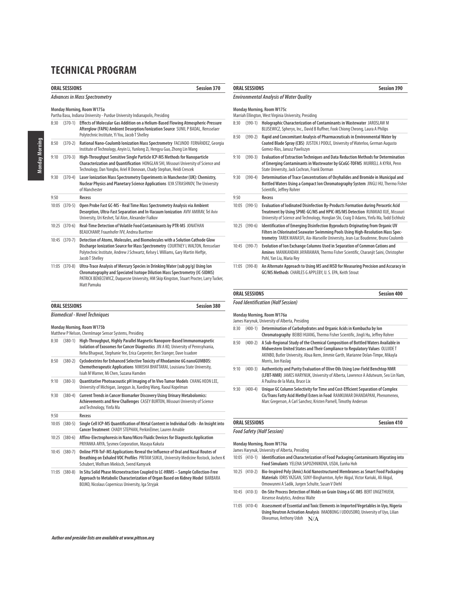|      | <b>ORAL SESSIONS</b>                                                                                      | Session 370                                                                                                                                                                                                                                                             |  |  |  |
|------|-----------------------------------------------------------------------------------------------------------|-------------------------------------------------------------------------------------------------------------------------------------------------------------------------------------------------------------------------------------------------------------------------|--|--|--|
|      |                                                                                                           | <b>Advances in Mass Spectrometry</b>                                                                                                                                                                                                                                    |  |  |  |
|      | Monday Morning, Room W175a<br>Partha Basu, Indiana University - Purdue University Indianapolis, Presiding |                                                                                                                                                                                                                                                                         |  |  |  |
| 8:30 | $(370-1)$                                                                                                 | Effects of Molecular Gas Addition on a Helium-Based Flowing Atmospheric-Pressure<br>Afterglow (FAPA) Ambient Desorption/Ionization Source SUNIL P BADAL, Rensselaer<br>Polytechnic Institute, Yi You, Jacob T Shelley                                                   |  |  |  |
| 8:50 | $(370-2)$                                                                                                 | Rational Nano-Coulomb Ionization Mass Spectrometry FACUNDO FERNÁNDEZ, Georgia<br>Institute of Technology, Anyin Li, Yunlong Zi, Hengyu Guo, Zhong Lin Wang                                                                                                              |  |  |  |
| 9:10 | $(370-3)$                                                                                                 | High-Throughput Sensitive Single Particle ICP-MS Methods for Nanoparticle<br>Characterization and Quantification HONGLAN SHI, Missouri University of Science and<br>Technology, Dan Yongbo, Ariel R Donovan, Chady Stephan, Heidi Crescek                               |  |  |  |
| 9:30 | $(370-4)$                                                                                                 | Laser Ionization Mass Spectrometry Experiments in Manchester (UK): Chemistry,<br>Nuclear Physics and Planetary Science Applications ILYA STRASHNOV, The University<br>of Manchester                                                                                     |  |  |  |
| 9:50 |                                                                                                           | Recess                                                                                                                                                                                                                                                                  |  |  |  |
|      | 10:05 (370-5)                                                                                             | Open Probe Fast GC-MS - Real Time Mass Spectrometry Analysis via Ambient<br>Desorption, Ultra-Fast Separation and In-Vacuum Ionization AVIV AMIRAV, Tel Aviv<br>University, Uri Keshet, Tal Alon, Alexander Fialkov                                                     |  |  |  |
|      | $10:25$ $(370-6)$                                                                                         | Real-Time Detection of Volatile Food Contaminants by PTR-MS JONATHAN<br>BEAUCHAMP, Fraunhofer IVV, Andrea Buettner                                                                                                                                                      |  |  |  |
|      | 10:45 (370-7)                                                                                             | Detection of Atoms, Molecules, and Biomolecules with a Solution Cathode Glow<br>Discharge Ionization Source for Mass Spectrometry COURTNEY LWALTON, Rensselaer<br>Polytechnic Institute, Andrew J Schwartz, Kelsey L Williams, Gary Martin Hieftje,<br>Jacob T Shelley  |  |  |  |
|      | 11:05 (370-8)                                                                                             | Ultra-Trace Analysis of Mercury Species in Drinking Water (sub pg/g) Using Ion<br>Chromatography and Speciated Isotope Dilution Mass Spectrometry (IC-SIDMS)<br>PATRICK BENECEWICZ, Duquesne University, HM Skip Kingston, Stuart Procter, Larry Tucker,<br>Matt Pamuku |  |  |  |

| <b>ORAL SESSIONS</b>                 | <b>Session 380</b> |
|--------------------------------------|--------------------|
| <b>Biomedical - Novel Techniques</b> |                    |

### **Monday Morning, Room W175b**

|       |                   | Matthew P Nelson, ChemImage Sensor Systems, Presiding                                                                                                                                                                                     |
|-------|-------------------|-------------------------------------------------------------------------------------------------------------------------------------------------------------------------------------------------------------------------------------------|
| 8:30  | $(380-1)$         | High-Throughput, Highly Parallel Magnetic Nanopore-Based Immunomagnetic<br>Isolation of Exosomes for Cancer Diagnostics JIN A KO, University of Pennsylvania,<br>Neha Bhagwat, Stephanie Yee, Erica Carpenter, Ben Stanger, Dave Issadore |
| 8:50  | $(380-2)$         | Cyclodextrins for Enhanced Selective Toxicity of Rhodamine 6G nanoGUMBOS:<br>Chemotherapeutic Applications NIMISHA BHATTARAI, Louisiana State University,<br>Isiah M Warner, Mi Chen, Suzana Hamden                                       |
| 9:10  | $(380-3)$         | Quantitative Photoacoustic pH Imaging of In Vivo Tumor Models CHANG HEON LEE,<br>University of Michigan, Janggun Jo, Xueding Wang, Raoul Kopelman                                                                                         |
| 9:30  | $(380-4)$         | <b>Current Trends in Cancer Biomarker Discovery Using Urinary Metabolomics:</b><br>Achievements and New Challenges CASEY BURTON, Missouri University of Science<br>and Technology, Yinfa Ma                                               |
| 9:50  |                   | <b>Recess</b>                                                                                                                                                                                                                             |
| 10:05 | $(380-5)$         | Single Cell ICP-MS Quantification of Metal Content in Individual Cells - An Insight into<br>Cancer Treatment CHADY STEPHAN, PerkinElmer, Lauren Amable                                                                                    |
|       | $10:25$ $(380-6)$ | Affino-Electrophoresis in Nano/Micro Fluidic Devices for Diagnostic Application<br>PRIYANKA ARYA, Sysmex Corporation, Masaya Kakuta                                                                                                       |
|       | 10:45 (380-7)     | Online PTR-ToF-MS Applications Reveal the Influence of Oral and Nasal Routes of<br>Breathing on Exhaled VOC Profiles PRITAM SUKUL, University Medicine Rostock, Jochen K<br>Schubert, Wolfram Miekisch, Svend Kamysek                     |
|       | $11:05$ $(380-8)$ | In Situ Solid Phase Microextraction Coupled to LC-HRMS - Sample Collection-Free<br>Approach to Metabolic Characterization of Organ Based on Kidney Model BARBARA<br>BOJKO, Nicolaus Copernicus University, Iga Stryjak                    |

# **ORAL SESSIONS** Session 390 **Environmental Analysis of Water Quality Monday Morning, Room W175c** Marriah Ellington, West Virginia University, Presiding

| 8:30 | $(390-1)$         | Holographic Characterization of Contaminants in Wastewater JAROSLAW M<br>BLUSEWICZ, Spheryx, Inc., David B Ruffner, Fook Chiong Cheong, Laura A Philips                                                                                                       |
|------|-------------------|---------------------------------------------------------------------------------------------------------------------------------------------------------------------------------------------------------------------------------------------------------------|
| 8:50 | $(390-2)$         | Rapid and Concomitant Analysis of Pharmaceuticals in Environmental Water by<br>Coated Blade Spray (CBS) JUSTEN J POOLE, University of Waterloo, German Augusto<br>Gomez-Ríos, Janusz Pawliszyn                                                                |
| 9:10 | $(390-3)$         | <b>Evaluation of Extraction Techniques and Data Reduction Methods for Determination</b><br>of Emerging Contaminants in Wastewater by GCxGC-TOFMS MURRELL A KYRA, Penn<br>State University, Jack Cochran, Frank Dorman                                         |
| 9:30 | $(390-4)$         | Determination of Trace Concentrations of Oxyhalides and Bromide in Municipal and<br>Bottled Waters Using a Compact Ion Chromatography System JINGLI HU, Thermo Fisher<br>Scientific, Jeffrey Rohrer                                                           |
| 9:50 |                   | Recess                                                                                                                                                                                                                                                        |
|      | 10:05 (390-5)     | Evaluation of Iodinated Disinfection By-Products Formation during Peracetic Acid<br>Treatment by Using SPME-GC/MS and HPIC-MS/MS Detection RUNMIAO XUE, Missouri<br>University of Science and Technology, Honglan Shi, Craig D Adams, Yinfa Ma, Todd Eichholz |
|      | $10:25$ $(390-6)$ | Identification of Emerging Disinfection Byproducts Originating from Organic UV<br>Filters in Chlorinated Seawater Swimming Pools Using High-Resolution Mass Spec-<br>trometry TAREK MANASFI, Aix-Marseille University, Jean-Luc Boudenne, Bruno Coulomb       |
|      | 10:45 (390-7)     | Evolution of Ion Exchange Columns Used in Separation of Common Cations and<br>Amines MANIKANDAN JAYARAMAN, Thermo Fisher Scientific, Charanjit Saini, Christopher<br>Pohl, Yan Liu, Maria Rey                                                                 |
|      | 11:05 (390-8)     | An Alternate Approach to Using MS and MSD for Measuring Precision and Accuracy in<br>GC/MS Methods CHARLES G APPLEBY, U. S. EPA, Keith Strout                                                                                                                 |

### **ORAL SESSIONS Session 400**

**Food Identification (Half Session)**

### **Monday Morning, Room W176a**

James Harynuk, University of Alberta, Presiding

- 8:30 (400-1) **Determination of Carbohydrates and Organic Acids in Kombucha by Ion Chromatography** BEIBEI HUANG, Thermo Fisher Scientific, Jingli Hu, Jeffrey Rohrer
- 8:50 (400-2) **A Sub-Regional Study of the Chemical Composition of Bottled Waters Available in Midwestern United States and Their Compliance to Regulatory Values** OLUJIDE T AKINBO, Butler University, Abua Ikem, Jimmie Garth, Marianne Dolan-Timpe, Mikayla Morris, Jon Haslag
- 9:10 (400-3) **Authenticity and Purity Evaluation of Olive Oils Using Low-Field Benchtop NMR (LFBT-NMR)** JAMES HARYNUK, University of Alberta, Lawrence A Adutwum, Seo Lin Nam, A Paulina de la Mata, Bruce Lix
- 9:30 (400-4) **Unique GC Column Selectivity for Time and Cost-Efficient Separation of Complex Cis/Trans Fatty Acid Methyl Esters in Food** RAMKUMAR DHANDAPANI, Phenomenex, Marc Gregerson, A Carl Sanchez, Kristen Parnell, Timothy Anderson

# **ORAL SESSIONS** Session 410

### **Food Safety (Half Session)**

**Monday Morning, Room W176a** James Harynuk, University of Alberta, Presiding 10:05 (410-1) **Identification and Characterization of Food Packaging Contaminants Migrating into Food Simulants** YELENA SAPOZHNIKOVA, USDA, Eunha Hoh 10:25 (410-2) **Bio-Inspired Poly (Amic) Acid Nanostructured Membranes as Smart Food Packaging Materials** IDRIS YAZGAN, SUNY-Binghamton, Ayfer Akgul, Victor Kariuki, Ali Akgul, Omowunmi A Sadik, Jurgen Schulte, Susan V Diehl 10:45 (410-3) **On-Site Process Detection of Molds on Grain Using a GC-IMS** BERT UNGETHUEM, Airsense Analytics, Andreas Walte 11:05 (410-4) **Assessment of Essential and Toxic Elements in Imported Vegetables in Uyo, Nigeria**

**Using Neutron Activation Analysis** IMAOBONG I UDOUSORO, University of Uyo, Lilian Okwumuo, Anthony Udoh N/A

# Monday Morning Monday Morning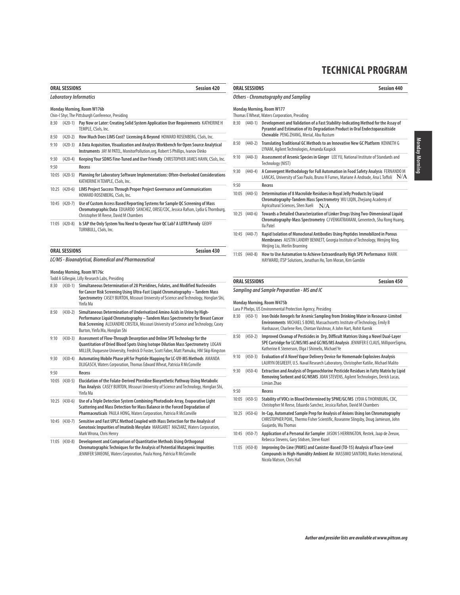| ORAL SESSIONS          | <b>Session 420</b> |
|------------------------|--------------------|
| Laboratory Informatics |                    |

### **Monday Morning, Room W176b**

Chin-I Shyr, The Pittsburgh Conference, Presiding

| 8:30 | $(420-1)$      | Pay Now or Later: Creating Solid System Application User Requirements KATHERINE H<br>TEMPLE, CSols, Inc.                                                                                                     |
|------|----------------|--------------------------------------------------------------------------------------------------------------------------------------------------------------------------------------------------------------|
| 8:50 | $(420-2)$      | How Much Does LIMS Cost? Licensing & Beyond HOWARD ROSENBERG, CSols, Inc.                                                                                                                                    |
| 9:10 | $(420-3)$      | A Data Acquisition, Visualization and Analysis Workbench for Open Source Analytical<br>Instruments JAY M PATEL, MonitorPollution.org, Robert S Phillips, Ivanov Dinko                                        |
| 9:30 | $(420-4)$      | Keeping Your SDMS Fine-Tuned and User Friendly CHRISTOPHER JAMES HAHN, CSols, Inc.                                                                                                                           |
| 9:50 |                | Recess                                                                                                                                                                                                       |
|      | $10:05(420-5)$ | Planning for Laboratory Software Implementations: Often-Overlooked Considerations<br>KATHERINE H TEMPLE, CSols, Inc.                                                                                         |
|      | $10:25(420-6)$ | LIMS Project Success Through Proper Project Governance and Communications<br>HOWARD ROSENBERG, CSols, Inc.                                                                                                   |
|      | 10:45 (420-7)  | Use of Custom Access Based Reporting Systems for Sample QC Screening of Mass<br>Chromatographic Data EDUARDO SANCHEZ, ORISE/CDC, Jessica Rafson, Lydia G Thornburg,<br>Christopher M Reese, David M Chambers |
|      | 11:05 (420-8)  | Is SAP the Only System You Need to Operate Your QC Lab? A LOTR Parody GEOFF<br>TURNBULL, CSols, Inc.                                                                                                         |

| <b>ORAL SESSIONS</b> | <b>Session 430</b> |
|----------------------|--------------------|
|                      |                    |

#### **LC/MS - Bioanalytical, Biomedical and Pharmaceutical**

#### **Monday Morning, Room W176c**

|      |                | Todd A Gillespie, Lilly Research Labs, Presiding                                                                                                                                                                                                                                       |
|------|----------------|----------------------------------------------------------------------------------------------------------------------------------------------------------------------------------------------------------------------------------------------------------------------------------------|
| 8:30 | $(430-1)$      | Simultaneous Determination of 28 Pteridines, Folates, and Modified Nucleosides<br>for Cancer Risk Screening Using Ultra-Fast Liquid Chromatography - Tandem Mass<br>Spectrometry CASEY BURTON, Missouri University of Science and Technology, Honglan Shi,<br>Yinfa Ma                 |
| 8:50 | $(430-2)$      | Simultaneous Determination of Underivatized Amino Acids in Urine by High-<br>Performance Liquid Chromatography - Tandem Mass Spectrometry for Breast Cancer<br>Risk Screening ALEXANDRE CRISTEA, Missouri University of Science and Technology, Casey<br>Burton, Yinfa Ma, Honglan Shi |
| 9:10 | $(430-3)$      | Assessment of Flow-Through Desorption and Online SPE Technology for the<br>Quantitation of Dried Blood Spots Using Isotope Dilution Mass Spectrometry LOGAN<br>MILLER, Duquesne University, Fredrick D Foster, Scott Faber, Matt Pamuku, HM Skip Kingston                              |
| 9:30 | $(430-4)$      | Automating Mobile Phase pH for Peptide Mapping for LC-UV-MS Methods AMANDA<br>DLUGASCH, Waters Corporation, Thomas Edward Wheat, Patricia R McConville                                                                                                                                 |
| 9:50 |                | Recess                                                                                                                                                                                                                                                                                 |
|      | 10:05 (430-5)  | Elucidation of the Folate-Derived Pteridine Biosynthetic Pathway Using Metabolic<br>Flux Analysis CASEY BURTON, Missouri University of Science and Technology, Honglan Shi,<br>Yinfa Ma                                                                                                |
|      | $10:25(430-6)$ | Use of a Triple Detection System Combining Photodiode Array, Evaporative Light<br>Scattering and Mass Detection for Mass Balance in the Forced Degradation of<br>Pharmaceuticals PAULA HONG, Waters Corporation, Patricia R McConville                                                 |
|      | 10:45 (430-7)  | Sensitive and Fast UPLC Method Coupled with Mass Detection for the Analysis of<br>Genotoxic Impurities of Imatinib Mesylate MARGARET MAZIARZ, Waters Corporation,<br>Mark Wrona, Chris Henry                                                                                           |
|      | 11:05 (430-8)  | Development and Comparison of Quantitative Methods Using Orthogonal<br>Chromatographic Techniques for the Analysis of Potential Mutagenic Impurities<br>JENNIFER SIMEONE, Waters Corporation, Paula Hong, Patricia R McConville                                                        |

### **ORAL SESSIONS Session 440**

#### **Others - Chromatography and Sampling**

**Monday Morning, Room W177**

- Thomas E Wheat, Waters Corporation, Presiding 8:30 (440-1) **Development and Validation of a Fast Stability-Indicating Method for the Assay of Pyrantel and Estimation of its Degradation Product in Oral Endectoparasitiside Chewable** PENG ZHANG, Merial, Abu Rustum 8:50 (440-2) **Translating Traditional GC Methods to an Innovative New GC Platform** KENNETH G LYNAM, Agilent Technologies, Amanda Kaspick 9:10 (440-3) **Assessment of Arsenic Species in Ginger** LEE YU, National Institute of Standards and Technology (NIST) 9:30 (440-4) **A Convergent Methodology for Full Automation in Food Safety Analysis** FERNANDO M LANCAS, University of Sao Paulo, Bruno H Fumes, Mariane A Andrade, Ana L Toffoli  $\,$   $\rm N/A$ 9:50 **Recess** 10:05 (440-5) **Determination of 8 Macrolide Residues in Royal Jelly Products by Liquid Chromatography-Tandem Mass Spectrometry** WU LIQIN, Zhejiang Academy of Agricultural Sciences, Shen Xueli  $N/A$ 10:25 (440-6) **Towards a Detailed Characterization of Linker Drugs Using Two-Dimensional Liquid Chromatography-Mass Spectrometry** CJ VENKATRAMANI, Genentech, Shu Rong Huang, Ila Patel 10:45 (440-7) **Rapid Isolation of Monoclonal Antibodies Using Peptides Immobilized in Porous Membranes** AUSTIN LANDRY BENNETT, Georgia Institute of Technology, Wenjing Ning, Weijing Liu, Merlin Bruening 11:05 (440-8) **How to Use Automation to Achieve Extraordinarily High SPE Performance** MARK
- HAYWARD, ITSP Solutions, Jonathan Ho, Tom Moran, Kim Gamble

#### **ORAL SESSIONS** Session 450

#### **Sampling and Sample Preparation - MS and IC**

**Monday Morning, Room W475b**

- Lara P Phelps, US Environmental Protection Agency, Presiding
- 8:30 (450-1) **Iron Oxide Xerogels for Arsenic Sampling from Drinking Water in Resource-Limited Environments** MICHAEL S BONO, Massachusetts Institute of Technology, Emily B Hanhauser, Charlene Ren, Chintan Vaishnav, A John Hart, Rohit Karnik
- 8:50 (450-2) **Improved Cleanup of Pesticides in Dry, Difficult Matrices Using a Novel Dual-Layer SPE Cartridge for LC/MS/MS and GC/MS/MS Analysis** JENNIFER E CLAUS, MilliporeSigma, Katherine K Stenerson, Olga I Shimelis, Michael Ye
- 9:10 (450-3) **Evaluation of A Novel Vapor Delivery Device for Homemade Explosives Analysis**  LAURYN DEGREEFF, U.S. Naval Research Laboratory, Christopher Katilie, Michael Malito
- 9:30 (450-4) **Extraction and Analysis of Organochlorine Pesticide Residues in Fatty Matrix by Lipid Removing Sorbent and GC/MSMS** JOAN STEVENS, Agilent Technologies, Derick Lucas, Limian Zhao

9:50 **Recess**

- 10:05 (450-5) **Stability of VOCs in Blood Determined by SPME/GC/MS** LYDIA G THORNBURG, CDC, Christopher M Reese, Eduardo Sanchez, Jessica Rafson, David M Chambers
- 10:25 (450-6) **In-Cap, Automated Sample Prep for Analysis of Anions Using Ion Chromatography** CHRISTOPHER POHL, Thermo Fisher Scientific, Roseanne Slingsby, Doug Jamieson, John Guajardo, Wu Thomas
- 10:45 (450-7) **Application of a Personal Air Sampler** JASON S HERRINGTON, Restek, Jaap de Zeeuw, Rebecca Stevens, Gary Stidsen, Steve Kozel
- 11:05 (450-8) **Improving On-Line (PAMS) and Canister-Based (TO-15) Analysis of Trace-Level Compounds in High-Humidity Ambient Air** MASSIMO SANTORO, Markes International, Nicola Watson, Chris Hall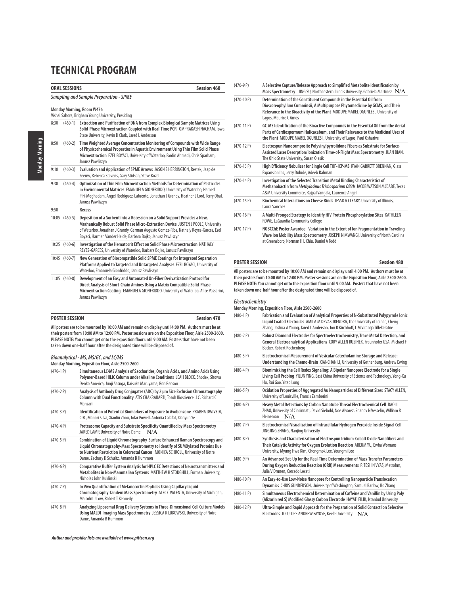|      | <b>ORAL SESSIONS</b>                                                            | <b>Session 460</b>                                                                                                                                                                                                                                                                                                         |  |  |  |
|------|---------------------------------------------------------------------------------|----------------------------------------------------------------------------------------------------------------------------------------------------------------------------------------------------------------------------------------------------------------------------------------------------------------------------|--|--|--|
|      | <b>Sampling and Sample Preparation - SPME</b>                                   |                                                                                                                                                                                                                                                                                                                            |  |  |  |
|      | Monday Morning, Room W476<br>Vishal Sahore, Brigham Young University, Presiding |                                                                                                                                                                                                                                                                                                                            |  |  |  |
| 8:30 | $(460-1)$                                                                       | Extraction and Purification of DNA from Complex Biological Sample Matrices Using<br>Solid-Phase Microextraction Coupled with Real-Time PCR OMPRAKASH NACHAM, lowa<br>State University, Kevin D Clark, Jared L Anderson                                                                                                     |  |  |  |
| 8:50 | $(460-2)$                                                                       | Time Weighted Average Concentration Monitoring of Compounds with Wide Range<br>of Physicochemical Properties in Aquatic Environment Using Thin Film Solid Phase<br>Microextraction EZEL BOYACI, University of Waterloo, Fardin Ahmadi, Chris Sparham,<br>Janusz Pawliszyn                                                  |  |  |  |
| 9:10 | $(460-3)$                                                                       | Evaluation and Application of SPME Arrows JASON SHERRINGTON, Restek, Jaap de<br>Zeeuw, Rebecca Stevens, Gary Stidsen, Steve Kozel                                                                                                                                                                                          |  |  |  |
| 9:30 | $(460-4)$                                                                       | Optimization of Thin Film Microextraction Methods for Determination of Pesticides<br>in Environmental Matrices EMANUELA GIONFRIDDO, University of Waterloo, Hamed<br>Piri-Moghadam, Angel Rodriguez-Lafuente, Jonathan J Grandy, Heather L Lord, Terry Obal,<br>Janusz Pawliszyn                                           |  |  |  |
| 9:50 |                                                                                 | Recess                                                                                                                                                                                                                                                                                                                     |  |  |  |
|      | 10:05 (460-5)                                                                   | Deposition of a Sorbent into a Recession on a Solid Support Provides a New,<br>Mechanically Robust Solid Phase Micro-Extraction Device JUSTEN J POOLE, University<br>of Waterloo, Jonathan J Grandy, German Augusto Gomez-Ríos, Nathaly Reyes-Garces, Ezel<br>Boyaci, Harmen Vander Heide, Barbara Bojko, Janusz Pawliszyn |  |  |  |
|      | 10:25 (460-6)                                                                   | Investigation of the Hematocrit Effect on Solid Phase Microextraction NATHALY<br>REYES-GARCES, University of Waterloo, Barbara Bojko, Janusz Pawliszyn                                                                                                                                                                     |  |  |  |
|      | 10:45 (460-7)                                                                   | New Generation of Biocompatible Solid SPME Coatings for Integrated Separation<br>Platforms Applied to Targeted and Untargeted Analyses EZEL BOYACI, University of<br>Waterloo, Emanuela Gionfriddo, Janusz Pawliszyn                                                                                                       |  |  |  |
|      | 11:05 (460-8)                                                                   | Development of an Easy and Automated On-Fiber Derivatization Protocol for<br>Direct Analysis of Short-Chain Amines Using a Matrix Compatible Solid-Phase<br>Microextraction Coating EMANUELA GIONFRIDDO, University of Waterloo, Alice Passarini,<br>Janusz Pawliszyn                                                      |  |  |  |

| <b>POSTER SESSION</b>                                                                             | Session 470 |
|---------------------------------------------------------------------------------------------------|-------------|
| All posters are to be mounted by 10:00 AM and remain on display until 4:00 PM. Authors must be at |             |

**their posters from 10:00 AM to 12:00 PM. Poster sessions are on the Exposition Floor, Aisle 2500-2600. PLEASE NOTE: You cannot get onto the exposition floor until 9:00 AM. Posters that have not been taken down one-half hour after the designated time will be disposed of.**

### **Bioanalytical - MS, MS/GC, and LC/MS**

**Monday Morning, Exposition Floor, Aisle 2500-2600**

| $(470-1)$ P)   | Simultaneous LC/MS Analysis of Saccharides, Organic Acids, and Amino Acids Using<br>Polymer-Based HILIC Column under Alkaline Conditions LEAH BLOCK, Shodex, Showa<br>Denko America, Junji Sasuga, Daisuke Maruyama, Ron Benson                                                                |
|----------------|------------------------------------------------------------------------------------------------------------------------------------------------------------------------------------------------------------------------------------------------------------------------------------------------|
| $(470-2)$ P)   | Analysis of Antibody Drug Conjugates (ADC) by 2 µm Size Exclusion Chromatography<br>Column with Dual Functionality ATIS CHAKRABARTI, Tosoh Bioscience LLC, Richard C<br>Manzari                                                                                                                |
| $(470-3)$ P)   | Identification of Potential Biomarkers of Exposure to Avobenzone PRABHA DWIVEDI,<br>CDC, Manori Silva, Xiaoliu Zhou, Tolar Powell, Antonia Calafat, Xiaoyun Ye                                                                                                                                 |
| $(470 - 4P)$   | Proteasome Capacity and Substrate Specificity Quantified by Mass Spectrometry<br>JARED LAMP, University of Notre Dame<br>N/A                                                                                                                                                                   |
| $(470-5P)$     | Combination of Liquid Chromatography-Surface Enhanced Raman Spectroscopy and<br>Liquid Chromatography-Mass Spectrometry to Identify of SUMOylated Proteins Due<br>to Nutrient Restriction in Colorectal Cancer MONICA SCHROLL, University of Notre<br>Dame, Zachary D Schultz, Amanda B Hummon |
| $(470-6)$ P)   | Comparative Buffer System Analysis for HPLC EC Detections of Neurotransmitters and<br>Metabolites in Non-Mammalian Systems MATTHEW H STODGHILL, Furman University,<br>Nicholas John Kuklinski                                                                                                  |
| $(470 - 7)$ P) | In Vivo Quantification of Melanocortin Peptides Using Capillary Liquid<br>Chromatography-Tandem Mass Spectrometry ALEC CVALENTA, University of Michigan,<br>Malcolm J Low, Robert T Kennedy                                                                                                    |
| $(470-8)$      | Analyzing Liposomal Drug Delivery Systems in Three-Dimensional Cell Culture Models<br>Using MALDI-Imaging Mass Spectrometry JESSICA K LUKOWSKI, University of Notre<br>Dame, Amanda B Hummon                                                                                                   |

| $(470-9P)$   | A Selective Capture/Release Approach to Simplified Metabolite Identification by<br>Mass Spectrometry JING SU, Northeastern Illinois University, Gabriela Martinez $N/A$                                                                                        |
|--------------|----------------------------------------------------------------------------------------------------------------------------------------------------------------------------------------------------------------------------------------------------------------|
| $(470-10P)$  | Determination of the Constituent Compounds in the Essential Oil from<br>Dioscoreophyllum Cumminsii, A Multipurpose Phytomedicine by GCMS, and Their<br>Relevance to the Bioactivity of the Plant MODUPE MABEL OGUNLESI, University of<br>Lagos, Maurice C Amos |
| $(470-11P)$  | GC-MS Identification of the Bioactive Compounds in the Essential Oil from the Aerial<br>Parts of Cardiospermum Halicacabum, and Their Relevance to the Medicinal Uses of<br>the Plant MODUPE MABEL OGUNLESI, University of Lagos, Paul Osharive                |
| $(470-12P)$  | Electrospun Nanocomposite Polyvinylpyrrolidone Fibers as Substrate for Surface-<br>Assisted Laser Desorption/Ionization Time-of-Flight Mass Spectrometry JUAN BIAN,<br>The Ohio State University, Susan Olesik                                                 |
| $(470-13 P)$ | High Efficiency Nebulizer for Single Cell TOF-ICP-MS RYAN GARRETT BRENNAN, Glass<br>Expansion Inc, Jerry Dulude, Adeeb Rahman                                                                                                                                  |
| $(470-14P)$  | Investigation of the Selected Transition Metal Binding Characteristics of<br>Methanobactin from Methylosinus Trichosporium OB3b JACOB WATSON MCCABE, Texas<br>A&M University Commerce, Rajpal Vangala, Laurence Angel                                          |
| $(470-15P)$  | Biochemical Interactions on Cheese Rinds JESSICA CLEARY, University of Illinois,<br>Laura Sanchez                                                                                                                                                              |
| $(470-16P)$  | A Multi-Pronged Strategy to Identify HIV Protein Phosphorylation Sites KATHLEEN<br>ROWE, LaGuardia Community College                                                                                                                                           |
| $(470-17P)$  | NOBCChE Poster Awardee - Variation in the Extent of Ion Fragmentation in Traveling<br>Wave Ion Mobility Mass Spectrometry JOSEPH N MWANGI, University of North Carolina                                                                                        |

#### **POSTER SESSION** Session 480

at Greensboro, Norman H L Chiu, Daniel A Todd

**All posters are to be mounted by 10:00 AM and remain on display until 4:00 PM. Authors must be at their posters from 10:00 AM to 12:00 PM. Poster sessions are on the Exposition Floor, Aisle 2500-2600. PLEASE NOTE: You cannot get onto the exposition floor until 9:00 AM. Posters that have not been taken down one-half hour after the designated time will be disposed of.**

#### **Electrochemistry**

| Monday Morning, Exposition Floor, Aisle 2500-2600 |                                                                                                                                                                                                                                                                |  |
|---------------------------------------------------|----------------------------------------------------------------------------------------------------------------------------------------------------------------------------------------------------------------------------------------------------------------|--|
| $(480-1)$                                         | Fabrication and Evaluation of Analytical Properties of N-Substituted Polypyrrole Ionic<br>Liquid Coated Electrodes AMILA M DEVASURENDRA, The University of Toledo, Cheng<br>Zhang, Joshua A Young, Jared L Anderson, Jon R Kirchhoff, L M Viranga Tillekeratne |  |
| $(480-2)$                                         | Robust Diamond Electrodes for Spectroelectrochemistry, Trace Metal Detection, and<br>General Electroanalytical Applications CORY ALLEN RUSINEK, Fraunhofer USA, Michael F<br>Becker, Robert Rechenbera                                                         |  |
| $(480-3)$ P)                                      | Electrochemical Measurement of Vesicular Catecholamine Storage and Release:<br>Understanding the Chemo-Brain XIANCHAN LI, University of Gothenburg, Andrew Ewing                                                                                               |  |
| $(480 - 4P)$                                      | Biomimicking the Cell Redox Signaling: A Bipolar Nanopore Electrode for a Single<br>Living Cell Probing YILUN YING, East China University of Science and Technology, Yong-Xu<br>Hu, Rui Gao, Yitao Long                                                        |  |
| $(480-5P)$                                        | Oxidation Properties of Aggregated Au Nanoparticles of Different Sizes STACY ALLEN,<br>University of Louisville, Francis Zamborini                                                                                                                             |  |
| $(480-6P)$                                        | Heavy Metal Detections by Carbon Nanotube Thread Electrochemical Cell DAOLI<br>ZHAO, University of Cincinnati, David Siebold, Noe Alvarez, Shanov N Vesselin, William R<br>N/A<br>Heineman                                                                     |  |
| $(480 - 7)$                                       | Electrochemical Visualization of Intracellular Hydrogen Peroxide Inside Signal Cell<br>JINGJING ZHANG, Nanjing University                                                                                                                                      |  |
| $(480-8)$                                         | Synthesis and Characterization of Electrospun Iridium-Cobalt Oxide Nanofibers and<br>Their Catalytic Activity for Oxygen Evolution Reaction AREUM YU, Ewha Womans<br>University, Myung Hwa Kim, Chongmok Lee, Youngmi Lee                                      |  |
| $(480-9P)$                                        | An Advanced Set-Up for the Real-Time Determination of Mass-Transfer Parameters<br>During Oxygen Reduction Reaction (ORR) Measurements RITESH NVYAS, Metrohm,<br>Julia V Drunen, Corrado Locati                                                                 |  |
| $(480 - 10 P)$                                    | An Easy-to-Use Low-Noise Nanopore for Controlling Nanoparticle Translocation<br>Dynamics CHRIS GUNDERSON, University of Washington, Samuel Barlow, Bo Zhang                                                                                                    |  |
| $(480-11P)$                                       | Simultaneous Electrochemical Determination of Caffeine and Vanillin by Using Poly<br>(Alizarin red S) Modified Glassy Carbon Electrode HAYATI FILIK, Istanbul University                                                                                       |  |
| $(480-12P)$                                       | Ultra-Simple and Rapid Approach for the Preparation of Solid Contact Ion Selective<br>Electrodes TOLULOPE ANDREW FAYOSE, Keele University N/A                                                                                                                  |  |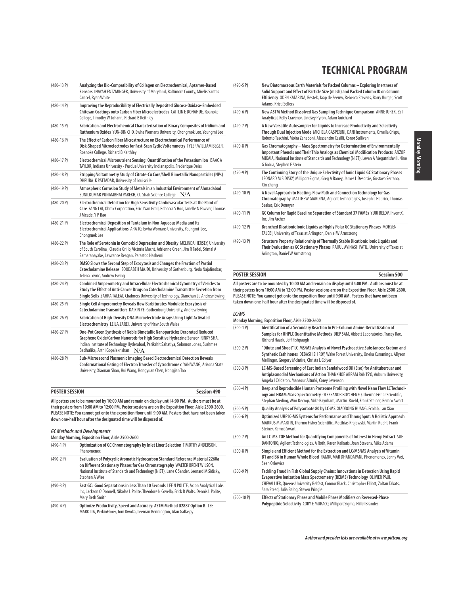| 17 CI-00-1    | Anaryzing the Dio-Compatibility of Conagen on Electrochemical, Aptamer-Daseu<br>Sensors INAYAH ENTZMINGER, University of Maryland, Baltimore County, Mirelis Santos<br>Cancel, Ryan White                                                                                                     |
|---------------|-----------------------------------------------------------------------------------------------------------------------------------------------------------------------------------------------------------------------------------------------------------------------------------------------|
| $(480-14P)$   | Improving the Reproducibility of Electrically Deposited Glucose Oxidase-Embedded<br>Chitosan Coatings onto Carbon Fiber Microelectrodes CAITLIN E DONAHUE, Roanoke<br>College, Timothy W Johann, Richard B Keithley                                                                           |
| $(480-15P)$   | Fabrication and Electrochemical Characterization of Binary Composites of Iridium and<br>Ruthenium Oxides YUN-BIN CHO, Ewha Womans University, Chongmok Lee, Youngmi Lee                                                                                                                       |
| $(480-16P)$   | The Effect of Carbon Fiber Microstructure on Electrochemical Performance of<br>Disk-Shaped Microelectrodes for Fast-Scan Cyclic Voltammetry TYLER WILLIAM BEGER,<br>Roanoke College, Richard B Keithley                                                                                       |
| $(480-17P)$   | Electrochemical Micronutrient Sensing: Quantification of the Potassium Ion ISAAC A<br>TAYLOR, Indiana University - Purdue University Indianapolis, Frederique Deiss                                                                                                                           |
| $(480-18P)$   | Stripping Voltammetry Study of Citrate-Cu Core/Shell Bimetallic Nanoparticles (NPs)<br>DHRUBA K PATTADAR, University of Louisville                                                                                                                                                            |
| $(480-19P)$   | Atmospheric Corrosion Study of Metals in an Industrial Environment of Ahmadabad<br>SUNILKUMAR PUNAMBHAI PAREKH, CU Shah Science College $\rm\,N/A$                                                                                                                                            |
| $(480-20P)$   | Electrochemical Detection for High Sensitivity Cardiovascular Tests at the Point of<br>Care FANG LAI, Ohmx Corporation, Eric J Van Groll, Rebecca S Hoo, Janelle N Fawver, Thomas<br>J Meade, Y P Bao                                                                                         |
| $(480-21)$    | Electrochemical Deposition of Tantalum in Non-Aqueous Media and Its<br>Electrochemical Applications ARA JO, Ewha Womans University, Youngmi Lee,<br>Chongmok Lee                                                                                                                              |
| $(480-22P)$   | The Role of Serotonin in Comorbid Depression and Obesity MELINDA HERSEY, University<br>of South Carolina , Claudia Grillo, Victoria Macht, Adrienne Green, Jim R Fadel, Srimal A<br>Samaranayake, Lawrence Reagan, Parastoo Hashemi                                                           |
| $(480-23 P)$  | DMSO Slows the Second Step of Exocytosis and Changes the Fraction of Partial<br>Catecholamine Release SOODABEH MAJDI, University of Gothenburg, Neda Najafinobar,<br>Jelena Lovric, Andrew Ewing                                                                                              |
| $(480-24P)$   | Combined Amperometry and Intracellular Electrochemical Cytometry of Vesicles to<br>Study the Effect of Anti-Cancer Drugs on Catecholamine Transmitter Secretion from<br>Single Sells ZAHRA TALEAT, Chalmers University of Technology, Xianchan Li, Andrew Ewing                               |
| $(480-25)$ P) | Single Cell Amperometry Reveals How Barbiturates Modulate Exocytosis of<br>Catecholamine Transmitters DAIXIN YE, Gothenburg University, Andrew Ewing                                                                                                                                          |
| $(480-26)$    | Fabrication of High-Density DNA Microelectrode Arrays Using Light Activated<br>Electrochemistry LEILA ZAREI, University of New South Wales                                                                                                                                                    |
| $(480-27P)$   | One-Pot Green Synthesis of Noble Bimetallic Nanoparticles Decorated Reduced<br>Graphene Oxide/Carbon Nanorods for High Sensitive Hydrazine Sensor RINKY SHA,<br>Indian Institute of Technology Hyderabad, Parikshit Sahatiya, Solomon Jones, Sushmee<br>Badhulika, Arthi Gopalakrishan<br>N/A |
| $(480-28P)$   | Sub-Microsecond Plasmonic Imaging Based Electrochemical Detection Reveals<br>Conformational Gating of Electron Transfer of Cytrochrome c YAN WANG, Arizona State<br>University, Xiaonan Shan, Hui Wang, Hongyuan Chen, Nongjian Tao                                                           |

(480-13 P) **Analyzing the Bio-Compatibility of Collagen on Electrochemical, Aptamer-Based** 

| POSTER SESSION | <b>Session 490</b> |
|----------------|--------------------|
|                |                    |

**All posters are to be mounted by 10:00 AM and remain on display until 4:00 PM. Authors must be at their posters from 10:00 AM to 12:00 PM. Poster sessions are on the Exposition Floor, Aisle 2500-2600. PLEASE NOTE: You cannot get onto the exposition floor until 9:00 AM. Posters that have not been taken down one-half hour after the designated time will be disposed of.**

#### **GC Methods and Developments**

**Monday Morning, Exposition Floor, Aisle 2500-2600**

| $(490-1)$    | Optimization of GC Chromatography by Inlet Liner Selection TIMOTHY ANDERSON,<br>Phenomenex                                                                                                                                                                                  |
|--------------|-----------------------------------------------------------------------------------------------------------------------------------------------------------------------------------------------------------------------------------------------------------------------------|
| $(490-2)$ P) | Evaluation of Polycyclic Aromatic Hydrocarbon Standard Reference Material 2260a<br>on Different Stationary Phases for Gas Chromatography WALTER BRENT WILSON,<br>National Institute of Standards and Technology (NIST), Lane C Sander, Leonard M Sidisky,<br>Stephen A Wise |
| $(490-3)$ P) | Fast GC: Good Separations in Less Than 10 Seconds LEE N POLITE, Axion Analytical Labs<br>Inc, Jackson O'Donnell, Nikolas L Polite, Theodore N Covello, Erick D Walts, Dennis L Polite,<br>Mary Beth Smith                                                                   |
| $(490-4P)$   | Optimize Productivity, Speed and Accuracy: ASTM Method D2887 Option B LEE                                                                                                                                                                                                   |

MAROTTA, PerkinElmer, Tom Kwoka, Leeman Bennington, Alan Gallaspy

| $(490-5P)$    | New Diatomaceous Earth Materials for Packed Columns - Exploring Inertness of<br>Solid Support and Effect of Particle Size (mesh) and Packed Column ID on Column<br>Efficiency ODEN KATARINA, Restek, Jaap de Zeeuw, Rebecca Stevens, Barry Burger, Scott<br>Adams, Kristi Sellers         |
|---------------|-------------------------------------------------------------------------------------------------------------------------------------------------------------------------------------------------------------------------------------------------------------------------------------------|
| $(490-6)$     | New ASTM Method Dissolved Gas Sampling Technique Comparison ANNE JUREK, EST<br>Analytical, Kelly Cravenor, Lindsey Pyron, Adam Guichard                                                                                                                                                   |
| $(490 - 7)$   | A New Versatile Autosampler for Liquids to Increase Productivity and Selectivity<br>Through Dual Injection Mode MICHELA GASPERINI, DANI Instruments, Ornella Crispu,<br>Roberto Taschini, Moira Zanaboni, Alessandro Casilli, Conor Sullivan                                              |
| $(490-8P)$    | Gas Chromatography - Mass Spectrometry for Determination of Environmentally<br>Important Phenols and Their Thio Analogs as Chemical Modification Products ANZOR<br>MIKAIA, National Institute of Standards and Technology (NIST), Levan A Megutnishvili, Nino<br>G Todua, Stephen E Stein |
| $(490-9P)$    | The Continuing Story of the Unique Selectivity of Ionic Liquid GC Stationary Phases<br>LEONARD M SIDISKY, MilliporeSigma, Greg A Baney, James L Desorcie, Gustavo Serrano,<br>Xin Zhena                                                                                                   |
| $(490-10P)$   | A Novel Approach to Heating, Flow Path and Connection Technology for Gas<br>Chromatography MATTHEW GIARDINA, Agilent Technologies, Joseph L Hedrick, Thomas<br>Szakas, Eric Denoyer                                                                                                       |
| $(490-11P)$   | GC Column for Rapid Baseline Separation of Standard 37 FAMEs YURI BELOV, InventX,<br>Inc. Jim Archer                                                                                                                                                                                      |
| $(490-12P)$   | Branched Dicationic Ionic Liquids as Highly Polar GC Stationary Phases MOHSEN<br>TALEBI, University of Texas at Arlington, Daniel W Armstrong                                                                                                                                             |
| $(490-13)$ P) | Structure Property Relationship of Thermally Stable Dicationic Ionic Liquids and<br>Their Evaluation as GC Stationary Phases RAHUL AVINASH PATIL, University of Texas at<br>Arlington, Daniel W Armstrong                                                                                 |

#### **POSTER SESSION Session 500**

**All posters are to be mounted by 10:00 AM and remain on display until 4:00 PM. Authors must be at their posters from 10:00 AM to 12:00 PM. Poster sessions are on the Exposition Floor, Aisle 2500-2600. PLEASE NOTE: You cannot get onto the exposition floor until 9:00 AM. Posters that have not been taken down one-half hour after the designated time will be disposed of.**

#### **LC/MS**

#### **Monday Morning, Exposition Floor, Aisle 2500-2600** (500-1 P) **Identification of a Secondary Reaction In Pre-Column Amine-Derivatization of Samples for UHPLC Quantitative Methods** DIEP SAM, Abbott Laboratories, Tracey Rae, Richard Haack, Jeff Fishpaugh (500-2 P) **"Dilute and Shoot" LC-MS/MS Analysis of Novel Psychoactive Substances: Kratom and Synthetic Cathinones** DEBASHISH ROY, Wake Forest University, Oneka Cummings, Allyson Mellinger, Gregory McIntire, Christa L Colyer (500-3 P) **LC-MS-Based Screening of East Indian Sandalwood Oil (Eiso) for Antitubercuar and Antiplasmodial Mechanisms of Action** THANKHOE ABRAM RANTS'O, Auburn University, Angela I Calderon, Mansour Alturki, Corey Levenson (500-4 P) **Deep and Reproducible Human Proteome Profiling with Novel Nano Flow LC Technology and HRAM Mass-Spectrometry** OLEKSANDR BOYCHENKO, Thermo Fisher Scientific, Stephan Meding, Wim Decrop, Mike Baynham, Martin Ruehl, Frank Steiner, Remco Swart (500-5 P) **Quality Analysis of Polysorbate 80 by LC-MS** XIAODONG HUANG, Ecolab, Lan Xiao (500-6 P) **Optimized UHPLC-MS Systems for Performance and Throughput: A Holistic Approach** MARKUS M MARTIN, Thermo Fisher Scientific, Matthias Krajewski, Martin Ruehl, Frank Steiner, Remco Swart (500-7 P) **An LC-MS-TOF Method for Quantifying Components of Interest in Hemp Extract** SUE DANTONIO, Agilent Technologies, A Roth, Karen Kaikaris, Joan Stevens, Mike Adams (500-8 P) **Simple and Efficient Method for the Extraction and LC/MS/MS Analysis of Vitamin B1 and B6 in Human Whole Blood** RAMKUMAR DHANDAPANI, Phenomenex, Jenny Wei, Sean Orlowicz (500-9 P) **Tackling Fraud in Fish Global Supply Chains: Innovations in Detection Using Rapid Evaporative Ionization Mass Spectrometry (REIMS) Technology** OLIVIER PAUL CHEVALLIER, Queens University Belfast, Connor Black, Christopher Elliott, Zoltan Takats, Sara Stead, Julia Balog, Steven Pringle (500-10 P) **Effects of Stationary Phase and Mobile Phase Modifiers on Reversed-Phase**

**Polypeptide Selectivity** CORY E MURACO, MilliporeSigma, Hillel Brandes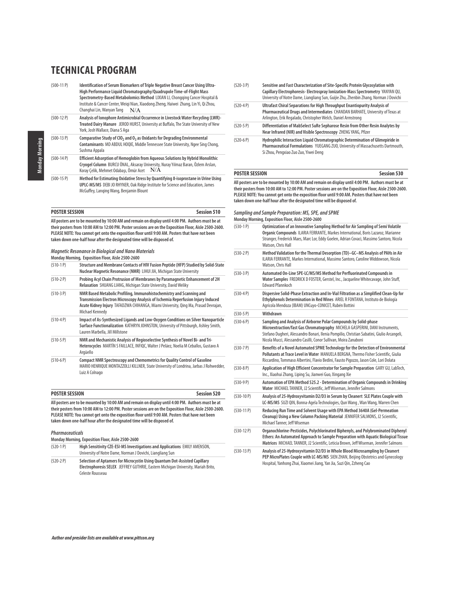| $(500-11P)$  | Identification of Serum Biomarkers of Triple Negative Breast Cancer Using Ultra-<br>High Performance Liquid Chromatography/Quadrupole Time-of-Flight Mass<br>Spectrometry-Based Metabolomics Method LIXIAN LI, Chongging Cancer Hospital &<br>Institute & Cancer Center, Weigi Nian, Xiaodong Zheng, Haiwei Zhang, Lin Yi, Qi Zhou,<br>Changhai Lin, Wanyan Tang<br>N/A |  |
|--------------|-------------------------------------------------------------------------------------------------------------------------------------------------------------------------------------------------------------------------------------------------------------------------------------------------------------------------------------------------------------------------|--|
| $(500-12 P)$ | Analysis of lonophore Antimicrobial Occurrence in Livestock Water Recycling (LWR)-<br>Treated Dairy Manure JEROD HURST, University at Buffalo, The State University of New<br>York, Josh Wallace, Diana S Aga                                                                                                                                                           |  |
| $(500-13 P)$ | Comparative Study of CIO <sub>2</sub> and O <sub>3</sub> as Oxidants for Degrading Environmental<br>Contaminants MD ABDUL HOQIE, Middle Tennessee State University, Ngee Sing Chong,<br>Sushma Appala                                                                                                                                                                   |  |
| $(500-14P)$  | Efficient Adsorption of Hemoglobin from Aqueous Solutions by Hybrid Monolithic<br>Cryogel Column BURCU ÖNAL, Aksaray University, Nuray Yılmaz Baran, Özlem Arslan,<br>N/A<br>Koray Çelik, Mehmet Odabaşı, Ömür Acet                                                                                                                                                     |  |
| $(500-15P)$  | Method for Estimating Oxidative Stress by Quantifying 8-isoprostane in Urine Using<br>UPLC-MS/MS DEBI JO RHYNER, Oak Ridge Institute for Science and Education, James<br>McGuffey, Langing Wang, Benjamin Blount                                                                                                                                                        |  |

| <b>POSTER SESSION</b>                                                                                  | <b>Session 510</b> |
|--------------------------------------------------------------------------------------------------------|--------------------|
| All posters are to be mounted by 10:00 AM and remain on display until 4:00 PM. Authors must be at      |                    |
| their posters from 10:00 AM to 12:00 PM. Poster sessions are on the Exposition Floor. Aisle 2500-2600. |                    |

**their posters from 10:00 AM to 12:00 PM. Poster sessions are on the Exposition Floor, Aisle 2500-2600. PLEASE NOTE: You cannot get onto the exposition floor until 9:00 AM. Posters that have not been taken down one-half hour after the designated time will be disposed of.**

**Magnetic Resonance in Biological and Nano Materials**

**Monday Morning, Exposition Floor, Aisle 2500-2600**

| $(510-1)$    | Structure and Membrane Contacts of HIV Fusion Peptide (HFP) Studied by Solid-State<br>Nuclear Magnetic Resonance (NMR) LIHUI JIA, Michigan State University                                                                                                       |
|--------------|-------------------------------------------------------------------------------------------------------------------------------------------------------------------------------------------------------------------------------------------------------------------|
| $(510-2)$    | Probing Acyl Chain Protrusion of Membranes by Paramagnetic Enhancement of 2H<br>Relaxation SHUANG LIANG, Michigan State University, David Weliky                                                                                                                  |
| $(510-3)$ P) | NMR Based Metabolic Profiling, Immunohistochemistry and Scanning and<br>Transmission Electron Microscopy Analysis of Ischemia Reperfusion Injury Induced<br>Acute Kidney Injury TAFADZWA CHIHANGA, Miami University, Qing Ma, Prasad Devrajan,<br>Michael Kennedy |
| $(510-4P)$   | Impact of As-Synthesized Ligands and Low-Oxygen Conditions on Silver Nanoparticle<br>Surface Functionalization KATHRYN JOHNSTON, University of Pittsburgh, Ashley Smith,<br>Lauren Marbella, Jill Millstone                                                       |
| $(510-5P)$   | NMR and Mechanistic Analysis of Regioselective Synthesis of Novel Bi- and Tri-<br>Heterocycles MARTÍN S FAILLACE, INFIQC, Walter J Peláez, Noelia M Ceballos, Gustavo A<br>Argüello                                                                               |
| $(510-6P)$   | Compact NMR Spectroscopy and Chemometrics for Quality Control of Gasoline<br>MARIO HENRIQUE MONTAZZOLLI KILLNER, State University of Londrina, Jarbas J Rohwedder,<br>Luiz A Colnago                                                                              |

**POSTER SESSION Session 520 All posters are to be mounted by 10:00 AM and remain on display until 4:00 PM. Authors must be at**

**their posters from 10:00 AM to 12:00 PM. Poster sessions are on the Exposition Floor, Aisle 2500-2600. PLEASE NOTE: You cannot get onto the exposition floor until 9:00 AM. Posters that have not been taken down one-half hour after the designated time will be disposed of.**

#### **Pharmaceuticals**

**Monday Morning, Exposition Floor, Aisle 2500-2600**

| $(520-1)$  | High Sensitivity CZE-ESI-MS Investigations and Applications EMILY AMENSON,<br>University of Notre Dame, Norman J Dovichi, Liangliang Sun                                            |
|------------|-------------------------------------------------------------------------------------------------------------------------------------------------------------------------------------|
| $(520-2P)$ | Selection of Aptamers for Microcystin Using Quantum Dot-Assisted Capillary<br>Electrophoresis SELEX JEFFREY GUTHRIE, Eastern Michigan University, Mariah Brito,<br>Celeste Rousseau |

| $(520-3P)$   | Sensitive and Fast Characterization of Site-Specific Protein Glycosylation with<br>Capillary Electrophoresis-Electrospray Ionization-Mass Spectrometry YANYAN QU,<br>University of Notre Dame, Liangliang Sun, Guijie Zhu, Zhenbin Zhang, Norman J Dovichi |
|--------------|------------------------------------------------------------------------------------------------------------------------------------------------------------------------------------------------------------------------------------------------------------|
| $(520 - 4P)$ | Ultrafast Chiral Separations for High Throughput Enantiopurity Analysis of<br>Pharmaceutical Drugs and Intermediates CHANDAN BARHATE, University of Texas at<br>Arlington, Erik Regalado, Christopher Welch, Daniel Armstrong                              |
| $(520-5P)$   | Differentiation of MabSelect SuRe Sepharose Resin from Other Resin Analytes by<br>Near Infrared (NIR) and Visible Spectroscopy ZHENG YANG, Pfizer                                                                                                          |
| $(520 - 6P)$ | Hydrophilic Interaction Liquid Chromatographic Determination of Glimepiride in<br>Pharmaceutical Formulations YUEGANG ZUO, University of Massachusetts Dartmouth,<br>Si Zhou, Pengxiao Zuo Zuo, Yiwei Deng                                                 |

# **POSTER SESSION Session 530 All posters are to be mounted by 10:00 AM and remain on display until 4:00 PM. Authors must be at**

**their posters from 10:00 AM to 12:00 PM. Poster sessions are on the Exposition Floor, Aisle 2500-2600. PLEASE NOTE: You cannot get onto the exposition floor until 9:00 AM. Posters that have not been taken down one-half hour after the designated time will be disposed of.**

#### **Sampling and Sample Preparation: MS, SPE, and SPME Monday Morning, Exposition Floor, Aisle 2500-2600**

(530-1 P) **Optimization of an Innovative Sampling Method for Air Sampling of Semi Volatile Organic Compounds** ILARIA FERRANTE, Markes International, Boris Lazaroz, Marianne Stranger, Frederick Maes, Marc Lor, Eddy Goelen, Adrian Covaci, Massimo Santoro, Nicola Watson, Chris Hall (530-2 P) **Method Validation for the Thermal Desorption (TD)–GC–MS Analysis of PAHs in Air** ILARIA FERRANTE, Markes International, Massimo Santoro, Caroline Widdowson, Nicola Watson, Chris Hall (530-3 P) **Automated On-Line SPE-LC/MS/MS Method for Perfluorinated Compounds in Water Samples** FREDRICK D FOSTER, Gerstel, Inc., Jacqueline Whitecavage, John Stuff, Edward Pfannkoch (530-4 P) **Dispersive Solid-Phase Extraction and In-Vial Filtration as a Simplified Clean-Up for Ethylphenols Determination in Red Wines** ARIEL R FONTANA, Instituto de Biología Agrícola Mendoza (IBAM) UNCuyo-CONICET, Rubén Bottini (530-5 P) **Withdrawn**  (530-6 P) **Sampling and Analysis of Airborne Polar Compounds by Solid-phase Microextraction/fast Gas Chromatography** MICHELA GASPERINI, DANI Instruments, Stefano Dugheri, Alessandro Bonari, Ilenia Pompilio, Christian Sabatini, Giulio Arcangeli, Nicola Mucci, Alessandro Casilli, Conor Sullivan, Moira Zanaboni (530-7 P) **Benefits of a Novel Automated SPME Technology for the Detection of Environmental Pollutants at Trace Level in Water** MANUELA BERGNA, Thermo Fisher Scientific, Giulia Riccardino, Tommaso Albertini, Flavio Bedini, Fausto Pigozzo, Jason Cole, Lori Dolata (530-8 P) **Application of High Efficient Concentrator for Sample Preparation** GARY GU, LabTech, Inc., Xiaohui Zhang, Liping Su, Jianwei Guo, Xingang Xie (530-9 P) **Automation of EPA Method 525.2 - Determination of Organic Compounds in Drinking Water** MICHAEL TANNER, J2 Scientific, Jeff Wiseman, Jennifer Salmons (530-10 P) **Analysis of 25-Hydroxyvitamin D2/D3 in Serum by Cleanert SLE Plates Couple with LC-MS/MS** SUZI QIN, Bonna-Agela Technologies, Qun Wang , Wan Wang, Warren Chen (530-11 P) **Reducing Run Time and Solvent Usage with EPA Method 3640A (Gel-Permeation Cleanup) Using a New Column Packing Material** JENNIFER SALMONS, J2 Scientific, Michael Tanner, Jeff Wiseman (530-12 P) **Organochlorine-Pesticides, Polychlorinated Biphenyls, and Polybrominated Diphenyl Ethers: An Automated Approach to Sample Preparation with Aquatic Biological Tissue Matrices** MICHAEL TANNER, J2 Scientific, Leticia Brown, Jeff Wiseman, Jennifer Salmons (530-13 P) **Analysis of 25-Hydroxyvitamin D2/D3 in Whole Blood Microsampling by Cleanert PEP MicroPlates Couple with LC-MS/MS** SIEN ZHAN, Beijing Obstetrics and Gynecology Hospital, Yanhong Zhai, Xiaomei Jiang, Yan Jia, Suzi Qin, Zzheng Cao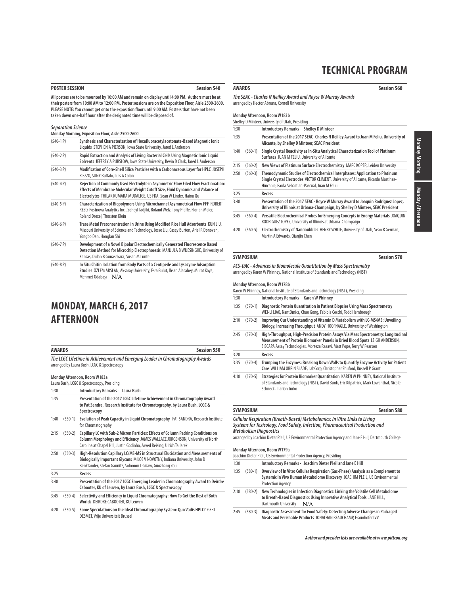# **POSTER SESSION** Session 540

**All posters are to be mounted by 10:00 AM and remain on display until 4:00 PM. Authors must be at their posters from 10:00 AM to 12:00 PM. Poster sessions are on the Exposition Floor, Aisle 2500-2600. PLEASE NOTE: You cannot get onto the exposition floor until 9:00 AM. Posters that have not been taken down one-half hour after the designated time will be disposed of.**

### **Separation Science**

|              | Monday Morning, Exposition Floor, Aisle 2500-2600                                                                                                                                                                                              |
|--------------|------------------------------------------------------------------------------------------------------------------------------------------------------------------------------------------------------------------------------------------------|
| $(540-1)$    | Synthesis and Characterization of Hexafluoracetylacetonate-Based Magnetic Ionic<br>Liquids STEPHEN A PIERSON, Iowa State University, Jared L Anderson                                                                                          |
| $(540-2)$ P) | Rapid Extraction and Analysis of Living Bacterial Cells Using Magnetic Ionic Liguid<br>Solvents JEFFREY A PURSLOW, Iowa State University, Kevin D Clark, Jared L Anderson                                                                      |
| $(540-3)$ P) | Modification of Core-Shell Silica Particles with a Carbonaceous Layer for HPLC JOSEPH<br>R EZZO, SUNY Buffalo, Luis A Colon                                                                                                                    |
| $(540-4)$    | Rejection of Commonly Used Electrolyte in Asymmetric Flow Filed Flow Fractionation:<br>Effects of Membrane Molecular Weight Cutoff Size, Fluid Dynamics and Valance of<br>Electrolytes THILAK KUMARA MUDALIGE, US FDA, Sean W Linder, Haiou Qu |
| $(540-5P)$   | Characterization of Biopolymers Using Microchannel Asymmetrical Flow FFF ROBERT<br>REED, Postnova Analytics Inc., Soheyl Tadjiki, Roland Welz, Tony Pfaffe, Florian Meier,<br>Roland Drexel, Thorsten Klein                                    |
| $(540-6)$    | Trace Metal Preconcentration in Urine Using Modified Rice Hull Adsorbents KUN LIU,<br>Missouri University of Science and Technology, Jesse Liu, Casey Burton, Ariel R Donovan,<br>Yongbo Dan, Honglan Shi                                      |
| $(540 - 7)$  | Development of a Novel Bipolar Electrochemically Generated Fluorescence Based<br>Detection Method for Microchip Electrophoresis MANJULA B WIJESINGHE, University of<br>Kansas, Dulan B Gunasekara, Susan M Lunte                               |
| $(540-8)$    | In Situ Chitin Isolation from Body Parts of a Centipede and Lysozyme Adsorption                                                                                                                                                                |

**Studies** ÖZLEM ARSLAN, Aksaray University, Esra Bulut, İhsan Alacabey, Murat Kaya, Mehmet Odabaşı N/A

# **MONDAY, MARCH 6, 2017 AFTERNOON**

| <b>AWARDS</b>                                                                                                                | Session 550 |
|------------------------------------------------------------------------------------------------------------------------------|-------------|
| The LCGC Lifetime in Achievement and Emerging Leader in Chromatography Awards<br>arranged by Laura Bush, LCGC & Spectroscopy |             |

### **Monday Afternoon, Room W183a**

|      |           | Laura Bush, LCGC & Spectroscopy, Presiding                                                                                                                                                                                                    |
|------|-----------|-----------------------------------------------------------------------------------------------------------------------------------------------------------------------------------------------------------------------------------------------|
| 1:30 |           | Introductory Remarks - Laura Bush                                                                                                                                                                                                             |
| 1:35 |           | Presentation of the 2017 LCGC Lifetime Achievement in Chromatography Award<br>to Pat Sandra, Research Institute for Chromatography, by Laura Bush, LCGC &<br>Spectroscopy                                                                     |
| 1:40 | $(550-1)$ | Evolution of Peak Capacity in Liquid Chromatography PAT SANDRA, Research Institute<br>for Chromatography                                                                                                                                      |
| 2:15 | $(550-2)$ | Capillary LC with Sub-2 Micron Particles: Effects of Column Packing Conditions on<br>Column Morphology and Efficiency JAMES WALLACE JORGENSON, University of North<br>Carolina at Chapel Hill, Justin Godinho, Arved Reising, Ulrich Tallarek |
| 2:50 | $(550-3)$ | High-Resolution Capillary LC/MS-MS in Structural Elucidation and Measurements of<br>Biologically Important Glycans MILOS V NOVOTNY, Indiana University, John D<br>Benktander, Stefan Gaunitz, Solomon T Gizaw, Guozhang Zou                   |
| 3:25 |           | Recess                                                                                                                                                                                                                                        |
| 3:40 |           | Presentation of the 2017 LCGC Emerging Leader in Chromatography Award to Deirdre<br>Cabooter, KU of Leuven, by Laura Bush, LCGC & Spectroscopy                                                                                                |
| 3:45 | $(550-4)$ | Selectivity and Efficiency in Liquid Chromatography: How To Get the Best of Both<br>Worlds DEIRDRE CABOOTER, KU Leuven                                                                                                                        |
| 4:20 | $(550-5)$ | Some Speculations on the Ideal Chromatography System: Quo Vadis HPLC? GERT<br>DESMET, Vrije Universiteit Brussel                                                                                                                              |

### **AWARDS Session 560**

**The SEAC - Charles N Reilley Award and Royce W Murray Awards**

arranged by Hector Abruna, Cornell University

# **Monday Afternoon, Room W183b**

|      |           | Shelley D Minteer, University of Utah, Presiding                                                                                                                                                                       |
|------|-----------|------------------------------------------------------------------------------------------------------------------------------------------------------------------------------------------------------------------------|
| 1:30 |           | <b>Introductory Remarks - Shelley D Minteer</b>                                                                                                                                                                        |
| 1:35 |           | Presentation of the 2017 SEAC - Charles N Reilley Award to Juan M Feliu, University of<br>Alicante, by Shelley D Minteer, SEAC President                                                                               |
| 1:40 | $(560-1)$ | Single Crystal Reactivity as In-Situ Analytical Characterization Tool of Platinum<br>Surfaces JUAN M FELIU, University of Alicante                                                                                     |
| 2:15 | $(560-2)$ | New Views of Platinum Surface Electrochemistry MARC KOPER, Leiden University                                                                                                                                           |
| 2:50 | $(560-3)$ | Themodynamic Studies of Electrochemical Interphases: Application to Platinum<br>Single Crystal Electrodes VICTOR CLIMENT, University of Alicante, Ricardo Martinez-<br>Hincapie, Paula Sebastian-Pascual, Juan M Feliu |
| 3:25 |           | Recess                                                                                                                                                                                                                 |
| 3:40 |           | Presentation of the 2017 SEAC - Royce W Murray Award to Joaquin Rodriquez Lopez,<br>University of Illinois at Urbana-Champaign, by Shelley D Minteer, SEAC President                                                   |
| 3:45 | $(560-4)$ | Versatile Electrochemical Probes for Emerging Concepts in Energy Materials JOAQUIN<br>RODRIGUEZ LOPEZ, University of Illinois at Urbana-Champaign                                                                      |

4:20 (560-5) **Electrochemistry of Nanobubbles** HENRY WHITE, University of Utah, Sean R German, Martin A Edwards, Qianjin Chen

# **SYMPOSIUM Session 570**

**ACS-DAC - Advances in Biomolecule Quantitation by Mass Spectrometry** arranged by Karen W Phinney, National Institute of Standards and Technology (NIST)

#### **Monday Afternoon, Room W178b**

|      |           | Karen W Phinney, National Institute of Standards and Technology (NIST), Presiding                                                                                                                                                            |
|------|-----------|----------------------------------------------------------------------------------------------------------------------------------------------------------------------------------------------------------------------------------------------|
| 1:30 |           | Introductory Remarks - Karen W Phinney                                                                                                                                                                                                       |
| 1:35 | $(570-1)$ | Diagnostic Protein Quantitation in Patient Biopsies Using Mass Spectrometry<br>WEI-LI LIAO, NantOmics, Chao Gong, Fabiola Cecchi, Todd Hembrough                                                                                             |
| 2:10 | $(570-2)$ | Improving Our Understanding of Vitamin D Metabolism with LC-MS/MS: Unveiling<br>Biology, Increasing Throughput ANDY HOOFNAGLE, University of Washington                                                                                      |
| 2:45 | $(570-3)$ | High-Throughput, High-Precision Protein Assays Via Mass Spectrometry: Longitudinal<br>Measurement of Protein Biomarker Panels in Dried Blood Spots LEIGH ANDERSON.<br>SISCAPA Assay Technologies, Morteza Razavi, Matt Pope, Terry W Pearson |
| 3:20 |           | Recess                                                                                                                                                                                                                                       |
| 3:35 | $(570-4)$ | Trumping the Enzymes: Breaking Down Walls to Quantify Enzyme Activity for Patient<br>Care WILLIAM ORRIN SLADE, LabCorp, Christopher Shuford, Russell P Grant                                                                                 |
| 4:10 | $(570-5)$ | Strategies for Protein Biomarker Quantitation KAREN W PHINNEY, National Institute<br>of Standards and Technology (NIST), David Bunk, Eric Kilpatrick, Mark Lowenthal, Nicole<br>Schneck, Illarion Turko                                      |

# **SYMPOSIUM Session 580 Cellular Respiration (Breath-Based) Metabolomics: In Vitro Links to Living**

**Systems for Toxicology, Food Safety, Infection, Pharmaceutical Production and Metabolism Diagnostics**

arranged by Joachim Dieter Pleil, US Environmental Protection Agency and Jane E Hill, Dartmouth College

# **Monday Afternoon, Room W179a**

|      | $\mathbf{N}$<br>Joachim Dieter Pleil, US Environmental Protection Agency, Presiding |                                                                                                                                                                                              |
|------|-------------------------------------------------------------------------------------|----------------------------------------------------------------------------------------------------------------------------------------------------------------------------------------------|
| 1:30 |                                                                                     | Introductory Remarks - Joachim Dieter Pleil and Jane E Hill                                                                                                                                  |
| 1:35 | $(580-1)$                                                                           | Overview of In Vitro Cellular Respiration (Gas-Phase) Analysis as a Complement to<br>Systemic In Vivo Human Metabolome Discovery JOACHIM PLEIL, US Environmental<br><b>Protection Agency</b> |
| 2:10 | $(580-2)$                                                                           | New Technologies in Infection Diagnostics: Linking the Volatile Cell Metabolome<br>to Breath-Based Diagnostics Using Innovative Analytical Tools JANE HILL,<br>Dartmouth University<br>N/A   |
| 2:45 | $(580-3)$                                                                           | Diagnostic Assessment for Food Safety: Detecting Adverse Changes in Packaged<br>Meats and Perishable Products JONATHAN BEAUCHAMP, Fraunhofer IVV                                             |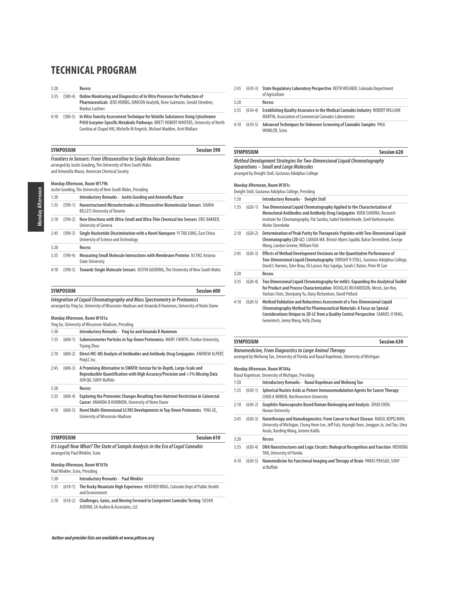3:20 **Recess**

- 3:35 (580-4) **Online Monitoring and Diagnostics of In Vitro Processes for Production of Pharmaceuticals** JENS HERBIG, IONICON Analytik, Rene Gutmann, Gerald Striedner, Markus Luchner
- 4:10 (580-5) **In Vitro Toxicity Assessment Technique for Volatile Substances Using Cytochrome P450 Isozyme-Specific Metabolic Pathways** BRETT ROBERT WINTERS, University of North Carolina at Chapel Hill, Michelle M Angrish, Michael Madden, Ariel Wallace

|                    | <b>Session 590</b><br><b>SYMPOSIUM</b> |                                                                                                                                                                                                |  |
|--------------------|----------------------------------------|------------------------------------------------------------------------------------------------------------------------------------------------------------------------------------------------|--|
|                    |                                        | <b>Frontiers in Sensors: From Ultrasensitive to Single Molecule Devices</b><br>arranged by Justin Gooding, The University of New South Wales<br>and Antonella Mazur, American Chemical Society |  |
|                    |                                        | Monday Afternoon, Room W179b<br>Justin Gooding, The University of New South Wales, Presiding                                                                                                   |  |
| 1:30               |                                        | Introductory Remarks - Justin Gooding and Antonella Mazur                                                                                                                                      |  |
| 1. $\neg$ $\Gamma$ |                                        | (EQQ 1) Nanosturetuvod Misvaalastvados as Ultvasonsitius Diamalasulav Consove CUANA                                                                                                            |  |

| 1:35 | $(590-1)$ | Nanostructured Microelectrodes as Ultrasensitive Biomolecular Sensors SHANA<br><b>KELLEY, University of Toronto</b>    |
|------|-----------|------------------------------------------------------------------------------------------------------------------------|
| 2:10 | $(590-2)$ | New Directions with Ultra-Small and Ultra-Thin Chemical Ion Sensors ERIC BAKKER,<br>University of Geneva               |
| 2:45 | $(590-3)$ | Single Nucleotide Discrimination with a Novel Nanopore YI-TAO LONG, East China<br>University of Science and Technology |
| 3:20 |           | Recess                                                                                                                 |
| 3:35 | $(590-4)$ | Measuring Small Molecule Interactions with Membrane Proteins NJ TAO, Arizona<br><b>State University</b>                |

4:10 (590-5) **Towards Single Molecule Sensors** JUSTIN GOODING, The University of New South Wales

| SYMPOSIUM                                                                                          | Session 600 |
|----------------------------------------------------------------------------------------------------|-------------|
| Integration of Liquid Chromatography and Mass Spectrometry in Proteomics                           |             |
| arranged by Ying Ge, University of Wisconsin-Madison and Amanda B Hummon, University of Notre Dame |             |

#### **Monday Afternoon, Room W181a** Ying Ge, University of Wisconsin-Madison, Presiding

| 1:30 |           | Introductory Remarks - Ying Ge and Amanda B Hummon                                                                                                                               |
|------|-----------|----------------------------------------------------------------------------------------------------------------------------------------------------------------------------------|
| 1:35 | $(600-1)$ | Submicrometer Particles in Top-Down Proteomics MARY JWIRTH, Purdue University,<br><b>Yiyang Zhou</b>                                                                             |
| 2:10 | $(600-2)$ | Direct HIC-MS Analysis of Antibodies and Antibody-Drug Conjugates ANDREW ALPERT,<br>PolyLC Inc.                                                                                  |
| 2:45 | $(600-3)$ | A Promising Alternative to SWATH: lonstar for In-Depth, Large-Scale and<br>Reproducible Quantification with High Accuracy/Precision and <1% Missing Data<br>JUN QU, SUNY-Buffalo |
| 3:20 |           | Recess                                                                                                                                                                           |
| 3:35 | $(600-4)$ | <b>Exploring the Proteomic Changes Resulting from Nutrient Restriction in Colorectal</b><br>Cancer AMANDA B HUMMON, University of Notre Dame                                     |
| 4:10 | $(600-5)$ | Novel Multi-Dimensional LC/MS Developments in Top-Down Proteomics YING GE,<br>University of Wisconsin-Madison                                                                    |

| SYMPOSIUM                                                                               | <b>Session 610</b> |
|-----------------------------------------------------------------------------------------|--------------------|
| <u>It's Locall Nous What? The Ctate of Cample Anglusis in the Eva of Local Cannabis</u> |                    |

**It's Legal! Now What? The State of Sample Analysis in the Era of Legal Cannabis** arranged by Paul Winkler, Sciex

#### **Monday Afternoon, Room W181b**

Paul Winkler, Sciex, Presiding

| 1:30 |           | <b>Introductory Remarks - Paul Winkler</b>                                                                       |
|------|-----------|------------------------------------------------------------------------------------------------------------------|
| 1:35 | $(610-1)$ | The Rocky Mountain High Experience HEATHER KRUG, Colorado Dept of Public Health<br>and Environment               |
| 2:10 | $(610-2)$ | Challenges, Gains, and Moving Forward to Competent Cannabis Testing SUSAN<br>AUDINO, SA Audino & Associates, LLC |

#### 2:45 (610-3) **State Regulatory Laboratory Perspective** KEITH WEGNER, Colorado Department of Agriculture

3:20 **Recess**

- 3:35 (610-4) **Establishing Quality Assurance in the Medical Cannabis Industry** ROBERT WILLIAM MARTIN, Association of Commercial Cannabis Laboratories
- 4:10 (610-5) **Advanced Techniques for Unknown Screening of Cannabis Samples** PAUL WINKLER, Sciex

| <b>SYMPOSIUM</b>  | Session 620                                                                                                                                                                                                                                                                |
|-------------------|----------------------------------------------------------------------------------------------------------------------------------------------------------------------------------------------------------------------------------------------------------------------------|
|                   | Method Development Strategies for Two-Dimensional Liquid Chromatography<br>Separations - Small and Large Molecules<br>arranged by Dwight Stoll, Gustavus Adolphus College<br>Monday Afternoon, Room W181c<br>Dwight Stoll, Gustavus Adolphus College, Presiding            |
| 1:30              | <b>Introductory Remarks - Dwight Stoll</b>                                                                                                                                                                                                                                 |
| 1:35<br>$(620-1)$ | Two Dimensional Liquid Chromatography Applied to the Characterization of<br>Monoclonal Antibodies and Antibody-Drug Conjugates KOEN SANDRA, Research<br>Institute for Chromatography, Pat Sandra, Isabel Vandenheede, Gerd Vanhoenacker,<br>Mieke Steenbeke                |
| 2:10<br>$(620-2)$ | Determination of Peak Purity for Therapeutic Peptides with Two-Dimensional Liquid<br>Chromatography (2D-LC) LIANJIA MA, Bristol-Myers Squibb, Bahar Demirdirek, George<br>Wang, Landon Greene, William Fish                                                                |
| 2:45<br>$(620-3)$ | Effects of Method Development Decisions on the Quantitative Performance of<br>Two-Dimensional Liquid Chromatography DWIGHT R STOLL, Gustavus Adolphus College,<br>David C Harmes, Tyler Brau, Eli Larson, Ray Sajulga, Sarah C Rutan, Peter W Carr                         |
| 3:20              | Recess                                                                                                                                                                                                                                                                     |
| 3:35<br>$(620-4)$ | Two Dimensional Liquid Chromatography for mAb's: Expanding the Analytical Toolkit<br>for Product and Process Characterization DOUGLAS RICHARDSON, Merck, Jun Heo,<br>Yuetian Chen, Shenjiang Yu, Daisy Richardson, David Pollard                                           |
| 4:10<br>$(620-5)$ | Method Validation and Robustness Assessment of a Two-Dimensional Liquid<br>Chromatography Method for Pharmaceutical Materials: A Focus on Special<br>Considerations Unique to 2D-LC from a Quality Control Perspective SAMUEL HYANG,<br>Genentech, Jenny Wang, Kelly Zhang |

### **SYMPOSIUM** Session 630

**Nanomedicine, From Diagnostics to Large Animal Therapy**

arranged by Weihong Tan, University of Florida and Raoul Kopelman, University of Michigan

### **Monday Afternoon, Room W184a**

|      |           | Raoul Kopelman, University of Michigan, Presiding                                                                                                                                                                 |
|------|-----------|-------------------------------------------------------------------------------------------------------------------------------------------------------------------------------------------------------------------|
| 1:30 |           | Introductory Remarks - Raoul Kopelman and Weihong Tan                                                                                                                                                             |
| 1:35 | $(630-1)$ | Spherical Nucleic Acids as Potent Immunomodulation Agents for Cancer Therapy<br><b>CHAD A MIRKIN, Northwestern University</b>                                                                                     |
| 2:10 | $(630-2)$ | Graphitic Nanocapsules Based Raman Bioimaging and Analysis ZHUO CHEN,<br>Hunan University                                                                                                                         |
| 2:45 | $(630-3)$ | Nanotherapy and Nanodiagnostics: From Cancer to Heart Disease RAOUL KOPELMAN,<br>University of Michigan, Chang Heon Lee, Jeff Folz, Hyungki Yoon, Janggun Jo, Joel Tan, Uma<br>Avula, Xueding Wang, Jerome Kalifa |
| 3:20 |           | Recess                                                                                                                                                                                                            |
| 3:35 | $(630-4)$ | DNA Nanostructures and Logic Circuits: Biological Recognition and Function WEIHONG<br>TAN, University of Florida                                                                                                  |
| 4:10 | $(630-5)$ | Nanomedicine for Functional Imaging and Therapy of Brain PARAS PRASAD, SUNY<br>at Buffalo                                                                                                                         |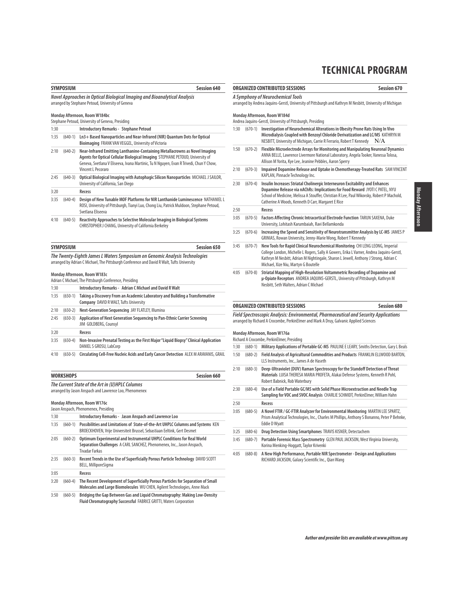|      | <b>SYMPOSIUM</b> | <b>Session 640</b>                                                                                                                                                                                                                                                           |                                      | ORGANIZED                           |
|------|------------------|------------------------------------------------------------------------------------------------------------------------------------------------------------------------------------------------------------------------------------------------------------------------------|--------------------------------------|-------------------------------------|
|      |                  | Novel Approaches in Optical Biological Imaging and Bioanalytical Analysis<br>arranged by Stephane Petoud, University of Geneva                                                                                                                                               |                                      | A Symphon<br>arranged by A          |
|      |                  | Monday Afternoon, Room W184bc<br>Stephane Petoud, University of Geneva, Presiding                                                                                                                                                                                            |                                      | <b>Monday Afte</b><br>Andrea Jaquir |
| 1:30 |                  | Introductory Remarks - Stephane Petoud                                                                                                                                                                                                                                       | 1:30                                 | $(670 -$                            |
| 1:35 |                  | (640-1) Ln3+ Based Nanoparticles and Near-Infrared (NIR) Quantum Dots for Optical<br>Bioimaging FRANK VAN VEGGEL, University of Victoria                                                                                                                                     |                                      |                                     |
| 2:10 | $(640-2)$        | Near-Infrared Emitting Lanthanine-Containing Metallacrowns as Novel Imaging<br>Agents for Optical Cellular Biological Imaging STEPHANE PETOUD, University of<br>Geneva, Svetlana V Eliseeva, Ivana Martinic, Tu N Nguyen, Evan R Trivedi, Chun Y Chow,<br>Vincent L Pecoraro | 1:50<br>2:10                         | $(670 -$<br>$(670 -$                |
| 2:45 | $(640-3)$        | Optical Biological Imaging with Autophagic Silicon Nanoparticles MICHAEL J SAILOR,<br>University of California, San Diego                                                                                                                                                    | 2:30                                 | $(670 -$                            |
| 3:20 |                  | Recess                                                                                                                                                                                                                                                                       |                                      |                                     |
| 3:35 | $(640-4)$        | Design of New Tunable MOF Platforms for NIR Lanthanide Luminescence NATHANIEL L<br>ROSI, University of Pittsburgh, Tianyi Luo, Chong Liu, Patrick Muldoon, Stephane Petoud,                                                                                                  | 2:50                                 |                                     |
|      |                  | Svetlana Eliseeva                                                                                                                                                                                                                                                            |                                      |                                     |
| 4:10 | $(640-5)$        | Reactivity Approaches to Selective Molecular Imaging in Biological Systems<br>CHRISTOPHER J CHANG, University of California Berkeley                                                                                                                                         | 3:05                                 | $(670 -$                            |
|      |                  |                                                                                                                                                                                                                                                                              | 3:25                                 | $(670 -$                            |
|      | <b>SYMPOSIUM</b> | Session 650                                                                                                                                                                                                                                                                  | 3:45                                 | $(670 -$                            |
|      |                  | Monday Afternoon, Room W183c<br>Adrian C Michael, The Pittsburgh Conference, Presiding                                                                                                                                                                                       | 4:05                                 | $(670 -$                            |
| 1:30 |                  | Introductory Remarks - Adrian C Michael and David R Walt                                                                                                                                                                                                                     |                                      |                                     |
| 1:35 | $(650-1)$        | Taking a Discovery From an Academic Laboratory and Building a Transformative<br>Company DAVID R WALT, Tufts University                                                                                                                                                       |                                      | ORGANIZED                           |
| 2:10 | $(650-2)$        | Next-Generation Sequencing JAY FLATLEY, Illumina                                                                                                                                                                                                                             |                                      |                                     |
| 2:45 | $(650-3)$        | Application of Next Generation Sequencing to Pan-Ethnic Carrier Screening<br>JIM GOLDBERG, Counsyl                                                                                                                                                                           | <b>Field Specti</b><br>arranged by R |                                     |
| 3:20 |                  | Recess                                                                                                                                                                                                                                                                       |                                      | <b>Monday Afte</b>                  |
| 3:35 | $(650-4)$        | Non-Invasive Prenatal Testing as the First Major "Liquid Biopsy" Clinical Application                                                                                                                                                                                        |                                      | Richard A Cro                       |
|      |                  | DANIEL S GROSU, LabCorp                                                                                                                                                                                                                                                      | 1:30                                 | $(680 -$                            |
| 4:10 | $(650-5)$        | Circulating Cell-Free Nucleic Acids and Early Cancer Detection ALEX M ARAVANIS, GRAIL                                                                                                                                                                                        | 1:50                                 | $(680 -$                            |
|      | <b>WORKSHOPS</b> | Session 660                                                                                                                                                                                                                                                                  | 2:10                                 | $(680 -$                            |
|      |                  | The Current State of the Art in (U)HPLC Columns                                                                                                                                                                                                                              |                                      |                                     |
|      |                  | arranged by Jason Anspach and Lawrence Loo, Phenomenex                                                                                                                                                                                                                       | 2:30                                 | $(680 -$                            |
|      |                  | Monday Afternoon, Room W176c                                                                                                                                                                                                                                                 | 2:50                                 |                                     |
|      |                  | Jason Anspach, Phenomenex, Presiding                                                                                                                                                                                                                                         | 3:05                                 | $(680 -$                            |
| 1:30 |                  | Introductory Remarks - Jason Anspach and Lawrence Loo                                                                                                                                                                                                                        |                                      |                                     |
| 1:35 | $(660-1)$        | Possibilities and Limitations of State-of-the-Art UHPLC Columns and Systems KEN<br>BROECKHOVEN, Vrije Universiteit Brussel, Sebastiaan Eeltink, Gert Desmet                                                                                                                  | 3:25                                 | $(680 -$                            |
| 2:05 | $(660-2)$        | Optimum Experimental and Instrumental UHPLC Conditions for Real World<br>Separation Challenges A CARL SANCHEZ, Phenomenex, Inc., Jason Anspach,                                                                                                                              | 3:45                                 | $(680 -$                            |

|      |           | Jason Anspach, Phenomenex, Presiding                                                                                                                                     |
|------|-----------|--------------------------------------------------------------------------------------------------------------------------------------------------------------------------|
| 1:30 |           | Introductory Remarks - Jason Anspach and Lawrence Loo                                                                                                                    |
| 1:35 | $(660-1)$ | Possibilities and Limitations of State-of-the-Art UHPLC Columns and Systems KEN<br>BROECKHOVEN, Vrije Universiteit Brussel, Sebastiaan Eeltink, Gert Desmet              |
| 2:05 | $(660-2)$ | Optimum Experimental and Instrumental UHPLC Conditions for Real World<br>Separation Challenges A CARL SANCHEZ, Phenomenex, Inc., Jason Anspach,<br><b>Tivadar Farkas</b> |
| 2:35 | $(660-3)$ | Recent Trends in the Use of Superficially Porous Particle Technology DAVID SCOTT<br>BELL, MilliporeSigma                                                                 |
| 3:05 |           | Recess                                                                                                                                                                   |
| 3:20 | $(660-4)$ | The Recent Development of Superficially Porous Particles for Separation of Small<br>Molecules and Large Biomolecules WU CHEN, Agilent Technologies, Anne Mack            |
| 3:50 | $(660-5)$ | Bridging the Gap Between Gas and Liguid Chromatography: Making Low-Density<br>Fluid Chromatography Successful FABRICE GRITTI, Waters Corporation                         |

### **ORGANIZED CONTRIBUTED SESSIONS Session 670**

| A Symphony of Neurochemical Tools |                                                                                                           |
|-----------------------------------|-----------------------------------------------------------------------------------------------------------|
|                                   | arranged by Andrea Jaquins-Gerstl, University of Pittsburgh and Kathryn M Nesbitt, University of Michigan |

### **Monday Afternoon, Room W184d** ns-Gerstl, University of Pittsburgh, Presiding 1) Investigation of Neurochemical Alterations in Obesity Prone Rats Using In Vivo **Microdialysis Coupled with Benzoyl Chloride Derivatization and LC/MS** KATHRYN M NESBITT, University of Michigan, Carrie R Ferrario, Robert T Kennedy  $N/A$ 1:50 (670-2) **Flexible Microelectrode Arrays for Monitoring and Manipulating Neuronal Dynamics** ANNA BELLE, Lawrence Livermore National Laboratory, Angela Tooker, Vanessa Tolosa, Allison M Yorita, Kye Lee, Jeanine Pebbles, Aaron Sperry 2:10 (670-3) **Impaired Dopamine Release and Uptake in Chemotherapy-Treated Rats** SAM VINCENT KAPLAN, Pinnacle Technology Inc. 2:30 (670-4) **Insulin Increases Striatal Cholinergic Interneuron Excitability and Enhances Dopamine Release via nAChRs: Implications for Food Reward** JYOTI C PATEL, NYU School of Medicine, Melissa A Stouffer, Christian R Lee, Paul Wikovsky, Robert P Machold, Catherine A Woods, Kenneth D Carr, Margaret E Rice 2:50 **Recess** 5) **Factors Affecting Chronic Intracortical Electrode Function** TARUN SAXENA, Duke University, Lohitash Karumbaiah, Ravi Bellamkonda 3:25 (670-6) **Increasing the Speed and Sensitivity of Neurotransmitter Analysis by LC-MS** JAMES P GRINIAS, Rowan University, Jenny-Marie Wong, Robert T Kennedy 3:45 (670-7) **New Tools for Rapid Clinical Neurochemical Monitoring** CHI LENG LEONG, Imperial College London, Michelle L Rogers, Sally A Gowers, Erika L Varner, Andrea Jaquins-Gerstl, Kathryn M Nesbitt, Adrian M Nightingale, Sharon L Jewell, Anthony J Strong, Adrian C Michael, Xize Niu, Martyn G Boutelle 4:05 (670-8) **Striatal Mapping of High-Resolution Voltammetric Recording of Dopamine and μ-Opiate Receptors** ANDREA JAQUINS-GERSTL, University of Pittsburgh, Kathryn M Nesbitt, Seth Walters, Adrian C Michael

#### **ORGANIZED CONTRIBUTED SESSIONS Session 680**

**Field Spectroscopic Analysis: Environmental, Pharmaceutical and Security Applications** Richard A Crocombe, PerkinElmer and Mark A Druy, Galvanic Applied Sciences

**Monday Afternoon, Room W176a**

.<br>Combe, PerkinElmer, Presiding

- 1) Military Applications of Portable GC-MS PAULINE E LEARY, Smiths Detection, Gary L Beals
- 1:50 (680-2) **Field Analysis of Agricultural Commodities and Products** FRANKLIN ELLWOOD BARTON, LLS Instruments, Inc., James A de Haseth
- 2:10 (680-3) **Deep-Ultraviolet (DUV) Raman Spectroscopy for the Standoff Detection of Threat Materials** LUISA THERESA MARIA PROFETA, Alakai Defense Systems, Kenneth R Pohl, Robert Babnick, Rob Waterbury
- 2:30 (680-4) **Use of a Field Portable GC/MS with Solid Phase Microextraction and Needle Trap Sampling for VOC and SVOC Analysis** CHARLIE SCHMIDT, PerkinElmer, William Hahn
	- 2:50 **Recess**
- 3:05 (680-5) **A Novel FTIR / GC-FTIR Analyzer for Environmental Monitoring** MARTIN LEE SPARTZ, Prism Analytical Technologies, Inc., Charles M Phillips, Anthony S Bonanno, Peter P Behnke, Eddie D Wyatt
- 3:25 (680-6) **Drug Detection Using Smartphones** TRAVIS KISNER, Detectachem
- 3:45 (680-7) **Portable Forensic Mass Spectrometry** GLEN PAUL JACKSON, West Virginia University, Korina Menking-Hoggatt, Taylor Krivenki
- 4:05 (680-8) **A New High Performance, Portable NIR Spectrometer Design and Applications** RICHARD JACKSON, Galaxy Scientific Inc., Qian Wang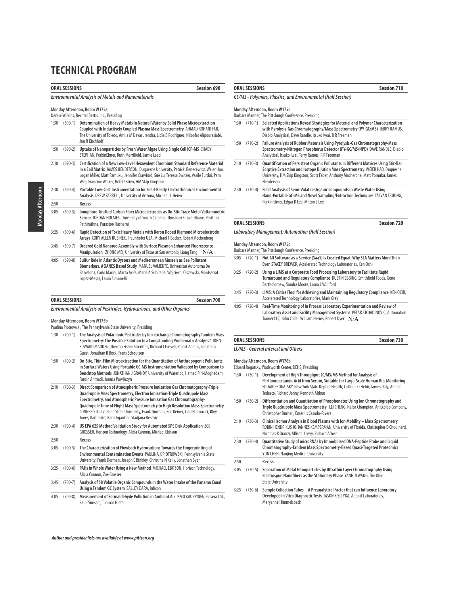|                                                                                 | <b>ORAL SESSIONS</b><br><b>Session 690</b>                |                                                                                                                                                                                                                                                                                                                               |  |  |
|---------------------------------------------------------------------------------|-----------------------------------------------------------|-------------------------------------------------------------------------------------------------------------------------------------------------------------------------------------------------------------------------------------------------------------------------------------------------------------------------------|--|--|
|                                                                                 | <b>Environmental Analysis of Metals and Nanomaterials</b> |                                                                                                                                                                                                                                                                                                                               |  |  |
| Monday Afternoon, Room W175a<br>Denise Wilkins, Bechtel Bettis, Inc., Presiding |                                                           |                                                                                                                                                                                                                                                                                                                               |  |  |
| 1:30                                                                            | $(690-1)$                                                 | Determination of Heavy Metals in Natural Water by Solid Phase Microextraction<br>Coupled with Inductively Coupled Plasma Mass Spectrometry AHMAD ROHANI FAR,<br>The University of Toledo, Amila M Devasurendra, Lidia B Rodriguez, Niloofar Alipourasiabi,<br>Jon R Kirchhoff                                                 |  |  |
| 1:50                                                                            | $(690-2)$                                                 | Uptake of Nanoparticles by Fresh Water Algae Using Single Cell ICP-MS CHADY<br>STEPHAN, PerkinElmer, Ruth Merrifield, Jamie Lead                                                                                                                                                                                              |  |  |
| 2:10                                                                            | $(690-3)$                                                 | Certification of a New Low-Level Hexavalent Chromium Standard Reference Material<br>in a Soil Matrix JAMES HENDERSON, Duquesne University, Patrick Benecewicz, Weier Hao,<br>Logan Miller, Matt Pamuku, Jennifer Crawford, Sue Lu, Teressa Switzer, Vasile Furdui, Pam<br>Wee, Francine Walker, Bob O'Brien, HM Skip Kingston |  |  |
| 2:30                                                                            | $(690-4)$                                                 | Portable Low-Cost Instrumentation for Field-Ready Electrochemical Environmental<br>Analysis DREW FARRELL, University of Arizona, Michael L Heien                                                                                                                                                                              |  |  |
| 2:50                                                                            |                                                           | Recess                                                                                                                                                                                                                                                                                                                        |  |  |
| 3:05                                                                            | $(690-5)$                                                 | Ionophore-Grafted Carbon Fiber Microelectrodes as On-Site Trace Metal Voltammetric<br>Sensor JORDAN HOLMES, University of South Carolina, Thushani Siriwardhane, Pavithra<br>Pathirathna, Parastoo Hashemi                                                                                                                    |  |  |
| 3:25                                                                            | $(690-6)$                                                 | Rapid Detection of Toxic Heavy Metals with Boron Doped Diamond Microelectrode<br>Arrays CORY ALLEN RUSINEK, Fraunhofer USA, Michael F Becker, Robert Rechenberg                                                                                                                                                               |  |  |
| 3:45                                                                            | $(690-7)$                                                 | Ordered Gold Nanorod Assembly with Surface Plasmon Enhanced Fluorescence<br>Manipulation ZHONG MEI, University of Texas at San Antonio, Liang Tang<br>N/A                                                                                                                                                                     |  |  |
| 4:05                                                                            | $(690-8)$                                                 | Sulfur Role in Atlantic Oysters and Mediterranean Mussels as Sea Pollutant<br>Biomarkers, A XANES Based Study MANUEL VALIENTE, Universitat Autonoma De<br>Barcelona, Carlo Marini, Marta Avila, Maria A Subirana, Wojciech Olszewski, Montserrat                                                                              |  |  |

| ORAL SESSIONS | Session 700 |
|---------------|-------------|
|---------------|-------------|

**Environmental Analysis of Pesticides, Hydrocarbons, and Other Organics**

### **Monday Afternoon, Room W175b**

| Paulina Piotrowski, The Pennsylvania State University, Presiding | wonday Afternoon, Koom w 175b |
|------------------------------------------------------------------|-------------------------------|
|                                                                  |                               |

Lopez-Mesas, Laura Simonelli

| 1:30 | $(700-1)$ | The Analysis of Polar Ionic Pesticides by Ion-exchange Chromatography Tandem Mass<br>Spectrometry: The Possible Solution to a Longstanding Problematic Analysis? JOHN<br>EDWARD MADDEN, Thermo Fisher Scientific, Richard J Fussell, Stuart Adams, Jonathan<br>Guest, Jonathan R Beck, Frans Schoutsen                                                                                                                                                                  |
|------|-----------|-------------------------------------------------------------------------------------------------------------------------------------------------------------------------------------------------------------------------------------------------------------------------------------------------------------------------------------------------------------------------------------------------------------------------------------------------------------------------|
| 1:50 | $(700-2)$ | On-Site, Thin-Film Microextraction for the Quantitation of Anthropogenic Pollutants<br>in Surface Waters Using Portable GC-MS Instrumentation Validated by Comparison to<br>Benchtop Methods JONATHAN J GRANDY, University of Waterloo, Hamed Piri-Moghadam,<br>Fardin Ahmadi, Janusz Pawliszyn                                                                                                                                                                         |
| 2:10 | $(700-3)$ | Direct Comparison of Atmospheric Pressure lonization Gas Chromatography-Triple<br>Quadrupole Mass Spectrometry, Electron Ionization-Triple Quadrupole Mass<br>Spectrometry, and Atmospheric Pressure Ionization Gas Chromatography-<br>Quadrupole Time of Flight Mass Spectrometry to High Resolution Mass Spectrometry<br>CONNER STULTZ, Penn State University, Frank Dorman, Eric Reiner, Liad Haimovici, Rhys<br>Jones, Karl Jobst, Kari Organtini, Sladjana Besevic |
| 2:30 | $(700-4)$ | US EPA 625 Method Validation Study for Automated SPE Disk Application ZOE<br>GROSSER, Horizon Technology, Alicia Cannon, Michael Ebitson                                                                                                                                                                                                                                                                                                                                |
| 2:50 |           | Recess                                                                                                                                                                                                                                                                                                                                                                                                                                                                  |
| 3:05 | $(700-5)$ | The Characterization of Flowback Hydrocarbons Towards the Fingerprinting of<br>Environmental Contamination Events PAULINA K PIOTROWSKI, Pennsylvania State<br>University, Frank Dorman, Joseph E Binkley, Christina N Kelly, Jonathan Byer                                                                                                                                                                                                                              |
| 3:25 | $(700-6)$ | PAHs in Whole Water Using a New Method MICHAEL EBITSON, Horizon Technology,<br>Alicia Cannon, Zoe Grosser                                                                                                                                                                                                                                                                                                                                                               |
| 3:45 | $(700-7)$ | Analysis of 58 Volatile Organic Compounds in the Water Intake of the Panama Canal<br>Using a Tandem GC System SALLEY DARA, Inficon                                                                                                                                                                                                                                                                                                                                      |
| 4:05 | $(700-8)$ | Measurement of Formaldehyde Pollution in Ambient Air ISMO KAUPPINEN, Gasera Ltd.,<br>Sauli Sinisalo Tuomas Hieta                                                                                                                                                                                                                                                                                                                                                        |

# **ORAL SESSIONS** Session 710 **GC/MS - Polymers, Plastics, and Environmental (Half Session) Monday Afternoon, Room W175c**

Barbara Manner, The Pittsburgh Conference, Presiding

- 1:30 (710-1) **Selected Applications Reveal Strategies for Material and Polymer Characterization with Pyrolysis-Gas Chromatography/Mass Spectrometry (PY-GC/MS)** TERRY RAMUS, Diablo Analytical, Dave Randle, Itsuko Iwai, R R Freeman
- 1:50 (710-2) **Failure Analysis of Rubber Materials Using Pyrolysis-Gas Chromatography-Mass Spectrometry-Nitrogen Phosphorus Detector (PY-GC/MS/NPD)** DAVE RANDLE, Diablo Analytical, Itsuko Iwai, Terry Ramus, R R Freeman
- 2:10 (710-3) **Quantification of Persistent Organic Pollutants in Different Matrices Using Stir-Bar Sorptive Extraction and Isotope Dilution Mass Spectrometry** WEIER HAO, Duquesne University, HM Skip Kingston, Scott Faber, Anthony Macherone, Matt Pomuku, James Henderson
- 2:30 (710-4) **Field Analysis of Semi-Volatile Organic Compounds in Waste Water Using Hand-Portable GC-MS and Novel Sampling/Extraction Techniques** TAI VAN TRUONG, Perkin Elmer, Edgar D Lee, Milton L Lee

### **ORAL SESSIONS** Session 720

**Laboratory Management: Automation (Half Session)**

#### **Monday Afternoon, Room W175c**

Barbara Manner, The Pittsburgh Conference, Presiding

- 3:05 (720-1) **Not All Software as a Service (SaaS) is Created Equal: Why SLA Matters More Than Ever** STACEY BREWER, Accelerated Technology Laboratories, Ken Ochi
- 3:25 (720-2) **Using a LIMS at a Corporate Food Processing Laboratory to Facilitate Rapid Turnaround and Regulatory Compliance** DUSTIN EBBING, Smithfield Foods, Gene Bartholomew, Sandra Moore, Laura L Williford
- 3:45 (720-3) **LIMS: A Critical Tool for Achieving and Maintaining Regulatory Compliance** KEN OCHI, Accelerated Technology Laboratories, Mark Gray
- 4:05 (720-4) **Real-Time Monitoring of in Process Laboratory Experimentation and Review of Laboratory Asset and Facility Management Systems** PETAR STOJADINOVIC, Automation Trainer LLC, John Coller, William Herms, Robert Dyer  $N/A$

#### **ORAL SESSIONS Session 730**

### **LC/MS - General Interest and Others**

**Monday Afternoon, Room W176b**

- Eduard Rogatsky, Wadsworth Center, DEHS, Presiding
- 1:30 (730-1) **Development of High Throughput LC/MS/MS Method for Analysis of Perfluorooctanoic Acid from Serum, Suitable for Large-Scale Human Bio-Monitoring** EDUARD ROGATSKY, New York State Dept of Health, Colleen O'Hehir, James Daly, Amelie Tedesco, Richard Jenny, Kenneth Aldous
- 1:50 (730-2) **Differentiation and Quantitation of Phosphonates Using Ion Chromatography and Triple Quadrupole Mass Spectrometry** LEI CHENG, Nalco Champion, An Ecolab Company, Christopher Durnell, Emerilis Casado-Rivera
- 2:10 (730-3) **Clinical Isomer Analysis in Blood Plasma with Ion Mobility Mass Spectrometry** ROBIN HENDRIKUS JOHANNES KEMPERMAN, University of Florida, Christopher D Chouinard, Nicholas R Oranzi, Allison J Levy, Richard A Yost
- 2:30 (730-4) **Quantitative Study of microRNAs by Immobilized DNA-Peptide Probe and Liquid Chromatography-Tandem Mass Spectrometry-Based Quasi-Targeted Proteomics**  YUN CHEN, Nanjing Medical University

#### 2:50 **Recess**

- 3:05 (730-5) **Separation of Metal Nanoparticles by Ultrathin Layer Chromatography Using Electrospun Nanofibers as the Stationary Phase** YANHUI WANG, The Ohio State University
- 3:25 (730-6) **Sample Collection Tubes A Preanalytical Factor that can Influence Laboratory Developed in Vitro Diagnostic Tests** JASON KIELTYKA, Abbott Laboratories, Maryanne Himmelsbach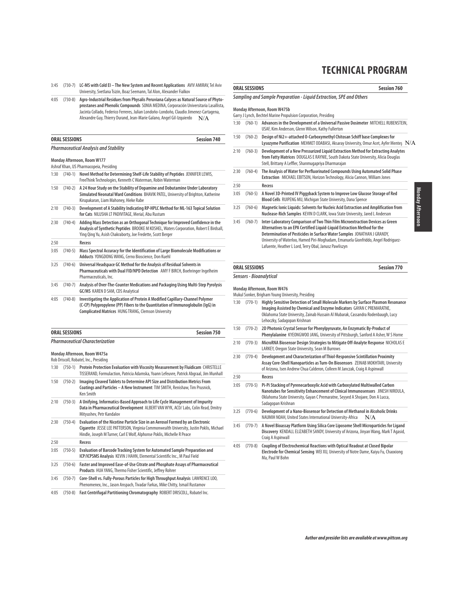- 3:45 (730-7) **LC-MS with Cold EI The New System and Recent Applications** AVIV AMIRAV, Tel Aviv University, Svetlana Tsizin, Boaz Seemann, Tal Alon, Alexander Fialkov
- 4:05 (730-8) **Agro-Industrial Residues from Physalis Peruviana Calyces as Natural Source of Phytoprostanes and Phenolic Compounds** SONIA MEDINA, Corporación Universitaria Lasallista, Jacinta Collado, Federico Ferreres, Julian Londoño-Londoño, Claudio Jimenez-Cartagena, Alexandre Guy, Thierry Durand, Jean-Marie Galano, Angel Gil-Izquierdo  $-N/A$

| <b>ORAL SESSIONS</b> | <b>Session 740</b> |
|----------------------|--------------------|
|                      |                    |

|      |           | Monday Afternoon, Room W177<br>Ashraf Khan, US Pharmacopeia, Presiding                                                                                                                                                                   |
|------|-----------|------------------------------------------------------------------------------------------------------------------------------------------------------------------------------------------------------------------------------------------|
| 1:30 | $(740-1)$ | Novel Method for Determining Shelf-Life Stability of Peptides JENNIFER LEWIS,<br>FreeThink Technologies, Kenneth C Waterman, Robin Waterman                                                                                              |
| 1:50 | $(740-2)$ | A 24 Hour Study on the Stability of Dopamine and Dobutamine Under Laboratory<br>Simulated Neonatal Ward Conditions BHAVIK PATEL, University of Brighton, Katherine<br>Kirupakaran, Liam Mahoney, Hieke Rabe                              |
| 2:10 | $(740-3)$ | Development of A Stability Indicating RP-HPLC Method for ML-163 Topical Solution<br>for Cats NILUSHA LT PADIVITAGE, Merial, Abu Rustum                                                                                                   |
| 2:30 | $(740-4)$ | Adding Mass Detection as an Orthogonal Technique for Improved Confidence in the<br>Analysis of Synthetic Peptides BROOKE M KOSHEL, Waters Corporation, Robert E Birdsall,<br>Ying Qing Yu, Asish Chakraborty, Joe Fredette, Scott Berger |
| 2:50 |           | Recess                                                                                                                                                                                                                                   |
| 3:05 | $(740-5)$ | Mass Spectral Accuracy for the Identification of Large Biomolecule Modifications or<br>Adducts YONGDONG WANG, Cerno Bioscience, Don Kuehl                                                                                                |
| 3:25 | $(740-6)$ | Universal Headspace GC Method for the Analysis of Residual Solvents in<br>Pharmaceuticals with Dual FID/NPD Detection AMY F BIRCH, Boehringer Ingelheim<br>Pharmaceuticals, Inc.                                                         |
| 3:45 | $(740-7)$ | Analysis of Over-The-Counter Medications and Packaging Using Multi-Step Pyrolysis<br><b>GC/MS KAREN D SAM, CDS Analytical</b>                                                                                                            |
| 4:05 | $(740-8)$ | Investigating the Application of Protein A Modified Capillary-Channel Polymer<br>(C-CP) Polypropylene (PP) Fibers to the Quantitation of Immunoglobulin (IgG) in<br><b>Complicated Matrices HUNG TRANG, Clemson University</b>           |

|                                                                        | <b>ORAL SESSIONS</b><br><b>Session 750</b> |                                                                                                                                                                                                                                                      |  |  |
|------------------------------------------------------------------------|--------------------------------------------|------------------------------------------------------------------------------------------------------------------------------------------------------------------------------------------------------------------------------------------------------|--|--|
|                                                                        | <b>Pharmaceutical Characterization</b>     |                                                                                                                                                                                                                                                      |  |  |
| Monday Afternoon, Room W475a<br>Rob Driscoll, Robatel, Inc., Presiding |                                            |                                                                                                                                                                                                                                                      |  |  |
| 1:30                                                                   | $(750-1)$                                  | Protein Protection Evaluation with Viscosity Measurement by Fluidicam CHRISTELLE<br>TISSERAND, Formulaction, Patricia Adamska, Yoann Lefeuvre, Patrick Abgraal, Jim Munhall                                                                          |  |  |
| 1:50                                                                   | $(750-2)$                                  | Imaging Cleaved Tablets to Determine API Size and Distribution Metrics From<br>Coatings and Particles - A New Instrument TIM SMITH, Renishaw, Tim Prusnick,<br><b>Ken Smith</b>                                                                      |  |  |
| 2:10                                                                   | $(750-3)$                                  | A Unifying, Informatics-Based Approach to Life Cycle Management of Impurity<br>Data in Pharmaceutical Development ALBERT VAN WYK, ACD/ Labs, Colin Read, Dmitry<br>Mityushev, Petr Kandalov                                                          |  |  |
| 2:30                                                                   | $(750-4)$                                  | Evaluation of the Nicotine Particle Size in an Aerosol Formed by an Electronic<br>Cigarette JESSE LEE PATTERSON, Virginia Commonwealth University, Justin Poklis, Michael<br>Hindle, Joseph M Turner, Carl E Wolf, Alphonse Poklis, Michelle R Peace |  |  |
| 2:50                                                                   |                                            | Recess                                                                                                                                                                                                                                               |  |  |
| 3:05                                                                   | $(750-5)$                                  | Evaluation of Barcode Tracking System for Automated Sample Preparation and<br>ICP/ICPSMS Analysis KEVIN J HAHN, Elemental Scientific Inc., M Paul Field                                                                                              |  |  |
| 3:25                                                                   | $(750-6)$                                  | Faster and Improved Ease-of-Use Citrate and Phosphate Assays of Pharmaceutical<br>Products HUA YANG, Thermo Fisher Scientific, Jeffrey Rohrer                                                                                                        |  |  |
| 3:45                                                                   | $(750-7)$                                  | Core-Shell vs. Fully-Porous Particles for High Throughput Analysis LAWRENCE LOO,<br>Phenomenex, Inc., Jason Anspach, Tivadar Farkas, Mike Chitty, Ismail Rustamov                                                                                    |  |  |
| 4:05                                                                   | $(750-8)$                                  | Fast Centrifugal Partitioning Chromatography ROBERT DRISCOLL, Robatel Inc.                                                                                                                                                                           |  |  |

## **ORAL SESSIONS** Session 760

#### **Sampling and Sample Preparation - Liquid Extraction, SPE and Others**

#### **Monday Afternoon, Room W475b**

- Garry J Lynch, Bechtel Marine Propulsion Corporation, Presiding 1:30 (760-1) **Advances in the Development of a Universal Passive Dosimeter** MITCHELL RUBENSTEIN, USAF, Kim Anderson, Glenn Wilson, Kathy Fullerton 1:50 (760-2) **Design of Ni2+-attached O-Carboxymethyl Chitosan Schiff base Complexes for Lysozyme Purification** MEHMET ODABASI, Aksaray University, Omur Acet, Ayfer Menteş N/A 2:10 (760-3) **Development of a New Pressurized Liquid Extraction Method for Extracting Analytes from Fatty Matrices** DOUGLAS E RAYNIE, South Dakota State University, Alicia Douglas Stell, Brittany A Leffler, Shanmugapriya Dharmarajan 2:30 (760-4) **The Analysis of Water for Perfluorinated Compounds Using Automated Solid Phase Extraction** MICHAEL EBITSON, Horizon Technology, Alicia Cannon, William Jones 2:50 **Recess** 3:05 (760-5) **A Novel 3D-Printed IV Piggyback System to Improve Low Glucose Storage of Red Blood Cells** RUIPENG MU, Michigan State University, Dana Spence 3:25 (760-6) **Magnetic Ionic Liquids: Solvents for Nucleic Acid Extraction and Amplification from Nuclease-Rich Samples** KEVIN D CLARK, Iowa State University, Jared L Anderson 3:45 (760-7) **Inter-Laboratory Comparison of Two Thin Film Microextraction Devices as Green Alternatives to an EPA Certified Liquid-Liquid Extraction Method for the Determination of Pesticides in Surface Water Samples** JONATHAN J GRANDY,
	- University of Waterloo, Hamed Piri-Moghadam, Emanuela Gionfriddo, Angel Rodriguez-Lafuente, Heather L Lord, Terry Obal, Janusz Pawliszyn

#### **ORAL SESSIONS** Session 770

# **Sensors - Bioanalytical Monday Afternoon, Room W476**

|      | Mukul Sonker, Brigham Young University, Presiding |                                                                                                                                                                                                                                                                                 |  |
|------|---------------------------------------------------|---------------------------------------------------------------------------------------------------------------------------------------------------------------------------------------------------------------------------------------------------------------------------------|--|
| 1:30 | $(770-1)$                                         | Highly Sensitive Detection of Small Molecule Markers by Surface Plasmon Resonance<br>Imaging Assisted by Chemical and Enzyme Indicators GAYAN C PREMARATNE,<br>Oklahoma State University, Zainab Hussain Al Mubarak, Cassandra Rodenbaugh, Lucy<br>Lehoczky, Sadagopan Krishnan |  |
| 1:50 | $(770-2)$                                         | 2D Photonic Crystal Sensor for Phenylpyruvate, An Enzymatic By-Product of<br>Phenylalanine KYEONGWOO JANG, University of Pittsburgh, Sanford A Asher, W S Horne                                                                                                                 |  |
| 2:10 | $(770-3)$                                         | MicroRNA Biosensor Design Strategies to Mitigate Off-Analyte Response NICHOLAS E<br>LARKEY, Oregon State University, Sean M Burrows                                                                                                                                             |  |
| 2:30 | $(770-4)$                                         | Development and Characterization of Thiol-Responsive Scintillation Proximity<br>Assay Core-Shell Nanoparticles as Turn-On Biosensors ZEINAB MOKHTARI, University<br>of Arizona, Isen Andrew Chua Calderon, Colleen M Janczak, Craig A Aspinwall                                 |  |
| 2:50 |                                                   | Recess                                                                                                                                                                                                                                                                          |  |
| 3:05 | $(770-5)$                                         | Pi-Pi Stacking of Pyrenecarboxylic Acid with Carboxylated Multiwalled Carbon<br>Nanotubes for Sensitivity Enhancement of Clinical Immunosensors JINESH NIROULA,<br>Oklahoma State University, Gayan C Premaratne, Seyyed A Shojaee, Don A Lucca,<br>Sadagopan Krishnan          |  |
| 3:25 | $(770-6)$                                         | Development of a Nano-Biosensor for Detection of Methanol in Alcoholic Drinks<br>NAUMIH NOAH, United States International University-Africa<br>N/A                                                                                                                              |  |
| 3:45 | $(770-7)$                                         | A Novel Bioassay Platform Using Silica Core Liposome Shell Microparticles for Ligand<br>Discovery KENDALL ELIZABETH SANDY, University of Arizona, Jinyan Wang, Mark T Agasid,<br>Craig A Aspinwall                                                                              |  |
| 4:05 | $(770-8)$                                         | Coupling of Electrochemical Reactions with Optical Readout at Closed Bipolar<br>Electrode for Chemical Sensing WEI XU, University of Notre Dame, Kaiyu Fu, Chaoxiong<br>Ma, Paul W Bohn                                                                                         |  |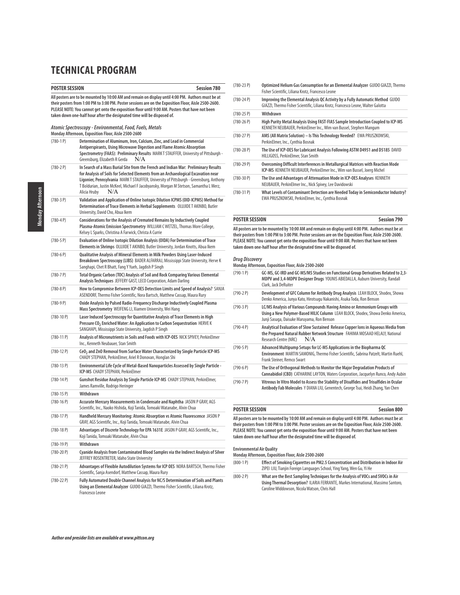| POSTER SESSION | Session 780                                                                                                                                                                                                                                                                                                                                                                             |
|----------------|-----------------------------------------------------------------------------------------------------------------------------------------------------------------------------------------------------------------------------------------------------------------------------------------------------------------------------------------------------------------------------------------|
|                | All posters are to be mounted by 10:00 AM and remain on display until 4:00 PM. Authors must be at<br>their posters from 1:00 PM to 3:00 PM. Poster sessions are on the Exposition Floor, Aisle 2500-2600.<br>PLEASE NOTE: You cannot get onto the exposition floor until 9:00 AM. Posters that have not been<br>taken down one-half hour after the designated time will be disposed of. |
|                | Atomic Spectroscopy - Environmental, Food, Fuels, Metals<br>Monday Afternoon, Exposition Floor, Aisle 2500-2600                                                                                                                                                                                                                                                                         |
| $(780-1)$      | Determination of Aluminum, Iron, Calcium, Zinc, and Lead in Commercial<br>Antiperspirants, Using Microwave Digestion and Flame Atomic Absorption<br>Spectrometry (FAAS): Preliminary Results MARKT STAUFFER, University of Pittsburgh -<br>N/A<br>Greensburg, Elizabeth R Gerda                                                                                                         |
| $(780-2)$ P)   | In Search of a Mass Burial Site from the French and Indian War: Preliminary Results<br>for Analysis of Soils for Selected Elements from an Archaeological Excavation near<br>Ligonier, Pennsylvania MARK T STAUFFER, University of Pittsburgh - Greensburg, Anthony<br>T Boldurian, Justin McKeel, Michael F Jacobyansky, Morgan M Stetson, Samantha L Merz,<br>N/A<br>Alicia Hruby     |
| (780-3 P)      | Validation and Application of Online Isotopic Dilution ICPMS (OID-ICPMS) Method for<br>Determination of Trace Elements in Herbal Supplements OLUJIDE T AKINBO, Butler<br>University, David Cho, Abua Ikem                                                                                                                                                                               |
| (780-4 P)      | Considerations for the Analysis of Cremated Remains by Inductively Coupled<br>Plasma-Atomic Emission Spectrometry WILLIAM CWETZEL, Thomas More College,<br>Kelsey L Sparks, Christina A Farwick, Christa A Currie                                                                                                                                                                       |
| (780-5 P)      | Evaluation of Online Isotopic Dilution Analysis (OIDA) For Determination of Trace<br>Elements in Shrimps OLUJIDET AKINBO, Butler University, Jordan Knotts, Abua Ikem                                                                                                                                                                                                                   |
| (780-6 P)      | Qualitative Analysis of Mineral Elements in Milk Powders Using Laser-Induced<br>Breakdown Spectroscopy (LIBS) BADER ALFARRAJ, Mississippi State University, Herve K<br>Sanghapi, Chet R Bhatt, Fang Y Yueh, Jagdish P Singh                                                                                                                                                             |
| (780-7 P)      | Total Organic Carbon (TOC) Analysis of Soil and Rock Comparing Various Elemental<br>Analysis Techniques JEFFERY GAST, LECO Corporation, Adam Darling                                                                                                                                                                                                                                    |
| (780-8 P)      | How to Compromise Between ICP-OES Detection Limits and Speed of Analysis? SANJA<br>ASENDORF, Thermo Fisher Scientific, Nora Bartsch, Matthew Cassap, Maura Rury                                                                                                                                                                                                                         |
| (780-9 P)      | Oxide Analysis by Pulsed Radio-Frequency Discharge Inductively Coupled Plasma<br>Mass Spectrometry WEIFENG LI, Xiamen University, Wei Hang                                                                                                                                                                                                                                              |
| (780-10 P)     | Laser Induced Spectroscopy for Quantitative Analysis of Trace Elements in High<br>Pressure CO <sub>2</sub> Enriched Water: An Application to Carbon Sequestration HERVE K<br>SANGHAPI, Mississippi State University, Jagdish P Singh                                                                                                                                                    |
| (780-11 P)     | Analysis of Micronutrients in Soils and Foods with ICP-OES NICK SPIVEY, PerkinElmer<br>Inc., Kenneth Neubauer, Stan Smith                                                                                                                                                                                                                                                               |
| (780-12 P)     | CeO <sub>2</sub> and ZnO Removal from Surface Water Characterized by Single Particle ICP-MS<br>CHADY STEPHAN, PerkinElmer, Ariel R Donovan, Honglan Shi                                                                                                                                                                                                                                 |
| (780-13 P)     | Environmental Life Cycle of Metal-Based Nanoparticles Assessed by Single Particle -<br>ICP-MS CHADY STEPHAN, PerkinElmer                                                                                                                                                                                                                                                                |
| $(780-14P)$    | Gunshot Residue Analysis by Single Particle ICP-MS CHADY STEPHAN, PerkinElmer,<br>James Ramville, Rodrigo Heringer                                                                                                                                                                                                                                                                      |
| (780-15 P)     | Withdrawn                                                                                                                                                                                                                                                                                                                                                                               |
| $(780-16P)$    | Accurate Mercury Measurements in Condensate and Naphtha JASON P GRAY, AGS<br>Scientific, Inc., Naoko Hishida, Koji Tanida, Tomoaki Watanabe, Alvin Chua                                                                                                                                                                                                                                 |
| (780-17 P)     | Handheld Mercury Monitoring: Atomic Absorption vs Atomic Fluorescence JASON P<br>GRAY, AGS Scientific, Inc., Koji Tanida, Tomoaki Watanabe, Alvin Chua                                                                                                                                                                                                                                  |
| $(780-18P)$    | Advantages of Discrete Technology for EPA 1631E JASON P GRAY, AGS Scientific, Inc.,<br>Koji Tanida, Tomoaki Watanabe, Alvin Chua                                                                                                                                                                                                                                                        |
| (780-19 P)     | Withdrawn                                                                                                                                                                                                                                                                                                                                                                               |
| $(780-20P)$    | Cyanide Analysis from Contaminated Blood Samples via the Indirect Analysis of Silver<br>JEFFREY ROSENTRETER, Idaho State University                                                                                                                                                                                                                                                     |
| (780-21 P)     | Advantages of Flexible Autodilution Systems for ICP OES NORA BARTSCH, Thermo Fisher<br>Scientific, Sanja Asendorf, Matthew Cassap, Maura Rury                                                                                                                                                                                                                                           |
| (780-22 P)     | Fully Automated Double Channel Analysis for NC/S Determination of Soils and Plants<br>Using an Elemental Analyzer GUIDO GIAZZI, Thermo Fisher Scientific, Liliana Krotz,<br>Francesco Leone                                                                                                                                                                                             |

| $(780-23P)$   | Optimized Helium Gas Consumption for an Elemental Analyzer GUIDO GIAZZI, Thermo<br>Fisher Scientific, Liliana Krotz, Francesco Leone                               |
|---------------|--------------------------------------------------------------------------------------------------------------------------------------------------------------------|
| $(780-24P)$   | Improving the Elemental Analysis QC Activity by a Fully Automatic Method GUIDO<br>GIAZZI, Thermo Fisher Scientific, Liliana Krotz, Francesco Leone, Walter Galotta |
| $(780-25P)$   | Withdrawn                                                                                                                                                          |
| $(780-26)$    | High Purity Metal Analysis Using FAST-FIAS Sample Introduction Coupled to ICP-MS<br>KENNETH NEUBAUER, PerkinElmer Inc., Wim van Bussel, Stephen Mangum             |
| $(780-27P)$   | AMS (All Matrix Solution) - Is This Technology Needed? EWA PRUSZKOWSKI,<br>PerkinElmer, Inc., Cynthia Bosnak                                                       |
| $(780-28P)$   | The Use of ICP-OES for Lubricant Analysis Following ASTM D4951 and D5185 DAVID<br>HILLIGOSS, PerkinElmer, Stan Smith                                               |
| $(780-29P)$   | Overcoming Difficult Interferences in Metallurgical Matrices with Reaction Mode<br>ICP-MS KENNETH NEUBAUER, PerkinElmer Inc., Wim van Bussel, Joerg Michel         |
| $(780-30)$ P) | The Use and Advantages of Attenuation Mode in ICP-OES Analyses KENNETH<br>NEUBAUER, PerkinElmer Inc., Nick Spivey, Lee Davidowski                                  |
| $(780-31P)$   | What Levels of Contaminant Detection are Needed Today in Semiconductor Industry?<br>EWA PRUSZKOWSKI, PerkinElmer, Inc., Cynthia Bosnak                             |

### **POSTER SESSION Session 790**

**All posters are to be mounted by 10:00 AM and remain on display until 4:00 PM. Authors must be at their posters from 1:00 PM to 3:00 PM. Poster sessions are on the Exposition Floor, Aisle 2500-2600. PLEASE NOTE: You cannot get onto the exposition floor until 9:00 AM. Posters that have not been taken down one-half hour after the designated time will be disposed of.**

**Drug Discovery Monday Afternoon, Exposition Floor, Aisle 2500-2600**

| $(790-1)$    | GC-MS, GC-IRD and GC-MS/MS Studies on Functional Group Derivatives Related to 2,3-<br>MDPV and 3,4-MDPV Designer Drugs YOUNIS ABIEDALLA, Auburn University, Randall<br>Clark, Jack DeRuiter               |
|--------------|-----------------------------------------------------------------------------------------------------------------------------------------------------------------------------------------------------------|
| $(790-2)$ P) | Development of GFC Column for Antibody Drug Analysis LEAH BLOCK, Shodex, Showa<br>Denko America, Junya Kato, Hirotsugu Nakanishi, Asuka Toda, Ron Benson                                                  |
| $(790-3)$ P) | LC/MS Analysis of Various Compounds Having Amino or Ammonium Groups with<br>Using a New Polymer-Based HILIC Column LEAH BLOCK, Shodex, Showa Denko America,<br>Junji Sasuga, Daisuke Maruyama, Ron Benson |
| $(790-4)$    | Analytical Evaluation of Slow Sustained Release Copper lons in Aqueous Media from<br>the Prepared Natural Rubber Network Structure FAHIMA MOSAAD HELALY, National<br>N/A<br>Research Centre (NRC)         |
| $(790-5P)$   | Advanced Multipump Setups for LC-MS Applications in the Biopharma QC<br>Environment MARTIN SAMONIG, Thermo Fisher Scientific, Sabrina Patzelt, Martin Ruehl,<br>Frank Steiner, Remco Swart                |
| $(790-6)$    | The Use of Orthogonal Methods to Monitor the Major Degradation Products of<br>Cannabidiol (CBD) CATHARINE LAYTON, Waters Corporation, Jacquelyn Runco, Andy Aubin                                         |
| $(790 - 7)$  | Vitreous In Vitro Model to Assess the Stability of Disulfides and Trisulfides in Ocular<br>Antibody Fab Molecules Y DIANA LIU, Genentech, George Tsui, Heidi Zhang, Yan Chen                              |

| POSTER SESSION                                                                                       | <b>Session 800</b> |
|------------------------------------------------------------------------------------------------------|--------------------|
| All posters are to be mounted by 10:00 AM and remain on display until 4:00 PM. Authors must be at    |                    |
| their posters from 1:00 PM to 3:00 PM. Poster sessions are on the Exposition Floor, Aisle 2500-2600. |                    |
| PLEASE NOTE: You cannot get onto the exposition floor until 9:00 AM. Posters that have not been      |                    |

**PLEASE NOTE: You cannot get onto the exposition floor until 9:00 AM. Posters that have not been taken down one-half hour after the designated time will be disposed of.**

### **Environmental Air Quality**

| Monday Afternoon, Exposition Floor, Aisle 2500-2600 |                                                                                                                                                                                                                       |
|-----------------------------------------------------|-----------------------------------------------------------------------------------------------------------------------------------------------------------------------------------------------------------------------|
| $(800-1)$ P)                                        | Effect of Smoking Cigarettes on PM2.5 Concentration and Distribution in Indoor Air<br>ZIPEI LIU, Tianjin Foreign Languages School, Ying Yang, Wen Gu, Yi He                                                           |
| $(800-2)$ P)                                        | What are the Best Sampling Techniques for the Analysis of VOCs and SVOCs in Air<br>Using Thermal Desorption? ILARIA FERRANTE, Markes International, Massimo Santoro,<br>Caroline Widdowson, Nicola Watson, Chris Hall |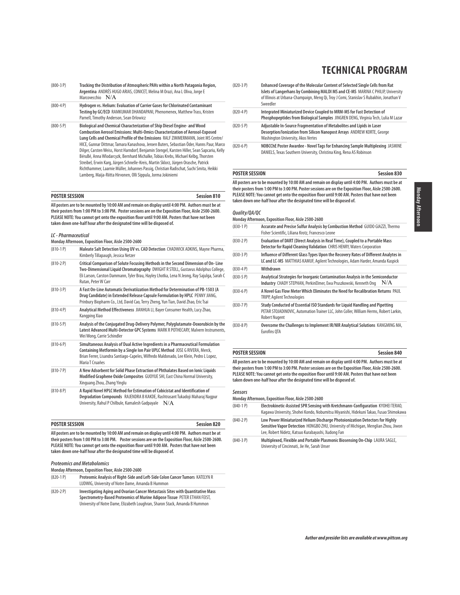- (800-3 P) **Tracking the Distribution of Atmospheric PAHs within a North Patagonia Region, Argentina** ANDRÉS HUGO ARIAS, CONICET, Melina M Orazi, Ana L Oliva, Jorge E Marcovecchio N/A
- (800-4 P) **Hydrogen vs. Helium: Evaluation of Carrier Gases for Chlorinated Contaminant Testing by GC/ECD** RAMKUMAR DHANDAPANI, Phenomenex, Matthew Trass, Kristen Parnell, Timothy Anderson, Sean Orlowicz
- (800-5 P) **Biological and Chemical Characterization of Ship Diesel Engine- and Wood Combustion Aerosol Emissions: Multi-Omics Characterization of Aerosol-Exposed Lung Cells and Chemical Profile of the Emissions** RALF ZIMMERMANN, Joint MS Centre/ HICE, Gunnar Dittmar, Tamara Kanashova, Jeroen Buters, Sebastian Öder, Hanns Paur, Marco Dilger, Carsten Weiss, Horst Harndorf, Benjamin Stengel, Karsten Hiller, Sean Sapcariu, Kelly BéruBé, Anna Wlodarcyzk, Bernhard Michalke, Tobias Krebs, Michael Kelbg, Thorsten Streibel, Erwin Karg, Jürgen Schnelle-Kreis, Martin Sklorz, Jürgen Orasche, Patrick Richthammer, Laarnie Müller, Johannes Passig, Christian Radischat, Suchi Smita, Heikki Lamberg, Maija-Riitta Hirvonen, Olli Sippula, Jorma Jokiniemi

### **POSTER SESSION Session 810**

**All posters are to be mounted by 10:00 AM and remain on display until 4:00 PM. Authors must be at their posters from 1:00 PM to 3:00 PM. Poster sessions are on the Exposition Floor, Aisle 2500-2600. PLEASE NOTE: You cannot get onto the exposition floor until 9:00 AM. Posters that have not been taken down one-half hour after the designated time will be disposed of.**

#### **LC - Pharmaceutical**

**Monday Afternoon, Exposition Floor, Aisle 2500-2600**

| <del>ט שיט אינוניו ווטטון ווטונטאמען ווט</del> טוניטווייטווייטויו |                                                                                                                                                                                                                                                                                            |  |
|-------------------------------------------------------------------|--------------------------------------------------------------------------------------------------------------------------------------------------------------------------------------------------------------------------------------------------------------------------------------------|--|
| $(810-1)$                                                         | Maleate Salt Detection Using UV vs. CAD Detection CHADWICK ADKINS, Mayne Pharma,<br>Kimberly Tillapaugh, Jessica Netzer                                                                                                                                                                    |  |
| $(810 - 2P)$                                                      | Critical Comparison of Solute Focusing Methods in the Second Dimension of On-Line<br>Two-Dimensional Liquid Chromatography DWIGHT R STOLL, Gustavus Adolphus College,<br>Eli Larson, Carston Dammann, Tyler Brau, Hayley Lhotka, Lena N Jeong, Ray Sajulga, Sarah C<br>Rutan, Peter W Carr |  |
| $(810-3P)$                                                        | A Fast On-Line Automatic Derivatiization Method for Determination of PB-1503 (A<br>Drug Candidate) in Extended Release Capsule Formulation by HPLC PENNY JIANG,<br>Prinbury Biopharm Co., Ltd, David Cao, Terry Zheng, Yun Tian, David Zhao, Eric Tsai                                     |  |
| $(810-4P)$                                                        | Analytical Method Effectiveness JIANHUA LI, Bayer Consumer Health, Lucy Zhao,<br>Kangping Xiao                                                                                                                                                                                             |  |
| $(810-5P)$                                                        | Analysis of the Conjugated Drug-Delivery Polymer, Polyglutamate-Doxorubicin by the<br>Latest Advanced Multi-Detector GPC Systems MARK R POTHECARY, Malvern Instruments,<br>Wei Wong, Carrie Schindler                                                                                      |  |
| $(810-6P)$                                                        | Simultaneous Analysis of Dual Active Ingredients in a Pharmaceutical Formulation<br>Containing Metformin by a Single Ion Pair UPLC Method JOSE G RIVERA, Merck,<br>Brian Ferrer, Lisandra Santiago-Capeles, Wilfredo Maldonado, Lee Klein, Pedro L Lopez,<br>Maria T Cruañes               |  |
| $(810 - 7P)$                                                      | A New Adsorbent for Solid Phase Extraction of Phthalates Based on Ionic Liquids<br>Modified Graphene Oxide Composites GUOYUE SHI, East China Normal University,<br>Xinguang Zhou, Zhang Yinglu                                                                                             |  |
| $(810-8P)$                                                        | A Rapid Novel HPLC Method for Estimation of Cobicistat and Identification of<br>Degradation Compounds RAJENDRA B KAKDE, Rashtrasant Tukadoji Maharaj Nagpur<br>University, Rahul P Chilbule, Kamalesh Gadpayale $N/A$                                                                      |  |
|                                                                   |                                                                                                                                                                                                                                                                                            |  |

| <b>POSTER SESSION</b>                                                                                | <b>Session 820</b> |
|------------------------------------------------------------------------------------------------------|--------------------|
| All posters are to be mounted by 10:00 AM and remain on display until 4:00 PM. Authors must be at    |                    |
| their posters from 1:00 PM to 3:00 PM. Poster sessions are on the Exposition Floor, Aisle 2500-2600. |                    |
| PLEASE NOTE: You cannot get onto the exposition floor until 9:00 AM. Posters that have not been      |                    |

### **taken down one-half hour after the designated time will be disposed of.**

#### **Proteomics and Metabolomics**

**Monday Afternoon, Exposition Floor, Aisle 2500-2600**

| $(820-1)$    | Proteomic Analysis of Right-Side and Left-Side Colon Cancer Tumors KATELYN R<br>LUDWIG. University of Notre Dame. Amanda B Hummon                             |
|--------------|---------------------------------------------------------------------------------------------------------------------------------------------------------------|
| $(820-2)$ P) | Investigating Aging and Ovarian Cancer Metastasis Sites with Ouantitative Mass<br>Cnactus mature Dasad Dustasmics of Muning Adinasa Tissue, DETED ETHAN FEICT |

**Spectrometry-Based Proteomics of Murine Adipose Tissue** PETER ETHAN FEIST, University of Notre Dame, Elizabeth Loughran, Sharon Stack, Amanda B Hummon

- (820-3 P) **Enhanced Coverage of the Molecular Content of Selected Single Cells from Rat Islets of Langerhans by Combining MALDI MS and CE-MS** MARINA C PHILIP, University of Illinois at Urbana-Champaign, Meng Qi, Troy J Comi, Stanislav S Rubakhin, Jonathan V Sweedler
- (820-4 P) **Integrated Miniaturized Device Coupled to MRM-MS for Fast Detection of Phosphopeptides from Biological Samples** JINGREN DENG, Virginia Tech, Lulia M Lazar (820-5 P) **Adjustable In-Source Fragmentation of Metabolites and Lipids in Laser Desorption/Ionization from Silicon Nanopost Arrays** ANDREW KORTE, George Washington University, Akos Vertes
- (820-6 P) **NOBCChE Poster Awardee Novel Tags for Enhancing Sample Multiplexing** JASMINE DANIELS, Texas Southern University, Christina King, Rena AS Robinson

#### **POSTER SESSION Session 830**

**All posters are to be mounted by 10:00 AM and remain on display until 4:00 PM. Authors must be at their posters from 1:00 PM to 3:00 PM. Poster sessions are on the Exposition Floor, Aisle 2500-2600. PLEASE NOTE: You cannot get onto the exposition floor until 9:00 AM. Posters that have not been taken down one-half hour after the designated time will be disposed of.**

#### **Quality/QA/QC**

|              | Monday Afternoon, Exposition Floor, Aisle 2500-2600                                                                                                                                            |
|--------------|------------------------------------------------------------------------------------------------------------------------------------------------------------------------------------------------|
| $(830-1)$    | Accurate and Precise Sulfur Analysis by Combustion Method GUIDO GIAZZI, Thermo<br>Fisher Scientific, Liliana Krotz, Francesco Leone                                                            |
| $(830 - 2P)$ | Evaluation of DART (Direct Analysis in Real Time), Coupled to a Portable Mass<br>Detector for Rapid Cleaning Validation CHRIS HENRY, Waters Corporation                                        |
| $(830-3P)$   | Influence of Different Glass Types Upon the Recovery Rates of Different Analytes in<br>LC and LC-MS MATTHIAS KAMUF, Agilent Technologies, Adam Harder, Amanda Kaspick                          |
| $(830-4P)$   | Withdrawn                                                                                                                                                                                      |
| $(830-5P)$   | Analytical Strategies for Inorganic Contamination Analysis in the Semiconductor<br>N/A<br>Industry CHADY STEPHAN, PerkinElmer, Ewa Pruszkowski, Kenneth Ong                                    |
| $(830-6P)$   | A Novel Gas Flow Meter Which Eliminates the Need for Recalibration Returns PAUL<br>TRIPP, Agilent Technologies                                                                                 |
| $(830 - 7)$  | Study Conducted of Essential ISO Standards for Liquid Handling and Pipetting<br>PETAR STOJADINOVIC, Automation Trainer LLC, John Coller, William Herms, Robert Larkin,<br><b>Robert Nugent</b> |
| $(830 - 8P)$ | Overcome the Challenges to Implement IR/NIR Analytical Solutions KANGMING MA,                                                                                                                  |

Eurofins QTA

#### **POSTER SESSION Session 840**

**All posters are to be mounted by 10:00 AM and remain on display until 4:00 PM. Authors must be at their posters from 1:00 PM to 3:00 PM. Poster sessions are on the Exposition Floor, Aisle 2500-2600. PLEASE NOTE: You cannot get onto the exposition floor until 9:00 AM. Posters that have not been taken down one-half hour after the designated time will be disposed of.**

#### **Sensors**

**Monday Afternoon, Exposition Floor, Aisle 2500-2600**

- (840-1 P) **Electrokinetic-Assisted SPR Sensing with Kretchmann-Configuration** KYOHEI TERAO, Kagawa University, Shohei Kondo, Nobumitsu Miyanishi, Hidekuni Takao, Fusao Shimokawa (840-2 P) **Low Power Miniaturized Helium Discharge Photoionization Detectors for Highly**
- **Sensitive Vapor Detection** HONGBO ZHU, University of Michigan, Menglian Zhou, Jiwon Lee, Robert Nidetz, Katsuo Kurabayashi, Xudong Fan
- (840-3 P) **Multiplexed, Flexible and Portable Plasmonic Biosensing On-Chip** LAURA SAGLE, University of Cincinnati, Jie He, Sarah Unser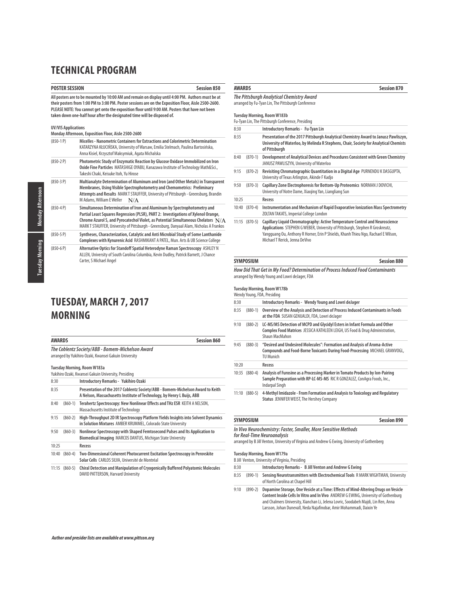## **POSTER SESSION Session 850**

**All posters are to be mounted by 10:00 AM and remain on display until 4:00 PM. Authors must be at their posters from 1:00 PM to 3:00 PM. Poster sessions are on the Exposition Floor, Aisle 2500-2600. PLEASE NOTE: You cannot get onto the exposition floor until 9:00 AM. Posters that have not been taken down one-half hour after the designated time will be disposed of.**

### **UV/VIS Applications**

|              | Monday Afternoon, Exposition Floor, Aisle 2500-2600                                                                                                                                                                                                                                                                                               |  |  |
|--------------|---------------------------------------------------------------------------------------------------------------------------------------------------------------------------------------------------------------------------------------------------------------------------------------------------------------------------------------------------|--|--|
| $(850-1)$    | Micelles - Nanometric Containers for Extractions and Colorimetric Determination<br>KATARZYNA KŁUCIŃSKA, University of Warsaw, Emilia Stelmach, Paulina Bartosińska,<br>Anna Kisiel, Krzysztof Maksymiuk, Agata Michalska                                                                                                                          |  |  |
| $(850-2)$    | Photometric Study of Enzymatic Reaction by Glucose Oxidase Immobilized on Iron<br>Oxide Fine Particles MATASHIGE OYABU, Kanazawa Institute of Technology Math&Sci.,<br>Takeshi Chaki, Keisuke Itoh, Yu Hirose                                                                                                                                     |  |  |
| $(850-3)$ P) | Multianalyte Determination of Aluminum and Iron (and Other Metals) in Transparent<br>Membranes, Using Visible Spectrophotometry and Chemometrics: Preliminary<br>Attempts and Results MARK T STAUFFER, University of Pittsburgh - Greensburg, Brandin<br>M Adams, William E Weller<br>N/A                                                         |  |  |
| $(850 - 4P)$ | Simultaneous Determination of Iron and Aluminum by Spectrophotometry and<br>Partial Least Squares Regression (PLSR), PART 2: Investigations of Xylenol Orange,<br>Chrome Azurol S, and Pyrocatechol Violet, as Potential Simultaneous Chelators $N/A$<br>MARK T STAUFFER, University of Pittsburgh - Greensburg, Danyaal Alam, Nicholas A Frankos |  |  |
| $(850-5P)$   | Syntheses, Characterization, Catalytic and Anti Microbial Study of Some Lanthanide<br>Complexes with Kynurenic Acid RASHMIKANT A PATEL, Mun. Arts & UB Science College                                                                                                                                                                            |  |  |
| $(850-6P)$   | Alternative Optics for Standoff Spatial Heterodyne Raman Spectroscopy ASHLEY N<br>ALLEN, University of South Carolina Columbia, Kevin Dudley, Patrick Barnett, J Chance<br>Carter, S Michael Angel                                                                                                                                                |  |  |

# **TUESDAY, MARCH 7, 2017 MORNING**

|       | <b>AWARDS</b><br><b>Session 860</b>                                                                       |                                                                                                                                                          |  |
|-------|-----------------------------------------------------------------------------------------------------------|----------------------------------------------------------------------------------------------------------------------------------------------------------|--|
|       | The Coblentz Society/ABB - Bomem-Michelson Award<br>arranged by Yukihiro Ozaki, Kwansei Gakuin University |                                                                                                                                                          |  |
|       |                                                                                                           | Tuesday Morning, Room W183a<br>Yukihiro Ozaki, Kwansei Gakuin University, Presiding                                                                      |  |
| 8:30  |                                                                                                           | Introductory Remarks - Yukihiro Ozaki                                                                                                                    |  |
| 8:35  |                                                                                                           | Presentation of the 2017 Coblentz Society/ABB - Bomem-Michelson Award to Keith<br>A Nelson, Massachusetts Institute of Technology, by Henry L Buijs, ABB |  |
| 8:40  | $(860-1)$                                                                                                 | Terahertz Spectroscopy: New Nonlinear Effects and THz ESR KEITH A NELSON,<br>Massachusetts Institute of Technology                                       |  |
| 9:15  | $(860-2)$                                                                                                 | High-Throughput 2D IR Spectroscopy Platform Yields Insights into Solvent Dynamics<br>in Solution Mixtures AMBER KRUMMEL, Colorado State University       |  |
| 9:50  | $(860-3)$                                                                                                 | Nonlinear Spectroscopy with Shaped Femtosecond Pulses and Its Application to<br>Biomedical Imaging MARCOS DANTUS, Michigan State University              |  |
| 10:25 |                                                                                                           | Recess                                                                                                                                                   |  |
| 10:40 | $(860-4)$                                                                                                 | Two-Dimensional Coherent Photocurrent Excitation Spectroscopy in Perovskite<br>Solar Cells CARLOS SILVA, Université de Montréal                          |  |
| 11:15 | $(860-5)$                                                                                                 | Chiral Detection and Manipulation of Cryogenically Buffered Polyatomic Molecules<br>DAVID PATTERSON, Harvard University                                  |  |

## **The Pittsburgh Analytical Chemistry Award**

arranged by Fu-Tyan Lin, The Pittsburgh Conference

#### **Tuesday Morning, Room W183b**

|       |           | Fu-Tyan Lin, The Pittsburgh Conference, Presiding                                                                                                                                                                                                                                     |
|-------|-----------|---------------------------------------------------------------------------------------------------------------------------------------------------------------------------------------------------------------------------------------------------------------------------------------|
| 8:30  |           | Introductory Remarks - Fu-Tyan Lin                                                                                                                                                                                                                                                    |
| 8:35  |           | Presentation of the 2017 Pittsburgh Analytical Chemistry Award to Janusz Pawliszyn,<br>University of Waterloo, by Melinda R Stephens, Chair, Society for Analytical Chemists<br>of Pittsburgh                                                                                         |
| 8:40  | $(870-1)$ | Development of Analytical Devices and Procedures Consistent with Green Chemistry<br>JANUSZ PAWLISZYN, University of Waterloo                                                                                                                                                          |
| 9:15  | $(870-2)$ | Revisiting Chromatographic Quantitation in a Digital Age PURNENDU K DASGUPTA,<br>University of Texas Arlington, Akinde F Kadjo                                                                                                                                                        |
| 9:50  | $(870-3)$ | Capillary Zone Electrophoresis for Bottom-Up Proteomics NORMAN J DOVICHI,<br>University of Notre Dame, Xiaojing Yan, Liangliang Sun                                                                                                                                                   |
| 10:25 |           | Recess                                                                                                                                                                                                                                                                                |
| 10:40 | $(870-4)$ | Instrumentation and Mechanism of Rapid Evaporative Ionization Mass Spectrometry<br>ZOLTAN TAKATS, Imperial College London                                                                                                                                                             |
| 11:15 | $(870-5)$ | Capillary Liquid Chromatography: Active Temperature Control and Neuroscience<br>Applications STEPHEN G WEBER, University of Pittsburgh, Stephen R Groskreutz,<br>Yangguang Ou, Anthony R Horner, Erin P Shields, Khanh Thieu Ngo, Rachael E Wilson,<br>Michael T Rerick, Jenna DeVivo |

| <b>SYMPOSIUM</b>                                                                | <b>Session 880</b> |
|---------------------------------------------------------------------------------|--------------------|
| How Did That Get in My Food? Determination of Process Induced Food Contaminants |                    |

arranged by Wendy Young and Lowri deJager, FDA

**Tuesday Morning, Room W178b**

|       |                   | Wendy Young, FDA, Presiding                                                                                                                                                  |
|-------|-------------------|------------------------------------------------------------------------------------------------------------------------------------------------------------------------------|
| 8:30  |                   | Introductory Remarks - Wendy Young and Lowri deJager                                                                                                                         |
| 8:35  | $(880-1)$         | Overview of the Analysis and Detection of Process Induced Contaminants in Foods<br>at the FDA SUSAN GENUALDI, FDA, Lowri deJager                                             |
| 9:10  | $(880-2)$         | LC-MS/MS Detection of MCPD and Glycidyl Esters in Infant Formula and Other<br>Complex Food Matrices JESSICA KATHLEEN LEIGH, US Food & Drug Administration,<br>Shaun MacMahon |
| 9:45  | $(880-3)$         | "Desired and Undesired Molecules": Formation and Analysis of Aroma-Active<br>Compounds and Food-Borne Toxicants During Food-Processing MICHAEL GRANVOGL,<br>TU Munich        |
| 10:20 |                   | Recess                                                                                                                                                                       |
|       | $10:35$ $(880-4)$ | Analysis of Furosine as a Processing Marker in Tomato Products by Ion-Pairing<br>Sample Preparation with RP-LC-MS-MS RIC R GONZALEZ, ConAgra Foods, Inc.,<br>Indarpal Singh  |
| 11:10 | $(880-5)$         | 4-Methyl Imidazole - From Formation and Analysis to Toxicology and Regulatory<br>Status, JENNIFER WEIST, The Hershey Company                                                 |

| SYMPOSIUM                                                       | <b>Session 890</b> |
|-----------------------------------------------------------------|--------------------|
| In Vivo Neurochemistry: Faster, Smaller, More Sensitive Methods |                    |

**for Real-Time Neuroanalysis** 

arranged by B Jill Venton, University of Virginia and Andrew G Ewing, University of Gothenberg

#### **Tuesday Morning, Room W179a** B Jill Venton, University of Virginia, Presiding

|      | <b>D</b> Jill veheory of the croicy of virginia, i response |                                                                                                                                                                                                                                                                                                                                        |  |
|------|-------------------------------------------------------------|----------------------------------------------------------------------------------------------------------------------------------------------------------------------------------------------------------------------------------------------------------------------------------------------------------------------------------------|--|
| 8:30 |                                                             | Introductory Remarks - B Jill Venton and Andrew G Ewing                                                                                                                                                                                                                                                                                |  |
| 8:35 | $(890-1)$                                                   | Sensing Neurotransmitters with Electrochemical Tools R MARK WIGHTMAN, University<br>of North Carolina at Chapel Hill                                                                                                                                                                                                                   |  |
| 9:10 | $(890-2)$                                                   | Dopamine Storage, One Vesicle at a Time: Effects of Mind-Altering Drugs on Vesicle<br>Content Inside Cells In Vitro and In Vivo ANDREW G EWING. University of Gothenburg<br>and Chalmers University, Xianchan Li, Jelena Lovric, Soodabeh Majdi, Lin Ren, Anna<br>Larsson, Johan Dunevall, Neda Najafinobar, Amir Mohammadi, Daixin Ye |  |

**AWARDS Session 870**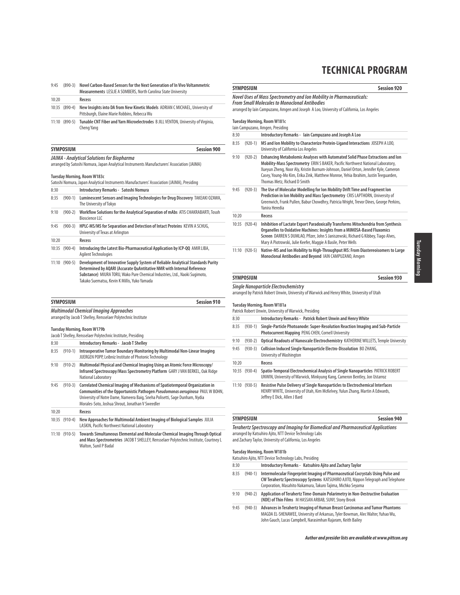| 9:45  | $(890-3)$         | Novel Carbon-Based Sensors for the Next Generation of In Vivo Voltammetric<br>Measurements LESLIE A SOMBERS, North Carolina State University |
|-------|-------------------|----------------------------------------------------------------------------------------------------------------------------------------------|
| 10:20 |                   | Recess                                                                                                                                       |
|       | $10:35$ $(890-4)$ | New Insights into DA from New Kinetic Models ADRIAN C MICHAEL, University of<br>Pittsburgh, Elaine Marie Robbins, Rebecca Wu                 |
|       | $11:10(890-5)$    | Tunable CNT Fiber and Yarn Microelectrodes B JILL VENTON, University of Virginia,<br>Chena Yang                                              |

# **SYMPOSIUM Session 900 JAIMA - Analytical Solutions for Biopharma**

arranged by Satoshi Nomura, Japan Analytical Instruments Manufacturers' Association (JAIMA)

#### **Tuesday Morning, Room W183c**

|      | <b>INCOURT INTERNATIONAL INCORPORT</b><br>Satoshi Nomura, Japan Analytical Instruments Manufacturers' Association (JAIMA), Presiding |                                                                                      |  |  |
|------|--------------------------------------------------------------------------------------------------------------------------------------|--------------------------------------------------------------------------------------|--|--|
| 8:30 |                                                                                                                                      | Introductory Remarks - Satoshi Nomura                                                |  |  |
| 8.35 |                                                                                                                                      | (900-1) Luminescent Sensors and Imaging Technologies for Drug Discovery TAKEAKLOZAWA |  |  |

|       |           | <b>0.33</b> (200 T) <b>EQUIDITESCENT SCHOOLS QNQ HIMAGHIY FCGHIOLOGICS TOL DTUY DISCOVELY</b> TAINEAINI OZAWAY,<br>The University of Tokyo                |
|-------|-----------|-----------------------------------------------------------------------------------------------------------------------------------------------------------|
| 9:10  | $(900-2)$ | Workflow Solutions for the Analytical Separation of mAbs ATIS CHAKRABARTI, Tosoh<br>Bioscience LLC                                                        |
| 9:45  | $(900-3)$ | HPLC-MS/MS for Separation and Detection of Intact Proteins KEVIN A SCHUG,<br>University of Texas at Arlington                                             |
| 10:20 |           | Recess                                                                                                                                                    |
| 10:35 | $(900-4)$ | Introducing the Latest Bio-Pharmaceutical Application by ICP-QQ AMIR LIBA,<br>Agilent Technologies                                                        |
| 11:10 | $(900-5)$ | Development of Innovative Supply System of Reliable Analytical Standards Purity<br>Determined by AQARI (Accurate QuAntitative NMR with Internal Reference |

| SYMPOSIUM | <b>Session 910</b> |
|-----------|--------------------|

Takako Suematsu, Kevin K Millis, Yuko Yamada

**Substance)** MIURA TORU, Wako Pure Chemical Industries, Ltd., Naoki Sugimoto,

|       | JIMI VJIVIN                                                                                                                                   | JEJJIVII / IV                                                                                                                                                                                                                                                                                   |
|-------|-----------------------------------------------------------------------------------------------------------------------------------------------|-------------------------------------------------------------------------------------------------------------------------------------------------------------------------------------------------------------------------------------------------------------------------------------------------|
|       | <b>Multimodal Chemical Imaging Approaches</b><br>arranged by Jacob T Shelley, Rensselaer Polytechnic Institute<br>Tuesday Morning, Room W179b |                                                                                                                                                                                                                                                                                                 |
|       |                                                                                                                                               | Jacob T Shelley, Rensselaer Polytechnic Institute, Presiding                                                                                                                                                                                                                                    |
| 8:30  |                                                                                                                                               | <b>Introductory Remarks - Jacob T Shelley</b>                                                                                                                                                                                                                                                   |
| 8:35  | $(910-1)$                                                                                                                                     | Intraoperative Tumor Boundary Monitoring by Multimodal Non-Linear Imaging<br>JUERGEN POPP, Leibniz Institute of Photonic Technology                                                                                                                                                             |
| 9:10  | $(910-2)$                                                                                                                                     | Multimodal Physical and Chemical Imaging Using an Atomic Force Microscopy/<br>Infrared Spectroscopy/Mass Spectrometry Platform GARY JVAN BERKEL, Oak Ridge<br>National Laboratory                                                                                                               |
| 9:45  | (910-3)                                                                                                                                       | Correlated Chemical Imaging of Mechanisms of Spatiotemporal Organization in<br>Communities of the Opportunistic Pathogen Pseudomonas aeruginosa PAUL W BOHN,<br>University of Notre Dame, Nameera Baig, Sneha Polisetti, Sage Dunham, Nydia<br>Morales-Soto, Joshua Shrout, Jonathan V Sweedler |
| 10:20 |                                                                                                                                               | Recess                                                                                                                                                                                                                                                                                          |
|       | $10:35$ (910-4)                                                                                                                               | New Approaches for Multimodal Ambient Imaging of Biological Samples JULIA<br>LASKIN, Pacific Northwest National Laboratory                                                                                                                                                                      |

11:10 (910-5) **Towards Simultaneous Elemental and Molecular Chemical Imaging Through Optical and Mass Spectrometries** JACOB T SHELLEY, Rensselaer Polytechnic Institute, Courtney L Walton, Sunil P Badal

|                                                                                                                                                                                                                                                                 | Session 920<br><b>SYMPOSIUM</b> |                                                                                                                                                                                                                                                                                                                                                                                |  |
|-----------------------------------------------------------------------------------------------------------------------------------------------------------------------------------------------------------------------------------------------------------------|---------------------------------|--------------------------------------------------------------------------------------------------------------------------------------------------------------------------------------------------------------------------------------------------------------------------------------------------------------------------------------------------------------------------------|--|
| Novel Uses of Mass Spectrometry and Ion Mobility in Pharmaceuticals:<br><b>From Small Molecules to Monoclonal Antibodies</b><br>arranged by lain Campuzano, Amgen and Joseph A Loo, University of California, Los Angeles<br><b>Tuesday Morning, Room W181c</b> |                                 |                                                                                                                                                                                                                                                                                                                                                                                |  |
|                                                                                                                                                                                                                                                                 |                                 | lain Campuzano, Amgen, Presiding                                                                                                                                                                                                                                                                                                                                               |  |
| 8:30                                                                                                                                                                                                                                                            |                                 | Introductory Remarks - lain Campuzano and Joseph A Loo                                                                                                                                                                                                                                                                                                                         |  |
| 8:35                                                                                                                                                                                                                                                            | $(920-1)$                       | MS and Ion Mobility to Characterize Protein-Ligand Interactions JOSEPH A LOO,<br>University of California Los Angeles                                                                                                                                                                                                                                                          |  |
| 9:10                                                                                                                                                                                                                                                            | $(920-2)$                       | Enhancing Metabolomic Analyses with Automated Solid Phase Extractions and Ion<br>Mobility-Mass Spectrometry ERIN S BAKER, Pacific Northwest National Laboratory,<br>Xuevun Zheng, Noor Alv. Kristin Burnum-Johnson, Daniel Orton, Jennifer Kyle, Cameron<br>Casey, Young-Mo Kim, Erika Zink, Matthew Monroe, Yehia Ibrahim, Justin Teequarden,<br>Thomas Metz, Richard D Smith |  |
| 9:45                                                                                                                                                                                                                                                            | $(920-3)$                       | The Use of Molecular Modelling for Ion Mobility Drift Time and Fragment Ion<br>Prediction in Ion Mobility and Mass Spectrometry CRIS LAPTHORN, University of<br>Greenwich, Frank Pullen, Babur Chowdhry, Patricia Wright, Trevor Dines, George Perkins,<br>Yanira Heredia                                                                                                      |  |
| 10:20                                                                                                                                                                                                                                                           |                                 | Recess                                                                                                                                                                                                                                                                                                                                                                         |  |
| 10:35                                                                                                                                                                                                                                                           | $(920-4)$                       | Inhibition of Lactate Export Paradoxically Transforms Mitochondria from Synthesis<br>Organelles to Oxidative Machines: Insights from a MIMOSA-Based Fluxomics<br>Screen DARREN S DUMLAO, Pfizer, John S Janiszewski, Richard G Kibbey, Tiago Alves,<br>Mary A Piotrowski, Julie Keefer, Maggie A Basile, Peter Wells                                                           |  |
|                                                                                                                                                                                                                                                                 | $11:10(920-5)$                  | Native-MS and Ion Mobility to High-Throughput MS: From Diastereoisomers to Large<br>Monoclonal Antibodies and Beyond IAIN CAMPUZANO, Amgen                                                                                                                                                                                                                                     |  |

# **SYMPOSIUM Session 930**

**Single Nanoparticle Electrochemistry**

arranged by Patrick Robert Unwin, University of Warwick and Henry White, University of Utah

### **Tuesday Morning, Room W181a**

|       | Patrick Robert Unwin, University of Warwick, Presiding |                                                                                                                                                                                                 |  |
|-------|--------------------------------------------------------|-------------------------------------------------------------------------------------------------------------------------------------------------------------------------------------------------|--|
| 8:30  |                                                        | Introductory Remarks - Patrick Robert Unwin and Henry White                                                                                                                                     |  |
| 8:35  | $(930-1)$                                              | Single-Particle Photoanode: Super-Resolution Reaction Imaging and Sub-Particle<br>Photocurrent Mapping PENG CHEN, Cornell University                                                            |  |
| 9:10  | $(930-2)$                                              | Optical Readouts of Nanoscale Electrochemistry KATHERINE WILLETS, Temple University                                                                                                             |  |
| 9:45  | $(930-3)$                                              | Collision Induced Single Nanoparticle Electro-Dissolution BO ZHANG,<br>University of Washington                                                                                                 |  |
| 10:20 |                                                        | Recess                                                                                                                                                                                          |  |
| 10:35 | $(930-4)$                                              | Spatio-Temporal Electrochemical Analysis of Single Nanoparticles PATRICK ROBERT<br>UNWIN, University of Warwick, Minkyung Kang, Cameron Bentley, Jon Ustarroz                                   |  |
| 11:10 | $(930-5)$                                              | Resistive Pulse Delivery of Single Nanoparticles to Electrochemical Interfaces<br>HENRY WHITE, University of Utah, Kim McKelvey, Yulun Zhang, Martin A Edwards,<br>Jeffrey E Dick, Allen J Bard |  |

#### **SYMPOSIUM Session 940**

**Terahertz Spectroscopy and Imaging for Biomedical and Pharmaceutical Applications** arranged by Katsuhiro Ajito, NTT Device Technology Labs and Zachary Taylor, University of California, Los Angeles

### **Tuesday Morning, Room W181b**

Katsuhiro Ajito, NTT Device Technology Labs, Presiding

- 8:30 **Introductory Remarks Katsuhiro Ajito and Zachary Taylor**
- 8:35 (940-1) **Intermolecular Fingerprint Imaging of Pharmaceutical Cocrystals Using Pulse and CW Terahertz Spectroscopy Systems** KATSUHIRO AJITO, Nippon Telegraph and Telephone Corporation, Masahito Nakamura, Takuro Tajima, Michko Seyama
- 9:10 (940-2) **Application of Terahertz Time-Domain Polarimetry in Non-Destructive Evaluation (NDE) of Thin Films** M HASSAN ARBAB, SUNY, Stony Brook
- 9:45 (940-3) **Advances in Terahertz Imaging of Human Breast Carcinomas and Tumor Phantoms** MAGDA EL-SHENAWEE, University of Arkansas, Tyler Bowman, Alec Walter, Yuhao Wu, John Gauch, Lucas Campbell, Narasimhan Rajaram, Keith Bailey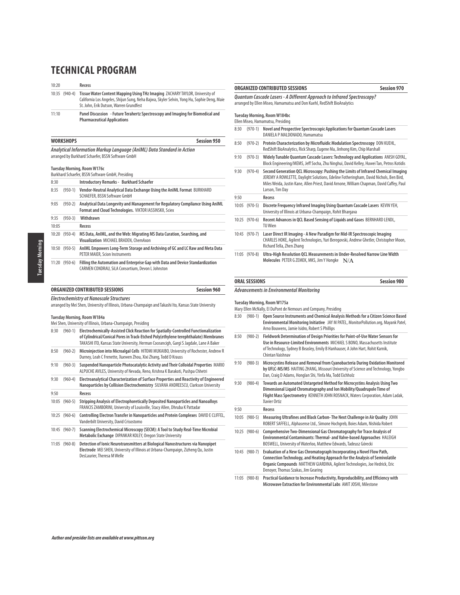10:20 **Recess** 10:35 (940-4) **Tissue Water Content Mapping Using THz Imaging** ZACHARY TAYLOR, University of California Los Angeles, Shijun Sung, Neha Bajwa, Skyler Selvin, Yong Hu, Sophie Deng, Maie St. John, Erik Dutson, Warren Grundfest

11:10 **Panel Discussion - Future Terahertz Spectroscopy and Imaging for Biomedical and Pharmaceutical Applications** 

|       | <b>Session 950</b><br><b>WORKSHOPS</b> |                                                                                                                                           |  |
|-------|----------------------------------------|-------------------------------------------------------------------------------------------------------------------------------------------|--|
|       |                                        | Analytical Information Markup Language (AnIML) Data Standard in Action<br>arranged by Burkhard Schaefer, BSSN Software GmbH               |  |
|       |                                        | Tuesday Morning, Room W176c<br>Burkhard Schaefer, BSSN Software GmbH, Presiding                                                           |  |
| 8:30  |                                        | <b>Introductory Remarks - Burkhard Schaefer</b>                                                                                           |  |
| 8:35  | $(950-1)$                              | Vendor-Neutral Analytical Data Exchange Using the AnIML Format BURKHARD<br>SCHAEFER, BSSN Software GmbH                                   |  |
| 9:05  | $(950-2)$                              | Analytical Data Longevity and Management for Regulatory Compliance Using AnIML<br>Format and Cloud Technologies. VIKTOR IASSINSKII, Sciex |  |
| 9:35  | $(950-3)$                              | Withdrawn                                                                                                                                 |  |
| 10:05 |                                        | Recess                                                                                                                                    |  |
| 10:20 | $(950-4)$                              | MS Data, AnIML, and the Web: Migrating MS Data Curation, Searching, and<br>Visualization MICHAEL BRADEN, ChemAxon                         |  |
| 10:50 | $(950-5)$                              | AnIML Empowers Long-Term Storage and Archiving of GC and LC Raw and Meta Data<br>PETER MAIER, Scion Instruments                           |  |
| 11:20 | $(950-6)$                              | Filling the Automation and Enterprise Gap with Data and Device Standardization<br>CARMEN CONDRAU, SiLA Consortium, Devon L Johnston       |  |

#### **ORGANIZED CONTRIBUTED SESSIONS Session 960**

**Electrochemistry at Nanoscale Structures** arranged by Mei Shen, University of Illinois, Urbana-Champaign and Takashi Ito, Kansas State University

#### **Tuesday Morning, Room W184a** Mei Shen, University of Illinois, Urbana-Champaign, Presiding

| 8:30  | $(960-1)$   | Electrochemically-Assisted Click Reaction for Spatially-Controlled Functionalization<br>of Cylindrical/Conical Pores in Track-Etched Poly(ethylene terephthalate) Membranes<br>TAKASHI ITO, Kansas State University, Herman Coceancigh, Gargi S Jagdale, Lane A Baker |
|-------|-------------|-----------------------------------------------------------------------------------------------------------------------------------------------------------------------------------------------------------------------------------------------------------------------|
| 8:50  | $(960-2)$   | Microinjection into Microalgal Cells HITOMI MUKAIBO, University of Rochester, Andrew R<br>Durney, Leah C Frenette, Xuewen Zhou, Xixi Zhang, Todd D Krauss                                                                                                             |
| 9:10  | $(960-3)$   | Suspended Nanoparticle Photocatalytic Activity and Their Colloidal Properties MARIO<br>ALPUCHE AVILES, University of Nevada, Reno, Krishna K Barakoti, Pushpa Chhetri                                                                                                 |
| 9:30  | $(960-4)$   | Electroanalytical Characterization of Surface Properties and Reactivity of Engineered<br>Nanoparticles by Collision Electrochemistry SILVANA ANDREESCU, Clarkson University                                                                                           |
| 9:50  |             | Recess                                                                                                                                                                                                                                                                |
| 10:05 | $(960-5)$   | Stripping Analysis of Electrophoretically Deposited Nanoparticles and Nanoalloys<br>FRANCIS ZAMBORINI, University of Louisville, Stacy Allen, Dhruba K Pattadar                                                                                                       |
| 10:25 | $(960-6)$   | Controlling Electron Transfer in Nanoparticles and Protein Complexes DAVID E CLIFFEL,<br>Vanderbilt University, David Crisostomo                                                                                                                                      |
| 10:45 | $(960 - 7)$ | Scanning Electrochemical Microscopy (SECM): A Tool to Study Real-Time Microbial<br>Metabolic Exchange DIPANKAR KOLEY, Oregon State University                                                                                                                         |
| 11:05 | $(960-8)$   | Detection of Ionic Neurotransmitters at Biological Nanostructures via Nanopipet                                                                                                                                                                                       |

**Electrode** MEI SHEN, University of Illinois at Urbana-Champaign, Zizheng Qu, Justin DesLaurier, Theresa M Welle

#### **ORGANIZED CONTRIBUTED SESSIONS Session 970**

**Quantum Cascade Lasers - A Different Approach to Infrared Spectroscopy?** arranged by Ellen Miseo, Hamamatsu and Don Kuehl, RedShift BioAnalytics

**Tuesday Morning, Room W184bc**

Ellen Miseo, Hamamatsu, Presiding

| 8:30  | $(970-1)$ | Novel and Prospective Spectroscopic Applications for Quantum Cascade Lasers<br>DANIELA P MALDONADO, Hamamatsu                                                                                                                                                                              |
|-------|-----------|--------------------------------------------------------------------------------------------------------------------------------------------------------------------------------------------------------------------------------------------------------------------------------------------|
| 8:50  | $(970-2)$ | Protein Characterization by Microfluidic Modulation Spectroscopy DON KUEHL,<br>RedShift BioAnalytics, Rick Sharp, Eugene Ma, Jinhong Kim, Chip Marshall                                                                                                                                    |
| 9:10  | $(970-3)$ | Widely Tunable Quantum Cascade Lasers: Technology and Applications ANISH GOYAL,<br>Block Engineering/MEMS, Jeff Socha, Zhu Ninghui, David Kelley, Huwei Tan, Petros Kotidis                                                                                                                |
| 9:30  | $(970-4)$ | Second Generation QCL Microscopy: Pushing the Limits of Infrared Chemical Imaging<br>JEREMY A ROWLETTE, Daylight Solutions, Edeline Fotheringham, David Nichols, Ben Bird,<br>Miles Weida, Justin Kane, Allen Priest, David Arnone, William Chapman, David Caffey, Paul<br>Larson, Tim Day |
| 9:50  |           | Recess                                                                                                                                                                                                                                                                                     |
| 10:05 | $(970-5)$ | Discrete Frequency Infrared Imaging Using Quantum Cascade Lasers KEVIN YEH,                                                                                                                                                                                                                |
|       |           | University of Illinois at Urbana-Champaign, Rohit Bhargava                                                                                                                                                                                                                                 |
| 10:25 | $(970-6)$ | Recent Advances in QCL Based Sensing of Liquids and Gases BERNHARD LENDL,<br>TU Wien                                                                                                                                                                                                       |
| 10:45 | $(970-7)$ | Laser Direct IR Imaging - A New Paradigm for Mid-IR Spectroscopic Imaging<br>CHARLES HOKE, Agilent Technologies, Yuri Beregovski, Andrew Ghetler, Christopher Moon,<br>Richard Tella, Zhen Zhang                                                                                           |

#### **ORAL SESSIONS Session 980**

#### **Advancements in Environmental Monitoring**

**Tuesday Morning, Room W175a**

- Mary Ellen McNally, EI DuPont de Nemours and Company, Presiding
- 8:30 (980-1) **Open Source Instruments and Chemical Analysis Methods for a Citizen Science Based Environmental Monitoring Initiative** JAY M PATEL, MonitorPollution.org, Mayank Patel, Arno Bouwens, Jamie Isidro, Robert S Phillips 8:50 (980-2) **Fieldwork Determination of Design Priorities for Point-of-Use Water Sensors for Use in Resource-Limited Environments** MICHAEL S BONO, Massachusetts Institute of Technology, Sydney B Beasley, Emily B Hanhauser, A John Hart, Rohit Karnik, Chintan Vaishnav 9:10 (980-3) **Microcystins Release and Removal from Cyanobacteria During Oxidation Monitored by UFLC-MS/MS** HAITING ZHANG, Missouri University of Science and Technology, Yongbo Dan, Craig D Adams, Honglan Shi, Yinfa Ma, Todd Eichholz 9:30 (980-4) **Towards an Automated Untargeted Method for Microcystins Analysis Using Two Dimensional Liquid Chromatography and Ion Mobility/Quadrupole Time of Flight Mass Spectrometry** KENNETH JOHN ROSNACK, Waters Corporation, Adam Ladak, Xavier Ortiz 9:50 **Recess** 10:05 (980-5) **Measuring Ultrafines and Black Carbon- The Next Challenge in Air Quality** JOHN ROBERT SAFFELL, Alphasense Ltd., Simone Hochgreb, Boies Adam, Nishida Robert 10:25 (980-6) **Comprehensive Two-Dimensional Gas Chromatography for Trace Analysis of Environmental Contaminants: Thermal- and Valve-based Approaches** HALEIGH BOSWELL, University of Waterloo, Matthew Edwards, Tadeusz Górecki
- 10:45 (980-7) **Evaluation of a New Gas Chromatograph Incorporating a Novel Flow Path, Connection Technology, and Heating Approach for the Analysis of Semivolatile Organic Compounds** MATTHEW GIARDINA, Agilent Technologies, Joe Hedrick, Eric Denoyer, Thomas Szakas, Jim Gearing
- 11:05 (980-8) **Practical Guidance to Increase Productivity, Reproducibility, and Efficiency with Microwave Extraction for Environmental Labs** AMIT JOSHI, Milestone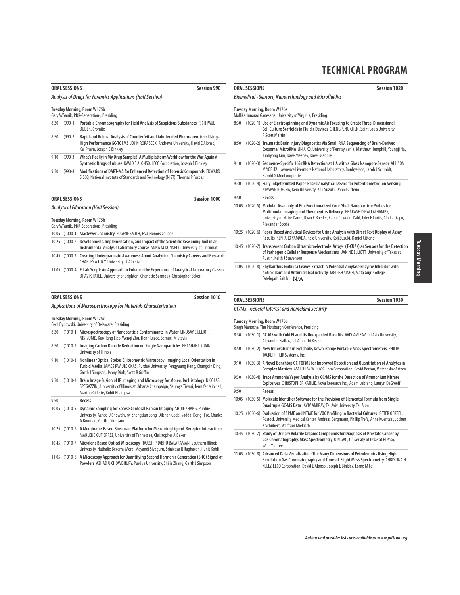| <b>Session 990</b><br><b>ORAL SESSIONS</b> |                      |                                                                                                                                                                                                                               |
|--------------------------------------------|----------------------|-------------------------------------------------------------------------------------------------------------------------------------------------------------------------------------------------------------------------------|
|                                            |                      | Analysis of Drugs for Forensics Applications (Half Session)                                                                                                                                                                   |
|                                            |                      | Tuesday Morning, Room W175b<br>Gary W Yanik, PDR-Separations, Presiding                                                                                                                                                       |
| 8:30                                       | $(990-1)$            | Portable Chromatography for Field Analysis of Suspicious Substances RICH PAUL<br><b>BUDEK, Cromite</b>                                                                                                                        |
| 8:50                                       | $(990-2)$            | Rapid and Robust Analysis of Counterfeit and Adulterated Pharmaceuticals Using a<br>High Performance GC-TOFMS JOHN RORABECK, Andrews University, David E Alonso,<br>Kai Pham, Joseph E Binkley                                |
| 9:10                                       | $(990-3)$            | What's Really in My Drug Sample? A Multiplatform Workflow for the War Against<br>Synthetic Drugs of Abuse DAVID E ALONSO, LECO Corporation, Joseph E Binkley                                                                  |
| 9:30                                       | $(990-4)$            | Modifications of DART-MS for Enhanced Detection of Forensic Compounds EDWARD<br>SISCO, National Institute of Standards and Technology (NIST), Thomas P Forbes                                                                 |
|                                            | <b>ORAL SESSIONS</b> | <b>Session 1000</b>                                                                                                                                                                                                           |
|                                            |                      | <b>Analytical Education (Half Session)</b>                                                                                                                                                                                    |
|                                            |                      | <b>Tuesday Morning, Room W175b</b><br>Gary W Yanik, PDR-Separations, Presiding                                                                                                                                                |
|                                            |                      | 10:05 (1000-1) MacGyver Chemistry EUGENE SMITH, FAU-Honors College                                                                                                                                                            |
|                                            |                      | 10:25 (1000-2) Development, Implementation, and Impact of the Scientific Reasoning Tool in an<br>Instrumental Analysis Laboratory Course ANNA M DONNELL, University of Cincinnati                                             |
|                                            |                      | 10:45 (1000-3) Creating Undergraduate Awareness About Analytical Chemistry Careers and Research<br>CHARLES A LUCY, University of Alberta                                                                                      |
|                                            |                      | 11:05 (1000-4) E-Lab Script: An Approach to Enhance the Experience of Analytical Laboratory Classes<br>BHAVIK PATEL, University of Brighton, Charlotte Sarmouk, Christopher Baker                                             |
|                                            | <b>ORAL SESSIONS</b> | <b>Session 1010</b>                                                                                                                                                                                                           |
|                                            |                      | <b>Applications of Microspectroscopy for Materials Characterization</b>                                                                                                                                                       |
|                                            |                      | <b>Tuesday Morning, Room W175c</b><br>Cecil Dybowski, University of Delaware, Presiding                                                                                                                                       |
| 8:30                                       |                      | (1010-1) Microspectroscopy of Nanoparticle Contaminants in Water LINDSAY CELLIOTT,<br>NIST/UMD, Kuo-Tang Liao, Wengi Zhu, Henri Lezec, Samuel M Stavis                                                                        |
| 8:50                                       |                      | (1010-2) Imaging Carbon Dioxide Reduction on Single Nanoparticles PRASHANT K JAIN,<br>University of Illinois                                                                                                                  |
| 9:10                                       |                      | (1010-3) Nonlinear Optical Stokes Ellipsometric Microscopy: Imaging Local Orientation in<br>Turbid Media JAMES RW ULCICKAS, Purdue University, Fengyuang Deng, Changqin Ding,<br>Garth J Simpson, Janny Dinh, Scott R Griffin |
| 9:30                                       |                      | (1010-4) Brain Image Fusion of IR Imaging and Microscopy for Molecular Histology NICOLAS<br>SPEGAZZINI, University of Illinois at Urbana-Champaign, Saumya Tiwari, Jennifer Mitchell,<br>Martha Gillette, Rohit Bhargava      |
| 9:50                                       |                      | Recess                                                                                                                                                                                                                        |
|                                            |                      | 10:05 (1010-5) Dynamic Sampling for Sparse Confocal Raman Imaging SHIJIE ZHANG, Purdue<br>University, Azhad U Chowdhury, Zhengtian Song, Dilshan Godaliyadda, Dong H Ye, Charles<br>A Bouman, Garth J Simpson                 |
|                                            |                      | 10:25 (1010-6) A Membrane-Based Biosensor Platform for Measuring Ligand-Receptor Interactions<br>MARLENE GUTIERREZ, University of Tennessee, Christopher A Baker                                                              |
|                                            |                      | 10:45 (1010-7) Microlens Based Optical Microscopy RAJESH PRABHU BALARAMAN, Southern Illinois                                                                                                                                  |

University, Nathalie Becerra-Mora, Mayandi Sivaguru, Srinivasa R Raghavan, Punit Kohli 11:05 (1010-8) **A Microscopy Approach for Quantifying Second Harmonic Generation (SHG) Signal of Powders** AZHAD U CHOWDHURY, Purdue University, Shijie Zhang, Garth J Simpson

|       | <b>Session 1020</b><br><b>ORAL SESSIONS</b><br><b>Biomedical - Sensors, Nanotechnology and Microfluidics</b><br>Tuesday Morning, Room W176a<br>Mallikarjunarao Ganesana, University of Virginia, Presiding |                                                                                                                                                                                                                                                                           |  |
|-------|------------------------------------------------------------------------------------------------------------------------------------------------------------------------------------------------------------|---------------------------------------------------------------------------------------------------------------------------------------------------------------------------------------------------------------------------------------------------------------------------|--|
|       |                                                                                                                                                                                                            |                                                                                                                                                                                                                                                                           |  |
|       |                                                                                                                                                                                                            |                                                                                                                                                                                                                                                                           |  |
| 8:30  |                                                                                                                                                                                                            | (1020-1) Use of Electrospinning and Dynamic Air Focusing to Create Three-Dimensional<br>Cell Culture Scaffolds in Fluidic Devices CHENGPENG CHEN, Saint Louis University,<br><b>R</b> Scott Martin                                                                        |  |
| 8:50  |                                                                                                                                                                                                            | (1020-2) Traumatic Brain Injury Diagnostics Via Small RNA Sequencing of Brain-Derived<br>Exosomal MicroRNA JIN A KO, University of Pennsylvania, Matthew Hemphill, Youngji Na,<br>Junhyong Kim, Dave Meaney, Dave Issadore                                                |  |
| 9:10  |                                                                                                                                                                                                            | (1020-3) Sequence-Specific 16S rRNA Detection at 1 A with a Glass Nanopore Sensor ALLISON<br>M YORITA, Lawrence Livermore National Laboratory, Bonhye Koo, Jacob J Schmidt,<br><b>Harold G Monbouquette</b>                                                               |  |
| 9:30  |                                                                                                                                                                                                            | (1020-4) Fully Inkjet Printed Paper-Based Analytical Device for Potentiometric lon Sensing<br>NIPAPAN RUECHA, Keio University, Koji Suzuki, Daniel Citterio                                                                                                               |  |
| 9:50  |                                                                                                                                                                                                            | Recess                                                                                                                                                                                                                                                                    |  |
| 10:05 |                                                                                                                                                                                                            | (1020-5) Modular Assembly of Bio-Functionalized Core-Shell Nanoparticle Probes for<br>Multimodal Imaging and Therapeutics Delivery PRAKASH D NALLATHAMBY,<br>University of Notre Dame, Ryan K Roeder, Karen Cowden-Dahl, Tyler E Curtis, Clodia Osipo,<br>Alexander Bobbs |  |
|       |                                                                                                                                                                                                            | 10:25 (1020-6) Paper-Based Analytical Devices for Urine Analysis with Direct Text Display of Assay<br>Results KENTARO YAMADA, Keio University, Koji Suzuki, Daniel Citterio                                                                                               |  |
|       |                                                                                                                                                                                                            | 10:45 (1020-7) Transparent Carbon Ultramicroelectrode Arrays (T-CUAs) as Sensors for the Detection<br>of Pathogenic Cellular Response Mechanisms JANINE ELLIOTT, University of Texas at<br>Austin, Keith J Stevenson                                                      |  |
|       |                                                                                                                                                                                                            | 11:05 (1020-8) Phyllanthus Embilica Leaves Extract: A Potential Amylase Enzyme Inhibitor with<br>Antioxidant and Antimicrobial Activity JAGDISH SINGH, Mata Guiri College<br>Fatehgarh Sahib $N/A$                                                                        |  |

# **ORAL SESSIONS Session 1030**

#### **GC/MS - General Interest and Homeland Security**

**Tuesday Morning, Room W176b**

- Singh Manocha, The Pittsburgh Conference, Presiding 8:30 (1030-1) **GC-MS with Cold EI and Its Unexpected Benefits** AVIV AMIRAV, Tel Aviv University, Alexander Fialkov, Tal Alon, Uri Keshet 8:50 (1030-2) **New Innovations in Fieldable, Down-Range Portable Mass Spectrometers** PHILIP TACKETT, FLIR Systems, Inc. 9:10 (1030-3) **A Novel Benchtop GC-TOFMS for Improved Detection and Quantitation of Analytes in Complex Matrices** MATTHEW W SOYK, Leco Corporation, David Borton, Viatcheslav Artaev
- 9:30 (1030-4) **Trace Ammonia Vapor Analysis by GC/MS for the Detection of Ammonium Nitrate Explosives** CHRISTOPHER KATILIE, Nova Research Inc., Adam Lubrano, Lauryn DeGreeff

9:50 **Recess**

- 10:05 (1030-5) **Molecule Identifier Software for the Provision of Elemental Formula from Single Quadruple GC-MS Data** AVIV AMIRAV, Tel Aviv University, Tal Alon
- 10:25 (1030-6) **Evaluation of SPME and NTME for VOC Profiling in Bacterial Cultures** PETER OERTEL, Rostock University Medical Center, Andreas Bergmann, Phillip Trefz, Anne Kuentzel, Jochen K Schubert, Wolfram Miekisch
- 10:45 (1030-7) **Study of Urinary Volatile Organic Compounds for Diagnosis of Prostate Cancer by Gas Chromatography/Mass Spectrometry** QIN GAO, University of Texas at El Paso, Wen-Yee Lee
- 11:05 (1030-8) **Advanced Data Visualization: The Many Dimensions of Petroleomics Using High-Resolution Gas Chromatography and Time-of-Flight Mass Spectrometry** CHRISTINA N KELLY, LECO Corporation, David E Alonso, Joseph E Binkley, Lorne M Fell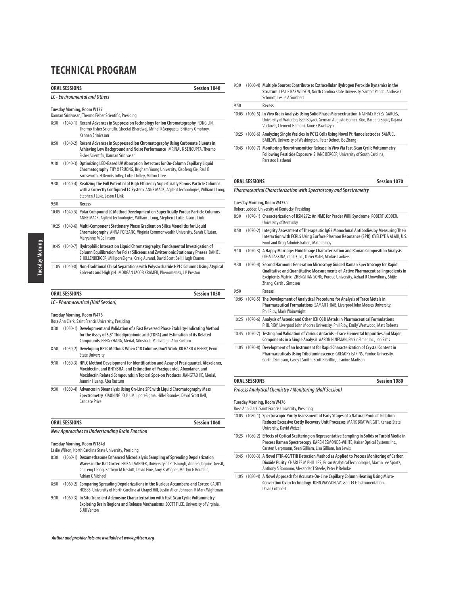|      | <b>ORAL SESSIONS</b><br><b>Session 1040</b><br>LC - Environmental and Others |                                                                                                                                                                                                                                                                |  |
|------|------------------------------------------------------------------------------|----------------------------------------------------------------------------------------------------------------------------------------------------------------------------------------------------------------------------------------------------------------|--|
|      |                                                                              |                                                                                                                                                                                                                                                                |  |
|      |                                                                              | <b>Tuesday Morning, Room W177</b>                                                                                                                                                                                                                              |  |
|      |                                                                              | Kannan Srinivasan, Thermo Fisher Scientific, Presiding                                                                                                                                                                                                         |  |
| 8:30 |                                                                              | (1040-1) Recent Advances in Suppression Technology for lon Chromatography RONG LIN,<br>Thermo Fisher Scientific, Sheetal Bhardwaj, Mrinal K Sengupta, Brittany Omphroy,<br>Kannan Sriniyasan                                                                   |  |
| 8:50 |                                                                              | (1040-2) Recent Advances in Suppressed Ion Chromatography Using Carbonate Eluents in<br>Achieving Low Background and Noise Performance MRINAL K SENGUPTA, Thermo<br>Fisher Scientific, Kannan Srinivasan                                                       |  |
| 9:10 |                                                                              | (1040-3) Optimizing LED-Based UV Absorption Detectors for On-Column Capillary Liquid<br>Chromatography THY X TRUONG, Brigham Young University, Xiaofeng Xie, Paul B<br>Farnsworth, H Dennis Tolley, Luke T Tolley, Milton L Lee                                |  |
| 9:30 |                                                                              | (1040-4) Realizing the Full Potential of High Efficiency Superficially Porous Particle Columns<br>with a Correctly Configured LC System ANNE MACK, Agilent Technologies, William J Long,<br>Stephen J Luke, Jason J Link                                       |  |
| 9:50 |                                                                              | Recess                                                                                                                                                                                                                                                         |  |
|      |                                                                              | 10:05 (1040-5) Polar Compound LC Method Development on Superficially Porous Particle Columns<br>ANNE MACK, Agilent Technologies, William J Long, Stephen J Luke, Jason J Link                                                                                  |  |
|      |                                                                              | 10:25 (1040-6) Multi-Component Stationary Phase Gradient on Silica Monoliths for Liquid<br>Chromatography ANNA FORZANO, Virginia Commonwealth University, Sarah C Rutan,<br>Maryanne M Collinson                                                               |  |
|      |                                                                              | 10:45 (1040-7) Hydrophilic Interaction Liquid Chromatography: Fundamental Investigation of<br>Column Equilibration for Polar Siliceous and Zwitterionic Stationary Phases DANIEL<br>SHOLLENBERGER, MilliporeSigma, Craig Aurand, David Scott Bell, Hugh Cramer |  |
|      |                                                                              | 11:05 (1040-8) Non-Traditional Chiral Separations with Polysaccharide HPLC Columns Using Atypical<br>Solvents and High pH MORGAN JACOB KRAMER, Phenomenex, JP Preston                                                                                          |  |
|      | <b>ORAL SESSIONS</b>                                                         | <b>Session 1050</b>                                                                                                                                                                                                                                            |  |
|      |                                                                              | LC - Pharmaceutical (Half Session)                                                                                                                                                                                                                             |  |
|      |                                                                              | <b>Tuesday Morning, Room W476</b>                                                                                                                                                                                                                              |  |
|      |                                                                              | Rose Ann Clark, Saint Francis University, Presiding                                                                                                                                                                                                            |  |
| 8:30 |                                                                              | (1050-1) Development and Validation of a Fast Reversed Phase Stability-Indicating Method<br>for the Assay of 3,3'-Thiodipropionic acid (TDPA) and Estimation of its Related<br>Compounds PENG ZHANG, Merial, Nilusha LT Padivitage, Abu Rustum                 |  |
| 8:50 |                                                                              | (1050-2) Developing HPLC Methods When C18 Columns Don't Work RICHARD A HENRY, Penn                                                                                                                                                                             |  |

- State University 9:10 (1050-3) **HPLC Method Development for Identification and Assay of Praziquantel, Afoxolaner,**
- **Moxidectin, and BHT/BHA, and Estimation of Praziquantel, Afoxolaner, and Moxidectin Related Compounds in Topical Spot-on Products** JIANGTAO HE, Merial, Junmin Huang, Abu Rustum 9:30 (1050-4) **Advances in Bioanalysis Using On-Line SPE with Liquid Chromatography Mass**
- **Spectrometry** XIAONING JO LU, MilliporeSigma, Hillel Brandes, David Scott Bell, Candace Price

| <b>ORAL SESSIONS</b>                           | <b>Session 1060</b> |
|------------------------------------------------|---------------------|
| New Approaches to Understanding Brain Function |                     |

# **Tuesday Morning, Room W184d**

Leslie Wilson, North Carolina State University, Presiding

- 8:30 (1060-1) **Dexamethasone Enhanced Microdialysis Sampling of Spreading Depolarization Waves in the Rat Cortex** ERIKA L VARNER, University of Pittsburgh, Andrea Jaquins-Gerstl, Chi Leng Leong, Kathryn M Nesbitt, David Fine, Amy K Wagner, Martyn G Boutelle, Adrian C Michael
- 8:50 (1060-2) **Comparing Spreading Depolarizations in the Nucleus Accumbens and Cortex** CADDY HOBBS, University of North Carolina at Chapel Hill, Justin Allen Johnson, R Mark Wightman
- 9:10 (1060-3) **In Situ Transient Adenosine Characterization with Fast-Scan Cyclic Voltammetry: Exploring Brain Regions and Release Mechanisms** SCOTT T LEE, University of Virginia, B Jill Venton

## **Author and presider lists are available at www.pittcon.org**

| 9:30 | (1060-4) Multiple Sources Contribute to Extracellular Hydrogen Peroxide Dynamics in the<br>Striatum LESLIE RAE WILSON, North Carolina State University, Sambit Panda, Andreas C<br>Schmidt, Leslie A Sombers |
|------|--------------------------------------------------------------------------------------------------------------------------------------------------------------------------------------------------------------|
| 9:50 | Recess                                                                                                                                                                                                       |
|      | 10:05 (1060-5) In Vivo Brain Analysis Using Solid Phase Microextraction NATHALY REYES-GARCES.                                                                                                                |

- University of Waterloo, Ezel Boyaci, German Augusto Gomez-Rios, Barbara Bojko, Dajana Vuckovic, Clement Hamani, Janusz Pawliszyn 10:25 (1060-6) **Analyzing Single Vesicles in PC12 Cells Using Novel Pt Nanoelectrodes** SAMUEL
- BARLOW, University of Washington, Peter Defnet, Bo Zhang 10:45 (1060-7) **Monitoring Neurotransmitter Release In Vivo Via Fast-Scan Cyclic Voltammetry Following Pesticide Exposure** SHANE BERGER, University of South Carolina, Parastoo Hashemi

### **ORAL SESSIONS** Session 1070

**Pharmaceutical Characterization with Spectroscopy and Spectrometry**

#### **Tuesday Morning, Room W475a**

Robert Lodder, University of Kentucky, Presiding

- 8:30 (1070-1) **Characterization of BSN 272: An NME for Prader Willi Syndrome** ROBERT LODDER, University of Kentucky
- 8:50 (1070-2) **Integrity Assessment of Therapeutic IgG2 Monoclonal Antibodies by Measuring Their Interaction with FCRL5 Using Surface Plasmon Resonance (SPR)** OYELEYE A ALABI, U.S. Food and Drug Administration, Mate Tolnay
- 9:10 (1070-3) **A Happy Marriage: Fluid Image Characterization and Raman Composition Analysis** OLGA LASKINA, rap.ID Inc., Oliver Valet, Markus Lankers
- 9:30 (1070-4) **Second Harmonic Generation Microscopy Guided Raman Spectroscopy for Rapid Qualitative and Quantitative Measurements of Active Pharmaceutical Ingredients in Excipients Matrix** ZHENGTIAN SONG, Purdue University, Azhad U Chowdhury, Shijie Zhang, Garth J Simpson

| 9:50 | Recess                                                                                                                                                                                                                                                                                                                                                                                    |
|------|-------------------------------------------------------------------------------------------------------------------------------------------------------------------------------------------------------------------------------------------------------------------------------------------------------------------------------------------------------------------------------------------|
|      | 10:05 (1070-5) The Development of Analytical Procedures for Analysis of Trace Metals in<br>Pharmaceutical Formulations SAMAR THIAB, Liverpool John Moores University,<br>Phil Riby, Mark Wainwright                                                                                                                                                                                       |
|      | 10:25 (1070-6) Analysis of Arsenic and Other ICH Q3D Metals in Pharmaceutical Formulations<br>PHIL RIBY, Liverpool John Moores University, Phil Riby, Emily Westwood, Matt Roberts                                                                                                                                                                                                        |
|      | 10:45 (1070-7) Testing and Validation of Various Antacids - Trace Elemental Impurities and Major<br>Components in a Single Analysis AARON HINEMAN, PerkinElmer Inc., Jon Sims                                                                                                                                                                                                             |
|      | 11:05 (1070-8) Development of an Instrument for Rapid Characterization of Crystal Content in<br>$\mathbb{R}^2$ , in the set in the contract $\mathbb{R}^2$ , $\mathbb{R}^2$ , $\mathbb{R}^2$ , $\mathbb{R}^2$ , $\mathbb{R}^2$ , $\mathbb{R}^2$ , $\mathbb{R}^2$ , $\mathbb{R}^2$ , $\mathbb{R}^2$ , $\mathbb{R}^2$ , $\mathbb{R}^2$ , $\mathbb{R}^2$ , $\mathbb{R}^2$ , $\mathbb{R}^2$ , |

**Pharmaceuticals Using Triboluminescence** GREGORY EAKINS, Purdue University, Garth J Simpson, Casey J Smith, Scott R Griffin, Jasmine Madison

#### **ORAL SESSIONS** Session 1080

**Process Analytical Chemistry / Monitoring (Half Session)**

#### **Tuesday Morning, Room W476**

- Rose Ann Clark, Saint Francis University, Presiding 10:05 (1080-1) **Spectroscopic Purity Assessment of Early Stages of a Natural Product Isolation Reduces Excessive Costly Recovery Unit Processes** MARK BOATWRIGHT, Kansas State University, David Wetzel
- 10:25 (1080-2) **Effects of Optical Scattering on Representative Sampling in Solids or Turbid Media in Process Raman Spectroscopy** KAREN ESMONDE-WHITE, Kaiser Optical Systems Inc., Carsten Uerpmann, Sean Gilliam, Lisa Gilliam, Ian Lewis
- 10:45 (1080-3) **A Novel FTIR-GC/FTIR Detection Method as Applied to Process Monitoring of Carbon Dioxide Purity** CHARLES M PHILLIPS, Prism Analytical Technologies, Martin Lee Spartz, Anthony S Bonanno, Alexander T Steele, Peter P Behnke
- 11:05 (1080-4) **A Novel Approach for Accurate On-Line Capillary Column Heating Using Micro-Convection Oven Technology** JOHN WASSON, Wasson-ECE Instrumentation, David Cuthbert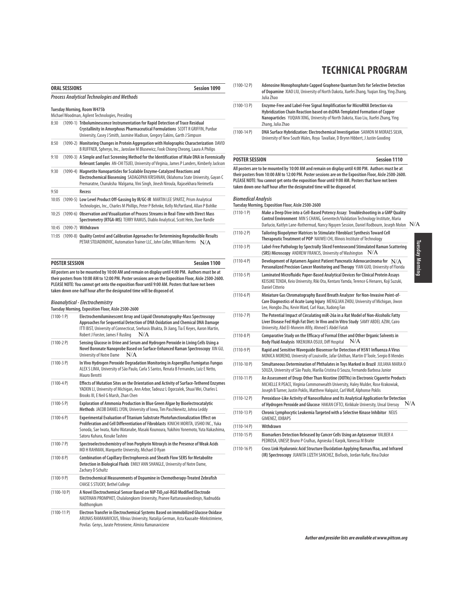| TECHNICAL PROGRAM |
|-------------------|
|-------------------|

|                                                                                 | Session 1090<br><b>ORAL SESSIONS</b> |                                                                                                                                                                                                                                                       |
|---------------------------------------------------------------------------------|--------------------------------------|-------------------------------------------------------------------------------------------------------------------------------------------------------------------------------------------------------------------------------------------------------|
|                                                                                 |                                      | <b>Process Analytical Technologies and Methods</b>                                                                                                                                                                                                    |
| Tuesday Morning, Room W475b<br>Michael Woodman, Agilent Technologies, Presiding |                                      |                                                                                                                                                                                                                                                       |
| 8:30                                                                            |                                      | (1090-1) Triboluminescence Instrumentation for Rapid Detection of Trace Residual<br>Crystallinity in Amorphous Pharmaceutical Formulations SCOTT R GRIFFIN, Purdue<br>University, Casey J Smith, Jasmine Madison, Gregory Eakins, Garth J Simpson     |
| 8:50                                                                            |                                      | (1090-2) Monitoring Changes in Protein Aggregation with Holographic Characterization DAVID<br>B RUFFNER, Spheryx, Inc., Jaroslaw M Blusewicz, Fook Chiong Cheong, Laura A Philips                                                                     |
| 9:10                                                                            |                                      | (1090-3) A Simple and Fast Screening Method for the Identification of Male DNA in Forensically<br>Relevant Samples AN-CHI TSUEI, University of Virginia, James P Landers, Kimberly Jackson                                                            |
| 9:30                                                                            |                                      | (1090-4) Magnetite Nanoparticles for Scalable Enzyme-Catalyzed Reactions and<br>Electrochemical Biosensing SADAGOPAN KRISHNAN, Oklahoma State University, Gayan C<br>Premaratne, Charuksha Walgama, Vini Singh, Jinesh Niroula, Rajasekhara Nerimetla |
| 9:50                                                                            |                                      | Recess                                                                                                                                                                                                                                                |
| 10:05                                                                           |                                      | (1090-5) Low Level Product Off-Gassing by IR/GC-IR MARTIN LEE SPARTZ, Prism Analytical<br>Technologies, Inc., Charles M Phillips, Peter P Behnke, Kelly McPartland, Allan P Bohlke                                                                    |
| 10:25                                                                           |                                      | (1090-6) Observation and Visualization of Process Streams in Real-Time with Direct Mass<br>Spectrometry (RTGA-MS) TERRY RAMUS, Diablo Analytical, Scott Hein, Dave Randle                                                                             |
| 10:45                                                                           |                                      | (1090-7) Withdrawn                                                                                                                                                                                                                                    |
|                                                                                 |                                      | 11:05 (1090-8) Quality Control and Calibration Approaches for Determining Reproducible Results<br>PETAR STOJADINOVIC, Automation Trainer LLC, John Coller, William Herms N/A                                                                          |

**POSTER SESSION Session 1100 All posters are to be mounted by 10:00 AM and remain on display until 4:00 PM. Authors must be at their posters from 10:00 AM to 12:00 PM. Poster sessions are on the Exposition Floor, Aisle 2500-2600. PLEASE NOTE: You cannot get onto the exposition floor until 9:00 AM. Posters that have not been taken down one-half hour after the designated time will be disposed of.**

#### **Bioanalytical - Electrochemistry**

|               | Tuesday Morning, Exposition Floor, Aisle 2500-2600                                                                                                                                                                                                                                                   |
|---------------|------------------------------------------------------------------------------------------------------------------------------------------------------------------------------------------------------------------------------------------------------------------------------------------------------|
| $(1100-1)P$   | Electrochemiluminescent Array and Liquid Chromatography-Mass Spectroscopy<br>Approaches for Sequential Detection of DNA Oxidation and Chemical DNA Damage<br>ITTI BIST, University of Connecticut, Snehasis Bhakta, Di Jiang, Tia E Keyes, Aaron Martin,<br>Robert J Forster, James F Rusling<br>N/A |
| $(1100-2P)$   | Sensing Glucose in Urine and Serum and Hydrogen Peroxide in Living Cells Using a<br>Novel Boronate Nanoprobe Based on Surface-Enhanced Raman Spectroscopy XIN GU,<br>University of Notre Dame<br>N/A                                                                                                 |
| $(1100-3P)$   | In Vivo Hydrogen Peroxide Degradation Monitoring in Aspergillus Fumigatus Fungus<br>ALEX S LIMA, University of São Paulo, Carla S Santos, Renata B Fernandes, Luiz E Netto,<br>Mauro Berotti                                                                                                         |
| $(1100-4P)$   | Effects of Mutation Sites on the Orientation and Activity of Surface-Tethered Enzymes<br>YAOXIN LI, University of Michigan, Ann Arbor, Tadeusz L Ogorzalek, Shuai Wei, Charles L<br>Brooks III, E Neil G Marsh, Zhan Chen                                                                            |
| $(1100-5P)$   | Exploration of Ammonia Production in Blue Green Algae by Bioelectrocatalytic<br>Methods JACOB DANIEL LYON, University of Iowa, Tim Paschkewitz, Johna Leddy                                                                                                                                          |
| $(1100-6P)$   | Experimental Evaluation of Titanium Substrate Photofunctionalization Effect on<br>Proliferation and Cell Differentiation of Fibroblasts KINICHI MORITA, USHIO INC., Yuka<br>Sonoda, Sae Iwata, Naho Watanabe, Masaki Kounoura, Yukihiro Yonemoto, Yuta Nakashima,<br>Satoru Kuhara, Kosuke Tashiro   |
| $(1100 - 7P)$ | Spectroelectrochemistry of Iron Porphyrin Nitroxyls in the Presence of Weak Acids<br>MD H RAHMAN, Marquette University, Michael D Ryan                                                                                                                                                               |
| $(1100-8P)$   | <b>Combination of Capillary Electrophoresis and Sheath Flow SERS for Metabolite</b><br>Detection in Biological Fluids EMILY ANN SHANGLE, University of Notre Dame,<br>Zachary D Schultz                                                                                                              |
| $(1100-9P)$   | Electrochemical Measurements of Dopamine in Chemotherapy-Treated Zebrafish<br><b>CHASE S STUCKY, Bethel College</b>                                                                                                                                                                                  |
| $(1100-10P)$  | A Novel Electrochemical Sensor Based on NiP-TiO <sub>250</sub> I-RGO Modified Electrode<br>NADTINAN PROMPHET, Chulalongkorn University, Pranee Rattanawaleedirojn, Nadnudda<br>Rodthongkum                                                                                                           |
| $(1100-11P)$  | Electron Transfer in Electrochemical Systems Based on immobilized Glucose Oxidase<br>ARIINAS RAMANAVICIIIS, Vilnius University, Natalija German, Asta Kausaite-Minkstimiene                                                                                                                          |

ARUNAS RAMANAVICIUS, Vilnius University, Natalija German, Asta Kausaite-Minkstimiene, Povilas Genys, Jurate Petroniene, Almira Ramanaviciene

- (1100-12 P) **Adenosine Monophosphate Capped Graphene Quantum Dots for Selective Detection of Dopamine** XIAO LIU, University of North Dakota, Xuefei Zhang, Yuqian Xing, Ying Zhang, Julia Zhao
- (1100-13 P) **Enzyme-Free and Label-Free Signal Amplification for MicroRNA Detection via Hybridization Chain Reaction based on dsDNA-Templated Formation of Copper Nanoparticles** YUQIAN XING, University of North Dakota, Xiao Liu, Xuefei Zhang, Ying Zhang, Julia Zhao
- (1100-14 P) **DNA Surface Hybridization: Electrochemical Investigation** SAIMON M MORAES SILVA, University of New South Wales, Roya Tavallaie, D Brynn Hibbert, J Justin Gooding

# **POSTER SESSION Session 1110**

**All posters are to be mounted by 10:00 AM and remain on display until 4:00 PM. Authors must be at their posters from 10:00 AM to 12:00 PM. Poster sessions are on the Exposition Floor, Aisle 2500-2600. PLEASE NOTE: You cannot get onto the exposition floor until 9:00 AM. Posters that have not been taken down one-half hour after the designated time will be disposed of.**

#### **Biomedical Analysis**

**Tuesday Morning, Exposition Floor, Aisle 2500-2600**

| $(1110-1)P$  | Make a Deep Dive into a Cell-Based Potency Assay: Troubleshooting in a GMP Quality<br>Control Environment MIN S CHANG, Genentech/Validation Technology Institute, Maria<br>Darlucio, Kaitlyn Lane-Rothermud, Nancy Nguyen Session, Daniel Rodbourn, Joseph Molon $\,$ $\rm N/A$ |                        |
|--------------|---------------------------------------------------------------------------------------------------------------------------------------------------------------------------------------------------------------------------------------------------------------------------------|------------------------|
| $(1110-2P)$  | Tailoring Biopolymer Matrices to Stimulate Fibroblast Synthesis Toward Cell<br>Therapeutic Treatment of POP NAIWEI CHI, Illinois Institute of Technology                                                                                                                        |                        |
| $(1110-3P)$  | Label-Free Pathology by Spectrally Sliced Femtosecond Stimulated Raman Scattering<br>(SRS) Microscopy ANDREW FRANCIS, University of Washington<br>N/A                                                                                                                           |                        |
| $(1110-4P)$  | Development of Aptamers Against Patient Pancreatic Adenocarcinoma for N/A<br>Personalized Precision Cancer Monitoring and Therapy YIAN GUO, University of Florida                                                                                                               | <b>Tuesday Morning</b> |
| $(1110-5P)$  | Laminated Microfluidic Paper-Based Analytical Devices for Clinical Protein Assays<br>KEISUKE TENDA, Keio University, Riki Ota, Kentaro Yamda, Terence G Henares, Koji Suzuki,<br>Daniel Citterio                                                                                |                        |
| $(1110-6P)$  | Miniature Gas Chromatography Based Breath Analyzer for Non-Invasive Point-of-<br>Care Diagnostics of Acute Lung Injury MENGLIAN ZHOU, University of Michigan, Jiwon<br>Lee, Hongbo Zhu, Kevin Ward, Carl Haas, Xudong Fan                                                       |                        |
| $(1110-7P)$  | The Potential Impact of Circulating miR-26a in a Rat Model of Non-Alcoholic Fatty<br>Liver Disease Fed High Fat Diet: In Vivo and In Vitro Study SAMY ABDEL AZIM, Cairo<br>University, Abd El-Moneim Afify, Ahmed S Abdel Fatah                                                 |                        |
| $(1110-8P)$  | Comparative Study on the Efficacy of Formal Ether and Other Organic Solvents in<br>N/A<br>Body Fluid Analysis NKEMJIKA OSUJI, Diff Hospital                                                                                                                                     |                        |
| $(1110-9P)$  | Rapid and Sensitive Wavequide Biosensor for Detection of H5N1 Influenza A Virus<br>MONICA MORENO, University of Louisville, Jafar Ghithan, Martin O'Toole, Sergio B Mendes                                                                                                      |                        |
| $(1110-10P)$ | Simultaneous Determination of Phthalates in Toys Marked in Brazil JULIANA MARIA O<br>SOUZA, University of São Paulo, Marília Cristina O Souza, Fernando Barbosa Junior                                                                                                          |                        |
| $(1110-11P)$ | An Assessment of Drugs Other Than Nicotine (DOTNs) in Electronic Cigarette Products<br>MICHELLE R PEACE, Virginia Commonwealth University, Haley Mulder, Rose Krakowiak,<br>Joseph B Turner, Justin Poklis, Matthew Halquist, Carl Wolf, Alphonse Poklis                        |                        |
| $(1110-12P)$ | Peroxidase-Like Activity of Nanocellulose and Its Analytical Application for Detection<br>of Hydrogen Peroxide and Glucose HAKAN CIFTCI, Kirikkale University, Unsal Urersoy                                                                                                    | N/A                    |
| $(1110-13P)$ | Chronic Lymphocytic Leukemia Targeted with a Selective Kinase Inhibitor NEUS<br>GIMENEZ, IDIBAPS                                                                                                                                                                                |                        |
| $(1110-14P)$ | Withdrawn                                                                                                                                                                                                                                                                       |                        |
| $(1110-15P)$ | Biomarkers Detection Released by Cancer Cells Using an Aptasensor VALBER A<br>PEDROSA, UNESP, Bruno P Crulhas, Agnieska E Karpik, Vanessa M Braite                                                                                                                              |                        |
|              |                                                                                                                                                                                                                                                                                 |                        |

(1110-16 P) **Cross Link Hyaluronic Acid Structure Elucidation Applying Raman/Roa, and Infrared (IR) Spectroscopy** JUANITA LIZETH SANCHEZ, BioTools, Jordan Nafie, Rina Dukor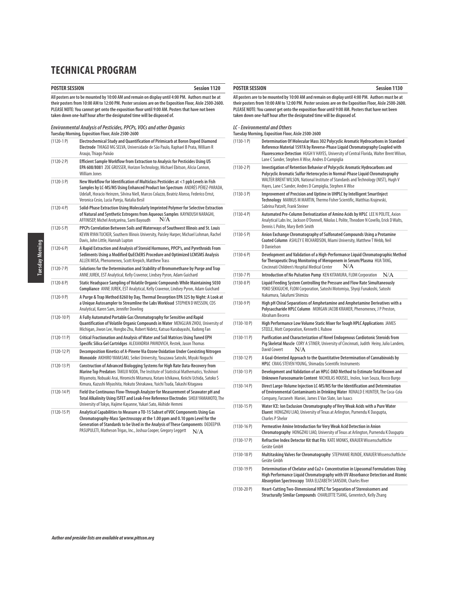### **POSTER SESSION Session 1120**

**All posters are to be mounted by 10:00 AM and remain on display until 4:00 PM. Authors must be at their posters from 10:00 AM to 12:00 PM. Poster sessions are on the Exposition Floor, Aisle 2500-2600. PLEASE NOTE: You cannot get onto the exposition floor until 9:00 AM. Posters that have not been taken down one-half hour after the designated time will be disposed of.**

**Environmental Analysis of Pesticides, PPCPs, VOCs and other Organics Tuesday Morning, Exposition Floor, Aisle 2500-2600**

| $(1120-1)$     | Electrochemical Study and Quantification of Pirimicarb at Boron Doped Diamond<br>Electrode THIAGO MG SELVA, Universidade de São Paulo, Raphael B Prata, William R<br>Araujo, Thiago Paixão                                                                                                                                                    |
|----------------|-----------------------------------------------------------------------------------------------------------------------------------------------------------------------------------------------------------------------------------------------------------------------------------------------------------------------------------------------|
| $(1120-2P)$    | Efficient Sample Workflow from Extraction to Analysis for Pesticides Using US<br>EPA 608/8081 ZOE GROSSER, Horizon Technology, Michael Ebitson, Alicia Cannon,<br><b>William Jones</b>                                                                                                                                                        |
| $(1120-3P)$    | New Workflow for Identification of Multiclass Pesticides at <1 ppb Levels in Fish<br>Samples by LC-MS/MS Using Enhanced Product Ion Spectrum ANDRÉS PÉREZ-PARADA,<br>UdelaR, Horacio Heinzen, Silvina Niell, Marcos Colazzo, Beatriz Alonso, Federico Ernst,<br>Veronica Cesio, Lucia Pareja, Natalia Besil                                   |
| $(1120-4P)$    | Solid-Phase Extraction Using Molecularly Imprinted Polymer for Selective Extraction<br>of Natural and Synthetic Estrogens from Aqueous Samples KAYNOUSH NARAGHI,<br>N/A<br>AFFINISEP, Michel Arotçaréna, Sami Bayoudh                                                                                                                         |
| $(1120-5P)$    | PPCPs Correlation Between Soils and Waterways of Southwest Illinois and St. Louis<br>KEVIN RYAN TUCKER, Southern Illinois University, Paisley Harper, Michael Lohman, Rachel<br>Davis, John Little, Hannah Lupton                                                                                                                             |
| $(1120-6P)$    | A Rapid Extraction and Analysis of Steroid Hormones, PPCP's, and Pyrethroids From<br>Sediments Using a Modified QuEChERS Procedure and Optimized LCMSMS Analysis<br>ALLEN MISA, Phenomenex, Scott Krepich, Matthew Trass                                                                                                                      |
| $(1120 - 7P)$  | Solutions for the Determination and Stability of Bromomethane by Purge and Trap<br>ANNE JUREK, EST Analytical, Kelly Cravenor, Lindsey Pyron, Adam Guichard                                                                                                                                                                                   |
| $(1120-8P)$    | Static Headspace Sampling of Volatile Organic Compounds While Maintaining 5030<br>Compliance ANNE JUREK, EST Analytical, Kelly Cravenor, Lindsey Pyron, Adam Guichard                                                                                                                                                                         |
| $(1120-9P)$    | A Purge & Trap Method 8260 by Day, Thermal Desorption EPA 325 by Night: A Look at<br>a Unique Autosampler to Streamline the Labs Workload STEPHEN D WESSON, CDS<br>Analytical, Karen Sam, Jennifer Dowling                                                                                                                                    |
| $(1120-10P)$   | A Fully Automated Portable Gas Chromatography for Sensitive and Rapid<br>Quantification of Volatile Organic Compounds in Water MENGLIAN ZHOU, University of<br>Michigan, Jiwon Lee, Hongbo Zhu, Robert Nidetz, Katsuo Kurabayashi, Xudong Fan                                                                                                 |
| $(1120-11P)$   | Critical Fractionation and Analysis of Water and Soil Matrices Using Tuned EPH<br>Specific Silica Gel Cartridges ALEXANDRIA PAVKOVICH, Restek, Jason Thomas                                                                                                                                                                                   |
| $(1120-12P)$   | Decomposition Kinetics of A-Pinene Via Ozone Oxidation Under Coexisting Nitrogen<br>Monoxide AKIHIRO YAMASAKI, Seikei University, Yasuzawa Satoshi, Miyuki Noquchi                                                                                                                                                                            |
| $(1120-13)$ P) | Construction of Advanced Biologging Systems for High Rate Data-Recovery from<br>Marine Top Predators TAKUJI NODA, The Institute of Statistical Mathematics, Yoshinori<br>Miyamoto, Nobuaki Arai, Hiromichi Mitamura, Kotaro Ichikawa, Keiichi Uchida, Satoko S<br>Kimura, Kazushi Miyashita, Hokuto Shirakawa, Yuichi Tsuda, Takashi Kitagawa |
| $(1120-14P)$   | Field Use Continuous Flow-Through Analyzer for Measurement of Seawater pH and<br>Total Alkalinity Using ISFET and Leak-Free Reference Electrodes SHOJI YAMAMOTO, The<br>University of Tokyo, Hajime Kayanne, Yukari Sato, Akihide Hemmi                                                                                                       |
| $(1120-15P)$   | Analytical Capabilities to Measure a TO-15 Subset of VOC Components Using Gas<br>Chromatography-Mass Spectroscopy at the 1.00 ppm and 0.10 ppm Level for the<br>Generation of Standards to be Used in the Analysis of These Components DEDEEPYA<br>PASUPULETI, Matheson Trigas, Inc., Joshua Cooper, Gregory Leggett<br>N/A                   |

### **POSTER SESSION** Session 1130

**All posters are to be mounted by 10:00 AM and remain on display until 4:00 PM. Authors must be at their posters from 10:00 AM to 12:00 PM. Poster sessions are on the Exposition Floor, Aisle 2500-2600. PLEASE NOTE: You cannot get onto the exposition floor until 9:00 AM. Posters that have not been taken down one-half hour after the designated time will be disposed of.**

**LC - Environmental and Others**

| Tuesdav Morning, Exposition Floor, Aisle 2500-2600 |                                                                                                                                                                                                                                                                                                                   |
|----------------------------------------------------|-------------------------------------------------------------------------------------------------------------------------------------------------------------------------------------------------------------------------------------------------------------------------------------------------------------------|
| $(1130-1)$                                         | Determination Of Molecular Mass 302 Polycyclic Aromatic Hydrocarbons in Standard<br>Reference Material 1597A by Reverse-Phase Liquid Chromatography Coupled with<br>Fluorescence Detection HUGH V HAYES, University of Central Florida, Walter Brent Wilson,<br>Lane C Sander, Stephen A Wise, Andres D Campiglia |

| (1130-2 P) | Investigation of Retention Behavior of Polycyclic Aromatic Hydrocarbons and        |
|------------|------------------------------------------------------------------------------------|
|            | Polycyclic Aromatic Sulfur Heterocycles in Normal-Phase Liquid Chromatography      |
|            | WALTER BRENT WILSON, National Institute of Standards and Technology (NIST), Hugh V |
|            | Haves, Lane C Sander, Andres D Campiglia, Stephen A Wise                           |

| $(1130-3P)$   | Improvement of Precision and Uptime in UHPLC by Intelligent SmartInject<br>Technology MARKUS M MARTIN, Thermo Fisher Scientific, Matthias Krajewski,<br>Sabrina Patzelt, Frank Steiner                             |
|---------------|--------------------------------------------------------------------------------------------------------------------------------------------------------------------------------------------------------------------|
| $(1130 - 4P)$ | Automated Pre-Column Derivatization of Amino Acids by HPLC LEE N POLITE, Axion<br>Analytical Labs Inc, Jackson O'Donnell, Nikolas L Polite, Theodore N Covello, Erick D Walts,<br>Dennis L Polite, Mary Beth Smith |
| $(1130-5P)$   | Anion Exchange Chromatography of Sulfonated Compounds Using a Protamine<br>Coated Column ASHLEY E RICHARDSON, Miami University, Matthew T Webb, Neil<br>D Danielson                                                |
| (1130c, n)    | David compost and Unlidested of a Uigh Daufamento a Huntd Charmetermentic Mash                                                                                                                                     |

| $(1130-6P)$   | Development and Validation of a High-Performance Liquid Chromatographic Method<br>for Therapeutic Drug Monitoring of Meropenem in Serum/Plasma HUATANG.<br>N/A<br>Cincinnati Children's Hospital Medical Center                   |  |
|---------------|-----------------------------------------------------------------------------------------------------------------------------------------------------------------------------------------------------------------------------------|--|
| $(1130 - 7P)$ | Introduction of No Pulsation Pump KEN KITAMURA, FLOM Corporation<br>N/A                                                                                                                                                           |  |
| (113000)      | $\mathbf{P}$ . The set of the set of the set of the set of the set of the set of the set of the set of the set of the set of the set of the set of the set of the set of the set of the set of the set of the set of the set of t |  |

| $(1130-8P)$ | Liquid Feeding System Controlling the Pressure and Flow Rate Simultaneously<br>YOKO SEKIGUCHI, FLOM Corporation, Satoshi Motomiva, Shvoji Funakoshi, Satoshi<br>Nakamura, Takafumi Shimizu |
|-------------|--------------------------------------------------------------------------------------------------------------------------------------------------------------------------------------------|
| (1130-9 P)  | High pH Chiral Separations of Amphetamine and Amphetamine Derivatives with a                                                                                                               |

- **Polysaccharide HPLC Column** MORGAN JACOB KRAMER, Phenomenex, J P Preston, Abraham Becerra
- (1130-10 P) **High Performance Low Volume Static Mixer for Tough HPLC Applications** JAMES STEELE, Mott Corporation, Kenneth L Rubow (1130-11 P) **Purification and Characterization of Novel Endogenous Cardiotonic Steroids from**
- **Pig Skeletal Muscle** CORY A STINER, University of Cincinnati, Judith Heiny, Julio Landero, David Cowert N/A
- (1130-12 P) **A Goal-Oriented Approach to the Quantitative Determination of Cannabinoids by HPLC** CRAIG STEVEN YOUNG, Shimadzu Scientific Instruments
- (1130-13 P) **Development and Validation of an HPLC-DAD Method to Estimate Total Known and Unknown Furocoumarin Content** NICHOLAS HOUSEL, Inolex, Ivan Souza, Rocco Burgo (1130-14 P) **Direct Large-Volume Injection LC-MS/MS for the Identification and Determination of Environmental Contaminants in Drinking Water** RONALD E HUNTER, The Coca-Cola Company, Farzaneh Maniei, James E Van Slate, Ian Isaacs
- (1130-15 P) **Water ICE: Ion Exclusion Chromatography of Very Weak Acids with a Pure Water Eluent** HONGZHU LIAO, University of Texas at Arlington, Purnendu K Dasgupta, Charles P Shelor
- (1130-16 P) **Permeative Amine Introduction for Very Weak Acid Detection in Anion Chromatography** HONGZHU LIAO, University of Texas at Arlington, Purnendu K Dasgupta (1130-17 P) **Refractive Index Detector Kit that Fits** KATE MONKS, KNAUER Wissenschaftliche Geräte GmbH (1130-18 P) **Multitasking Valves for Chromatography** STEPHANIE RUNDE, KNAUER Wissenschaftliche Geräte Gmbh
- (1130-19 P) **Determination of Chelator and Cu2+ Concentration in Liposomal Formulations Using High Performance Liquid Chromatography with UV Absorbance Detection and Atomic Absorption Spectroscopy** TARA ELIZABETH SANSOM, Charles River (1130-20 P) **Heart-Cutting Two-Dimensional HPLC for Separation of Stereoisomers and**
- **Structurally Similar Compounds** CHARLOTTE TSANG, Genentech, Kelly Zhang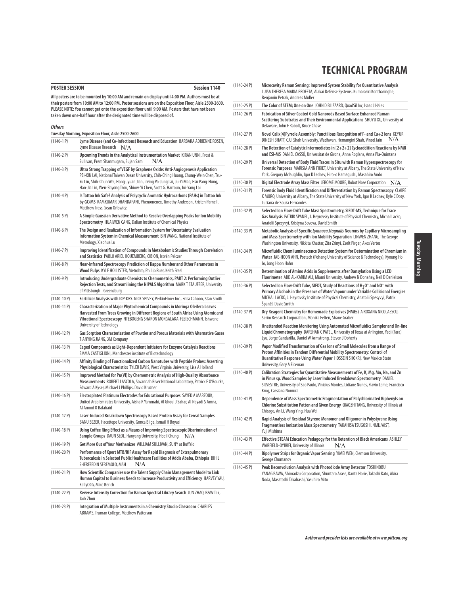|                                                                                                                                                                                                                                                                                                                                                                                           | <b>POSTER SESSION</b><br><b>Session 1140</b>                                                                                                                                                                                                                                                                                                     |  |
|-------------------------------------------------------------------------------------------------------------------------------------------------------------------------------------------------------------------------------------------------------------------------------------------------------------------------------------------------------------------------------------------|--------------------------------------------------------------------------------------------------------------------------------------------------------------------------------------------------------------------------------------------------------------------------------------------------------------------------------------------------|--|
| All posters are to be mounted by 10:00 AM and remain on display until 4:00 PM. Authors must be at<br>their posters from 10:00 AM to 12:00 PM. Poster sessions are on the Exposition Floor, Aisle 2500-2600.<br>PLEASE NOTE: You cannot get onto the exposition floor until 9:00 AM. Posters that have not been<br>taken down one-half hour after the designated time will be disposed of. |                                                                                                                                                                                                                                                                                                                                                  |  |
| <b>Others</b>                                                                                                                                                                                                                                                                                                                                                                             |                                                                                                                                                                                                                                                                                                                                                  |  |
|                                                                                                                                                                                                                                                                                                                                                                                           | Tuesday Morning, Exposition Floor, Aisle 2500-2600                                                                                                                                                                                                                                                                                               |  |
| $(1140-1)$                                                                                                                                                                                                                                                                                                                                                                                | Lyme Disease (and Co-Infections) Research and Education BARBARA ADRIENNE ROSEN,<br>Lyme Disease Research<br>N/A                                                                                                                                                                                                                                  |  |
| $(1140-2P)$                                                                                                                                                                                                                                                                                                                                                                               | Upcoming Trends in the Analytical Instrumentation Market KIRAN UNNI, Frost &<br>Sullivan, Prem Shanmugam, Sujan Sami<br>N/A                                                                                                                                                                                                                      |  |
| $(1140-3)$ P)                                                                                                                                                                                                                                                                                                                                                                             | Ultra Strong Trapping of VEGF by Graphene Oxide: Anti-Angiogenesis Application<br>PEI-XIN LAI, National Taiwan Ocean University, Chih-Ching Huang, Chung-Wein Chen, Tzu-<br>Yu Lin, Shih-Chun Wei, Hong-Jyuan Jian, Irving Po-Jung Lai, Ju-Yi Mao, Hsu Pang-Hung,<br>Han-Jia Lin, Wen-Shyong Tzou, Shiow-Yi Chen, Scott G. Harroun, Jui-Yang Lai |  |
| $(1140-4P)$                                                                                                                                                                                                                                                                                                                                                                               | Is Tattoo Ink Safe? Analysis of Polycyclic Aromatic Hydrocarbons (PAHs) in Tattoo Ink<br>by GC/MS RAMKUMAR DHANDAPANI, Phenomenex, Timothy Anderson, Kristen Parnell,<br>Matthew Trass, Sean Orlowicz                                                                                                                                            |  |
| $(1140-5P)$                                                                                                                                                                                                                                                                                                                                                                               | A Simple Gaussian Derivative Method to Resolve Overlapping Peaks for Ion Mobility<br>Spectrometry HUAIWEN CANG, Dalian Institute of Chemical Physics                                                                                                                                                                                             |  |
| $(1140-6P)$                                                                                                                                                                                                                                                                                                                                                                               | The Design and Realization of Information System for Uncertainty Evaluation<br>Information System in Chemical Measurement BIN WANG, National Institute of<br>Metrology, Xiaohua Lu                                                                                                                                                               |  |
| $(1140 - 7P)$                                                                                                                                                                                                                                                                                                                                                                             | Improving Identification of Compounds in Metabolomic Studies Through Correlation<br>and Statistics PABLO ARIEL HOIJEMBERG, CIBION, István Pelczer                                                                                                                                                                                                |  |
| $(1140-8P)$                                                                                                                                                                                                                                                                                                                                                                               | Near-Infrared Spectroscopy Prediction of Kappa Number and Other Parameters in<br>Wood Pulps KYLE HOLLISTER, Metrohm, Phillip Ruer, Keith Freel                                                                                                                                                                                                   |  |
| $(1140-9P)$                                                                                                                                                                                                                                                                                                                                                                               | Introducing Undergraduate Chemists to Chemometrics, PART 2: Performing Outlier<br>Rejection Tests, and Streamlining the NIPALS Algorithm MARK T STAUFFER, University<br>of Pittsburgh - Greensburg                                                                                                                                               |  |
| $(1140-10P)$                                                                                                                                                                                                                                                                                                                                                                              | Fertilizer Analysis with ICP-OES NICK SPIVEY, PerkinElmer Inc., Erica Cahoon, Stan Smith                                                                                                                                                                                                                                                         |  |
| $(1140-11 P)$                                                                                                                                                                                                                                                                                                                                                                             | Characterization of Major Phytochemical Compounds in Moringa Oleifera Leaves<br>Harvested From Trees Growing in Different Regions of South Africa Using Atomic and<br>Vibrational Spectroscopy NTEBOGENG SHARON MOKGALAKA-FLEISCHMANN, Tshwane<br>University of Technology                                                                       |  |
| $(1140-12P)$                                                                                                                                                                                                                                                                                                                                                                              | Gas Sorption Characterization of Powder and Porous Materials with Alternative Gases<br>TIANYING JIANG, 3M Company                                                                                                                                                                                                                                |  |
| $(1140-13)$ P)                                                                                                                                                                                                                                                                                                                                                                            | Caged Compounds as Light-Dependent Initiators for Enzyme Catalysis Reactions<br><b>EMMA CASTIGLIONI, Manchester institute of Biotechnology</b>                                                                                                                                                                                                   |  |
| (1140-14 P)                                                                                                                                                                                                                                                                                                                                                                               | Affinity Binding of Functionalized Carbon Nanotubes with Peptide Probes: Asserting<br>Physiological Characteristics TYLER DAVIS, West Virginia University, Lisa A Holland                                                                                                                                                                        |  |
| $(1140-15 P)$                                                                                                                                                                                                                                                                                                                                                                             | Improved Method for Pu(VI) by Chemometric Analysis of High-Quality Absorbance<br>Measurements ROBERT LASCOLA, Savannah River National Laboratory, Patrick E O'Rourke,<br>Edward A Kyser, Michael J Phillips, David Kruzner                                                                                                                       |  |
| $(1140-16)$ P)                                                                                                                                                                                                                                                                                                                                                                            | Electroplated Platinum Electrodes for Educational Purposes SAYED A MARZOUK,<br>United Arab Emirates University, Aisha R Yammahi, Al Ghoul J Sahar, Al Neyadi S Amna,<br>Al Anood O Balabaid                                                                                                                                                      |  |
| $(1140-17P)$                                                                                                                                                                                                                                                                                                                                                                              | Laser-Induced Breakdown Spectroscopy Based Protein Assay for Cereal Samples<br>BANU SEZER, Hacettepe University, Gonca Bilge, Ismail H Boyaci                                                                                                                                                                                                    |  |
| $(1140-18P)$                                                                                                                                                                                                                                                                                                                                                                              | Using Coffee Ring Effect as a Means of Improving Spectroscopic Discrimination of<br>Sample Groups DAUN SEOL, Hanyang University, Hoeil Chung<br>N/A                                                                                                                                                                                              |  |
| (1140-19 P)                                                                                                                                                                                                                                                                                                                                                                               | Get More Out of Your Methanizer WILLIAM SULLIVAN, SUNY at Buffalo                                                                                                                                                                                                                                                                                |  |
| $(1140-20 P)$                                                                                                                                                                                                                                                                                                                                                                             | Performance of Xpert MTB/RIF Assay for Rapid Diagnosis of Extrapulmonary<br>Tuberculosis in Selected Public Healthcare Facilities of Addis Ababa, Ethiopia BIHIL<br>N/A<br>SHEREFEDIN SEREMOLO, MSH                                                                                                                                              |  |
| $(1140-21)$                                                                                                                                                                                                                                                                                                                                                                               | How Scientific Companies use the Talent Supply Chain Management Model to Link<br>Human Capital to Business Needs to Increase Productivity and Efficiency HARVEY YAU,<br>KellyOCG, Mike Berich                                                                                                                                                    |  |
| $(1140-22 P)$                                                                                                                                                                                                                                                                                                                                                                             | Reverse Intensity Correction for Raman Spectral Library Search JUN ZHAO, B&W Tek,<br>Jack Zhou                                                                                                                                                                                                                                                   |  |
| $(1140-23 P)$                                                                                                                                                                                                                                                                                                                                                                             | Integration of Multiple Instruments in a Chemistry Studio Classroom CHARLES<br>ABRAMS, Truman College, Matthew Patterson                                                                                                                                                                                                                         |  |

| (1140-24 P)    | Microcavity Raman Sensing: Improved System Stability for Quantitative Analysis<br>LUISA THERESA MARIA PROFETA, Alakai Defense Systems, Kumarasiri Konthasinghe,<br>Benjamin Petrak, Andreas Muller                                                                                                   |  |
|----------------|------------------------------------------------------------------------------------------------------------------------------------------------------------------------------------------------------------------------------------------------------------------------------------------------------|--|
| $(1140-25)$ P) | The Color of STEM; One on One JOHN D BLIZZARD, QuadSil Inc, Isaac J Hales                                                                                                                                                                                                                            |  |
| $(1140-26)$    | Fabrication of Silver Coated Gold Nanorods Based Surface Enhanced Raman<br>Scattering Substrates and Their Environmental Applications SHUYU XU, University of<br>Delaware, John F Rabolt, Bruce Chase                                                                                                |  |
| $(1140-27P)$   | Novel Calix[4]Pyrrole Assembly: Punctilious Recognition of F- and Cu+2 lons KEYUR<br>DINESH BHATT, C.U. Shah University, Wadhwan, Hemangini Shah, Vinod Jain<br>N/A                                                                                                                                  |  |
| $(1140-28)$ P) | The Detection of Catalytic Intermediates in $[2+2+2]$ Cycloaddition Reactions by NMR<br>and ESI-MS DANIEL CASSU, Universitat de Girona, Anna Roglans, Anna Pla-Quintana                                                                                                                              |  |
| $(1140-29P)$   | Universal Detection of Body Fluid Traces In Situ with Raman Hyperspectroscopy for<br>Forensic Purposes MARISIA ANN FIKIET, University at Albany, The State University of New<br>York, Gregory Mclaughlin, Igor K Lednev, Hiro-o Hamaguchi, Masahiro Ando                                             |  |
| $(1140-30P)$   | Digital Electrode Array Mass Filter JEROME MOORE, Robot Nose Corporation<br>N/A                                                                                                                                                                                                                      |  |
| $(1140-31 P)$  | Forensic Body Fluid Identification and Differentiation by Raman Spectroscopy CLAIRE<br>K MURO, University at Albany, The State University of New York, Igor K Lednev, Kyle C Doty,<br>Luciana de Souza Fernandes                                                                                     |  |
| $(1140-32)$ P) | Selected Ion Flow-Drift Tube Mass Spectrometry, SIFDT-MS, Technique for Trace<br>Gas Analysis PATRIK SPANEL, J. Heyrovsky Institute of Physical Chemistry, Michal Lacko,<br>Anatolii Spesyvyi, Kristyna Sovova, David Smith                                                                          |  |
| $(1140-33 P)$  | Metabolic Analysis of Specific Lymnaea Stagnalis Neurons by Capillary Microsampling<br>and Mass Spectrometry with Ion Mobility Separation LINWEN ZHANG, The George<br>Washington University, Nikkita Khattar, Zita Zrinyi, Zsolt Pirger, Akos Vertes                                                 |  |
| $(1140-34P)$   | Microfluidic Chemiluminescence Detection System for Determination of Chromium in<br>Water JAE-HOON AHN, Postech (Pohang University of Science & Technology), Kyoung Ho<br>Jo, Jong Hoon Hahn                                                                                                         |  |
| $(1140-35 P)$  | Determination of Amino Acids in Supplements after Dansylation Using a LED<br>Fluorimeter ABD AL-KARIM ALI, Miami University, Andrew N Donahey, Neil D Danielson                                                                                                                                      |  |
| $(1140-36)$ P) | Selected Ion Flow-Drift Tube, SIFDT, Study of Reactions of $H_2O^+$ and NO <sup>+</sup> with<br>Primary Alcohols in the Presence of Water Vapour under Variable Collisional Energies<br>MICHAL LACKO, J. Heyrovsky Institute of Physical Chemistry, Anatolii Spesyvyi, Patrik<br>Španěl, David Smith |  |
| $(1140-37P)$   | Dry Reagent Chemistry for Homemade Explosives (HMEs) A ROXANA NICOLAESCU,<br>Serim Research Corporation, Monika Felten, Shane Graber                                                                                                                                                                 |  |
| $(1140-38)$ P) | Unattended Reaction Monitoring Using Automated Microfluidics Sampler and On-line<br>Liquid Chromatography DARSHAN C PATEL, University of Texas at Arlington, Yaqi (Fara)<br>Lyu, Jorge Gandarilla, Daniel W Armstrong, Steven J Doherty                                                              |  |
| $(1140-39P)$   | Vapor Modified Transformation of Gas lons of Small Molecules from a Range of<br>Proton Affinities in Tandem Differential Mobility Spectrometry: Control of<br>Quantitative Response Using Water Vapor HOSSEIN SHOKRI, New Mexico State<br>University, Gary A Eiceman                                 |  |
| $(1140-40)$ P) | Calibration Strategies for Quantitative Measurements of Fe, K, Mg, Mn, Na, and Zn<br>in Pinus sp. Wood Samples by Laser Induced Breakdown Spectrometry DANIEL<br>SILVESTRE, University of Sao Paulo, Vinicius Montes, Lidiane Nunes, Flavio Leme, Francisco<br>Krug, Cassiana Nomura                 |  |
| $(1140-41 P)$  | Dependence of Mass Spectrometric Fragmentation of Polychlorinated Biphenyls on<br>Chlorine Substitution Patten and Given Energy QIAOZHI TANG, University of Illinois at<br>Chicago, An Li, Wang Ying, Hua Wei                                                                                        |  |
| $(1140-42)$ P) | Rapid Analysis of Residual Styrene Monomer and Oligomer in Polystyrene Using<br>Fragmentless Ionization Mass Spectrometry TAKAHISA TSUGOSHI, NMIJ/AIST,<br>Yuji Mishima                                                                                                                              |  |
| $(1140-43)$ P) | Effective STEAM Education Pedagogy for the Retention of Black Americans ASHLEY<br>WARFIELD-OYIRIFI, University of Illinois<br>N/A                                                                                                                                                                    |  |
| $(1140-44P)$   | Bipolymer Strips for Organic Vapor Sensing YIMEI WEN, Clemson University,<br>George Chumanov                                                                                                                                                                                                         |  |
| $(1140-45 P)$  | Peak Deconvolution Analysis with Photodiode Array Detector TOSHINOBU<br>YANAGISAWA, Shimadzu Corporation, Shuntaro Arase, Kanta Horie, Takashi Kato, Akira<br>Noda, Masatoshi Takahashi, Yasuhiro Mito                                                                                               |  |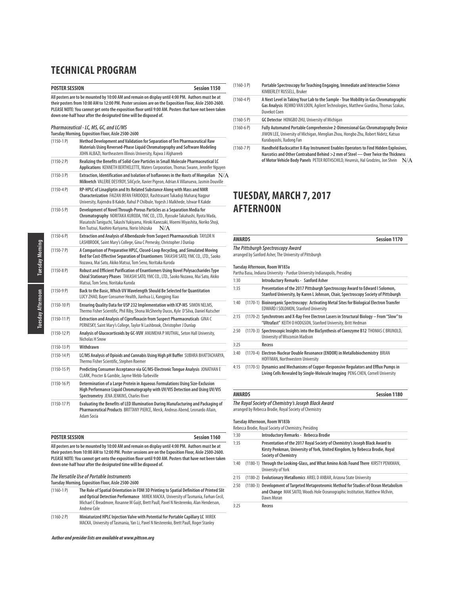### **POSTER SESSION Session 1150 All posters are to be mounted by 10:00 AM and remain on display until 4:00 PM. Authors must be at their posters from 10:00 AM to 12:00 PM. Poster sessions are on the Exposition Floor, Aisle 2500-2600.**

**PLEASE NOTE: You cannot get onto the exposition floor until 9:00 AM. Posters that have not been taken down one-half hour after the designated time will be disposed of.**

# **Pharmaceutical - LC, MS, GC, and LC/MS**

|               | Tuesday Morning, Exposition Floor, Aisle 2500-2600                                                                                                                                                                                                                                                         |  |
|---------------|------------------------------------------------------------------------------------------------------------------------------------------------------------------------------------------------------------------------------------------------------------------------------------------------------------|--|
| $(1150-1)$    | Method Development and Validation for Separation of Ten Pharmaceutical Raw<br>Materials Using Reversed-Phase Liquid Chromatography and Software Modeling<br>JOHN ALBAZI, Northeastern Illinois University, Rajwa J Alghareeb                                                                               |  |
| (1150-2 P)    | Realizing the Benefits of Solid-Core Particles in Small Molecule Pharmaceutical LC<br>Applications KENNETH BERTHELETTE, Waters Corporation, Thomas Swann, Jennifer Nguyen                                                                                                                                  |  |
| $(1150-3P)$   | Extraction, Identification and Isolation of Isoflavones in the Roots of Mongolian $\rm\,N/A$<br>Milkvetch VALERIE DESYROY, SiliCycle, Xavier Pigeon, Adrian A Villanueva, Jasmin Douville                                                                                                                  |  |
| $(1150 - 4P)$ | RP-HPLC of Linagliptin and Its Related Substance Along with Mass and NMR<br>Characterization FAIZAN IRFAN FAROOQUI, Rashtrasant Tukadoji Maharaj Nagpur<br>University, Rajendra B Kakde, Rahul P Chilbule, Yogesh J Malkhede, Ishwar R Kakde                                                               |  |
| $(1150-5P)$   | Development of Novel Through-Porous Particles as a Separation Media for<br>Chromatography NORITAKA KURODA, YMC CO., LTD., Ryosuke Takahashi, Ryota Wada,<br>Masatoshi Taniguchi, Takashi Yukiyama, Hiroki Kanezaki, Moemi Miyashita, Noriko Shoji,<br>Ken Tsutsui, Naohiro Kuriyama, Norio Ishizuka<br>N/A |  |
| $(1150-6P)$   | Extraction and Analysis of Albendazole from Suspect Pharmaceuticals TAYLOR N<br>LASHBROOK, Saint Mary's College, Gina C Pernesky, Christopher J Dunlap                                                                                                                                                     |  |
| (1150-7 P)    | A Comparison of Preparative HPLC, Closed-Loop Recycling, and Simulated Moving<br>Bed for Cost-Effective Separation of Enantiomers TAKASHI SATO, YMC CO., LTD., Saoko<br>Nozawa, Mai Sato, Akiko Matsui, Tom Seno, Noritaka Kuroda                                                                          |  |
| $(1150-8P)$   | Robust and Efficient Purification of Enantiomers Using Novel Polysaccharides Type<br>Chiral Stationary Phases TAKASHI SATO, YMC CO., LTD., Saoko Nozawa, Mai Sato, Akiko<br>Matsui, Tom Seno, Noritaka Kuroda                                                                                              |  |
| $(1150-9P)$   | Back to the Basic, Which UV Wavelength Should Be Selected for Quantitation<br>LUCY ZHAO, Bayer Consumer Health, Jianhua Li, Kangping Xiao                                                                                                                                                                  |  |
| $(1150-10P)$  | Ensuring Quality Data for USP 232 Implementation with ICP-MS SIMON NELMS,<br>Thermo Fisher Scientific, Phil Riby, Shona McSheehy Ducos, Kyle D'Silva, Daniel Kutscher                                                                                                                                      |  |
| $(1150-11P)$  | Extraction and Analysis of Ciprofloxacin from Suspect Pharmaceuticals GINA C<br>PERNESKY, Saint Mary's College, Taylor N Lashbrook, Christopher J Dunlap                                                                                                                                                   |  |
| $(1150-12P)$  | Analysis of Glucocorticoids by GC-VUV ANUMEHA P MUTHAL, Seton Hall University,<br>Nicholas H Snow                                                                                                                                                                                                          |  |
| (1150-13 P)   | Withdrawn                                                                                                                                                                                                                                                                                                  |  |
| $(1150-14P)$  | LC/MS Analysis of Opioids and Cannabis Using High pH Buffer SUBHRA BHATTACHARYA,<br>Thermo Fisher Scientific, Stephen Roemer                                                                                                                                                                               |  |
| (1150-15 P)   | Predicting Consumer Acceptance via GC/MS-Electronic Tongue Analysis JONATHAN E<br>CLARK, Procter & Gamble, Jayme Webb-Turbeville                                                                                                                                                                           |  |
| $(1150-16P)$  | Determination of a Large Protein in Agueous Formulations Using Size-Exclusion<br>High Performance Liquid Chromatography with UV/VIS Detection and Using UV/VIS<br>Spectrometry JENA JENKINS, Charles River                                                                                                 |  |
| $(1150-17P)$  | Evaluating the Benefits of LED Illumination During Manufacturing and Packaging of<br>Pharmaceutical Products BRITTANY PIERCE, Merck, Andreas Abend, Leonardo Allain,<br>Adam Socia                                                                                                                         |  |

| <b>POSTER SESSION</b>                                                                                  | Session 1160 |
|--------------------------------------------------------------------------------------------------------|--------------|
| All posters are to be mounted by 10:00 AM and remain on display until 4:00 PM. Authors must be at      |              |
| their posters from 10:00 AM to 12:00 PM. Poster sessions are on the Exposition Floor. Aisle 2500-2600. |              |
| PLEASE NOTE: You cannot get onto the exposition floor until 9:00 AM. Posters that have not been taken  |              |
| down one-half hour after the designated time will be disposed of.                                      |              |

### **The Versatile Use of Portable Instruments**

**Tuesday Morning, Exposition Floor, Aisle 2500-2600**

| $(1160-1)$ | The Role of Spatial Orientation in FDM 3D Printing to Spatial Definition of Printed Slit<br>and Optical Detection Performance MIREK MACKA, University of Tasmania, Farhan Cecil,<br>Michael C Breadmore, Rosanne M Guijt, Brett Paull, Pavel N Nesterenko, Alan Henderson,<br>Andrew Cole |
|------------|-------------------------------------------------------------------------------------------------------------------------------------------------------------------------------------------------------------------------------------------------------------------------------------------|
| (1160.7P)  | Miniaturized HPIC Injection Valve with Potential for Portable Capillary IC MIREK                                                                                                                                                                                                          |

(1160-2 P) Miniaturized HPLC Injection Valve with Pote MACKA, University of Tasmania, Yan Li, Pavel N Nesterenko, Brett Paull, Roger Stanley

**Author and presider lists are available at www.pittcon.org** 

| $(1160-3P)$   | Portable Spectroscopy for Teaching Engaging, Immediate and Interactive Science<br>KIMBERLEY RUSSELL, Bruker                                                                                                                                                       |
|---------------|-------------------------------------------------------------------------------------------------------------------------------------------------------------------------------------------------------------------------------------------------------------------|
| $(1160 - 4P)$ | A Next Level in Taking Your Lab to the Sample - True Mobility in Gas Chromatographic<br>Gas Analysis REMKO VAN LOON, Agilent Technologies, Matthew Giardina, Thomas Szakas,<br>Duvekot Coen                                                                       |
| $(1160-5P)$   | GC Detector HONGBO ZHU, University of Michigan                                                                                                                                                                                                                    |
| $(1160-6P)$   | Fully Automated Portable Comprehensive 2-Dimensional Gas Chromatography Device<br>JIWON LEE, University of Michigan, Menglian Zhou, Hongbo Zhu, Robert Nidetz, Katsuo<br>Kurabayashi, Xudong Fan                                                                  |
| $(1160 - 7P)$ | Handheld Backscatter X-Ray Instrument Enables Operators to Find Hidden Explosives,<br>Narcotics and Other Contraband Behind > 2 mm of Steel — Over Twice the Thickness<br>of Motor Vehicle Body Panels PETER ROTHSCHILD. Heuresis. Hal Grodzins. Jon Shein<br>N/A |

# **TUESDAY, MARCH 7, 2017 AFTERNOON**

| <b>AWARDS</b> | <b>Session 1170</b>                                                                                                                                                    |
|---------------|------------------------------------------------------------------------------------------------------------------------------------------------------------------------|
|               | The Pittsburgh Spectroscopy Award<br>arranged by Sanford Asher, The University of Pittsburgh                                                                           |
|               | Tuesday Afternoon, Room W183a<br>Partha Basu, Indiana University - Purdue University Indianapolis, Presiding                                                           |
| 1:30          | <b>Introductory Remarks - Sanford Asher</b>                                                                                                                            |
| 1:35          | Presentation of the 2017 Pittsburgh Spectroscopy Award to Edward I Solomon,<br>Stanford University, by Karen L Johnson, Chair, Spectroscopy Society of Pittsburgh      |
| 1:40          | (1170-1) Bioinorganic Spectroscopy: Activating Metal Sites for Biological Electron Transfer<br><b>EDWARD I SOLOMON, Stanford University</b>                            |
| 2:15          | (1170-2) Synchrotrons and X-Ray Free Electron Lasers in Structural Biology - From "Slow" to<br>"Ultrafast" KEITH O HODGSON, Stanford University, Britt Hedman          |
| 2:50          | (1170-3) Spectroscopic Insights into the BioSynthesis of Coenzyme B12 THOMAS C BRUNOLD,<br>University of Wisconsin Madison                                             |
| 3:25          | Recess                                                                                                                                                                 |
| 3:40          | (1170-4) Electron-Nuclear Double Resonance (ENDOR) in Metallobiochemistry BRIAN<br>HOFFMAN, Northwestern University                                                    |
| 4:15          | (1170-5) Dynamics and Mechanisms of Copper-Responsive Regulators and Efflux Pumps in<br>Living Cells Revealed by Single-Molecule Imaging PENG CHEN, Cornell University |

| <b>AWARDS</b>                                          | <b>Session 1180</b> |
|--------------------------------------------------------|---------------------|
| The Royal Society of Chemistry's Joseph Black Award    |                     |
| arranged by Rebecca Brodie, Royal Society of Chemistry |                     |
| Tuesdav Afternoon, Room W183b                          |                     |
| Rebecca Brodie, Royal Society of Chemistry, Presiding  |                     |

| 1:30 | Introductory Remarks - Rebecca Brodie                                                                                                                                                      |
|------|--------------------------------------------------------------------------------------------------------------------------------------------------------------------------------------------|
| 1:35 | Presentation of the 2017 Royal Society of Chemistry's Joseph Black Award to<br>Kirsty Penkman, University of York, United Kingdom, by Rebecca Brodie, Royal<br><b>Society of Chemistry</b> |
| 1:40 | (1180-1) Through the Looking-Glass, and What Amino Acids Found There KIRSTY PENKMAN,<br>University of York                                                                                 |
| 2:15 | (1180-2) Evolutionary Metallomics ARIEL D ANBAR, Arizona State University                                                                                                                  |
| 2:50 | (1180-3) Development of Targeted Metaproteomic Method for Studies of Ocean Metabolism<br>and Change MAK SAITO, Woods Hole Oceanographic Institution, Matthew McIlvin,<br>Dawn Moran        |
| 3.25 | Recess                                                                                                                                                                                     |

Tuesday Afternoon | Tuesday Morning Tuesday Afternoon Tuesday Morning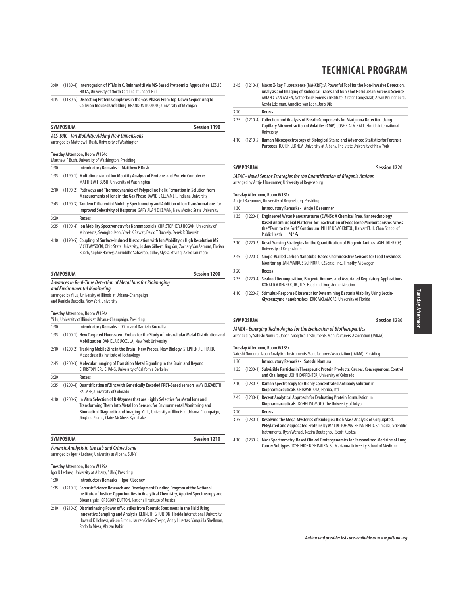- 3:40 (1180-4) **Interrogation of PTMs in C. Reinhardtii via MS-Based Proteomics Approaches** LESLIE HICKS, University of North Carolina at Chapel Hill
- 4:15 (1180-5) **Dissecting Protein Complexes in the Gas-Phase: From Top-Down Sequencing to Collision Induced Unfolding** BRANDON RUOTOLO, University of Michigan

| <b>SYMPOSIUM</b> | Session 1190 |
|------------------|--------------|
|------------------|--------------|

**ACS-DAC - Ion Mobility: Adding New Dimensions** arranged by Matthew F Bush, University of Washington

### **Tuesday Afternoon, Room W184d**

|      | <b>INCOURT IN INSIDE IN THE INCOME.</b><br>Matthew F Bush, University of Washington, Presiding                                                                                |
|------|-------------------------------------------------------------------------------------------------------------------------------------------------------------------------------|
| 1:30 | <b>Introductory Remarks - Matthew F Bush</b>                                                                                                                                  |
| 1:35 | (1190-1) Multidimensional lon Mobility Analysis of Proteins and Protein Complexes<br>MATTHEW F BUSH, University of Washington                                                 |
| 2:10 | (1190-2) Pathways and Thermodynamics of Polyproline Helix Formation in Solution from<br>Measurements of lons in the Gas Phase DAVID E CLEMMER, Indiana University             |
| 2:45 | (1190-3) Tandem Differential Mobility Spectrometry and Addition of Ion Transformations for<br>Improved Selectivity of Response GARY ALAN EICEMAN, New Mexico State University |
| 3:20 | Recess                                                                                                                                                                        |
| 3:35 | (1190-4) Ion Mobility Spectrometry for Nanomaterials CHRISTOPHER J HOGAN, University of<br>Minnesota, Seongho Jeon, Vivek K Rawat, David T Buckely, Derek R Oberreit          |
| 4:10 | (1190-5) Coupling of Surface-Induced Dissociation with lon Mobility or High Resolution MS                                                                                     |

VICKI WYSOCKI, Ohio State University, Joshua Gilbert, Jing Yan, Zachary VanAernum, Florian Busch, Sophie Harvey, Aniruddhe Sahasrabuddhe, Alyssa Stiving, Akiko Tanimoto

| <b>SYMPOSIUM</b><br><b>Session 1200</b> |                                                                                                            |  |  |  |  |  |  |  |  |  |  |
|-----------------------------------------|------------------------------------------------------------------------------------------------------------|--|--|--|--|--|--|--|--|--|--|
|                                         | Advances in Real-Time Detection of Metal lons for Bioimaging<br>and Environmental Monitoring               |  |  |  |  |  |  |  |  |  |  |
|                                         | arranged by Yi Lu, University of Illinois at Urbana-Champaign<br>and Daniela Buccella, New York University |  |  |  |  |  |  |  |  |  |  |
|                                         | Tuesday Afternoon, Room W184a<br>Yi Lu, University of Illinois at Urbana-Champaign, Presiding              |  |  |  |  |  |  |  |  |  |  |
| 1:30                                    | Introductory Remarks - Yi Lu and Daniela Buccella                                                          |  |  |  |  |  |  |  |  |  |  |

| .    |                                                                                                |
|------|------------------------------------------------------------------------------------------------|
| 1:35 | (1200-1) New Targeted Fluorescent Probes for the Study of Intracellular Metal Distribution and |
|      | Mobilization DANIELA BUCCELLA, New York University                                             |
| 2:10 | (1200-2) Tracking Mobile Zinc in the Brain - New Probes, New Biology STEPHEN J LIPPARD.        |

- Massachusetts Institute of Technology 2:45 (1200-3) **Molecular Imaging of Transition Metal Signaling in the Brain and Beyond**
- CHRISTOPHER J CHANG, University of California Berkeley 3:20 **Recess**
- 3:35 (1200-4) **Quantification of Zinc with Genetically Encoded FRET-Based sensors** AMY ELIZABETH PALMER, University of Colorado
- 4:10 (1200-5) **In Vitro Selection of DNAzymes that are Highly Selective for Metal Ions and Transforming Them Into Metal Ion Sensors for Environmental Monitoring and Biomedical Diagnostic and Imaging** YI LU, University of Illinois at Urbana-Champaign, JingJing Zhang, Claire McGhee, Ryan Lake

| <b>SYMPOSIUM</b> |  |  |  |  |  |  | Session 1210 |  |  |  |  |  |
|------------------|--|--|--|--|--|--|--------------|--|--|--|--|--|
|                  |  |  |  |  |  |  | .            |  |  |  |  |  |

**Forensic Analysis in the Lab and Crime Scene** arranged by Igor K Lednev, University at Albany, SUNY

**Tuesday Afternoon, Room W179a**

| Igor K Lednev, University at Albany, SUNY, Presiding |
|------------------------------------------------------|
|------------------------------------------------------|

1:30 **Introductory Remarks - Igor K Lednev** 

- 1:35 (1210-1) **Forensic Science Research and Development Funding Program at the National Institute of Justice: Opportunities in Analytical Chemistry, Applied Spectroscopy and Bioanalysis** GREGORY DUTTON, National Institute of Justice
- 2:10 (1210-2) **Discriminating Power of Volatiles from Forensic Specimens in the Field Using Innovative Sampling and Analysis** KENNETH G FURTON, Florida International University, Howard K Holness, Alison Simon, Lauren Colon-Crespo, Adhly Huertas, Vanquilla Shellman, Rodolfo Mesa, Abuzar Kabir

2:45 (1210-3) **Macro X-Ray Fluorescence (MA-XRF): A Powerful Tool for the Non-Invasive Detection, Analysis and Imaging of Biological Traces and Gun Shot Residues in Forensic Science** ARIAN C VAN ASTEN, Netherlands Forensic Institute, Kirsten Langstraat, Alwin Knijnenberg, Gerda Edelman, Annelies van Loon, Joris Dik

3:20 **Recess**

- 3:35 (1210-4) **Collection and Analysis of Breath Components for Marijuana Detection Using Capillary Microextraction of Volatiles (CMV)** JOSE R ALMIRALL, Florida International University
- 4:10 (1210-5) **Raman Microspectroscopy of Biological Stains and Advanced Statistics for Forensic Purposes** IGOR K LEDNEV, University at Albany, The State University of New York

#### **SYMPOSIUM Session 1220**

**IAEAC - Novel Sensor Strategies for the Quantification of Biogenic Amines** arranged by Antje J Baeumner, University of Regensburg

|      | Tuesday Afternoon, Room W181c<br>Antie J Baeumner, University of Regensburg, Presiding                                                                                                                                                                                                 |
|------|----------------------------------------------------------------------------------------------------------------------------------------------------------------------------------------------------------------------------------------------------------------------------------------|
| 1:30 | Introductory Remarks - Antje J Baeumner                                                                                                                                                                                                                                                |
| 1:35 | (1220-1) Engineered Water Nanostructures (EWNS): A Chemical Free, Nanotechnology<br>Based Antimicrobial Platform for Inactivation of Foodborne Microorganisms Across<br>the "Farm to the Fork" Continuum PHILIP DEMOKRITOU, Harvard T. H. Chan School of<br>N/A<br><b>Public Heath</b> |
| 2:10 | (1220-2) Novel Sensing Strategies for the Quantification of Biogenic Amines AXEL DUERKOP,<br>University of Regensburg                                                                                                                                                                  |
| 2:45 | (1220-3) Single-Walled Carbon Nanotube-Based Chemiresistive Sensors for Food Freshness<br>Monitoring JAN MARKUS SCHNORR, C2Sense, Inc., Timothy M Swager                                                                                                                               |
| 3:20 | Recess                                                                                                                                                                                                                                                                                 |
| 3:35 | (1220-4) Seafood Decomposition, Biogenic Amines, and Associated Regulatory Applications                                                                                                                                                                                                |

- RONALD A BENNER, JR., U.S. Food and Drug Administration
- 4:10 (1220-5) **Stimulus-Response Biosensor for Determining Bacteria Viability Using Lectin-Glycoenzyme Nanobrushes** ERIC MCLAMORE, University of Florida

#### **SYMPOSIUM Session 1230**

**JAIMA - Emerging Technologies for the Evaluation of Biotherapeutics** arranged by Satoshi Nomura, Japan Analytical Instruments Manufacturers' Association (JAIMA)

#### **Tuesday Afternoon, Room W183c**

|      | Satoshi Nomura, Japan Analytical Instruments Manufacturers' Association (JAIMA), Presiding                                                                                          |
|------|-------------------------------------------------------------------------------------------------------------------------------------------------------------------------------------|
| 1:30 | Introductory Remarks - Satoshi Nomura                                                                                                                                               |
| 1:35 | (1230-1) Subvisible Particles in Therapeutic Protein Products: Causes, Consequences, Control<br>and Challenges JOHN CARPENTER, University of Colorado                               |
| 2:10 | (1230-2) Raman Spectroscopy for Highly Concentrated Antibody Solution in<br>Biopharmaceuticals CHIKASHI OTA, Horiba, Ltd                                                            |
| 2:45 | (1230-3) Recent Analytical Approach for Evaluating Protein Formulation in<br>Biopharmaceuticals KOHEI TSUMOTO, The University of Tokyo                                              |
| 3:20 | Recess                                                                                                                                                                              |
| 3:35 | (1230-4) Resolving the Mega-Mysteries of Biologics: High Mass Analysis of Conjugated,<br><b>DEGulated and Aggregated Proteins by MAI DLTOE MS, RRIAN EIELD, Shimadzu Scientific</b> |

- PEGylated and Aggregated Proteins by **I** Instruments, Ryan Wenzel, Nazim Boutaghou, Scott Kuzdzal
- 4:10 (1230-5) **Mass Spectrometry-Based Clinical Proteogenomics for Personalized Medicine of Lung Cancer Subtypes** TOSHIHIDE NISHIMURA, St. Marianna University School of Medicine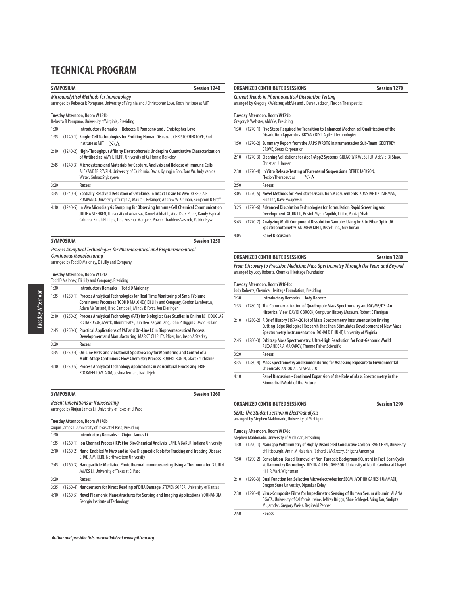**SYMPOSIUM Session 1240**

#### **Microanalytical Methods for Immunology**

arranged by Rebecca R Pompano, University of Virginia and J Christopher Love, Koch Institute at MIT

#### **Tuesday Afternoon, Room W181b** Rebecca R Pompano, University of Virginia, Presiding

|      | <u>REDECCA R FUITPAND, UNIVERSITY OF VIRGINIA, FIESIUM</u>                                                                                                                                               |
|------|----------------------------------------------------------------------------------------------------------------------------------------------------------------------------------------------------------|
| 1:30 | Introductory Remarks - Rebecca R Pompano and J Christopher Love                                                                                                                                          |
| 1:35 | (1240-1) Single-Cell Technologies for Profiling Human Disease J CHRISTOPHER LOVE, Koch<br>Institute at MIT $N/A$                                                                                         |
| 2:10 | (1240-2) High-Throughput Affinity Electrophoresis Underpins Quantitative Characterization<br>of Antibodies AMY E HERR, University of California Berkeley                                                 |
| 2:45 | (1240-3) Microsystems and Materials for Capture, Analysis and Release of Immune Cells<br>ALEXANDER REVZIN, University of California, Davis, Kyungjin Son, Tam Vu, Judy van de<br>Water, Gulnaz Stybayeva |
| 3:20 | Recess                                                                                                                                                                                                   |
| 3:35 | (1240-4) Spatially Resolved Detection of Cytokines in Intact Tissue Ex Vivo REBECCA R<br>POMPANO, University of Virginia, Maura C Belanger, Andrew W Kinman, Benjamin D Groff                            |
| 4.10 | . (1996) [/ المالك: مالك الكالم وسينتسبوا موسيقية الكاملة المستقلة واستقل المالك والمنافسة المنافسة المنافسة ا                                                                                           |

4:10 (1240-5) **In Vivo Microdialysis Sampling for Observing Immune Cell Chemical Communication** JULIE A STENKEN, University of Arkansas, Kamel Alkhatib, Alda Diaz-Perez, Randy Espinal Cabrera, Sarah Phillips, Tina Poseno, Margaret Power, Thaddeus Vasicek, Patrick Pysz

| <b>SYMPOSIUM</b>                                                         | <b>Session 1250</b> |
|--------------------------------------------------------------------------|---------------------|
| Process Analytical Technologies for Pharmaceutical and Biopharmaceutical |                     |
| Continuous Manufacturina                                                 |                     |
| arranged by Todd D Maloney, Eli Lilly and Company                        |                     |

#### **Tuesday Afternoon, Room W181a**

| 1:30 | <b>Introductory Remarks - Todd D Maloney</b>                                                                                                                                                                                      |
|------|-----------------------------------------------------------------------------------------------------------------------------------------------------------------------------------------------------------------------------------|
| 1:35 | (1250-1) Process Analytical Technologies for Real-Time Monitoring of Small Volume<br>Continuous Processes TODD D MALONEY, Eli Lilly and Company, Gordon Lambertus,<br>Adam McFarland, Brad Campbell, Mindy B Forst, Jon Dieringer |
| 2:10 | (1250-2) Process Analytical Technology (PAT) for Biologics: Case Studies in Online LC DOUGLAS<br>RICHARDSON, Merck, Bhumit Patel, Jun Heo, Kaiyan Tang, John P Higgins, David Pollard                                             |
| 2:45 | (1250-3) Practical Applications of PAT and On-Line LC in Biopharmaceutical Process<br>Development and Manufacturing MARKT CHIPLEY, Pfizer, Inc, Jason A Starkey                                                                   |
| 3:20 | Recess                                                                                                                                                                                                                            |
| 3:35 | (1250-4) On-Line HPLC and Vibrational Spectroscopy for Monitoring and Control of a<br>Multi-Stage Continuous Flow Chemistry Process ROBERT BONDI, GlaxoSmithKline                                                                 |
| 4:10 | (1250-5) Process Analytical Technology Applications in Agricultural Processing ERIN<br>ROCKAFELLOW, ADM, Joshua Terrian, David Ejeh                                                                                               |

# **SYMPOSIUM Session 1260 Recent Innovations in Nanosensing**

arranged by Xiujun James Li, University of Texas at El Paso

#### **Tuesday Afternoon, Room W178b**

|      | Xiujun James Li, University of Texas at El Paso, Presiding |                                                                                                                                                       |  |  |  |
|------|------------------------------------------------------------|-------------------------------------------------------------------------------------------------------------------------------------------------------|--|--|--|
| 1:30 |                                                            | Introductory Remarks - Xiuiun James Li                                                                                                                |  |  |  |
| 1:35 |                                                            | (1260-1) Ion Channel Probes (ICPs) for Bio/Chemical Analysis LANE A BAKER, Indiana University                                                         |  |  |  |
| 2:10 |                                                            | (1260-2) Nano-Enabled <i>In Vitro</i> and <i>In Vivo</i> Diagnostic Tools for Tracking and Treating Disease<br>CHAD A MIRKIN, Northwestern University |  |  |  |
| 2:45 |                                                            | (1260-3) Nanoparticle-Mediated Photothermal Immunosensing Using a Thermometer XIUJUN<br>JAMES LI, University of Texas at El Paso                      |  |  |  |
| 3:20 |                                                            | Recess                                                                                                                                                |  |  |  |

|  | 3:35 (1260-4) Nanosensors for Direct Reading of DNA Damage STEVEN SOPER, University of Kansas |  |  |
|--|-----------------------------------------------------------------------------------------------|--|--|
|  |                                                                                               |  |  |

4:10 (1260-5) **Novel Plasmonic Nanostructures for Sensing and Imaging Applications** YOUNAN XIA, Georgia Institute of Technology

# **ORGANIZED CONTRIBUTED SESSIONS Session 1270**

# **Current Trends in Pharmaceutical Dissolution Testing**

arranged by Gregory K Webster, AbbVie and J Derek Jackson, Flexion Therapeutics

**Tuesday Afternoon, Room W179b** gregory i<br>Gregory AbbVie, Dr

|      | Gregory K Webster, Abb Vie, Fresiding                                                                                                              |
|------|----------------------------------------------------------------------------------------------------------------------------------------------------|
| 1:30 | (1270-1) Five Steps Required for Transition to Enhanced Mechanical Qualification of the<br>Dissolution Apparatus BRYAN CRIST, Agilent Technologies |
| 1:50 | (1270-2) Summary Report from the AAPS IVRDTG Instrumentation Sub-Team GEOFFREY<br><b>GROVE, Sotax Corporation</b>                                  |
| 2:10 | (1270-3) Cleaning Validations for App1/App2 Systems GREGORY KWEBSTER, AbbVie, Xi Shao,<br>Christian   Hansen                                       |
| 2:30 | (1270-4) In Vitro Release Testing of Parenteral Suspensions DEREK JACKSON,<br>N/A<br><b>Flexion Therapeutics</b>                                   |
| 2:50 | Recess                                                                                                                                             |
| 3:05 | (1270-5) Novel Methods for Predictive Dissolution Measurements KONSTANTIN TSINMAN,<br>Pion Inc, Dave Kwajewski                                     |
| 3:25 | (1270-6) Advanced Dissolution Technologies for Formulation Rapid Screening and<br>Development XUJIN LU, Bristol-Myers Squibb, Lili Lo, Pankaj Shah |
| 3:45 | (1270-7) Analyzing Multi Component Dissolution Samples Using In-Situ Fiber Optic UV<br>Spectrophotometry ANDREW KIELT, Distek, Inc., Guy Inman     |
|      |                                                                                                                                                    |

4:05 **Panel Discussion** 

### **ORGANIZED CONTRIBUTED SESSIONS Session 1280**

**From Discovery to Precision Medicine: Mass Spectrometry Through the Years and Beyond** arranged by Jody Roberts, Chemical Heritage Foundation

### **Tuesday Afternoon, Room W184bc**

| 1:30 | <b>Introductory Remarks - Jody Roberts</b>                                                                                                                                                                                               |
|------|------------------------------------------------------------------------------------------------------------------------------------------------------------------------------------------------------------------------------------------|
| 1:35 | (1280-1) The Commercialization of Quadrupole Mass Spectrometry and GC/MS/DS: An<br>Historical View DAVID C BROCK, Computer History Museum, Robert E Finnigan                                                                             |
| 2:10 | (1280-2) A Brief History (1974-2016) of Mass Spectrometry Instrumentation Driving<br>Cutting-Edge Biological Research that then Stimulates Development of New Mass<br>Spectrometry Instrumentation DONALD F HUNT, University of Virginia |
| 2:45 | (1280-3) Orbitrap Mass Spectrometry: Ultra-High Resolution for Post-Genomic World<br>ALEXANDER A MAKAROV, Thermo Fisher Scientific                                                                                                       |
| 3:20 | Recess                                                                                                                                                                                                                                   |
| 3:35 | (1280-4) Mass Spectrometry and Biomonitoring for Assessing Exposure to Environmental<br><b>Chemicals ANTONIA CALAFAT, CDC</b>                                                                                                            |
| 4:10 | Panel Discussion - Continued Expansion of the Role of Mass Spectrometry in the<br><b>Biomedical World of the Future</b>                                                                                                                  |

### **ORGANIZED CONTRIBUTED SESSIONS Session 1290 SEAC: The Student Session in Electroanalysis**

arranged by Stephen Maldonado, University of Michigan

#### **Tuesday Afternoon, Room W176c**

Stephen Maldonado, University of Michigan, Presiding

- 1:30 (1290-1) **Nanogap Voltammetry of Highly Disordered Conductive Carbon** RAN CHEN, University of Pittsburgh, Amin M Najarian, Richard L McCreery, Shigeru Amemiya
- 1:50 (1290-2) **Convolution-Based Removal of Non-Faradaic Background Current in Fast-Scan Cyclic Voltammetry Recordings** JUSTIN ALLEN JOHNSON, University of North Carolina at Chapel Hill, R Mark Wightman
- 2:10 (1290-3) **Dual Function Ion Selective Microelectrodes for SECM** JYOTHIR GANESH UMMADI, Oregon State University, Dipankar Koley
- 2:30 (1290-4) **Virus-Composite Films for Impedimetric Sensing of Human Serum Albumin** ALANA OGATA, University of California Irvine, Jeffrey Briggs, Shae Schlegel, Ming Tan, Sudipta Mujamdar, Gregory Weiss, Reginald Penner
- 2:50 **Recess**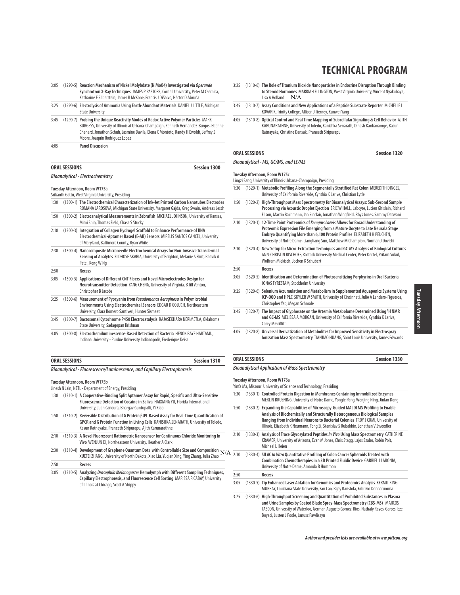| 3:05 | (1290-5) Reaction Mechanism of Nickel Molybdate (NiMoO4) Investigated via Operando<br>Synchrotron X-Ray Techniques JAMES P PASTORE, Cornell University, Peter M Csernica,<br>Katharine E Silberstein, James R McKone, Francis J DiSalvo, Héctor D Abruña |
|------|----------------------------------------------------------------------------------------------------------------------------------------------------------------------------------------------------------------------------------------------------------|
| 3:25 | (1290-6) Electrolysis of Ammonia Using Earth-Abundant Materials DANIEL J LITTLE. Michigan<br><b>State University</b>                                                                                                                                     |
| 3:45 | (1290-7) Probing the Unique Reactivity Modes of Redox Active Polymer Particles MARK                                                                                                                                                                      |

|      | i iz۶0-71 Proding the Unique Reactivity Modes of Regox Active Polymer Particles MARK (۱۳۵۲). بــــــ |
|------|------------------------------------------------------------------------------------------------------|
|      | BURGESS, University of Illinois at Urbana-Champaign, Kenneth Hernandez-Burgos, Etienne               |
|      | Chenard, Jonathon Schuh, Jasmine Davila, Elena C Montoto, Randy H Ewoldt, Jeffrey S                  |
|      | Moore, Joaquin Rodriguez Lopez                                                                       |
| 4:05 | <b>Panel Discussion</b>                                                                              |

| ORAL SESSIONS | <b>Session 1300</b> |
|---------------|---------------------|
|               |                     |

### **Bioanalytical - Electrochemistry**

#### **Tuesday Afternoon, Room W175a**

Srikanth Gattu, West Virginia University, Presiding

- 1:30 (1300-1) **The Electrochemical Characterization of Ink-Jet Printed Carbon Nanotubes Electrodes** ROMANA JAROSOVA, Michigan State University, Margaret Gajda, Greg Swain, Andreas Lesch
- 1:50 (1300-2) **Electroanalytical Measurements in Zebrafish** MICHAEL JOHNSON, University of Kansas, Mimi Shin, Thomas Field, Chase S Stucky 2:10 (1300-3) **Integration of Collagen Hydrogel Scaffold to Enhance Performance of RNA Electrochemical-Aptamer Based (E-AB) Sensors** MIRELIS SANTOS CANCEL, University of Maryland, Baltimore County, Ryan White 2:30 (1300-4) **Nanocomposite Microneedle Electrochemical Arrays for Non-Invasive Transdermal Sensing of Analytes** ELDHOSE SKARIA, University of Brighton, Melanie S Flint, Bhavik A Patel, Keng W Ng 2:50 **Recess** 3:05 (1300-5) **Applications of Different CNT Fibers and Novel Microelectrodes Design for Neurotransmitter Detection** YANG CHENG, University of Virginia, B Jill Venton, Christopher B Jacobs 3:25 (1300-6) **Measurement of Pyocyanin from Pseudomonas Aeruginosa in Polymicrobial Environments Using Electrochemical Sensors** EDGAR D GOLUCH, Northeastern University, Clara Romero Santiveri, Hunter Sismaet 3:45 (1300-7) **Bactosomal Cytochrome P450 Electrocatalysis** RAJASEKHARA NERIMETLA, Oklahoma
- State University, Sadagopan Krishnan 4:05 (1300-8) **Electrochemiluminescence-Based Detection of Bacteria** HENOK BAYE HABTAMU,
	- Indiana University Purdue University Indianapolis, Frederique Deiss

| <b>Session 1310</b><br>ORAL SESSIONS |  |
|--------------------------------------|--|
|--------------------------------------|--|

**Bioanalytical - Fluorescence/Luminescence, and Capillary Electrophoresis**

#### **Tuesday Afternoon, Room W175b**

Jinesh N Jain, NETL - Department of Energy, Presiding

- 1:30 (1310-1) **A Cooperative-Binding Split Aptamer Assay for Rapid, Specific and Ultra-Sensitive Fluorescence Detection of Cocaine in Saliva** HAIXIANG YU, Florida International University, Juan Canoura, Bhargav Guntupalli, Yi Xiao
- 1:50 (1310-2) **Reversible Distribution of G Protein** β**U9 Based Assay for Real-Time Quantification of GPCR and G Protein Function in Living Cells** KANISHKA SENARATH, University of Toledo, Kasun Ratnayake, Praneeth Siripurapu, Ajith Karunarathne
- 2:10 (1310-3) **A Novel Fluorescent Ratiometric Nanosensor for Continuous Chloride Monitoring In Vivo** WENJUN DI, Northeastern University, Heather A Clark
- 2:30 (1310-4) **Development of Graphene Quantum Dots with Controllable Size and Composition** N/A XUEFEI ZHANG, University of North Dakota, Xiao Liu, Yuqian Xing, Ying Zhang, Julia Zhao
- 2:50 **Recess**
- 3:05 (1310-5) **Analyzing Drosophila Melanogaster Hemolymph with Different Sampling Techniques, Capillary Electrophoresis, and Fluorescence Cell Sorting** MARISSA R CABAY, University of Illinois at Chicago, Scott A Shippy
- **TECHNICAL PROGRAM**
- 3:25 (1310-6) **The Role of Titanium Dioxide Nanoparticles in Endocrine Disruption Through Binding to Steroid Hormones** MARRIAH ELLINGTON, West Virginia University, Vincent Nyakubaya, Lisa A Holland  $N/A$
- 3:45 (1310-7) **Assay Conditions and New Applications of a Peptide Substrate Reporter** MICHELLE L KOVARIK, Trinity College, Allison J Tierney, Kunwei Yang
- 4:05 (1310-8) **Optical Control and Real Time Mapping of Subcellular Signaling & Cell Behavior** AJITH KARUNARATHNE, University of Toledo, Kanishka Senarath, Dinesh Kankanamge, Kasun Ratnayake, Christine Dansak, Praneeth Siripurapu

### **ORAL SESSIONS Session 1320 Bioanalytical - MS, GC/MS, and LC/MS**

#### **Tuesday Afternoon, Room W175c**

Lingzi Sang, University of Illinois Urbana-Champaign, Presiding

- 1:30 (1320-1) **Metabolic Profiling Along the Segmentally Stratified Rat Colon** MEREDITH DINGES, University of California Riverside, Cynthia K Larive, Christian Lytle
- 1:50 (1320-2) **High-Throughput Mass Spectrometry for Bioanalytical Assays: Sub-Second Sample Processing via Acoustic Droplet Ejection** ERIC W HALL, Labcyte, Lucien Ghislain, Richard Ellson, Martin Bachmann, Ian Sinclair, Jonathan Wingfield, Rhys Jones, Sammy Datwani
- 2:10 (1320-3) **12-Time Point Proteomics of Xenopus Laevis Allows for Broad Understanding of Proteomic Expression File Emerging from a Mature Oocyte to Late Neurala Stage Embryo Quantifying More than 6,100 Protein Profiles** ELIZABETH H PEUCHEN, University of Notre Dame, Liangliang Sun, Matthew M Champion, Norman J Dovichi
- 2:30 (1320-4) **New Setup for Micro-Extraction Techniques and GC-MS Analysis of Biological Cultures** ANN-CHRISTIN BISCHOFF, Rostock University Medical Center, Peter Oertel, Pritam Sukul, Wolfram Miekisch, Jochen K Schubert

#### 2:50 **Recess**

- 3:05 (1320-5) **Identification and Determination of Photosensitizing Porphyrins in Oral Bacteria** JONAS FYRESTAM, Stockholm University
- 3:25 (1320-6) **Selenium Accumulation and Metabolism in Supplemented Aquaponics Systems Using ICP-QQQ and HPLC** SKYLER W SMITH, University of Cincinnati, Julio A Landero-Figueroa, Christopher Yap, Megan Schmale
- 3:45 (1320-7) **The Impact of Glyphosate on the Artemia Metabolome Determined Using 1 H NMR and GC-MS** MELISSA A MORGAN, University of California Riverside, Cynthia K Larive, Corey M Griffith
- 4:05 (1320-8) **Universal Derivatization of Metabolites for Improved Sensitivity in Electrospray Ionization Mass Spectrometry** TIANJIAO HUANG, Saint Louis University, James Edwards

### **ORAL SESSIONS Session 1330 Bioanalytical Application of Mass Spectrometry**

**Tuesday Afternoon, Room W176a**

- Yinfa Ma, Missouri University of Science and Technology, Presiding
- 1:30 (1330-1) **Controlled Protein Digestion in Membranes Containing Immobilized Enzymes**  MERLIN BRUENING, University of Notre Dame, Yongle Pang, Wenjing Ning, Jinlan Dong
- 1:50 (1330-2) **Expanding the Capabilities of Microscopy-Guided MALDI MS Profiling to Enable Analysis of Biochemically and Structurally Heterogeneous Biological Samples Ranging from Individual Neurons to Bacterial Colonies** TROY J COMI, University of Illinois, Elizabeth K Neumann, Tong Si, Stanislav S Rubakhin, Jonathan V Sweedler
- 2:10 (1330-3) **Analysis of Trace Glycosylated Peptides In Vivo Using Mass Spectrometry** CATHERINE KRAMER, University of Arizona, Evan M Jones, Chris Stagg, Lajos Szabo, Robin Polt, Michael L Heien
- 2:30 (1330-4) **SILAC In Vitro Quantitative Profiling of Colon Cancer Spheroids Treated with Combination Chemotherapies in a 3D Printed Fluidic Device** GABRIEL J LABONIA, University of Notre Dame, Amanda B Hummon

2:50 **Recess**

- 3:05 (1330-5) **Tip Enhanced Laser Ablation for Genomics and Proteomics Analysis** KERMIT KING MURRAY, Louisiana State University, Fan Cao, Bijay Banstola, Fabrizio Donnarumma
- 3:25 (1330-6) **High-Throughput Screening and Quantitation of Prohibited Substances in Plasma and Urine Samples by Coated Blade Spray-Mass Spectrometry (CBS-MS)** MARCOS TASCON, University of Waterloo, German Augusto Gomez-Ríos, Nathaly Reyes-Garces, Ezel Boyaci, Justen J Poole, Janusz Pawliszyn

Tuesday Afternoon Tuesday Afternoon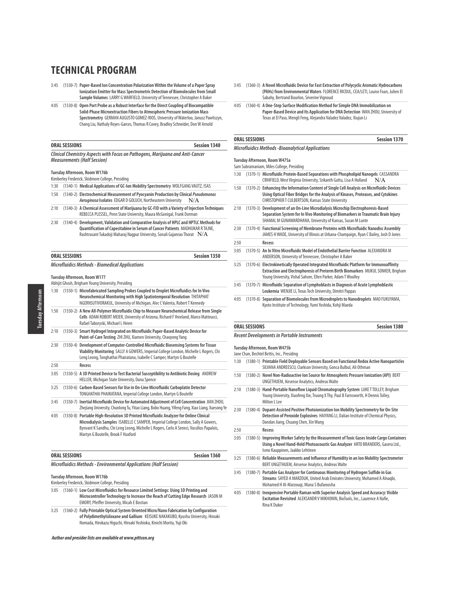- 3:45 (1330-7) **Paper-Based Ion Concentration Polarization Within the Volume of a Paper Spray Ionization Emitter for Mass Spectrometric Detection of Biomolecules from Small Sample Volumes** LARRY G WARFIELD, University of Tennessee, Christopher A Baker
- 4:05 (1330-8) **Open Port Probe as a Robust Interface for the Direct Coupling of Biocompatible Solid-Phase Microextraction Fibers to Atmospheric Pressure Ionization Mass Spectrometry** GERMAN AUGUSTO GOMEZ-RIOS, University of Waterloo, Janusz Pawliszyn, Chang Liu, Nathaly Reyes-Garces, Thomas R Covey, Bradley Schneider, Don W Arnold

| <b>ORAL SESSIONS</b>                                                          | Session 1340 |
|-------------------------------------------------------------------------------|--------------|
| Clinical Chemistry Aspects with Focus on Pathogens, Marijuana and Anti-Cancer |              |
| <b>Measurements (Half Session)</b>                                            |              |

#### **Tuesday Afternoon, Room W176b**

| Kimberlev Frederick, Skidmore College, Presiding |                                                                                           |  |
|--------------------------------------------------|-------------------------------------------------------------------------------------------|--|
|                                                  | 1:30 (1340-1) Medical Applications of GC-Ion Mobility Spectrometry WOLFGANG VAUTZ, ISAS   |  |
|                                                  | 1:50 (1340-2) Electrochemical Measurement of Pyocyanin Production by Clinical Pseudomonas |  |

- **Aeruginosa Isolates** EDGAR D GOLUCH, Northeastern University N/A 2:10 (1340-3) **A Chemical Assessment of Marijuana by GC-FID with a Variety of Injection Techniques** REBECCA PLESSEL, Penn State University, Maura McGonigal, Frank Dorman
- 2:30 (1340-4) **Development, Validation and Comparative Analysis of HPLC and HPTLC Methods for Quantification of Capecitabine in Serum of Cancer Patients** MADHUKAR R TAJNE, Rashtrasant Tukadoji Maharaj Nagpur University, Sonali Gajanrao Thorat $\;\;\mathrm{N/A}$

| <b>ORAL SESSIONS</b>                                   | Session 1350 |
|--------------------------------------------------------|--------------|
| <b>Microfluidics Methods - Biomedical Applications</b> |              |

### **Tuesday Afternoon, Room W177**

|      | Abhijit Ghosh, Brigham Young University, Presiding                                                                                                                                                                                                                                                            |
|------|---------------------------------------------------------------------------------------------------------------------------------------------------------------------------------------------------------------------------------------------------------------------------------------------------------------|
| 1:30 | (1350-1) Microfabricated Sampling Probes Coupled to Droplet Microfluidics for In Vivo<br>Neurochemical Monitoring with High Spatiotemporal Resolution THITAPHAT<br>NGERNSUTIVORAKUL, University of Michigan, Alec C Valenta, Robert T Kennedy                                                                 |
| 1:50 | (1350-2) A New All-Polymer Microfluidic Chip to Measure Neurochemical Release from Single<br>Cells ADAM ROBERT MEIER, University of Arizona, Richard F Vreeland, Marco Matteucci,<br>Rafael Taboryski, Michael L Heien                                                                                        |
| 2:10 | (1350-3) Smart Hydrogel Integrated on Microfluidic Paper-Based Analytic Device for<br>Point-of-Care Testing ZHI ZHU, Xiamen University, Chaoyong Yang                                                                                                                                                         |
| 2:30 | (1350-4) Development of Computer-Controlled Microfluidic Biosensing Systems for Tissue<br>Viability Monitoring SALLY A GOWERS, Imperial College London, Michelle L Rogers, Chi<br>Leng Leong, Tonghathai Phairatana, Isabelle C Samper, Martyn G Boutelle                                                     |
| 2:50 | Recess                                                                                                                                                                                                                                                                                                        |
| 3:05 | (1350-5) A 3D Printed Device to Test Bacterial Susceptibility to Antibiotic Dosing ANDREW<br>HELLER, Michigan State University, Dana Spence                                                                                                                                                                   |
| 3:25 | (1350-6) Carbon-Based Sensors for Use in On-Line Microfluidic Carboplatin Detector<br>TONGHATHAI PHAIRATANA, Imperial College London, Martyn G Boutelle                                                                                                                                                       |
| 3:45 | (1350-7) Inertial Microfluidic Device for Automated Adjustment of Cell Concentration JIAN ZHOU,<br>Zhejiang University, Chunlong Tu, Yitao Liang, Bobo Huang, Yifeng Fang, Xiao Liang, Xuesong Ye                                                                                                             |
| 4:05 | (1350-8) Portable High-Resolution 3D Printed Microfluidic Analyzer for Online Clinical<br>Microdialysis Samples ISABELLE C SAMPER, Imperial College London, Sally A Gowers,<br>Bynvant K Sandhu, Chi Leng Leong, Michelle L Rogers, Carlo A Seneci, Vassilios Papalois,<br>Martyn G Boutelle, Brook F Huxford |

| <b>ORAL SESSIONS</b>                                                     | Session 1360 |
|--------------------------------------------------------------------------|--------------|
| <b>Microfluidics Methods - Environmental Applications (Half Session)</b> |              |

**Tuesday Afternoon, Room W176b** Kimberley Frederick, Skidmore College, Presiding

- 3:05 (1360-1) **Low Cost Microfluidics for Resource Limited Settings: Using 3D Printing and Microcontroller Technology to Increase the Reach of Cutting Edge Research** JASON M EMORY, Pfeiffer University, Micah E Bostian
- 3:25 (1360-2) **Fully Printable Optical System Oriented Micro/Nano Fabrication by Configuration of Polydimethylsiloxane and Gallium** KEISUKE NAKAKUBO, Kyushu University, Hiroaki Nomada, Hirokazu Higuchi, Hiroaki Yoshioka, Kinichi Morita, Yuji Oki

**Author and presider lists are available at www.pittcon.org** 

- 3:45 (1360-3) **A Novel Microfluidic Device for Fast Extraction of Polycyclic Aromatic Hydrocarbons (PAHs) from Environmental Waters** FLORENCE RICOUL, CEA/LETI, Louise Foan, Julien El Sabahy, Bertrand Bourlon, Séverine Vignoud
- 4:05 (1360-4) **A One-Step Surface Modification Method for Simple DNA Immobilization on Paper-Based Device and Its Application for DNA Detection** WAN ZHOU, University of Texas at El Paso, Mengli Feng, Alejandra Valadez Valadez, Xiujun Li

### **ORAL SESSIONS Session 1370**

#### **Microfluidics Methods -Bioanalytical Applications**

#### **Tuesday Afternoon, Room W475a** Sam Subramaniam, Miles College, Presiding

| 1:30 | (1370-1) Microfluidic Protein-Based Separations with Phospholipid Nanogels CASSANDRA<br>CRIHFIELD, West Virginia University, Srikanth Gattu, Lisa A Holland<br>N/A                                                                            |
|------|-----------------------------------------------------------------------------------------------------------------------------------------------------------------------------------------------------------------------------------------------|
| 1:50 | (1370-2) Enhancing the Information Content of Single Cell Analysis on Microfluidic Devices<br>Using Optical Fiber Bridges for the Analysis of Kinases, Proteases, and Cytokines<br><b>CHRISTOPHER T CULBERTSON, Kansas State University</b>   |
| 2:10 | (1370-3) Development of an On-Line Microdialysis Microchip Electrophoresis-Based<br>Separation System for In Vivo Monitoring of Biomarkers in Traumatic Brain Injury<br>SHAMAL M GUNAWARDHANA, University of Kansas, Susan M Lunte            |
| 2:30 | (1370-4) Functional Screening of Membrane Proteins with Microfluidic Nanodisc Assembly<br>JAMES H WADE, University of Illinois at Urbana-Champaign, Ryan C Bailey, Josh D Jones                                                               |
| 2:50 | Recess                                                                                                                                                                                                                                        |
| 3:05 | (1370-5) An In Vitro Microfluidic Model of Endothelial Barrier Function ALEXANDRA M<br>ANDERSON, University of Tennessee, Christopher A Baker                                                                                                 |
| 3:25 | (1370-6) Electrokinetically Operated Integrated Microfluidic Platform for Immunoaffinity<br>Extraction and Electrophoresis of Preterm Birth Biomarkers MUKUL SONKER, Brigham<br>Young University, Vishal Sahore, Ellen Parker, Adam T Woolley |
| 3:45 | (1370-7) Microfluidic Separation of Lymphoblasts in Diagnosis of Acute Lymphoblastic<br>Leukemia WENJIE LI, Texas Tech University, Dimitri Pappas                                                                                             |
| 4:05 | (1370-8) Separation of Biomolecules from Microdroplets to Nanodroplets MAO FUKUYAMA,<br>Kyoto Institute of Technology, Yumi Yoshida, Kohji Maeda                                                                                              |

# **ORAL SESSIONS** Session 1380

#### **Recent Developments in Portable Instruments**

**Tuesday Afternoon, Room W475b**

Jane Chan, Bechtel Bettis, Inc., Presiding

- 1:30 (1380-1) **Printable Field Deployable Sensors Based on Functional Redox Active Nanoparticles** SILVANA ANDREESCU, Clarkson University, Gonca Bulbul, Ali Othman 1:50 (1380-2) **Novel Non-Radioactive Ion Source for Atmospheric Pressure Ionization (API)** BERT UNGETHUEM, Airsense Analytics, Andreas Walte
- 2:10 (1380-3) **Hand-Portable Nanoflow Liquid Chromatography System** LUKE T TOLLEY, Brigham Young University, Xiaofeng Xie, Truong X Thy, Paul B Farnsworth, H Dennis Tolley, Milton L Lee 2:30 (1380-4) **Dopant-Assisted Positive Photoionization Ion Mobility Spectrometry for On-Site**
- **Detection of Peroxide Explosives** HAIYANG LI, Dalian Institute of Chemical Physics, Dandan Jiang, Chuang Chen, Xin Wang

2:50 **Recess**

- 3:05 (1380-5) **Improving Worker Safety by the Measurement of Toxic Gases Inside Cargo Containers Using a Novel Hand-Held Photoacoustic Gas Analyzer** ARTO BRANDERS, Gasera Ltd., Ismo Kauppinen, Jaakko Lehtinen
- 3:25 (1380-6) **Reliable Measurements and Influence of Humidity in an Ion Mobility Spectrometer** BERT UNGETHUEM, Airsense Analytics, Andreas Walte
- 3:45 (1380-7) **Portable Gas Analyzer for Continuous Monitoring of Hydrogen Sulfide in Gas Streams** SAYED A MARZOUK, United Arab Emirates University, Mohamed A Alnaqbi, Mohamed H Al-Marzouqi, Muna S Bufaroosha
- 4:05 (1380-8) **Inexpensive Portable Raman with Superior Analysis Speed and Accuracy: Visible Excitation Revisited** ALEKSANDR V MIKHONIN, BioTools, Inc., Laurence A Nafie, Rina K Dukor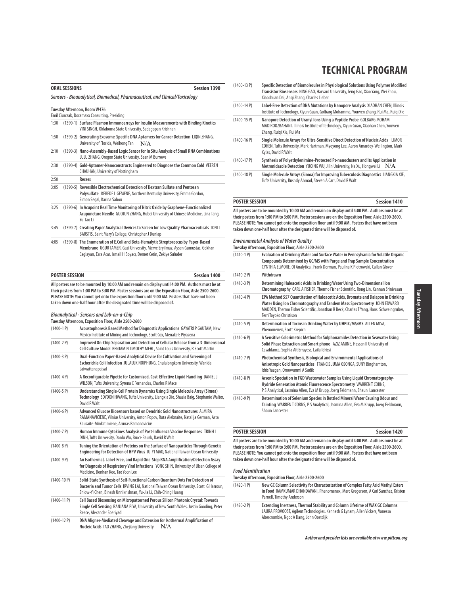| <b>Session 1390</b><br><b>ORAL SESSIONS</b> |                       |                                                                                                                                                                                                                                                                                                                                                                                                                                                                                              |
|---------------------------------------------|-----------------------|----------------------------------------------------------------------------------------------------------------------------------------------------------------------------------------------------------------------------------------------------------------------------------------------------------------------------------------------------------------------------------------------------------------------------------------------------------------------------------------------|
|                                             |                       | Sensors - Bioanalytical, Biomedical, Pharmaceutical, and Clinical/Toxicology                                                                                                                                                                                                                                                                                                                                                                                                                 |
|                                             |                       | Tuesday Afternoon, Room W476                                                                                                                                                                                                                                                                                                                                                                                                                                                                 |
|                                             |                       | Emil Ciurczak, Doramaxx Consulting, Presiding                                                                                                                                                                                                                                                                                                                                                                                                                                                |
| 1:30                                        |                       | (1390-1) Surface Plasmon Immunoarrays for Insulin Measurements with Binding Kinetics<br>VINI SINGH, Oklahoma State University, Sadagopan Krishnan                                                                                                                                                                                                                                                                                                                                            |
| 1:50                                        |                       | (1390-2) Generating Exosome-Specific DNA Aptamers for Cancer Detection LIQIN ZHANG,<br>University of Florida, Weihong Tan<br>N/A                                                                                                                                                                                                                                                                                                                                                             |
| 2:10                                        |                       | (1390-3) Nano-Assembly-Based Logic Sensor for In Situ Analysis of Small RNA Combinations<br>LULU ZHANG, Oregon State University, Sean M Burrows                                                                                                                                                                                                                                                                                                                                              |
| 2:30                                        |                       | (1390-4) Gold-Aptamer-Nanoconstructs Engineered to Diagnose the Common Cold VEEREN<br>CHAUHAN, University of Nottingham                                                                                                                                                                                                                                                                                                                                                                      |
| 2:50                                        |                       | Recess                                                                                                                                                                                                                                                                                                                                                                                                                                                                                       |
| 3:05                                        |                       | (1390-5) Reversible Electrochemical Detection of Dextran Sulfate and Pentosan<br>Polysulfate KEBEDE L GEMENE, Northern Kentucky University, Emma Gordon,<br>Simon Segal, Karina Sabou                                                                                                                                                                                                                                                                                                        |
| 3:25                                        |                       | (1390-6) In Acupoint Real Time Monitoring of Nitric Oxide by Graphene-Functionalized<br>Acupuncture Needle GUOJUN ZHANG, Hubei University of Chinese Medicine, Lina Tang,<br>Yu-Tao Li                                                                                                                                                                                                                                                                                                       |
| 3:45                                        |                       | (1390-7) Creating Paper Analytical Devices to Screen for Low Quality Pharmaceuticals TONIL<br>BARSTIS, Saint Mary's College, Christopher J Dunlap                                                                                                                                                                                                                                                                                                                                            |
| 4:05                                        |                       | (1390-8) The Enumeration of E.Coli and Beta-Hemalytic Streptococcus by Paper-Based<br>Membrane UGUR TAMER, Gazi University, Merve Eryilmaz, Aysen Gumustas, Gokhan<br>Caglayan, Esra Acar, Ismail H Boyacı, Demet Cetin, Zekiye Suluder                                                                                                                                                                                                                                                      |
|                                             | <b>POSTER SESSION</b> | <b>Session 1400</b>                                                                                                                                                                                                                                                                                                                                                                                                                                                                          |
|                                             |                       | All posters are to be mounted by 10:00 AM and remain on display until 4:00 PM. Authors must be at<br>their posters from 1:00 PM to 3:00 PM. Poster sessions are on the Exposition Floor, Aisle 2500-2600.<br>PLEASE NOTE: You cannot get onto the exposition floor until 9:00 AM. Posters that have not been<br>taken down one-half hour after the designated time will be disposed of.<br>Bioanalytical - Sensors and Lab-on-a-Chip<br>Tuesday Afternoon, Exposition Floor, Aisle 2500-2600 |
| $(1400-1)$                                  |                       | Acoustophoresis Based Method for Diagnostic Applications GAYATRI P GAUTAM, New<br>Mexico Institute of Mining and Technology, Scott Cox, Menake E Piyasena                                                                                                                                                                                                                                                                                                                                    |
| $(1400-2)$ P)                               |                       | Improved On-Chip Separation and Detection of Cellular Release from a 3-Dimensional<br>Cell Culture Model BENJAMIN TIMOTHY MEHL, Saint Louis University, R Scott Martin                                                                                                                                                                                                                                                                                                                       |
| $(1400-3)$ P)                               |                       | Dual-Function Paper-Based Analytical Device for Cultivation and Screening of<br>Escherichia Coli Infection JULALUK NOIPHUNG, Chulalongkorn University, Wanida<br>Laiwattanapaisal                                                                                                                                                                                                                                                                                                            |
| $(1400 - 4P)$                               |                       | A Reconfigurable Pipette for Customized, Cost-Effective Liquid Handling DANIEL J<br>WILSON, Tufts University, Syrena C Fernandes, Charles R Mace                                                                                                                                                                                                                                                                                                                                             |
| $(1400-5P)$                                 |                       | Understanding Single-Cell Protein Dynamics Using Single Molecule Array (Simoa)<br>Technology SOYOON HWANG, Tufts University, Liangxia Xie, Shazia Baig, Stephanie Walter,<br>David R Walt                                                                                                                                                                                                                                                                                                    |
| $(1400-6P)$                                 |                       | Advanced Glucose Biosensors based on Dendritic Gold Nanostructures ALMIRA                                                                                                                                                                                                                                                                                                                                                                                                                    |

RAMANAVICIENE, Vilnius University, Anton Popov, Ruta Aleknaite, Natalija German, Asta Kausaite-Minkstimiene, Arunas Ramanavicius (1400-7 P) **Human Immune Cytokines Analysis of Post-Influenza Vaccine Responses** TRINH L DINH, Tufts University, Danlu Wu, Bruce Bausk, David R Walt (1400-8 P) **Tuning the Orientation of Proteins on the Surface of Nanoparticles Through Genetic Engineering for Detection of HPV Virus** JU-YI MAO, National Taiwan Ocean University (1400-9 P) **An Isothermal, Label-Free, and Rapid One-Step RNA Amplification/Detection Assay for Diagnosis of Respiratory Viral Infections** YONG SHIN, University of Ulsan College of Medicine, Bonhan Koo, Tae Yoon Lee (1400-10 P) **Solid-State Synthesis of Self-Functional Carbon Quantum Dots For Detection of Bacteria and Tumor Cells** IRVING LAI, National Taiwan Ocean University, Scott G Harroun, Shiow-Yi Chen, Binesh Unnikrishnan, Yu-Jia Li, Chih-Ching Huang

- (1400-11 P) **Cell Based Biosensing on Micropatterned Porous Silicon Photonic Crystal: Towards Single Cell Sensing** RANJANA PIYA, University of New South Wales, Justin Gooding, Peter Reece, Alexander Soeriyadi
- (1400-12 P) **DNA Aligner-Mediated Cleavage and Extension for Isothermal Amplification of Nucleic Acids** TAO ZHANG, Zhejiang University N/A

| $(1400-13 P)$ | Specific Detection of Biomolecules in Physiological Solutions Using Polymer Modified<br>Transistor Biosensors NING GAO, Harvard University, Teng Gao, Xiao Yang, Wei Zhou,<br>Xiaochuan Dai, Angi Zhang, Charles Lieber |
|---------------|-------------------------------------------------------------------------------------------------------------------------------------------------------------------------------------------------------------------------|
| $(1400-14P)$  | Label-Free Detection of DNA Mutations by Nanopore Analysis XIAOHAN CHEN, Illinois                                                                                                                                       |

- Institute of Technology, Xiyun Guan, Golbarg Mohamma, Youwen Zhang, Rui Ma, Ruiqi Xie (1400-15 P) **Nanopore Detection of Uranyl Ions Using a Peptide Probe** GOLBARG MOHAM-MADIROOZBAHANI, Illinois Institute of Technology, Xiyun Guan, Xiaohan Chen, Youwen
- Zhang, Ruiqi Xie, Rui Ma (1400-16 P) **Single Molecule Arrays for Ultra-Sensitive Direct Detection of Nucleic Acids** LIMOR COHEN, Tufts University, Mark Hartman, Myoyong Lee, Aaron Amardey-Wellington, Mark Xylas, David R Walt
- (1400-17 P) **Synthesis of Polyethylenimine-Protected Pt-nanoclusters and Its Application in Metronidazole Detection** YUQING WU, Jilin University, Na Xu, Hongwei Li N/A
- (1400-18 P) **Single Molecule Arrays (Simoa) for Improving Tuberculosis Diagnostics** LIANGXIA XIE, Tufts University, Rushdy Ahmad, Steven A Carr, David R Walt

#### **POSTER SESSION Session 1410**

**All posters are to be mounted by 10:00 AM and remain on display until 4:00 PM. Authors must be at their posters from 1:00 PM to 3:00 PM. Poster sessions are on the Exposition Floor, Aisle 2500-2600. PLEASE NOTE: You cannot get onto the exposition floor until 9:00 AM. Posters that have not been taken down one-half hour after the designated time will be disposed of.**

#### **Environmental Analysis of Water Quality**

**Tuesday Afternoon, Exposition Floor, Aisle 2500-2600**

- (1410-1 P) **Evaluation of Drinking Water and Surface Water in Pennsylvania for Volatile Organic Compounds Determined by GC/MS with Purge and Trap Sample Concentration**  CYNTHIA ELMORE, OI Analytical, Frank Dorman, Paulina K Piotrowski, Callan Glover (1410-2 P) **Withdrawn**
- (1410-3 P) **Determining Haloacetic Acids in Drinking Water Using Two-Dimensional Ion Chromatography** CARL A FISHER, Thermo Fisher Scientific, Rong Lin, Kannan Srinivasan (1410-4 P) **EPA Method 557 Quantitation of Haloacetic Acids, Bromate and Dalapon in Drinking Water Using Ion Chromatography and Tandem Mass Spectrometry** JOHN EDWARD MADDEN, Thermo Fisher Scientific, Jonathan R Beck, Charles T Yang, Hans Schweingruber, Terri Toyoko Christison (1410-5 P) **Determination of Toxins in Drinking Water by UHPLC/MS/MS** ALLEN MISA, Phenomenex, Scott Krepich (1410-6 P) **A Sensitive Colorimetric Method for Sulphonamides Detection in Seawater Using Solid Phase Extraction and Smart phone** AZIZ AMINE, Hassan II University of Casablanca, Sophia Ait Errayess, Laila Idrissi (1410-7 P) **Photochemical Synthesis, Biological and Environmental Applications of**
- **Anisotropic Gold Nanoparticles** FRANCIS JUMA OSONGA, SUNY Binghamton, Idris Yazgan, Omowunmi A Sadik (1410-8 P) **Arsenic Speciation in FGD Wastewater Samples Using Liquid Chromatography-**
- **Hydride Generation Atomic Fluorescence Spectrometry** WARREN T CORNS, P S Analytical, Jasmina Allen, Eva M Krupp, Joerg Feldmann, Shaun Lancester
- (1410-9 P) **Determination of Selenium Species in Bottled Mineral Water Causing Odour and Tainting** WARREN T CORNS, P S Analytical, Jasmina Allen, Eva M Krupp, Joerg Feldmann, Shaun Lancester

# **POSTER SESSION Session 1420**

**All posters are to be mounted by 10:00 AM and remain on display until 4:00 PM. Authors must be at their posters from 1:00 PM to 3:00 PM. Poster sessions are on the Exposition Floor, Aisle 2500-2600. PLEASE NOTE: You cannot get onto the exposition floor until 9:00 AM. Posters that have not been taken down one-half hour after the designated time will be disposed of.**

#### **Food Identification**

**Tuesday Afternoon, Exposition Floor, Aisle 2500-2600**

- (1420-1 P) **New GC Column Selectivity for Characterization of Complex Fatty Acid Methyl Esters in Food** RAMKUMAR DHANDAPANI, Phenomenex, Marc Gregerson, A Carl Sanchez, Kristen Parnell, Timothy Anderson
- (1420-2 P) **Extending Inertness, Thermal Stability and Column Lifetime of WAX GC Columns** LAURA PROVOOST, Agilent Technologies, Kenneth G Lynam, Allen Vickers, Vanessa Abercrombie, Ngoc A Dang, John Oostdijk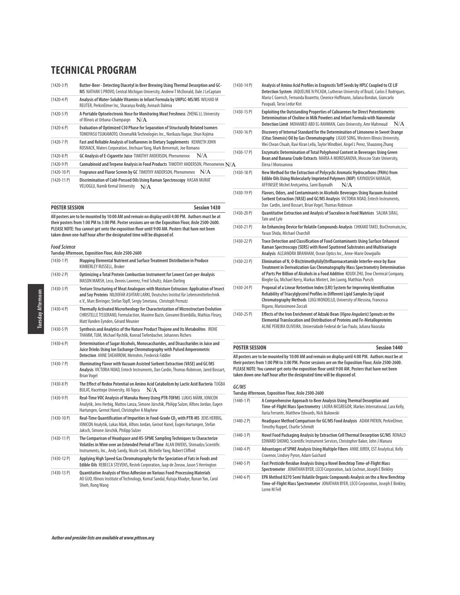| $(1420-3)$ P) | Butter-Beer - Detecting Diacetyl in Beer Brewing Using Thermal Desorption and GC-<br>MS NATHAN S PROVO, Central Michigan University, Andrew T McDonald, Dale J LeCaptain |
|---------------|--------------------------------------------------------------------------------------------------------------------------------------------------------------------------|
| $(1420 - 4P)$ | Analysis of Water-Soluble Vitamins in Infant Formula by UHPLC-MS/MS WILHAD M<br>REUTER, PerkinElmer Inc, Sharanya Reddy, Avinash Dalmia                                  |
| $(1420 - 5P)$ | A Portable Optoelectronic Nose for Monitoring Meat Freshness ZHENG LI, University<br>N/A<br>of Illinois at Urbana-Champaign                                              |
| $(1420-6P)$   | Evaluation of Optimized C30 Phase for Separation of Structurally Related Isomers<br>TOMOYASU TSUKAMOTO, ChromaNik Technologies Inc., Norikazu Nagae, Shun Kojima         |
| $(1420 - 7P)$ | Fast and Reliable Analysis of Isoflavones in Dietary Supplements KENNETH JOHN<br>ROSNACK, Waters Corporation, Jinchuan Yang, Mark Benvenuti, Joe Romano                  |
| $(1420 - 8P)$ | N/A<br>GC Analysis of E-Cigarette Juice TIMOTHY ANDERSON, Phenomenex                                                                                                     |
| $(1420-9P)$   | Cannabinoid and Terpene Analysis in Food Products TIMOTHY ANDERSON, Phenomenex N/,                                                                                       |
| $(1420-10P)$  | Fragrance and Flavor Screen by GC TIMOTHY ANDERSON, Phenomenex<br>N/A                                                                                                    |
| $(1420-11P)$  | Discrimination of Cold-Pressed Oils Using Raman Spectroscopy HASAN MURAT<br>VELIOGLU, Namik Kemal University<br>N/A                                                      |

**POSTER SESSION Session 1430 All posters are to be mounted by 10:00 AM and remain on display until 4:00 PM. Authors must be at their posters from 1:00 PM to 3:00 PM. Poster sessions are on the Exposition Floor, Aisle 2500-2600. PLEASE NOTE: You cannot get onto the exposition floor until 9:00 AM. Posters that have not been taken down one-half hour after the designated time will be disposed of.**

#### **Food Science**

|                 | Tuesday Afternoon, Exposition Floor, Aisle 2500-2600                                                                                                                                                                                                 |
|-----------------|------------------------------------------------------------------------------------------------------------------------------------------------------------------------------------------------------------------------------------------------------|
| $(1430-1)$      | Mapping Elemental Nutrient and Surface Treatment Distribution in Produce<br>KIMBERLEY RUSSELL, Bruker                                                                                                                                                |
| $(1430-2)$ P)   | Optimizing a Total Protein Combustion Instrument for Lowest Cost-per-Analysis<br>MASON MARSH, Leco, Dennis Lawrenz, Fred Schultz, Adam Darling                                                                                                       |
| $(1430-3P)$     | Texture Structuring of Meat Analogues with Moisture Extrusion: Application of Insect<br>and Soy Proteins NILOOFAR ASHTARI LARKI, Deutsches Institut für Lebensmitteltechnik<br>e.V., Marc Birringer, Stefan Töpfl, Sergiy Smetana, Christoph Pernutz |
| $(1430 - 4P)$   | Thermally Activated Microrheology for Characterization of Microstructure Evolution<br>CHRISTELLE TISSERAND, Formulaction, Maxime Bazin, Giovanni Brambilla, Mathias Fleury,<br>Matt Vanden Eynden, Gérard Meunier                                    |
| $(1430 - 5P)$   | Synthesis and Analytics of the Nature Product Thujone and Its Metabolites IRENE<br>THAMM, TUM, Michael Rychlik, Konrad Tiefenbacher, Johannes Richers                                                                                                |
| $(1430-6P)$     | Determination of Sugar Alcohols, Monosaccharides, and Disaccharides in Juice and<br>Juice Drinks Using Ion Exchange Chromatography with Pulsed Amperometric<br>Detection ANNE SHEARROW, Metrohm, Frederick Fiddler                                   |
| $(1430 - 7P)$   | Illuminating Flavor with Vacuum Assisted Sorbent Extraction (VASE) and GC/MS<br>Analysis VICTORIA NOAD, Entech Instruments, Dan Cardin, Thomas Robinson, Jared Bossart,<br><b>Brian Vogel</b>                                                        |
| $(1430 - 8P)$   | The Effect of Redox Potential on Amino Acid Catabolism by Lactic Acid Bacteria TUĞBA<br>BULAT, Hacettepe University, Ali Topcu<br>N/A                                                                                                                |
| $(1430 - 9P)$   | Real-Time VOC Analysis of Manuka Honey Using PTR-TOFMS LUKAS MÄRK, IONICON<br>Analytik, Jens Herbig, Matteo Lanza, Simone Jürschik, Philipp Sulzer, Alfons Jordan, Eugen<br>Hartungen, Gernot Hanel, Christopher A Mayhew                            |
| $(1430-10P)$    | Real-Time Quantification of Impurities in Food-Grade CO <sub>2</sub> with PTR-MS JENS HERBIG,<br>IONICON Analytik, Lukas Märk, Alfons Jordan, Gernot Hanel, Eugen Hartungen, Stefan<br>Jaksch, Simone Jürschik, Philipp Sulzer                       |
| $(1430 - 11 P)$ | The Comparison of Headspace and HS-SPME Sampling Techniques to Characterize<br>Volatiles in Wine over an Extended Period of Time ALAN OWENS, Shimadzu Scientific<br>Instruments, Inc., Andy Sandy, Nicole Lock, Michelle Yang, Robert Clifford       |
| $(1430-12)$ P)  | Applying High Speed Gas Chromatography for the Speciation of Fats in Foods and<br>Edible Oils REBECCA STEVENS, Restek Corporation, Jaap de Zeeuw, Jason S Herrington                                                                                 |
| $(1430-13)$ P)  | Quantitative Analysis of Virus Adhesion on Various Food-Processing Materials<br>AO GUO, Illinois Institute of Technology, Komal Sandal, Rutuja Khadye, Runan Yan, Carol<br>Shieh, Rong Wang                                                          |

| N/A | $(1430-14P)$   | Analysis of Amino Acid Profiles in Eragrostis Teff Seeds by HPLC Coupled to CE LIF<br>Detection System JAQUELINE N PICADA, Lutheran University of Brazil, Carlos E Rodriques,<br>Maria C Goersch, Fernanda Boaretto, Cleonice Hoffmann, Juliana Bondan, Giancarlo<br>Pasquali, Tarso Ledur Kist                                   |
|-----|----------------|-----------------------------------------------------------------------------------------------------------------------------------------------------------------------------------------------------------------------------------------------------------------------------------------------------------------------------------|
|     | $(1430-15)$    | Exploiting the Outstanding Properties of Calixarenes for Direct Potentiometric<br>Determination of Choline in Milk Powders and Infant Formula with Nanomolar<br>Detection Limit MOHAMED ABD EL-RAHMAN, Cairo University, Amr Mahmoud<br>N/A.                                                                                      |
|     | $(1430-16)$    | Discovery of Internal Standard for the Determination of Limonene in Sweet Orange<br>(Citus Sinensis) Oil by Gas Chromatography LIGUO SONG, Western Illinois University,<br>Wei Chean Chuah, Ravi Kiran Lella, Taylor Windbiel, Angel L Perez, Shaozong Zhang                                                                      |
|     | $(1430-17)$ P) | Enzymatic Determination of Total Polyphenol Content in Beverages Using Green<br>Bean and Banana Crude Extracts MARIA A MOROSANOVA, Moscow State University,<br>Elena   Morosanova                                                                                                                                                 |
|     | $(1430-18)$    | New Method for the Extraction of Polycyclic Aromatic Hydrocarbons (PAHs) from<br>Edible Oils Using Molecularly Imprinted Polymers (MIP) KAYNOUSH NARAGHI,<br>AFFINISEP, Michel Arotçaréna, Sami Bayoudh<br>N/A                                                                                                                    |
|     | $(1430-19)$    | Flavors, Odors, and Contaminants in Alcoholic Beverages Using Vacuum Assisted<br>Sorbent Extraction (VASE) and GC/MS Analysis VICTORIA NOAD, Entech Instruments,<br>Dan Cardin, Jared Bossart, Brian Vogel, Thomas Robinson                                                                                                       |
|     | $(1430-20P)$   | Quantitative Extraction and Analysis of Sucralose in Food Matrices SALMA SIRAJ,<br><b>Tate and Lyle</b>                                                                                                                                                                                                                           |
|     | $(1430-21)$    | An Enhancing Device for Volatile Compounds Analysis CHIKAKO TAKEI, BioChromato, Inc,<br>Yasuo Shida, Michael Churchill                                                                                                                                                                                                            |
|     | $(1430-22P)$   | Trace Detection and Classification of Food Contaminants Using Surface Enhanced<br>Raman Spectroscopy (SERS) with Novel Sputtered Substrates and Multivariagte<br>Analysis ALEJANDRA BRANHAM, Ocean Optics Inc., Anne-Marie Dowgiallo                                                                                              |
|     | $(1430-23)$ P) | Elimination of N, O-Bis(trimethylsilyl)trifluoroacetamide Interfer-ence by Base<br>Treatment in Derivatization Gas Chromatography Mass Spectrometry Determination<br>of Parts Per Billion of Alcohols in a Food Additive KOUDI ZHU, Dow Chemical Company,<br>Binghe Gu, Michael Kerry, Markus Mintert, Jim Luong, Matthias Pursch |
|     | $(1430-24P)$   | Proposal of a Linear Retention Index (LRI) System for Improving Identification<br>Reliability of Triacylglycerol Profiles in Different Lipid Samples by Liquid<br>Chromatography Methods LUIGI MONDELLO, University of Messina, Francesca<br>Rigano, Mariosimone Zoccali                                                          |
|     | $(1430-25)$    | Effects of the Iron Enrichment of Adzuki Bean (Vigna Angularis) Sprouts on the<br>Elemental Translocation and Distribution of Proteins and Fe-Metalloproteins<br>ALINE PEREIRA OLIVEIRA, Universidade Federal de Sao Paulo, Juliana Naozuka                                                                                       |

**All posters are to be mounted by 10:00 AM and remain on display until 4:00 PM. Authors must be at their posters from 1:00 PM to 3:00 PM. Poster sessions are on the Exposition Floor, Aisle 2500-2600. PLEASE NOTE: You cannot get onto the exposition floor until 9:00 AM. Posters that have not been taken down one-half hour after the designated time will be disposed of.**

**POSTER SESSION Session 1440**

#### **GC/MS**

**Tuesday Afternoon, Exposition Floor, Aisle 2500-2600**

(1440-1 P) **A Comprehensive Approach to Beer Analysis Using Thermal Desorption and Time-of-Flight Mass Spectrometry** LAURA MCGREGOR, Markes International, Lara Kelly, Ilaria Ferrante, Matthew Edwards, Nick Bukowski (1440-2 P) **Headspace Method Comparison for GC/MS Food Analysis** ADAM PATKIN, PerkinElmer, Timothy Ruppel, Charlie Schmidt (1440-3 P) **Novel Food Packaging Analysis by Extraction Cell Thermal Desorption GC/MS** RONALD EDWARD SHOMO, Scientific Instrument Services, Christopher Baker, John J Manura (1440-4 P) **Advantages of SPME Analysis Using Multiple Fibers** ANNE JUREK, EST Analytical, Kelly Cravenor, Lindsey Pyron, Adam Guichard (1440-5 P) **Fast Pesticide Residue Analysis Using a Novel Benchtop Time-of-Flight Mass Spectrometer** JONATHAN BYER, LECO Corporation, Jack Cochran, Joseph E Binkley (1440-6 P) **EPA Method 8270 Semi Volatile Organic Compounds Analysis on the a New Benchtop Time-of-Flight Mass Spectrometer** JONATHAN BYER, LECO Corporation, Joseph E Binkley, Lorne M Fell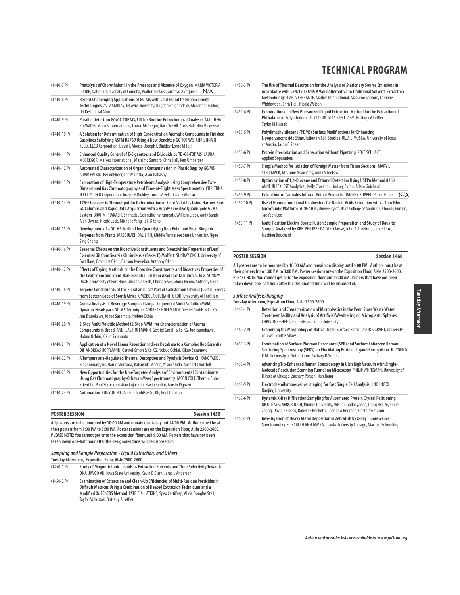| $(1440 - 7)$    | Photolysis of Chorothalonil in the Presence and Absence of Oxygen MARIA VICTORIA<br>COOKE, National University of Cordoba, Walter J Peláez, Gustavo A Arqüello<br>N/A                                                                                                                                          |
|-----------------|----------------------------------------------------------------------------------------------------------------------------------------------------------------------------------------------------------------------------------------------------------------------------------------------------------------|
| $(1440-8P)$     | Recent Challenging Applications of GC-MS with Cold El and Its Enhancement<br>Technologies AVIV AMIRAV, Tel Aviv University, Bogdan Belgorodsky, Alexander Fialkov,<br>Uri Keshet, Tal Alon                                                                                                                     |
| $(1440 - 9P)$   | Parallel Detection GCxGC-TOF MS/FID for Routine Petrochemical Analyses MATTHEW<br>EDWARDS, Markes International, Laura McGregor, Dave Wevill, Chris Hall, Nick Bukowski                                                                                                                                        |
| $(1440-10P)$    | A Solution for Determination of High-Concentration Aromatic Compounds in Finished<br>Gasolines Satisfying ASTM D5769 Using a New Benchtop GC-TOF/MS CHRISTINA N<br>KELLY, LECO Corporation, David E Alonso, Joseph E Binkley, Lorne M Fell                                                                     |
| $(1440-11P)$    | Enhanced Quality Control of E-Cigarettes and E-Liquids by TD-GC-TOF MS LAURA<br>MCGREGOR, Markes International, Massimo Santoro, Chris Hall, Ken Umbarger                                                                                                                                                      |
| $(1440-12P)$    | Automated Characterization of Organic Contamination in Plastic Bags by GC/MS<br>ADAM PATKIN, PerkinElmer, Lee Marotta, Alan Gallaspy                                                                                                                                                                           |
| $(1440-13 P)$   | Exploration of High-Temperature Petroleum Analysis Using Comprehensive Two-<br>Dimensional Gas Chromatography and Time-of-Flight Mass Spectrometry CHRISTINA<br>N KELLY, LECO Corporation, Joseph E Binkley, Lorne M Fell, David E Alonso                                                                      |
| $(1440-14P)$    | 176% Increase in Throughput for Determination of Semi-Volatiles Using Narrow-Bore<br>GC Columns and Rapid Data Acquisition with a Highly Sensitive Quadrupole GCMS<br>System BRAHM PRAKASH, Shimadzu Scientific Instruments, William Lipps, Andy Sandy,<br>Alan Owens, Nicole Lock, Michelle Yang, Riki Kitano |
| $(1440-15 P)$   | Development of a GC-MS Method for Quantifying Non-Polar and Polar Biogenic<br>Terpenes from Plants MASOUMEH DALILIAN, Middle Tennessee State University, Ngee<br>Sing Chong                                                                                                                                    |
| $(1440-16P)$    | Seasonal Effects on the Bioactive Constituents and Bioactivities Properties of Leaf<br>Essential Oil from Searsia Chirindensis (Baker f.) Moffett SUNDAY OKOH, University of<br>Fort Hare, Omobola Okoh, Benson Iweriebor, Anthony Okoh                                                                        |
| $(1440-17P)$    | Effects of Drying Methods on the Bioactive Constituents and Bioactives Properties of<br>the Leaf, Stem and Stem-Bark Essential Oil from Azadirachta Indica A. Juss SUNDAY<br>OKOH, University of Fort Hare, Omobola Okoh, Chima Igwe, Gloria Elemo, Anthony Okoh                                               |
| $(1440-18)$     | Terpene Constituents of the Floral and Leaf Part of Callistemon Citrinus (Curtis) Skeels<br>from Eastern Cape of South Africa OMOBOLA OLURANTI OKOH, University of Fort Hare                                                                                                                                   |
| $(1440-19P)$    | Aroma Analysis of Beverage Samples Using a Seguential Multi-Volatile (MVM)<br>Dynamic Headspace GC-MS Technique ANDREAS HOFFMANN, Gerstel GmbH & Co.KG,<br>Jun Tsunokawa, Kikuo Sasamoto, Nobuo Ochiai                                                                                                         |
| $(1440 - 20 P)$ | 2-Step Multi-Volatile Method (2-Step MVM) for Characterization of Aroma<br>Compounds in Bread ANDREAS HOFFMANN, Gerstel GmbH & Co.KG, Jun Tsunokawa,<br>Nobuo Ochiai, Kikuo Sasamoto                                                                                                                           |
| $(1440-21)$     | Application of a Novel Linear Retention Indices Database to a Complex Hop Essential<br>Oil ANDREAS HOFFMANN, Gerstel Gmbh & Co.KG, Nobuo Ochiai, Kikuo Sasamoto                                                                                                                                                |
| $(1440 - 22 P)$ | A Temperature-Regulated Thermal Desorption and Pyrolysis Device CHIKAKO TAKEI,<br>BioChromato, Inc, Haruo Shimada, Katsuyuki Maeno, Yasuo Shida, Michael Churchill                                                                                                                                             |
| $(1440-23)$ P)  | New Opportunities for the Non-Targeted Analysis of Environmental Contaminants<br>Using Gas Chromatography-Orbitrap Mass Spectrometry JASON COLE, Thermo Fisher<br>Scientific, Paul Silcock, Cristian Cojocariu, Flavio Bedini, Fausto Pigozzo                                                                  |
| $(1440-24P)$    | Automation YUNYUN NIE, Gerstel GmbH & Co. KG, Kurt Thaxton                                                                                                                                                                                                                                                     |

# **POSTER SESSION Session 1450**

**All posters are to be mounted by 10:00 AM and remain on display until 4:00 PM. Authors must be at their posters from 1:00 PM to 3:00 PM. Poster sessions are on the Exposition Floor, Aisle 2500-2600. PLEASE NOTE: You cannot get onto the exposition floor until 9:00 AM. Posters that have not been taken down one-half hour after the designated time will be disposed of.**

| Sampling and Sample Preparation - Liquid Extraction, and Others |
|-----------------------------------------------------------------|
| Tuesday Afternoon, Exposition Floor, Aisle 2500-2600            |

- (1450-1 P) **Study of Magnetic Ionic Liquids as Extraction Solvents and Their Selectivity Towards DNA** JIWOO AN, Iowa State University, Kevin D Clark, Jared L Anderson
- (1450-2 P) **Examination of Extraction and Clean-Up Efficiencies of Multi-Residue Pesticides in Difficult Matrices Using a Combination of Heated Extraction Techniques and a Modified QuEChERS Method** PATRICIA L ATKINS, Spex CertiPrep, Alicia Douglas Stell, Taylor M Hostak, Brittany A Leffler
- (1450-3 P) **The Use of Thermal Desorption for the Analysis of Stationary Source Emissions in Accordance with CEN/TS 13649: A Valid Alternative to Traditional Solvent-Extraction Methodology** ILARIA FERRANTE, Markes International, Massimo Santoro, Caroline Widdowson, Chris Hall, Nicola Watson (1450-4 P) **Examination of a New Pressurized Liquid Extraction Method for the Extraction of Phthalates in Polyethylene** ALICIA DOUGLAS STELL, CEM, Brittany A Leffler, Taylor M Hostak (1450-5 P) **Polydimethylsiloxane (PDMS) Surface Modifications for Enhancing**
- **Lipopolysaccharide Stimulation in Cell Studies** OLJA SIMOSKA, University of Texas at Austin, Jason B Shear (1450-6 P) **Protein Precipitation and Separation without Pipetting** ROLF SCHLAKE, Applied Separations (1450-7 P) **Simple Method for Isolation of Foreign Matter from Tissue Sections** MARY L STELLMACK, McCrone Associates, Anna S Teetsov (1450-8 P) **Optimization of 1,4-Dioxane and Ethanol Detection Using USEPA Method 8260**  ANNE JUREK, EST Analytical, Kelly Cravenor, Lindsey Pyron, Adam Guichard (1450-9 P) **Extraction of Cannabis Infused Edible Products** TIMOTHY RUPPEL, PerkinElmer N/A (1450-10 P) **Use of Homobifunctional Imidoesters for Nucleic Acids Extraction with a Thin Film**
- **Microfluidic Platform** YONG SHIN, University of Ulsan College of Medicine, Choong Eun Jin, Tae Yoon Lee (1450-11 P) **Multi-Position Electric Borate Fusion Sample Preparation and Study of Bauxite**
- **Sample Analyzed by XRF** PHILIPPE DAIGLE, Claisse, John A Anzelmo, Janice Pitre, Mathieu Bouchard

### **POSTER SESSION Session 1460**

**All posters are to be mounted by 10:00 AM and remain on display until 4:00 PM. Authors must be at their posters from 1:00 PM to 3:00 PM. Poster sessions are on the Exposition Floor, Aisle 2500-2600. PLEASE NOTE: You cannot get onto the exposition floor until 9:00 AM. Posters that have not been taken down one-half hour after the designated time will be disposed of.**

# **Surface Analysis/Imaging**

**Tuesday Afternoon, Exposition Floor, Aisle 2500-2600** (1460-1 P) **Detection and Characterization of Microplastics in the Penn State Waste Water Treatment Facility and Analysis of Artificial Weathering on Microplastic Spheres** CHRISTINE GHETU, Pennsylvania State University (1460-2 P) **Examining the Morphology of Native Urban Surface Films** JACOB S GRANT, University of Iowa, Scott K Shaw (1460-3 P) **Combination of Surface Plasmon Resonance (SPR) and Surface Enhanced Raman Scattering Spectroscopy (SERS) for Elucidating Protein- Ligand Recognition** JU-YOUNG KIM, University of Notre Dame, Zachary D Schultz (1460-4 P) **Advancing Tip-Enhanced Raman Spectroscopy in Ultrahigh Vacuum with Single-Molecule Resolution Scanning Tunneling Microscopy** PHILIP WHITEMAN, University of Illinois at Chicago, Zachary Porach, Nan Jiang (1460-5 P) **Electrochemiluminescence Imaging for Fast Single Cell Analysis** JINGJING XU, Nanjing University (1460-6 P) **Dynamic X-Ray Diffraction Sampling for Automated Protein Crystal Positioning** NICOLE M SCARBOROUGH, Purdue University, Dilshan Godaliyadda, Dong Hye Ye, Shijie Zhang, David J Kissick, Robert F Fischetti, Charles A Bouman, Garth J Simpson

(1460-7 P) **Investigation of Heavy Metal Deposition in Zebrafish by X-Ray Fluorescence Spectrometry** ELIZABETH ANN JAMKA, Loyola University Chicago, Martina Schmeling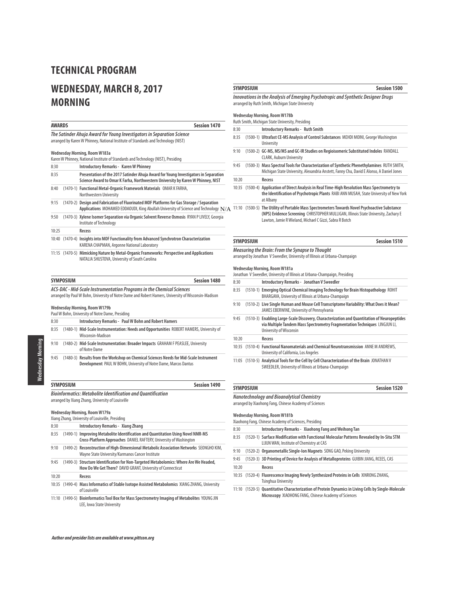# **WEDNESDAY, MARCH 8, 2017 MORNING**

|              | <b>AWARDS</b>    | <b>Session 1470</b>                                                                                                                                                                     |
|--------------|------------------|-----------------------------------------------------------------------------------------------------------------------------------------------------------------------------------------|
|              |                  | The Satinder Ahuja Award for Young Investigators in Separation Science<br>arranged by Karen W Phinney, National Institute of Standards and Technology (NIST)                            |
|              |                  | Wednesday Morning, Room W183a                                                                                                                                                           |
|              |                  | Karen W Phinney, National Institute of Standards and Technology (NIST), Presiding                                                                                                       |
| 8:30         |                  | <b>Introductory Remarks - Karen W Phinney</b>                                                                                                                                           |
| 8:35         |                  | Presentation of the 2017 Satinder Ahuja Award for Young Investigators in Separation<br>Science Award to Omar K Farha, Northwestern University by Karen W Phinney, NIST                  |
| 8:40         |                  | (1470-1) Functional Metal-Organic Framework Materials OMAR K FARHA,<br>Northwestern University                                                                                          |
| 9:15         |                  | (1470-2) Design and Fabrication of Fluorinated MOF Platforms for Gas Storage / Separation<br>Applications MOHAMED EDDAOUDI, King Abullah University of Science and Technology $\rm N/A$ |
| 9:50         |                  | (1470-3) Xylene Isomer Separation via Organic Solvent Reverse Osmosis RYAN P LIVELY, Georgia<br>Institute of Technology                                                                 |
| 10:25        |                  | Recess                                                                                                                                                                                  |
|              |                  | 10:40 (1470-4) Insights into MOF Functionality from Advanced Synchrotron Characterization<br>KARENA CHAPMAN, Argonne National Laboratory                                                |
|              |                  | 11:15 (1470-5) Mimicking Nature by Metal-Organic Frameworks: Perspective and Applications<br>NATALIA SHUSTOVA, University of South Carolina                                             |
|              | <b>SYMPOSIUM</b> | <b>Session 1480</b>                                                                                                                                                                     |
|              |                  | Wednesday Morning, Room W179b<br>Paul W Bohn, University of Notre Dame, Presiding                                                                                                       |
| 8:30         |                  | <b>Introductory Remarks - Paul W Bohn and Robert Hamers</b>                                                                                                                             |
| 8:35         |                  | (1480-1) Mid-Scale Instrumentation: Needs and Opportunities ROBERT HAMERS, University of<br>Wisconsin-Madison                                                                           |
| 9:10         |                  | (1480-2) Mid-Scale Instrumentation: Broader Impacts GRAHAM F PEASLEE, University                                                                                                        |
|              |                  | of Notre Dame                                                                                                                                                                           |
| 9:45         |                  | (1480-3) Results from the Workshop on Chemical Sciences Needs for Mid-Scale Instrument<br>Development PAUL W BOHN, University of Notre Dame, Marcos Dantus                              |
|              | <b>SYMPOSIUM</b> | <b>Session 1490</b>                                                                                                                                                                     |
|              |                  | <b>Bioinformatics: Metabolite Identification and Quantification</b><br>arranged by Xiang Zhang, University of Louisville                                                                |
|              |                  | Wednesday Morning, Room W179a<br>Xiang Zhang, University of Louisville, Presiding                                                                                                       |
|              |                  | Introductory Remarks - Xiang Zhang                                                                                                                                                      |
| 8:30<br>8:35 |                  | (1490-1) Improving Metabolite Identification and Quantitation Using Novel NMR-MS<br>Cross-Platform Approaches DANIEL RAFTERY, University of Washington                                  |
| 9:10         |                  | (1490-2) Reconstruction of High-Dimensional Metabolic Association Networks SEONGHO KIM,<br>Wayne State University/Karmanos Cancer Institute                                             |
| 9:45         |                  | (1490-3) Structure Identification for Non-Targeted Metabolomics: Where Are We Headed,<br>How Do We Get There? DAVID GRANT, University of Connecticut                                    |

- 10:35 (1490-4) **Mass Informatics of Stable Isotope Assisted Metabolomics** XIANG ZHANG, University of Louisville
- 11:10 (1490-5) **Bioinformatics Tool Box for Mass Spectrometry Imaging of Metabolites** YOUNG JIN LEE, Iowa State University

### **SYMPOSIUM SESSION**

**Innovations in the Analysis of Emerging Psychotropic and Synthetic Designer Drugs** arranged by Ruth Smith, Michigan State University

#### **Wednesday Morning, Room W178b** Ruth Smith, Michigan State University, Presiding

|       | <b>WALL SHIRTLE WILLINGS STATE OF THE CONTROL</b>                                                                                                                                                                                                |
|-------|--------------------------------------------------------------------------------------------------------------------------------------------------------------------------------------------------------------------------------------------------|
| 8:30  | <b>Introductory Remarks - Ruth Smith</b>                                                                                                                                                                                                         |
| 8:35  | (1500-1) Ultrafast CE-MS Analysis of Control Substances MEHDI MOINI, George Washington<br><b>University</b>                                                                                                                                      |
| 9:10  | (1500-2) GC-MS, MS/MS and GC-IR Studies on Regioisomeric Substituted Indoles RANDALL<br><b>CLARK, Auburn University</b>                                                                                                                          |
| 9:45  | (1500-3) Mass Spectral Tools for Characterization of Synthetic Phenethylamines RUTH SMITH,<br>Michigan State University, Alexandria Anstett, Fanny Chu, David E Alonso, A Daniel Jones                                                           |
| 10:20 | Recess                                                                                                                                                                                                                                           |
|       | 10:35 (1500-4) Application of Direct Analysis in Real Time-High Resolution Mass Spectrometry to<br>the Identification of Psychotropic Plants RABI ANN MUSAH, State University of New York<br>at Albany                                           |
|       | 11:10 (1500-5) The Utility of Portable Mass Spectrometers Towards Novel Psychoactive Substance<br>(NPS) Evidence Screening CHRISTOPHER MULLIGAN, Illinois State University, Zachary E<br>Lawton, Jamie R Wieland, Michael C Gizzi, Sabra R Botch |

# **SYMPOSIUM Session 1510**

**Measuring the Brain: From the Synapse to Thought** arranged by Jonathan V Sweedler, University of Illinois at Urbana-Champaign

### **Wednesday Morning, Room W181a**

|       |                  | Jonathan V Sweedler, University of Illinois at Urbana-Champaign, Presiding                                                                                                                           |
|-------|------------------|------------------------------------------------------------------------------------------------------------------------------------------------------------------------------------------------------|
| 8:30  |                  | Introductory Remarks - Jonathan V Sweedler                                                                                                                                                           |
| 8:35  |                  | (1510-1) Emerging Optical Chemical Imaging Technology for Brain Histopathology ROHIT<br>BHARGAVA, University of Illinois at Urbana-Champaign                                                         |
| 9:10  |                  | (1510-2) Live Single Human and Mouse Cell Transcriptome Variability: What Does it Mean?<br>JAMES EBERWINE, University of Pennsylvania                                                                |
| 9:45  |                  | (1510-3) Enabling Large-Scale Discovery, Characterization and Quantitation of Neuropeptides<br>via Multiple Tandem Mass Spectrometry Fragmentation Techniques LINGJUN LI,<br>University of Wisconsin |
| 10:20 |                  | Recess                                                                                                                                                                                               |
|       |                  | 10:35 (1510-4) Functional Nanomaterials and Chemical Neurotransmission ANNE M ANDREWS.<br>University of California, Los Angeles                                                                      |
|       |                  | 11:05 (1510-5) Analytical Tools for the Cell by Cell Characterization of the Brain JONATHAN V<br>SWEEDLER, University of Illinois at Urbana-Champaign                                                |
|       | <b>SYMPOSIUM</b> | <b>Session 1520</b>                                                                                                                                                                                  |

**Nanotechnology and Bioanalytical Chemistry** arranged by Xiaohong Fang, Chinese Academy of Sciences **Wednesday Morning, Room W181b** Xiaohong Fang, Chinese Academy of Sciences, Presiding 8:30 **Introductory Remarks - Xiaohong Fang and Weihong Tan**  8:35 (1520-1) **Surface Modification with Functional Molecular Patterns Revealed by In-Situ STM** LIJUN WAN, Institute of Chemistry at CAS 9:10 (1520-2) **Organometallic Single-Ion Magnets** SONG GAO, Peking University 9:45 (1520-3) **3D Printing of Device for Analysis of Metalloproteins** GUIBIN JIANG, RCEES, CAS 10:20 **Recess** 10:35 (1520-4) **Fluorescence Imaging Newly Synthesized Proteins in Cells** XINRONG ZHANG, Tsinghua University

11:10 (1520-5) **Quantitative Characterization of Protein Dynamics in Living Cells by Single-Molecule Microscopy** XIAOHONG FANG, Chinese Academy of Sciences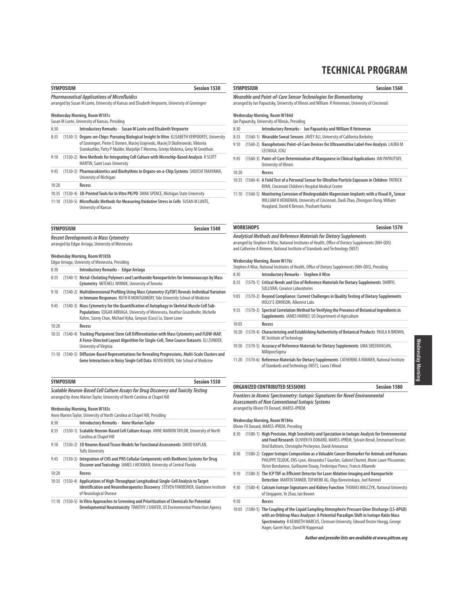**Session 1560** 

| SYMPOSIUM                                           | <b>Session 1530</b> |
|-----------------------------------------------------|---------------------|
| <b>Pharmacoutical Annlications of Microfluidics</b> |                     |

**Pharmaceutical Applications of Microfluidics** arranged by Susan M Lunte, University of Kansas and Elisabeth Verpoorte, University of Groningen

### **Wednesday Morning, Room W181c**

|       | Susan M Lunte, University of Kansas, Presiding                                                                                                                                                                                                                         |
|-------|------------------------------------------------------------------------------------------------------------------------------------------------------------------------------------------------------------------------------------------------------------------------|
| 8:30  | Introductory Remarks - Susan M Lunte and Elisabeth Verpoorte                                                                                                                                                                                                           |
| 8:35  | (1530-1) Organs-on-Chips: Pursuing Biological Insight In Vitro ELISABETH VERPOORTE, University<br>of Groningen, Pieter E Oomen, Maciej Grajewski, Maciej D Skolimowski, Viktoriia<br>Starokozhko, Patty P Mulder, Marjolijn T Merema, Grietje Molema, Geny M Groothuis |
| 9:10  | (1530-2) New Methods for Integrating Cell Culture with Microchip-Based Analysis R SCOTT<br><b>MARTIN, Saint Louis University</b>                                                                                                                                       |
| 9:45  | (1530-3) Pharmacokinetics and Biorhythms in Organs-on-a-Chip Systems SHUICHI TAKAYAMA,<br>University of Michigan                                                                                                                                                       |
| 10:20 | Recess                                                                                                                                                                                                                                                                 |

10:35 (1530-4) **3D-Printed Tools for In Vitro PK/PD** DANA SPENCE, Michigan State University

11:10 (1530-5) **Microfluidic Methods for Measuring Oxidative Stress in Cells** SUSAN M LUNTE, University of Kansas

| <b>SYMPOSIUM</b>                                   | Session 1540 |
|----------------------------------------------------|--------------|
| <b>Recent Developments in Mass Cytometry</b>       |              |
| arranged by Edgar Arriaga, University of Minnesota |              |

#### **Wednesday Morning, Room W183b**

|       | Edgar Arriaga, University of Minnesota, Presiding                                                                                                                                                                                            |
|-------|----------------------------------------------------------------------------------------------------------------------------------------------------------------------------------------------------------------------------------------------|
| 8:30  | Introductory Remarks - Edgar Arriaga                                                                                                                                                                                                         |
| 8:35  | (1540-1) Metal-Chelating Polymers and Lanthanide Nanoparticles for Immunoassays by Mass<br>Cytometry MITCHELL WINNIK, University of Toronto                                                                                                  |
| 9:10  | (1540-2) Multidimensional Profiling Using Mass Cytometry (CyTOF) Reveals Individual Variation<br>in Immune Responses RUTH R MONTGOMERY, Yale University School of Medicine                                                                   |
| 9:45  | (1540-3) Mass Cytometry for the Quantification of Autophagy in Skeletal Muscle Cell Sub-<br>Populations EDGAR ARRIAGA, University of Minnesota, Heather Grundhofer, Michelle<br>Kuhns, Sunny Chan, Michael Kyba, Genyun (Coco) Le, Dawn Lowe |
| 10:20 | Recess                                                                                                                                                                                                                                       |
|       | 10:35 (1540-4) Tracking Pluripotent Stem Cell Differentiation with Mass Cytometry and FLOW-MAP,<br>A Force-Directed Layout Algorithm for Single-Cell, Time Course Datasets ELI ZUNDER,<br>University of Virginia                             |
|       | 11:10 (1540-5) Diffusion-Based Representations for Revealing Progressions, Multi-Scale Clusters and                                                                                                                                          |

**Gene Interactions in Noisy Single Cell Data** KEVIN MOON, Yale School of Medicine

| <b>SYMPOSIUM</b> | Session 1550 |
|------------------|--------------|
|------------------|--------------|

**Scalable Neuron-Based Cell Culture Assays for Drug Discovery and Toxicity Testing** arranged by Anne Marion Taylor, University of North Carolina at Chapel Hill

#### **Wednesday Morning, Room W183c**

|       | Anne Marion Taylor, University of North Carolina at Chapel Hill, Presiding                                                                                                                                     |
|-------|----------------------------------------------------------------------------------------------------------------------------------------------------------------------------------------------------------------|
| 8:30  | <b>Introductory Remarks - Anne Marion Taylor</b>                                                                                                                                                               |
| 8:35  | (1550-1) Scalable Neuron-Based Cell Culture Assays ANNE MARION TAYLOR, University of North<br>Carolina at Chapel Hill                                                                                          |
| 9:10  | (1550-2) 3D Neuron-Based Tissue Models for Functional Assessments DAVID KAPLAN.<br><b>Tufts University</b>                                                                                                     |
| 9:45  | (1550-3) Integration of CNS and PNS Cellular Components with BioMems Systems for Drug<br>Discover and Toxicology JAMES J HICKMAN, University of Central Florida                                                |
| 10:20 | Recess                                                                                                                                                                                                         |
|       | 10:35 (1550-4) Applications of High-Throughput Longitudinal Single-Cell Analysis to Target<br>Identification and Neurotherapeutics Discovery STEVEN FINKBEINER, Gladstone Institute<br>of Neurological Disease |
|       | 11:10 (1550-5) In Vitro Approaches to Screening and Prioritization of Chemicals for Potential<br>Developmental Neurotoxicity TIMOTHY J SHAFER, US Environmental Protection Agency                              |

| <b>SYMPOSIUM</b> |  |
|------------------|--|
|                  |  |

**Wearable and Point-of-Care Sensor Technologies for Biomonitoring** arranged by Ian Papautsky, University of Illinois and William R Heineman, University of Cincinnati

#### **Wednesday Morning, Room W184d** Ian Papautsky, University of Illinois, Presiding

| 8:30  | Introductory Remarks - Ian Papautsky and William R Heineman                                                                                                                                     |
|-------|-------------------------------------------------------------------------------------------------------------------------------------------------------------------------------------------------|
| 8:35  | (1560-1) Wearable Sweat Sensors JAVEY ALI, University of California Berkeley                                                                                                                    |
| 9:10  | (1560-2) Nanophotonic Point-of-Care Devices for Ultrasensitive Label-free Analysis LAURA M<br>LECHUGA, ICN2                                                                                     |
| 9:45  | (1560-3) Point-of-Care Determination of Manganese in Clinical Applications IAN PAPAUTSKY,<br>University of Illinois                                                                             |
| 10:20 | Recess                                                                                                                                                                                          |
|       | 10:35 (1560-4) A Field Test of a Personal Sensor for Ultrafine Particle Exposure in Children PATRICK<br>RYAN, Cincinnati Children's Hospital Medical Center                                     |
|       | 11:10 (1560-5) Monitoring Corrosion of Biodegradable Magnesium Implants with a Visual H <sub>2</sub> Sensor<br>WILLIAM R HEINEMAN, University of Cincinnati, Daoli Zhao, Zhongyun Dong, William |

Hoagland, David K Benson, Prashant Kumta

### **WORKSHOPS** Session 1570

### **Analytical Methods and Reference Materials for Dietary Supplements**

arranged by Stephen A Wise, National Institutes of Health, Office of Dietary Supplements (NIH-ODS) and Catherine A Rimmer, National Institute of Standards and Technology (NIST)

#### **Wednesday Morning, Room W176c**

|       | Stephen A Wise, National Institutes of Health, Office of Dietary Supplements (NIH-ODS), Presiding                                                                                      |                     |
|-------|----------------------------------------------------------------------------------------------------------------------------------------------------------------------------------------|---------------------|
| 8:30  | <b>Introductory Remarks - Stephen A Wise</b>                                                                                                                                           |                     |
| 8:35  | (1570-1) Critical Needs and Use of Reference Materials for Dietary Supplements DARRYL<br><b>SULLIVAN, Covance Laboratories</b>                                                         |                     |
| 9:05  | (1570-2) Beyond Compliance: Current Challenges in Quality Testing of Dietary Supplements<br><b>HOLLY E JOHNSON, Alkemist Labs</b>                                                      |                     |
| 9:35  | (1570-3) Spectral Correlation Method for Verifying the Presence of Botanical Ingredients in<br>Supplements JAMES HARNLY, US Department of Agriculture                                  |                     |
| 10:05 | Recess                                                                                                                                                                                 |                     |
| 10:20 | (1570-4) Characterizing and Establishing Authenticity of Botanical Products PAULA N BROWN,<br><b>BC Institute of Technology</b>                                                        |                     |
| 10:50 | (1570-5) Accuracy of Reference Materials for Dietary Supplements UMA SREENIVASAN,<br><b>MilliporeSigma</b>                                                                             |                     |
|       | 11:20 (1570-6) Reference Materials for Dietary Supplements CATHERINE A RIMMER, National Institute<br>of Standards and Technology (NIST), Laura J Wood                                  |                     |
|       | ORGANIZED CONTRIBUTED SESSIONS                                                                                                                                                         | <b>Session 1580</b> |
|       | Frontiers in Atomic Spectrometry: Isotopic Signatures for Novel Environmental<br><b>Assessments of Non Conventional Isotopic Systems</b><br>arranged by Olivier FX Donard, MARSS-IPREM |                     |

**Wednesday Morning, Room W184a**

Olivier FX Donard, MARSS-IPREM, Presiding

- 8:30 (1580-1) **High Precision, High Sensitivity and Speciation in Isotopic Analysis for Environmental and Food Research** OLIVIER FX DONARD, MARSS-IPREM, Sylvain Berail, Emmanuel Tessier, Oriol Baltrons, Christophe Pecheyran, David Amouroux
- 8:50 (1580-2) **Copper Isotopic Composition as a Valuable Cancer Biomarker for Animals and Humans** PHILIPPE TELOUK, ENS-Lyon, Alexandra T Gourlan, Gabriel Chamel, Marie Laure Plissonnier, Victor Bondanese, Guillaume Douay, Frederique Ponce, Francis Albarede
- 9:10 (1580-3) **The ICP TOF as Efficient Detector for Laser Ablation Imaging and Nanoparticle Detection** MARTIN TANNER, TOFWERK AG, Olga Borovinskaya, Joel Kimmel
- 9:30 (1580-4) **Calcium Isotope Signatures and Kidney Function** THOMAS WALCZYK, National University of Singapore, Ye Zhao, Ian Bowen

9:50 **Recess**

10:05 (1580-5) **The Coupling of the Liquid Sampling Atmospheric Pressure Glow Discharge (LS-APGD) with an Orbitrap Mass Analyzer: A Potential Paradigm Shift in Isotope Ratio Mass Spectrometry** R KENNETH MARCUS, Clemson University, Edward Dexter Hoegg, George Hager, Garret Hart, David W Koppenaal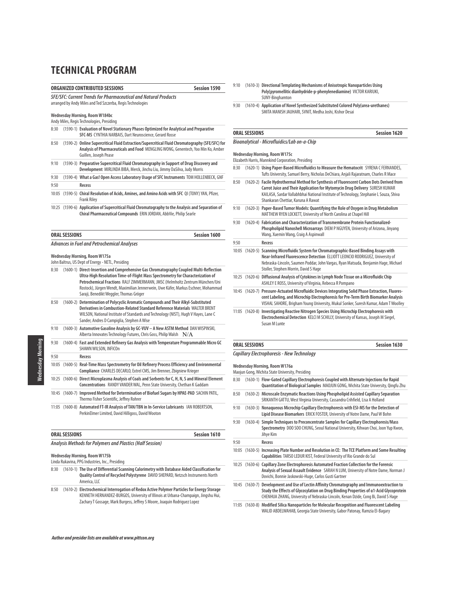### **ORGANIZED CONTRIBUTED SESSIONS Session 1590**

#### **SFE/SFC: Current Trends for Pharmaceutical and Natural Products**

arranged by Andy Miles and Ted Szczerba, Regis Technologies

### **Wednesday Morning, Room W184bc**

# Andy Miles, Regis Technologies, Presiding

| <b>ORAL SESSIONS</b><br><b>Session 1600</b> |  |                                                                                                                                                                                                              |
|---------------------------------------------|--|--------------------------------------------------------------------------------------------------------------------------------------------------------------------------------------------------------------|
|                                             |  | 10:25 (1590-6) Application of Supercritical Fluid Chromatography to the Analysis and Separation of<br>Chiral Pharmaceutical Compounds ERIN JORDAN, AbbVie, Philip Searle                                     |
| 10:05                                       |  | (1590-5) Chiral Resolution of Acids, Amines, and Amino Acids with SFC QI (TONY) YAN, Pfizer,<br><b>Frank Rilev</b>                                                                                           |
| 9:50                                        |  | Recess                                                                                                                                                                                                       |
| 9:30                                        |  | (1590-4) What a Gas! Open Access Laboratory Usage of SFC Instruments TOM HOLLENBECK, GNF                                                                                                                     |
| 9:10                                        |  | (1590-3) Preparative Supercritical Fluid Chromatography in Support of Drug Discovery and<br>Development MIRLINDA BIBA, Merck, Jinchu Liu, Jimmy DaSilva, Judy Morris                                         |
| 8:50                                        |  | (1590-2) Online Supercritical Fluid Extraction/Supercritical Fluid Chromatography (SFE/SFC) for<br>Analysis of Pharmaceuticals and Food MENGLING WONG, Genentech, Yoo Min Ko, Amber<br>Guillen, Joseph Pease |
| 8:30                                        |  | (1590-1) Evaluation of Novel Stationary Phases Optimized for Analytical and Preparative<br><b>SFC-MS</b> CYNTHIA NARBAIS, Dart Neuroscience, Gerard Rosse                                                    |

#### **Wednesday Morning, Room W175a**

#### John Baltrus, US Dept of Energy - NETL, Presiding

- 8:30 (1600-1) **Direct-Insertion and Comprehensive Gas Chromatography Coupled Multi-Reflection Ultra-High Resolution Time-of-Flight Mass Spectrometry for Characterization of Petrochemical Fractions** RALF ZIMMERMANN, JMSC (Helmholtz Zentrum München/Uni Rostock), Jürgen Wendt, Maximilian Jennerwein, Uwe Käfer, Markus Eschner, Mohammad Saraji, Benedikt Weggler, Thomas Gröger
- 8:50 (1600-2) **Determination of Polycyclic Aromatic Compounds and Their Alkyl-Substituted Derivatives in Combustion-Related Standard Reference Materials** WALTER BRENT WILSON, National Institute of Standards and Technology (NIST), Hugh V Hayes, Lane C Sander, Andres D Campiglia, Stephen A Wise
- 9:10 (1600-3) **Automotive Gasoline Analysis by GC-VUV A New ASTM Method** DAN WISPINSKI, Alberta Innovates Technology Futures, Chris Goss, Philip Walsh  $\,$   $\rm N/A$
- 9:30 (1600-4) **Fast and Extended Refinery Gas Analysis with Temperature Programmable Micro GC** SHAWN WILSON, INFICOn 9:50 **Recess**
- 10:05 (1600-5) **Real-Time Mass Spectrometry for Oil Refinery Process Efficiency and Environmental Compliance** CHARLES DECARLO, Extrel CMS, Jim Brenner, Zbigniew Krieger
- 10:25 (1600-6) **Direct Microplasma Analysis of Coals and Sorbents for C, H, N, S and Mineral Element Concentrations** RANDY VANDER WAL, Penn State University, Chethan K Gaddam
- 10:45 (1600-7) **Improved Method for Determination of Biofuel Sugars by HPAE-PAD** SACHIN PATIL, Thermo Fisher Scientific, Jeffrey Rohrer
- 11:05 (1600-8) **Automated FT-IR Analysis of TAN/TBN in In-Service Lubricants** IAN ROBERTSON, PerkinElmer Limited, David Hilligoss, David Wooton

| <b>ORAL SESSIONS</b>                                      | Session 1610 |
|-----------------------------------------------------------|--------------|
| Analysis Methods for Polymers and Plastics (Half Session) |              |

#### **Wednesday Morning, Room W175b**

Linda Rukavina, PPG Industries, Inc., Presiding

- 8:30 (1610-1) **The Use of Differential Scanning Calorimetry with Database Aided Classification for Quality Control of Recycled Polystyrene** DAVID SHEPARD, Netzsch Instruments North America, LLC
- 8:50 (1610-2) **Electrochemical Interrogation of Redox Active Polymer Particles for Energy Storage** KENNETH HERNANDEZ-BURGOS, University of Illinois at Urbana-Champaign, Jingshu Hui, Zachary T Gossage, Mark Burgess, Jeffrey S Moore, Joaquin Rodriguez Lopez
- 9:10 (1610-3) **Directional Templating Mechanisms of Anisotropic Nanoparticles Using Poly(pyromellitic dianhydride-p-phenylenediamine)** VICTOR KARIUKI, SUNY-Binghamton
- 9:30 (1610-4) **Application of Novel Synthesized Substituted Colored Poly(urea-urethanes)**  SMITA MANISH JAUHARI, SVNIT, Medha Joshi, Kishor Desai

### **ORAL SESSIONS Session 1620**

### **Bioanalytical - Microfluidics/Lab on-a-Chip**

| 8:30  | (1620-1) Using Paper-Based Microfluidics to Measure the Hematocrit SYRENA C FERNANDES,<br>Tufts University, Samuel Berry, Nicholas DeChiara, Anjali Rajaratnam, Charles R Mace                                                                                                                           |
|-------|----------------------------------------------------------------------------------------------------------------------------------------------------------------------------------------------------------------------------------------------------------------------------------------------------------|
| 8:50  | (1620-2) Facile Hydrothermal Method for Synthesis of Fluorescent Carbon Dots Derived from<br>Carrot Juice and Their Application for Mytomycin Drug Delivery SURESH KUMAR<br>KAILASA, Sardar Vallabhbhai National Institute of Technology, Stephanie L Souza, Shiva<br>Shankaran Chettiar, Karuna A Rawat |
| 9:10  | (1620-3) Paper-Based Tumor Models: Quantifying the Role of Oxygen in Drug Metabolism<br>MATTHEW RYEN LOCKETT, University of North Carolina at Chapel Hill                                                                                                                                                |
| 9:30  | (1620-4) Fabrication and Characterization of Transmembrane Protein Functionalized-<br>Phospholipid Nanoshell Microarrays DIEM P NGUYEN, University of Arizona, Jinyang<br>Wang, Xuemin Wang, Craig A Aspinwall                                                                                           |
| 9:50  | Recess                                                                                                                                                                                                                                                                                                   |
| 10:05 | (1620-5) Scanning Microfluidic System for Chromatographic-Based Binding Assays with<br>Near-Infrared Fluorescence Detection ELLIOTT LEONCIO RODRIGUEZ, University of<br>Nebraska-Lincoln, Saumen Poddar, John Vargas, Ryan Matsuda, Benjamin Hage, Michael<br>Stoller, Stephen Morrin, David S Hage      |
|       | 10:25 (1620-6) Diffusional Analysis of Cytokines in Lymph Node Tissue on a Microfluidic Chip<br>ASHLEY E ROSS, University of Virginia, Rebecca R Pompano                                                                                                                                                 |
|       | 10:45 (1620-7) Pressure-Actuated Microfluidic Devices Integrating Solid Phase Extraction, Fluores-<br>cent Labeling, and Microchip Electrophoresis for Pre-Term Birth Biomarker Analysis<br>VISHAL SAHORE, Brigham Young University, Mukul Sonker, Suresh Kumar, Adam T Woolley                          |
|       | 11:05 (1620-8) Investigating Reactive Nitrogen Species Using Microchip Electrophoresis with<br>Electrochemical Detection KELCI M SCHILLY, University of Kansas, Joseph M Siegel,<br>Susan M Lunte                                                                                                        |

#### **ORAL SESSIONS Session 1630**

#### **Capillary Electrophoresis - New Technology**

#### **Wednesday Morning, Room W176a**

Maojun Gong, Wichita State University, Presiding

| 8:30  |            | (1630-1) Flow-Gated Capillary Electrophoresis Coupled with Alternate Injections for Rapid<br>Quantitation of Biological Samples MAOJUN GONG, Wichita State University, Qingfu Zhu                                                                           |
|-------|------------|-------------------------------------------------------------------------------------------------------------------------------------------------------------------------------------------------------------------------------------------------------------|
| 8:50  |            | (1630-2) Microscale Enzymatic Reactions Using Phospholipid Assisted Capillary Separation<br>SRIKANTH GATTU, West Virginia University, Cassandra Crihfield, Lisa A Holland                                                                                   |
| 9:10  |            | (1630-3) Nonaqueous Microchip Capillary Electrophoresis with ESI-MS for the Detection of<br>Lipid Disease Biomarkers ERICK FOSTER, University of Notre Dame, Paul W Bohn                                                                                    |
| 9:30  | $(1630-4)$ | Simple Techniques to Preconcentrate Samples for Capillary Electrophoresis/Mass<br>Spectrometry DOO SOO CHUNG, Seoul National University, Kihwan Choi, Joon Yup Kwon,<br>Jihye Kim                                                                           |
| 9:50  |            | Recess                                                                                                                                                                                                                                                      |
| 10:05 |            | (1630-5) Increasing Plate Number and Resolution in CE: The TCE Platform and Some Resulting<br>Capabilities TARSO LEDUR KIST, Federal University of Rio Grande do Sul                                                                                        |
|       |            | 10:25 (1630-6) Capillary Zone Electrophoresis Automated Fraction Collection for the Forensic<br>Analysis of Sexual Assault Evidence SARAH N LUM, University of Notre Dame, Norman J<br>Dovichi, Bonnie Jaskowski-Huge, Carlos Gusti Gartner                 |
| 10:45 | $(1630-7)$ | Development and Use of Lectin Affinity Chromatography and Immunoextraction to<br>Study the Effects of Glycosylation on Drug Binding Properties of a1-Acid Glycoprotein<br>CHENHUA ZHANG, University of Nebraska-Lincoln, Kenan Dzide, Cong Bi, David S Hage |
|       |            | 11:05 (1630-8) Modified Silica Nanoparticles for Molecular Recognition and Fluorescent Labeling<br>WALID ABDELWAHAB, Georgia State University, Gabor Patonay, Ramzia El-Bagary                                                                              |

Nednesday Morning Wednesday Morning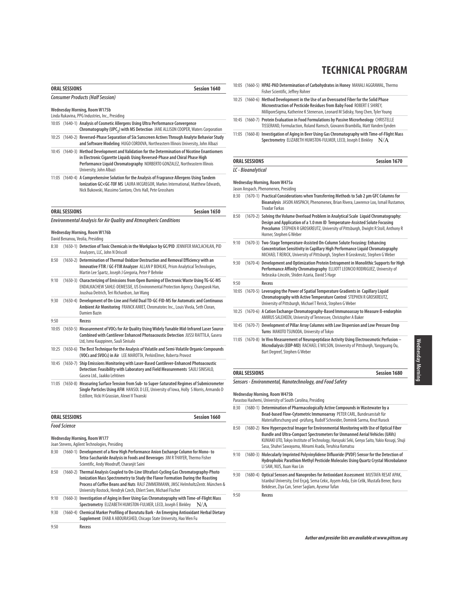| <b>ORAL SESSIONS</b>                    | <b>Session 1640</b> |
|-----------------------------------------|---------------------|
| <b>Consumer Products (Half Session)</b> |                     |
| Wednesday Morning, Room W175b           |                     |

Linda Rukavina, PPG Industries, Inc., Presiding

|  | 10:05 (1640-1) Analysis of Cosmetic Allergens Using Ultra Performance Convergence            |
|--|----------------------------------------------------------------------------------------------|
|  | Chromatography (UPC <sub>2</sub> ) with MS Detection JANE ALLISON COOPER, Waters Corporation |

- 10:25 (1640-2) **Reversed-Phase Separation of Six Sunscreen Actives Through Analyte Behavior Study and Software Modeling** HUGO CORDOVA, Northeastern Illinois University, John Albazi
- 10:45 (1640-3) **Method Development and Validation for the Determination of Nicotine Enantiomers in Electronic Cigarette Liquids Using Reversed-Phase and Chiral Phase High Performance Liquid Chromatography** NORBERTO GONZALEZ, Northeastern Illinois University, John Albazi
- 11:05 (1640-4) **A Comprehensive Solution for the Analysis of Fragrance Allergens Using Tandem Ionization GC×GC-TOF MS** LAURA MCGREGOR, Markes International, Matthew Edwards, Nick Bukowski, Massimo Santoro, Chris Hall, Pete Grosshans

|      | <b>ORAL SESSIONS</b><br><b>Session 1650</b><br><b>Environmental Analysis for Air Quality and Atmospheric Conditions</b> |                                                                                                                                                                                                                                    |  |
|------|-------------------------------------------------------------------------------------------------------------------------|------------------------------------------------------------------------------------------------------------------------------------------------------------------------------------------------------------------------------------|--|
|      |                                                                                                                         |                                                                                                                                                                                                                                    |  |
|      |                                                                                                                         | Wednesday Morning, Room W176b<br>David Benanou, Veolia, Presiding                                                                                                                                                                  |  |
| 8:30 |                                                                                                                         | (1650-1) Detection of Toxic Chemicals in the Workplace by GC/PID JENNIFER MACLACHLAN, PID<br>Analyzers, LLC, John N Driscoll                                                                                                       |  |
| 8:50 |                                                                                                                         | (1650-2) Determination of Thermal Oxidizer Destruction and Removal Efficiency with an<br>Innovative FTIR / GC-FTIR Analyzer ALLAN P BOHLKE, Prism Analytical Technologies,<br>Martin Lee Spartz, Joseph J Gregoria, Peter P Behnke |  |
| 9:10 |                                                                                                                         | (1650-3) Characterizing of Emissions from Open Burning of Electronic Waste Using TG-GC-MS                                                                                                                                          |  |

```
ENDALKACHEW SAHLE-DEMESSIE, US Environmental Protection Agency, Changseok Han,
                Joushua Deitrich, Teri Richardson, Jun Wang
9:30 (1650-4) Development of On-Line and Field Dual TD-GC-FID-MS for Automatic and Continuous
```

|      | Ambient Air Monitoring FRANCK AMIET. Chromatotec Inc., Louis Vivola, Seth Cloran,<br>Damien Bazin                                                                                                                            |
|------|------------------------------------------------------------------------------------------------------------------------------------------------------------------------------------------------------------------------------|
| 9:50 | Recess                                                                                                                                                                                                                       |
|      | 10:05 (1650-5) Measurement of VOCs for Air Quality Using Widely Tunable Mid-Infrared Laser Source<br>Combined with Cantilever Enhanced Photoacoustic Detection JUSSI RAITTILA, Gasera<br>Ltd, Ismo Kauppinen, Sauli Sinisalo |
|      | $10.25$ $(1650.6)$ The Rest Technique for the Analysis of Volatile and Semi-Volatile Organic Compounds                                                                                                                       |

- 10:25 (1650-6) **The Best Technique for the Analysis of Volatile and Semi-Volatile Organic Compounds (VOCs and SVOCs) in Air** LEE MAROTTA, PerkinElmer, Roberta Provost 10:45 (1650-7) **Ship Emissions Monitoring with Laser-Based Cantilever-Enhanced Photoacoustic**
- **Detection: Feasibility with Laboratory and Field Measurements** SAULI SINISALO, Gasera Ltd., Jaakko Lehtinen
- 11:05 (1650-8) **Measuring Surface Tension from Sub- to Super-Saturated Regimes of Submicrometer Single Particles Using AFM** HANSOL D LEE, University of Iowa, Holly S Morris, Armando D Estillore, Vicki H Grassian, Alexei V Tivanski

| <b>ORAL SESSIONS</b> | Session 1660 |
|----------------------|--------------|
| <b>Food Science</b>  |              |

# **Wednesday Morning, Room W177**

|      | Joan Stevens, Agilent Technologies, Presiding |                                                                                                                                                                                                                                                                                                                                  |  |
|------|-----------------------------------------------|----------------------------------------------------------------------------------------------------------------------------------------------------------------------------------------------------------------------------------------------------------------------------------------------------------------------------------|--|
| 8:30 |                                               | (1660-1) Development of a New High Performance Anion Exchange Column for Mono-to<br>Tetra-Saccharide Analysis in Foods and Beverages JIM R THAYER, Thermo Fisher<br>Scientific, Andy Woodruff, Charanjit Saini                                                                                                                   |  |
| 8:50 |                                               | (1660-2) Thermal Analysis Coupled to On-Line Ultrafast-Cycling Gas Chromatography-Photo<br>Ionization Mass Spectrometry to Study the Flavor Formation During the Roasting<br>Process of Coffee Beans and Nuts RALF ZIMMERMANN, JMSC HelmholtzZentr. München &<br>University Rostock, Hendryk Czech, Ehlert Sven, Michael Fischer |  |
| 9:10 |                                               | (1660-3) Investigation of Aging in Beer Using Gas Chromatography with Time-of-Flight Mass<br>Spectrometry ELIZABETH HUMSTON-FULMER, LECO, Joseph E Binkley<br>N/A                                                                                                                                                                |  |
| 9:30 |                                               | (1660-4) Chemical Marker Profiling of Borututu Bark - An Emerging Antioxidant Herbal Dietary<br>Supplement EHAB A ABOURASHED, Chicago State University, Hao Wen Fu                                                                                                                                                               |  |
| 9:50 |                                               | Recess                                                                                                                                                                                                                                                                                                                           |  |

# **TECHNICAL PROGRAM**

- 10:05 (1660-5) **HPAE-PAD Determination of Carbohydrates in Honey** MANALI AGGRAWAL, Thermo Fisher Scientific, Jeffrey Rohrer
- 10:25 (1660-6) **Method Development in the Use of an Overcoated Fiber for the Solid Phase Microextraction of Pesticide Residues from Baby Food** ROBERT E SHIREY, MilliporeSigma, Katherine K Stenerson, Leonard M Sidisky, Yong Chen, Tyler Young
- 10:45 (1660-7) **Protein Evaluation in Food Formulations by Passive Microrheology** CHRISTELLE TISSERAND, Formulaction, Roland Ramsch, Giovanni Brambilla, Matt Vanden Eynden
- 11:05 (1660-8) **Investigation of Aging in Beer Using Gas Chromatography with Time-of-Flight Mass Spectrometry** ELIZABETH HUMSTON-FULMER, LECO, Joseph E Binkley N/A

# **ORAL SESSIONS Session 1670 LC - Bioanalytical**

#### **Wednesday Morning, Room W475a**

Jason Anspach, Phenomenex, Presiding

- 8:30 (1670-1) **Practical Considerations when Transferring Methods to Sub 2 μm GFC Columns for Bioanalysis** JASON ANSPACH, Phenomenex, Brian Rivera, Lawrence Loo, Ismail Rustamov, Tivadar Farkas 8:50 (1670-2) **Solving the Volume Overload Problem in Analytical Scale Liquid Chromatography:**
- **Design and Application of a 1.0 mm ID Temperature-Assisted Solute Focusing Precolumn** STEPHEN R GROSKREUTZ, University of Pittsburgh, Dwight R Stoll, Anthony R Horner, Stephen G Weber
- 9:10 (1670-3) **Two-Stage Temperature-Assisted On-Column Solute Focusing: Enhancing Concentration Sensitivity in Capillary High Performance Liquid Chromatography** MICHAEL T RERICK, University of Pittsburgh, Stephen R Groskreutz, Stephen G Weber
- 9:30 (1670-4) **Development and Optimization Protein Entrapment in Monolithic Supports for High Performance Affinity Chromatography** ELLIOTT LEONCIO RODRIGUEZ, University of Nebraska-Lincoln, Shiden Azaria, David S Hage

## 9:50 **Recess** 10:05 (1670-5) **Leveraging the Power of Spatial Temperature Gradients in Capillary Liquid**

- **Chromatography with Active Temperature Control** STEPHEN R GROSKREUTZ, University of Pittsburgh, Michael T Rerick, Stephen G Weber
- 10:25 (1670-6) **A Cation Exchange Chromatography-Based Immunoassay to Measure ß-endorphin** AMIRUS SALEHEEN, University of Tennessee, Christopher A Baker
- 10:45 (1670-7) **Development of Pillar Array Columns with Low Dispersion and Low Pressure Drop Turns** MAKOTO TSUNODA, University of Tokyo
- 11:05 (1670-8) **In Vivo Measurement of Neuropeptidase Activity Using Electroosmotic Perfusion – Microdialysis (EOP-MD)** RACHAEL E WILSON, University of Pittsburgh, Yangguang Ou, Bart Degreef, Stephen G Weber

# **ORAL SESSIONS Session 1680**

**Sensors - Environmental, Nanotechnology, and Food Safety**

#### **Wednesday Morning, Room W475b**

Parastoo Hashemi, University of South Carolina, Presiding

- 8:30 (1680-1) **Determination of Pharmacologically Active Compounds in Wastewater by a Bead-based Flow-Cytometric Immunoarray** PETER CARL, Bundesanstalt für Materialforschung und -prüfung, Rudolf Schneider, Dominik Sarma, Knut Rurack
- 8:50 (1680-2) **New Hyperspectral Imager for Environmental Monitoring with Use of Optical Fiber Bundle and Ultra-Compact Spectrometers for Unmanned Aerial Vehicles (UAVs)**  KUNIAKI UTO, Tokyo Institute of Technology, Haruyuki Seki, Genya Saito, Yukio Kosugi, Shuji Sasa, Shuhei Sawayama, Minami Asada, Teruhisa Komatsu
- 9:10 (1680-3) **Molecularly Imprinted Polyvinylidene Difluoride (PVDF) Sensor for the Detection of Hydrophobic Parathion Methyl Pesticide Molecules Using Quartz Crystal Microbalance** LI SAM, NUS, Xuan Hao Lin
- 9:30 (1680-4) **Optical Sensors and Nanoprobes for Antioxidant Assessment** MUSTAFA RESAT APAK, Istanbul University, Erol Erçağ, Sema Cekic, Ayşem Arda, Esin Celik, Mustafa Bener, Burcu Bekdeser, Ziya Can, Sener Saglam, Aysenur Tufan

9:50 **Recess**

Wednesday Morning Wednesday Morning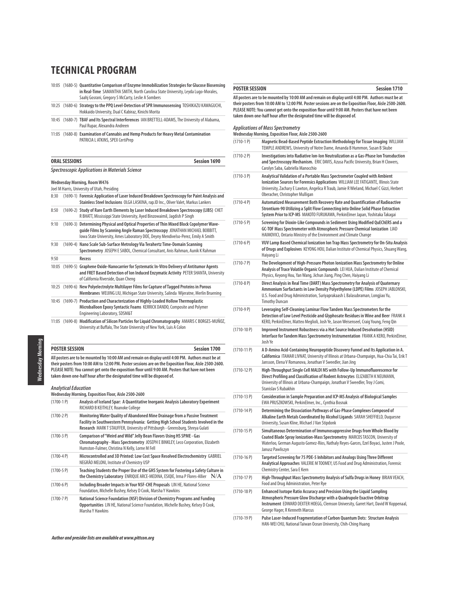10:05 (1680-5) **Quantitative Comparison of Enzyme Immobilization Strategies for Glucose Biosensing in Real-Time** SAMANTHA SMITH, North Carolina State University, Leyda Lugo-Morales, Saahj Gosrani, Gregory S McCarty, Leslie A Sombers 10:25 (1680-6) **Strategy to the PPQ Level-Detection of SPR Immunosensing** TOSHIKAZU KAWAGUCHI, Hokkaido University, Dual C Kabiraz, Kinichi Morita 10:45 (1680-7) **TBAF and Its Spectral Interferences** IAN BRETTELL-ADAMS, The University of Alabama, Paul Rupar, Alexandra Andreen

11:05 (1680-8) **Examination of Cannabis and Hemp Products for Heavy Metal Contamination**  PATRICIA L ATKINS, SPEX CertiPrep

# **ORAL SESSIONS** Session 1690 **Spectroscopic Applications in Materials Science**

#### **Wednesday Morning, Room W476**

Joel M Harris, University of Utah, Presiding

| 8:30  | (1690-1) Forensic Application of Laser Induced Breakdown Spectroscopy for Paint Analysis and<br>Stainless Steel Inclusions OLGA LASKINA, rap.ID Inc., Oliver Valet, Markus Lankers                                                                          |
|-------|-------------------------------------------------------------------------------------------------------------------------------------------------------------------------------------------------------------------------------------------------------------|
| 8:50  | (1690-2) Study of Rare Earth Elements by Laser Induced Breakdown Spectroscopy (LIBS) CHET<br>R BHATT, Mississippi State University, Ayed Binzowaimil, Jagdish P Singh                                                                                       |
| 9:10  | (1690-3) Determining Physical and Optical Properties of Thin Mixed Block Copolymer Wave-<br>quide Films by Scanning Angle Raman Spectroscopy JONATHAN MICHAEL BOBBITT,<br>lowa State University, Ames Laboratory DOE, Deyny Mendivelso-Perez, Emily A Smith |
| 9:30  | (1690-4) Nano Scale Sub-Surface Metrology Via Terahertz Time-Domain Scanning<br>Spectrometry JOSEPH E SABOL, Chemical Consultant, Anis Rahman, Aunik K Rahman                                                                                               |
| 9:50  | Recess                                                                                                                                                                                                                                                      |
| 10:05 | (1690-5) Graphene Oxide-Nanocarrier for Systematic In-Vitro Delivery of Antitumor Agents<br>and FRET Based Detection of Ion Induced Enzymatic Activity PETER SHANTA, University<br>of California Riverside, Quan Cheng                                      |
|       | 10:25 (1690-6) New Polyelectrolyte Multilayer Films for Capture of Tagged Proteins in Porous<br>Membranes WEIJING LIU, Michigan State University, Salinda Wijeratne, Merlin Bruening                                                                        |
|       | 10:45 (1690-7) Production and Characterization of Highly-Loaded Hollow Thermoplastic<br>Microballoon Epoxy Syntactic Foams KERRICK DANDO, Composite and Polymer<br>Engineering Laboratory, SDSM&T                                                           |
|       | 11:05 (1690-8) Modification of Silicon Particles for Liquid Chromatography AMARIS C BORGES-MUNOZ,                                                                                                                                                           |

University at Buffalo, The State University of New York, Luis A Colon

**Wednesday Morning** Wednesday Morning

# **POSTER SESSION** Session 1700

**All posters are to be mounted by 10:00 AM and remain on display until 4:00 PM. Authors must be at their posters from 10:00 AM to 12:00 PM. Poster sessions are on the Exposition Floor, Aisle 2500-2600. PLEASE NOTE: You cannot get onto the exposition floor until 9:00 AM. Posters that have not been taken down one-half hour after the designated time will be disposed of.**

#### **Analytical Education**

**Wednesday Morning, Exposition Floor, Aisle 2500-2600**

| $(1700-1)$    | Analysis of Iceland Spar: A Quantitative Inorganic Analysis Laboratory Experiment<br>RICHARD B KEITHLEY, Roanoke College                                                                                                                             |
|---------------|------------------------------------------------------------------------------------------------------------------------------------------------------------------------------------------------------------------------------------------------------|
| $(1700 - 2P)$ | Monitoring Water Quality of Abandoned Mine Drainage from a Passive Treatment<br>Facility in Southwestern Pennsylvania: Getting High School Students Involved in the<br>Research MARKT STAUFFER, University of Pittsburgh - Greensburg, Shreya Gulati |
| $(1700-3P)$   | Comparison of "Weird and Wild" Jelly Bean Flavors Using HS SPME - Gas<br>Chromatography - Mass Spectrometry JOSEPH E BINKLEY, Leco Corporation, Elizabeth<br>Humston-Fulmer, Christina N Kelly, Lorne M Fell                                         |
| $(1700 - 4P)$ | Microcontrolled and 3D Printed: Low Cost Space Resolved Electrochemistry GABRIEL<br>NEGRÃO MELONI, Institute of Chemistry USP                                                                                                                        |
| $(1700-5P)$   | Teaching Students the Proper Use of the GHS System for Fostering a Safety Culture in<br>the Chemistry Laboratory ENRIQUE ARCE-MEDINA, ESIQIE, Irma P Flores-Allier $N/A$                                                                             |
| $(1700-6P)$   | Including Broader Impacts in Your NSF-CHE Proposals LIN HE, National Science<br>Foundation, Michelle Bushey, Kelsey D Cook, Marsha Y Hawkins                                                                                                         |
| $(1700 - 7P)$ | National Science Foundation (NSF) Division of Chemistry Programs and Funding<br>Opportunities LIN HE, National Science Foundation, Michelle Bushey, Kelsey D Cook,<br>Marsha Y Hawkins                                                               |

#### **POSTER SESSION Session 1710**

**All posters are to be mounted by 10:00 AM and remain on display until 4:00 PM. Authors must be at their posters from 10:00 AM to 12:00 PM. Poster sessions are on the Exposition Floor, Aisle 2500-2600. PLEASE NOTE: You cannot get onto the exposition floor until 9:00 AM. Posters that have not been taken down one-half hour after the designated time will be disposed of.**

| $(1710-1)$    | Wednesday Morning, Exposition Floor, Aisle 2500-2600<br>Magnetic Bead-Based Peptide Extraction Methodology for Tissue Imaging WILLIAM                                                                                                                                                             |
|---------------|---------------------------------------------------------------------------------------------------------------------------------------------------------------------------------------------------------------------------------------------------------------------------------------------------|
|               | TEMPLE ANDREWS, University of Notre Dame, Amanda B Hummon, Susan B Skube                                                                                                                                                                                                                          |
| $(1710-2P)$   | Investigations into Radiative Ion-Ion Neutralization as a Gas-Phase Ion Transduction<br>and Spectroscopy Mechanism. ERIC DAVIS, Azusa Pacific University, Brian H Clowers,<br>Carolyn Saba, Gabriella Manocchio                                                                                   |
| $(1710-3P)$   | Analytical Validation of a Portable Mass Spectrometer Coupled with Ambient<br>Ionization Sources for Forensics Applications WILLIAM LEE FATIGANTE, Illinois State<br>University, Zachary E Lawton, Angelica R Traub, Jamie R Wieland, Michael C Gizzi, Herbert<br>Oberacher, Christopher Mulligan |
| $(1710-4P)$   | Automatized Measurement Both Recovery Rate and Quantification of Radioactive<br>Strontium-90 Utilizing a Split Flow Connecting into Online Solid Phase Extraction<br>System Prior to ICP-MS MAKOTO FURUKAWA, PerkinElmer Japan, Yoshitaka Takagai                                                 |
| $(1710-5P)$   | Screening for Dioxin-Like Compounds in Sediment Using Modified QuEChERS and a<br>GC-TOF Mass Spectrometer with Atmospheric Pressure Chemical Ionization LIAD<br>HAIMOVICI, Ontario Ministry of the Environment and Climate Change                                                                 |
| $(1710-6P)$   | VUV Lamp Based Chemical Ionization Ion Trap Mass Spectrometry for On-Situ Analysis<br>of Drugs and Explosives KEYONG HOU, Dalian Institute of Chemical Physics, Shuang Wang,<br>Haiyang Li                                                                                                        |
| $(1710 - 7P)$ | The Development of High-Pressure Photon Ionization Mass Spectrometry for Online<br>Analysis of Trace Volatile Organic Compounds LEI HUA, Dalian Institute of Chemical<br>Physics, Keyong Hou, Yan Wang, Jichun Jiang, Ping Chen, Haiyang Li                                                       |
| $(1710-8P)$   | Direct Analysis in Real Time (DART) Mass Spectrometry for Analysis of Quaternary<br>Ammonium Surfactants in Low Density Polyethylene (LDPE) Films JOSEPH JABLONSKI,<br>U.S. Food and Drug Administration, Suriyaprakaash L Balasubraman, Longjiao Yu,<br><b>Timothy Duncan</b>                    |
| $(1710-9P)$   | Leveraging Self-Cleaning Laminar Flow Tandem Mass Spectrometers for the<br>Detection of Low Level Pesticide and Glyphosate Residues in Wine and Beer FRANK A<br>KERO, PerkinElmer, Matteo Meglioli, Josh Ye, Jason Weisenseel, Craig Young, Feng Qin                                              |
| $(1710-10P)$  | Improved Instrument Robustness via a Hot Source Induced Desolvation (HSID)<br>Interface for Tandem Mass Spectrometry Instrumentation FRANK A KERO, PerkinElmer,<br>Josh Ye                                                                                                                        |
| $(1710-11P)$  | A D-Amino Acid-Containing Neuropeptide Discovery Funnel and Its Application in A.<br>Californica ITAMAR LIVNAT, University of Illinois at Urbana-Champaign, Hua-Chia Tai, Erik T<br>Jansson, Elena V Romanova, Jonathan V Sweedler, Jian Jing                                                     |
| $(1710-12P)$  | High-Throughput Single Cell MALDI MS with Follow-Up Immunofluorescence for<br>Direct Profiling and Classification of Rodent Astrocytes ELIZABETH K NEUMANN,<br>University of Illinois at Urbana-Champaign, Jonathan V Sweedler, Troy J Comi,<br>Stanislav S Rubakhin                              |
| $(1710-13 P)$ | Consideration in Sample Preparation and ICP-MS Analysis of Biological Samples<br>EWA PRUSZKOWSKI, PerkinElmer, Inc., Cynthia Bosnak                                                                                                                                                               |
| $(1710-14P)$  | Determining the Dissociation Pathways of Gas-Phase Complexes Composed of<br>Alkaline Earth Metals Coordinated by Alcohol Ligands SARAH SHEFFIELD, Duquesne<br>University, Susan Kline, Michael J Van Stipdonk                                                                                     |
| $(1710-15P)$  | Simultaneous Determination of Immunosuppressive Drugs from Whole Blood by<br>Coated Blade Spray Ionization-Mass Spectrometry MARCOS TASCON, University of<br>Waterloo, German Augusto Gomez-Ríos, Nathaly Reyes-Garces, Ezel Boyaci, Justen J Poole,<br>Janusz Pawliszyn                          |
| (1710-16 P)   | Targeted Screening for 75 PDE-5 Inhibitors and Analogs Using Three Different<br>Analytical Approaches VALERIE M TOOMEY, US Food and Drug Administration, Forensic<br>Chemistry Center, Sara E Kern                                                                                                |
| $(1710-17P)$  | High-Throughput Mass Spectrometry Analysis of Sulfa Drugs in Honey BRIAN VEACH,<br>Food and Drug Administration, Peter Rye                                                                                                                                                                        |
| $(1710-18P)$  | Enhanced Isotope Ratio Accuracy and Precision Using the Liquid Sampling<br>Atmospheric Pressure Glow Discharge with a Quadrupole Exactive Orbitrap<br>Instrument EDWARD DEXTER HOEGG, Clemson University, Garret Hart, David W Koppenaal,<br>George Hager, R Kenneth Marcus                       |

(1710-19 P) **Pulse Laser-Induced Fragmentation of Carbon Quantum Dots: Structure Analysis** HAN-WEI CHU, National Taiwan Ocean University, Chih-Ching Huang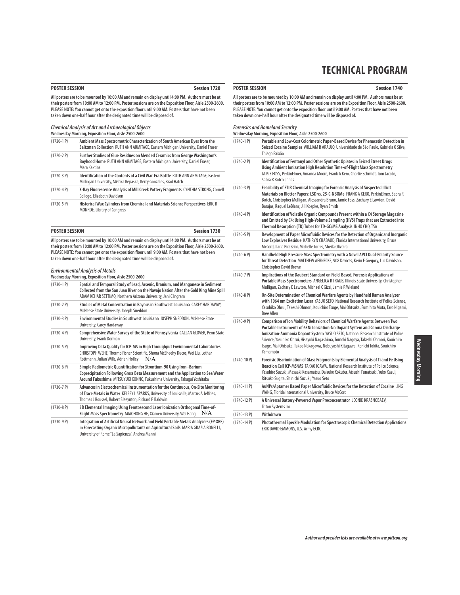**POSTER SESSION Session 1740**

| <b>POSTER SESSION</b><br><b>Session 1720</b> |                                                                                                                                                                                                                                                                                                                                                                                           | <b>POSTER SESSION</b>        |                                                                                                                      |
|----------------------------------------------|-------------------------------------------------------------------------------------------------------------------------------------------------------------------------------------------------------------------------------------------------------------------------------------------------------------------------------------------------------------------------------------------|------------------------------|----------------------------------------------------------------------------------------------------------------------|
|                                              | All posters are to be mounted by 10:00 AM and remain on display until 4:00 PM. Authors must be at<br>their posters from 10:00 AM to 12:00 PM. Poster sessions are on the Exposition Floor, Aisle 2500-2600.<br>PLEASE NOTE: You cannot get onto the exposition floor until 9:00 AM. Posters that have not been<br>taken down one-half hour after the designated time will be disposed of. |                              | All posters are to be mount<br>their posters from 10:00 AM<br>PLEASE NOTE: You cannot go<br>taken down one-half hour |
|                                              | <b>Chemical Analysis of Art and Archaeological Objects</b><br>Wednesday Morning, Exposition Floor, Aisle 2500-2600                                                                                                                                                                                                                                                                        |                              | <b>Forensics and Homeland</b><br><b>Wednesday Morning, Expos</b>                                                     |
| $(1720-1)$                                   | Ambient Mass Spectrometric Characterization of South American Dyes from the<br>Saltzman Collection RUTH ANN ARMITAGE, Eastern Michigan University, Daniel Fraser                                                                                                                                                                                                                          | $(1740-1)$                   | Portable a<br><b>Seized Coc</b>                                                                                      |
| $(1720-2P)$                                  | Further Studies of Glue Residues on Mended Ceramics from George Washington's<br>Boyhood Home RUTH ANN ARMITAGE, Eastern Michigan University, Daniel Fraser,<br>Mara Kaktins                                                                                                                                                                                                               | $(1740-2P)$                  | <b>Thiago Paix</b><br>Identificat<br><b>Using Amb</b>                                                                |
| $(1720-3P)$                                  | Identification of the Contents of a Civil War-Era Bottle RUTH ANN ARMITAGE, Eastern<br>Michigan University, Mishka Repaska, Kerry Gonzales, Brad Hatch                                                                                                                                                                                                                                    |                              | <b>JAMIE FOSS</b><br>Sabra R Bot                                                                                     |
| $(1720 - 4P)$                                | X-Ray Fluorescence Analysis of Mill Creek Pottery Fragments CYNTHIA STRONG, Cornell<br>College, Elizabeth Davidson                                                                                                                                                                                                                                                                        | $(1740-3)$ P)                | <b>Feasibility</b><br>Materials o<br>Botch, Chri                                                                     |
| $(1720-5P)$                                  | Historical Wax Cylinders from Chemical and Materials Science Perspectives ERIC B<br>MONROE, Library of Congress                                                                                                                                                                                                                                                                           | $(1740-4P)$                  | Barajas, Ra<br>Identificat<br>and Emitte<br><b>Thermal D</b>                                                         |
| <b>POSTER SESSION</b>                        | Session 1730                                                                                                                                                                                                                                                                                                                                                                              | $(1740-5P)$                  | <b>Developm</b>                                                                                                      |
|                                              | All posters are to be mounted by 10:00 AM and remain on display until 4:00 PM. Authors must be at<br>their posters from 10:00 AM to 12:00 PM. Poster sessions are on the Exposition Floor, Aisle 2500-2600.                                                                                                                                                                               |                              | Low Explo:<br>McCord, lla                                                                                            |
|                                              | PLEASE NOTE: You cannot get onto the exposition floor until 9:00 AM. Posters that have not been<br>taken down one-half hour after the designated time will be disposed of.                                                                                                                                                                                                                | $(1740-6P)$                  | Handheld<br>for Threat<br>Christopher                                                                                |
|                                              | <b>Environmental Analysis of Metals</b><br>Wednesday Morning, Exposition Floor, Aisle 2500-2600                                                                                                                                                                                                                                                                                           | $(1740 - 7P)$                | Implicatio<br>Portable N                                                                                             |
| $(1730-1)$                                   | Spatial and Temporal Study of Lead, Arsenic, Uranium, and Manganese in Sediment<br>Collected from the San Juan River on the Navajo Nation After the Gold King Mine Spill<br>ADAM KEHAR SETTIMO, Northern Arizona University, Jani C Ingram                                                                                                                                                | $(1740-8P)$                  | Mulligan, Z<br>On-Site De                                                                                            |
| $(1730-2P)$                                  | Studies of Metal Concentration in Bayous in Southwest Louisiana CAREY HARDAWAY,<br>McNeese State University, Joseph Sneddon                                                                                                                                                                                                                                                               |                              | with 1064<br>Yasuhiko Ol<br><b>Bree Allen</b>                                                                        |
| $(1730-3P)$                                  | Environmental Studies in Southwest Louisiana JOSEPH SNEDDON, McNeese State<br>University, Carey Hardaway                                                                                                                                                                                                                                                                                  | $(1740-9P)$                  | Compariso<br>Portable In                                                                                             |
| $(1730-4P)$                                  | Comprehensive Water Survey of the State of Pennsylvania CALLAN GLOVER, Penn State<br>University, Frank Dorman                                                                                                                                                                                                                                                                             |                              | lonization<br>Science, Yas                                                                                           |
| $(1730-5P)$                                  | Improving Data Quality for ICP-MS in High Throughput Environmental Laboratories<br>CHRISTOPH WEHE, Thermo Fisher Scientific, Shona McSheehy Ducos, Wei Liu, Lothar<br>Rottmann, Julian Wills, Adrian Holley<br>N/A                                                                                                                                                                        | $(1740-10 P)$                | Tsuge, Mai<br>Yamamoto<br><b>Forensic Di</b>                                                                         |
| $(1730-6P)$                                  | Simple Radiometric Quantification for Strontium-90 Using Iron-Barium<br>Coprecipitation Following Gross Beta Measurement and the Application to Sea Water<br>Around Fukushima MITSUYUKI KONNO, Fukushima University, Takagai Yoshitaka                                                                                                                                                    |                              | <b>Reaction C</b><br>Yasuhiro Su<br>Ritsuko Suo                                                                      |
| $(1730 - 7P)$                                | Advances in Electrochemical Instrumentation for the Continuous, On-Site Monitoring<br>of Trace Metals in Water KELSEY L SPARKS, University of Louisville, Marcus A Jeffries,                                                                                                                                                                                                              | $(1740-11P)$                 | AuNPs/Apt<br>WANG, Flor                                                                                              |
| $(1730-8P)$                                  | Thomas J Roussel, Robert S Keynton, Richard P Baldwin<br>3D Elemental Imaging Using Femtosecond Laser Ionization Orthogonal Time-of-<br>Flight Mass Spectrometry MIAOHONG HE, Xiamen University, Wei Hang $N/A$                                                                                                                                                                           | $(1740-12)$ P)               | A Universa<br><b>Triton Syste</b>                                                                                    |
| (17200)                                      | Integration of Autificial Neural Network and Field Devtable Metals Analyzes (FD VDF)                                                                                                                                                                                                                                                                                                      | $(1740-13)$ P)<br>$(1 - 10)$ | Withdrawı                                                                                                            |

(1730-9 P) **Integration of Artificial Neural Network and Field Portable Metals Analyzers (FP-XRF) in Forecasting Organic Micropollutants on Agricultural Soils** MARIA GRAZIA BONELLI, University of Rome "La Sapienza", Andrea Manni

**All posters are to be mounted by 10:00 AM and remain on display until 4:00 PM. Authors must be at their posters from 10:00 AM to 12:00 PM. Poster sessions are on the Exposition Floor, Aisle 2500-2600. PLEASE NOTE: You cannot get onto the exposition floor until 9:00 AM. Posters that have not been the designated time will be disposed of.** 

# *d* Security

|                | Wednesday Morning, Exposition Floor, Aisle 2500-2600                                                                                                                                                                                                                                                                                                                                                                                                |
|----------------|-----------------------------------------------------------------------------------------------------------------------------------------------------------------------------------------------------------------------------------------------------------------------------------------------------------------------------------------------------------------------------------------------------------------------------------------------------|
| $(1740-1)$     | Portable and Low-Cost Colorimetric Paper-Based Device for Phenacetin Detection in<br>Seized Cocaine Samples WILLIAM R ARAUJO, Universidade de São Paulo, Gabriela O Silva,<br>Thiago Paixão                                                                                                                                                                                                                                                         |
| $(1740-2P)$    | Identification of Fentanyl and Other Synthetic Opiates in Seized Street Drugs<br>Using Ambient Ionization High Resolution Time-of-Flight Mass Spectrometry<br>JAMIE FOSS, PerkinElmer, Amanda Moore, Frank A Kero, Charlie Schmidt, Tom Jacobs,<br>Sabra R Botch-Jones                                                                                                                                                                              |
| $(1740-3)$ P)  | Feasibility of FTIR Chemical Imaging for Forensic Analysis of Suspected Illicit<br>Materials on Blotter Papers: LSD vs. 25-C-NBOMe FRANK A KERO, PerkinElmer, Sabra R<br>Botch, Christopher Mulligan, Alessandra Bruno, Jamie Foss, Zachary E Lawton, David<br>Barajas, Raquel LeBlanc, Jill Koepke, Ryan Smith                                                                                                                                     |
| $(1740-4P)$    | Identification of Volatile Organic Compounds Present within a C4 Storage Magazine<br>and Emitted by C4: Using High-Volume Sampling (HVS) Traps that are Extracted into<br>Thermal Desorption (TD) Tubes for TD-GC/MS Analysis INHO CHO, TSA                                                                                                                                                                                                         |
| $(1740-5P)$    | Development of Paper Microfluidic Devices for the Detection of Organic and Inorganic<br>Low Explosives Residue KATHRYN CHABAUD, Florida International University, Bruce<br>McCord, Ilaria Pirazzini, Michelle Torres, Sheila Oliveira                                                                                                                                                                                                               |
| $(1740-6P)$    | Handheld High Pressure Mass Spectrometry with a Novel APCI Dual-Polarity Source<br>for Threat Detection MATTHEW AERNECKE, 908 Devices, Kerin E Gregory, Luc Davidson,<br><b>Christopher David Brown</b>                                                                                                                                                                                                                                             |
| $(1740 - 7P)$  | Implications of the Daubert Standard on Field-Based, Forensic Applications of<br>Portable Mass Spectrometers ANGELICA R TRAUB, Illinois State University, Christopher<br>Mulligan, Zachary E Lawton, Michael C Gizzi, Jamie R Wieland                                                                                                                                                                                                               |
| $(1740-8P)$    | On-Site Determination of Chemical Warfare Agents by Handheld Raman Analyzer<br>with 1064 nm Excitation Laser YASUO SETO, National Research Institute of Police Science,<br>Yasuhiko Ohrui, Takeshi Ohmori, Kouichiro Tsuge, Mai Ohtsuka, Fumihito Muta, Taro Nigami,<br><b>Bree Allen</b>                                                                                                                                                           |
| $(1740-9P)$    | <b>Comparison of Ion Mobility Behaviors of Chemical Warfare Agents Between Two</b><br>Portable Instruments of 63Ni Ionization-No Dopant System and Corona Discharge<br>Ionization-Ammonia Dopant System YASUO SETO, National Research Institute of Police<br>Science, Yasuhiko Ohrui, Hisayuki Nagashima, Tomoki Nagoya, Takeshi Ohmori, Kouichiro<br>Tsuge, Mai Ohtsuka, Takao Nakagawa, Nobuyoshi Kitagawa, Kenichi Tokita, Souichiro<br>Yamamoto |
| $(1740-10 P)$  | Forensic Discrimination of Glass Fragments by Elemental Analysis of Ti and Fe Using<br>Reaction Cell ICP-MS/MS TAKAO IGAWA, National Research Institute of Police Science,<br>Yasuhiro Suzuki, Masaaki Kasamatsu, Daisuke Kokubu, Atsushi Funatsuki, Yuko Kazui,<br>Ritsuko Sugita, Shinichi Suzuki, Yasuo Seto                                                                                                                                     |
| $(1740-11 P)$  | AuNPs/Aptamer Based Paper Microfluidic Devices for the Detection of Cocaine LING<br>WANG, Florida International University, Bruce McCord                                                                                                                                                                                                                                                                                                            |
| $(1740-12P)$   | A Universal Battery-Powered Vapor Preconcentrator LEONID KRASNOBAEV,<br>Triton Systems Inc.                                                                                                                                                                                                                                                                                                                                                         |
| $(1740-13)$ P) | Withdrawn                                                                                                                                                                                                                                                                                                                                                                                                                                           |
| $(1740-14P)$   | Photothermal Speckle Modulation for Spectroscopic Chemical Detection Applications<br>ERIK DAVID EMMONS, U.S. Army ECBC                                                                                                                                                                                                                                                                                                                              |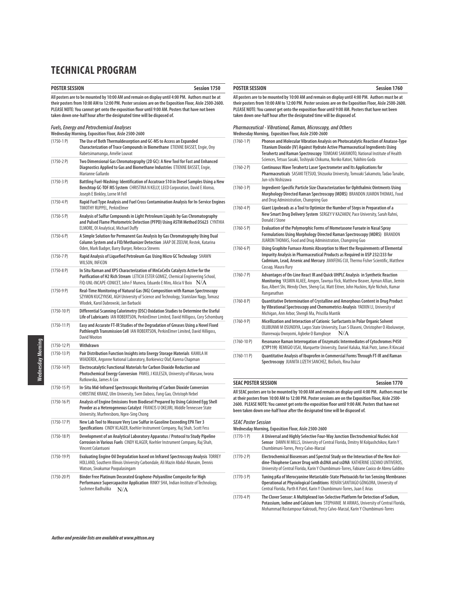| <b>POSTER SESSION</b><br>Session 1750 |                                                                                                                                                                                                                                                                                                                                                                                           |                            | <b>POSTER SESSION</b>                                                                                                                                                                                                                 |  |  |
|---------------------------------------|-------------------------------------------------------------------------------------------------------------------------------------------------------------------------------------------------------------------------------------------------------------------------------------------------------------------------------------------------------------------------------------------|----------------------------|---------------------------------------------------------------------------------------------------------------------------------------------------------------------------------------------------------------------------------------|--|--|
|                                       | All posters are to be mounted by 10:00 AM and remain on display until 4:00 PM. Authors must be at<br>their posters from 10:00 AM to 12:00 PM. Poster sessions are on the Exposition Floor, Aisle 2500-2600.<br>PLEASE NOTE: You cannot get onto the exposition floor until 9:00 AM. Posters that have not been<br>taken down one-half hour after the designated time will be disposed of. |                            | All posters are to be mounted by 10:00 AM and remain o<br>their posters from 10:00 AM to 12:00 PM. Poster session<br>PLEASE NOTE: You cannot get onto the exposition floor o<br>taken down one-half hour after the designated time wi |  |  |
|                                       | <b>Fuels, Energy and Petrochemical Analyses</b><br>Wednesday Morning, Exposition Floor, Aisle 2500-2600                                                                                                                                                                                                                                                                                   |                            | Pharmaceutical - Vibrational, Raman, Microscopy<br>Wednesday Morning, Exposition Floor, Aisle 2500-2600                                                                                                                               |  |  |
| $(1750-1)$                            | The Use of Both Thermaldesorption and GC-MS to Access an Expanded<br>Characterization of Trace Compounds in Biomethane ETIENNE BASSET, Engie, Ony<br>Rabetsimamanga, Amélie Louvat                                                                                                                                                                                                        | $(1760-1)$                 | <b>Phonon and Molecular Vibration Analy</b><br>Titanium Dioxide (IV) Against Hydrate<br>Terahertz and Raman Spectroscopy TO                                                                                                           |  |  |
| $(1750-2P)$                           | Two Dimensional Gas Chromatography (2D GC): A New Tool for Fast and Enhanced<br>Diagnostics Applied to Gas and Biomethane Industries ETIENNE BASSET, Engie,<br>Marianne Gallardo                                                                                                                                                                                                          | $(1760 - 2P)$              | Sciences, Tetsuo Sasaki, Toshiyuki Chikum<br><b>Continuous Wave Terahertz Laser Spect</b><br>Pharmaceuticals SASAKI TETSUO, Shizuo                                                                                                    |  |  |
| $(1750-3)$ P)                         | Battling Fuel-Washing: Identification of Accutrace S10 in Diesel Samples Using a New<br>Benchtop GC-TOF MS System CHRISTINA N KELLY, LECO Corporation, David E Alonso,<br>Joseph E Binkley, Lorne M Fell                                                                                                                                                                                  | $(1760-3)$ P)              | Jun-ichi Nishizawa<br>Ingredient-Specific Particle Size Charao<br>Morphology Directed Raman Spectrosc                                                                                                                                 |  |  |
| $(1750-4P)$                           | Rapid Fuel Type Analysis and Fuel Cross Contamination Analysis for In-Service Engines<br>TIMOTHY RUPPEL, PerkinElmer                                                                                                                                                                                                                                                                      | $(1760-4P)$                | and Drug Administration, Changning Guo<br>Giant Lipobeads as a Tool to Optimize t                                                                                                                                                     |  |  |
| $(1750-5P)$                           | Analysis of Sulfur Compounds in Light Petroleum Liquids by Gas Chromatography<br>and Pulsed Flame Photometric Detection (PFPD) Using ASTM Method D5623 CYNTHIA<br>ELMORE, OI Analytical, Michael Duffy                                                                                                                                                                                    | $(1760-5P)$                | New Smart Drug Delivery System SERG<br>Donald J Stone<br><b>Evaluation of the Polymorphic Forms o</b>                                                                                                                                 |  |  |
| $(1750-6P)$                           | A Simple Solution for Permanent Gas Analysis by Gas Chromatography Using Dual<br>Column System and a FID/Methanizer Detection JAAP DE ZEEUW, Restek, Katarina                                                                                                                                                                                                                             |                            | <b>Formulations Using Morphology Direct</b><br>JUARON THOMAS, Food and Drug Adminis                                                                                                                                                   |  |  |
| $(1750 - 7P)$                         | Oden, Mark Badger, Barry Burger, Rebecca Stevens<br>Rapid Analysis of Liquefied Petroleum Gas Using Micro GC Technology SHAWN<br>WILSON, INFICON                                                                                                                                                                                                                                          | $(1760-6P)$                | Using Graphite Furnace Atomic Absorpt<br><b>Impurity Analysis in Pharmaceutical Pr</b><br>Cadmium, Lead, Arsenic and Mercury J                                                                                                        |  |  |
| $(1750-8P)$                           | In Situ Raman and XPS Characterization of MnCoCeOx Catalysts Active for the<br>Purification of H2 Rich Stream LETICIA ESTER GOMEZ, Chemical Engineering School,<br>FIQ-UNL-INCAPE-CONICET, John F Munera, Eduardo E Miro, Alicia V Boix $N/A$                                                                                                                                             | $(1760 - 7P)$              | Cassap, Maura Rury<br>Advantages of On-Line React IR and Qu<br>Monitoring YASMIN ALAEE, Amgen, Taw                                                                                                                                    |  |  |
| $(1750-9P)$                           | Real-Time Monitoring of Natural Gas (NG) Composition with Raman Spectroscopy<br>SZYMON KUCZYNSKI, AGH University of Science and Technology, Stanislaw Nagy, Tomasz                                                                                                                                                                                                                        | $(1760 - 8P)$              | Bao, Albert Shi, Wendy Chen, Sheng Cui, N<br>Ranganathan<br><b>Quantitative Determination of Crystall</b>                                                                                                                             |  |  |
| $(1750-10 P)$                         | Wlodek, Karol Dabrowski, Jan Barbacki<br>Differential Scanning Calorimetry (DSC) Oxidation Studies to Determine the Useful<br>Life of Lubricants IAN ROBERTSON, PerkinElmer Limited, David Hilligoss, Cory Schomburg                                                                                                                                                                      |                            | by Vibrational Spectroscopy and Chemo<br>Michigan, Ann Arbor, Shengli Ma, Priscilla                                                                                                                                                   |  |  |
| $(1750-11 P)$                         | Easy and Accurate FT-IR Studies of the Degradation of Greases Using a Novel Fixed<br>Pathlength Transmission Cell IAN ROBERTSON, PerkinElmer Limited, David Hilligoss,<br>David Wooton                                                                                                                                                                                                    | $(1760-9P)$                | Micellization and Interaction of Cationi<br>OLUBUNMI M OSUNDIYA, Lagos State Univ<br>Olanrewaju Owoyomi, Agbeke O Bamgboy                                                                                                             |  |  |
| $(1750-12)$ P)                        | Withdrawn                                                                                                                                                                                                                                                                                                                                                                                 | $(1760-10 P)$              | <b>Resonance Raman Interrogation of Enz</b><br>(CYP119) REMIGIO USAI, Marquette Univ                                                                                                                                                  |  |  |
| $(1750-13)$ P)                        | Pair Distribution Function Insights into Energy Storage Materials KAMILA M<br>WIADEREK, Argonne National Laboratory, Borkiewicz Olaf, Karena Chapman                                                                                                                                                                                                                                      | $(1760-11 P)$              | Quantitative Analysis of Ibuprofen in C<br>Spectroscopy JUANITA LIZETH SANCHEZ,                                                                                                                                                       |  |  |
| $(1750-14P)$                          | Electrocatalytic Functional Materials for Carbon Dioxide Reduction and<br>Photochemical Energy Conversion PAWEL J KULESZA, University of Warsaw, Iwona<br>Rutkowska, James A Cox                                                                                                                                                                                                          |                            |                                                                                                                                                                                                                                       |  |  |
| $(1750-15)$                           | In-Situ Mid-Infrared Spectroscopic Monitoring of Carbon Dioxide Conversion<br>CHRISTINE KRANZ, Ulm University, Sven Daboss, Fang Gao, Christoph Nebel                                                                                                                                                                                                                                     | <b>SEAC POSTER SESSION</b> | All SEAC posters are to be mounted by 10:00 AM and ren                                                                                                                                                                                |  |  |
| $(1750-16)$                           | Analysis of Engine Emissions from Biodiesel Prepared by Using Calcined Egg Shell<br>Powder as a Heterogeneous Catalyst FRANCIS U OKEJIRI, Middle Tennessee State<br>University, Murfreesboro, Ngee-Sing Chong                                                                                                                                                                             |                            | at their posters from 10:00 AM to 12:00 PM. Poster sessi<br>2600. PLEASE NOTE: You cannot get onto the exposition<br>been taken down one-half hour after the designated tir                                                           |  |  |
| (1750-17 P)                           | New Lab Tool to Measure Very Low Sulfur in Gasoline Exceeding EPA Tier 3<br>Specifications CINDY KLAGER, Koehler Instrument Company, Raj Shah, Scott Fess                                                                                                                                                                                                                                 | <b>SEAC Poster Session</b> | Wednesday Morning, Exposition Floor, Aisle 2500-2600                                                                                                                                                                                  |  |  |
| $(1750-18)$                           | Development of an Analytical Laboratory Apparatus / Protocol to Study Pipeline<br>Corrosion in Various Fuels CINDY KLAGER, Koehler Instrument Company, Raj Shah,<br>Vincent Colantuoni                                                                                                                                                                                                    | $(1770-1)$                 | A Universal and Highly Selective Four-V<br>Sensor DAWN M MILLS, University of Cer<br>Chumbimuni-Torres, Percy Calvo-Marzal                                                                                                            |  |  |
| $(1750-19P)$                          | Evaluating Engine Oil Degradation based on Infrared Spectroscopy Analysis TORREY<br>HOLLAND, Southern Illinois University Carbondale, Ali Mazin Abdul-Munaim, Dennis<br>Watson, Sivakumar Poopalasingam                                                                                                                                                                                   | $(1770-2P)$                | <b>Electrochemical Biosensors and Spectra</b><br>dine-Thiophene Cancer Drug with dsDN<br>University of Central Florida, Karin Y Chun                                                                                                  |  |  |
| $(1750-20)$ P)                        | Binder Free Platinum Decorated Graphene-Polyaniline Composite for High<br>Performance Supercapacitor Application RINKY SHA, Indian Institute of Technology,                                                                                                                                                                                                                               | $(1770-3)$ P)              | Tuning pKa of Merocyanine Metastable<br><b>Operational at Physiological Condition:</b>                                                                                                                                                |  |  |

#### **Session 1760**

**Session 1770** 

and remain on display until 4:00 PM. Authors must be at **their poster sessions are on the Exposition Floor, Aisle 2500-2600. PLEASE NOTE: You cannot get onto the exposition floor until 9:00 AM. Posters that have not been taken down one-half hour after the designated time will be disposed of.**

**Microscopy, and Others** 

**Wednesday Morning, Exposition Floor, Aisle 2500-2600** (1760-1 P) **Phonon and Molecular Vibration Analysis on Photocatalytic Reaction of Anatase-Type Titanium Dioxide (IV) Against Hydrate Active Pharmaceutical Ingredients Using Terahertz and Raman Spectroscopy** TOMOAKI SAKAMOTO, National Institute of Health hiyuki Chikuma, Noriko Katori, Yukihiro Goda tz Laser Spectrometer and Its Applications for **Pharmaceuticals** SASAKI TETSUO, Shizuoka University, Tomoaki Sakamoto, Tadao Tanabe, (1760-3 P) **Ingredient-Specific Particle Size Characterization for Ophthalmic Ointments Using Morphology Directed Raman Spectroscopy (MDRS)** BRANDON JUARON THOMAS, Food hangning Guo to Optimize the Number of Steps in Preparation of a System SERGEY V KAZAKOV, Pace University, Sarah Rahni, (1760-5 P) **Evaluation of the Polymorphic Forms of Mometasone Furoate in Nasal Spray Formulations Using Morphology Directed Raman Spectroscopy (MDRS)** BRANDON I Drug Administration, Changning Guo (1760-6 P) **Using Graphite Furnace Atomic Absorption to Meet the Requirements of Elemental Imaceutical Products as Required in USP 232/233 for and Mercury** JIANFENG CUI, Thermo Fisher Scientific, Matthew **Pact IR and Quick UHPLC Analysis in Synthetic Reaction**  $E$ , Amgen, Tawnya Flick, Matthew Beaver, Ayman Allian, Jiemin  $\mathsf{sn},$  Sheng Cui, Matt Eitner, John Huckins, Kyle Nichols, Kumar on of Crystalline and Amorphous Content in Drug Product **by and Chemometrics Analysis YAOXIN LI, University of .** *.*<br>gli Ma, Priscilla Mantik (1760-9 P) **Micellization and Interaction of Cationic Surfactants in Polar Organic Solvent**  agos State University, Esan S Olaseni, Christopher O Aboluwoye, Olanrewaju Owoyomi, Agbeke O Bamgboye  $-N/A$ (1760-10 P) **Resonance Raman Interrogation of Enzymatic Intermediates of Cytochromes P450 (CYP119)** REMIGIO USAI, Marquette University, Daniel Kaluka, Mak Piotr, James R Kincaid (1760-11 P) **Quantitative Analysis of Ibuprofen in Commercial Forms Through FT-IR and Raman Spectroscopy** JUANITA LIZETH SANCHEZ, BioTools, Rina Dukor

**All SEAC posters are to be mounted by 10:00 AM and remain on display until 4:00 PM. Authors must be at their posters from 10:00 AM to 12:00 PM. Poster sessions are on the Exposition Floor, Aisle 2500- 2600. PLEASE NOTE: You cannot get onto the exposition floor until 9:00 AM. Posters that have not** designated time will be disposed of.

| $(1770-1)$  | A Universal and Highly Selective Four-Way Junction Electrochemical Nucleic Acid<br>Sensor DAWN M MILLS, University of Central Florida, Dmitry M Kolpashchikov, Karin Y<br>Chumbimuni-Torres, Percy Calvo-Marzal                                               |
|-------------|---------------------------------------------------------------------------------------------------------------------------------------------------------------------------------------------------------------------------------------------------------------|
| $(1770-2P)$ | Electrochemical Biosensors and Spectral Study on the Interaction of the New Acri-<br>dine-Thiophene Cancer Drug with dsDNA and ssDNA KATHERINE LOZANO UNTIVEROS,<br>University of Central Florida, Karin Y Chumbimuni-Torres, Fabiane Caxico de Abreu Galdino |
| $(1770-3P)$ | Tuning pKa of Merocyanine Metastable-State Photoacids for Ion Sensing Membranes<br>Operational at Physiological Conditions RENÁN SANTIAGO GÓNGORA, University of<br>Central Florida, Parth K Patel, Karin Y Chumbimuni-Torres, Juan E Arias                   |
| $(1770-4P)$ | The Clover Sensor: A Multiplexed Ion-Selective Platform for Detection of Sodium,<br>Potassium, Iodine and Calcium Ions STEPHANIE M ARMAS, University of Central Florida,<br>Mohammad Rostampour Kakroudi, Percy Calvo-Marzal, Karin Y Chumbimuni-Torres       |

Sushmee Badhulika N/A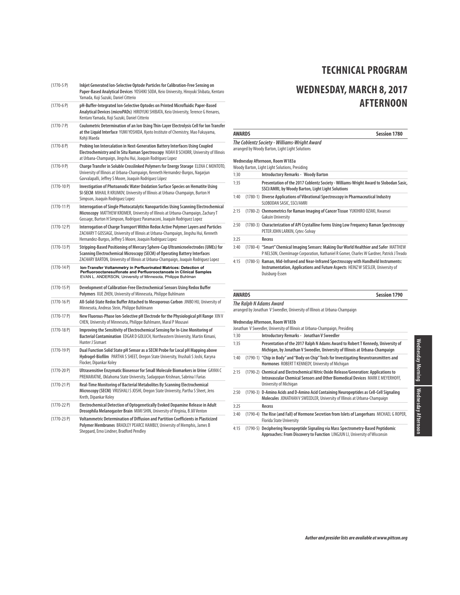# **WEDNESDAY, MARCH 8, 2017 AFTERNOON**

|                 | Yamada, Koji Suzuki, Daniel Citterio                                                                                                                                                                                                                   |
|-----------------|--------------------------------------------------------------------------------------------------------------------------------------------------------------------------------------------------------------------------------------------------------|
| $(1770-6P)$     | pH-Buffer-Integrated Ion-Selective Optodes on Printed Microfluidic Paper-Based<br>Analytical Devices (microPADs) HIROYUKI SHIBATA, Keio University, Terence G Henares,<br>Kentaro Yamada, Koji Suzuki, Daniel Citterio                                 |
| $(1770 - 7P)$   | Coulometric Determination of an Ion Using Thin-Layer Electrolysis Cell for Ion Transfer<br>at the Liquid Interface YUMI YOSHIDA, Kyoto Institute of Chemistry, Mao Fukuyama,<br>Kohji Maeda                                                            |
| $(1770-8P)$     | Probing Ion Intercalation in Next-Generation Battery Interfaces Using Coupled<br>Electrochemistry and In Situ Raman Spectroscopy NOAH B SCHORR, University of Illinois<br>at Urbana-Champaign, Jingshu Hui, Joaquin Rodriguez Lopez                    |
| $(1770-9P)$     | Charge Transfer in Soluble Crosslinked Polymers for Energy Storage ELENA C MONTOTO,<br>University of Illinois at Urbana-Champaign, Kenneth Hernandez-Burgos, Nagarjun<br>Gavvalapalli, Jeffrey S Moore, Joaquín Rodríguez López                        |
| $(1770-10P)$    | Investigation of Photoanodic Water Oxidation Surface Species on Hematite Using<br>SI-SECM MIHAIL R KRUMOV, University of Illinois at Urbana-Champaign, Burton H<br>Simpson, Joaquín Rodriquez Lopez                                                    |
| $(1770-11 P)$   | Interrogation of Single Photocatalytic Nanoparticles Using Scanning Electrochemical<br>Microscopy MATTHEW KROMER, University of Illinois at Urbana-Champaign, Zachary T<br>Gossage, Burton H Simpson, Rodríguez Paramaconi, Joaquín Rodriguez Lopez    |
| $(1770-12P)$    | Interrogation of Charge Transport Within Redox Active Polymer Layers and Particles<br>ZACHARY T GOSSAGE, University of Illinois at Urbana-Champaign, Jingshu Hui, Kenneth<br>Hernandez-Burgos, Jeffrey S Moore, Joaquin Rodriguez Lopez                |
| $(1770-13 P)$   | Stripping-Based Positioning of Mercury Sphere-Cap Ultramicroelectrodes (UMEs) for<br>Scanning Electrochemical Microscopy (SECM) of Operating Battery Interfaces<br>ZACHARY BARTON, University of Illinois at Urbana-Champaign, Joaquín Rodriguez Lopez |
| $(1770-14P)$    | Ion-Transfer Voltammetry in Perfluorinated Matrices: Detection of<br>Perfluorooctanesulfonate and Perfluorooctanoate in Clinical Samples<br>EVAN L. ANDERSON, University of Minnesota, Philippe Buhlman                                                |
| $(1770-15P)$    | Development of Calibration-Free Electrochemical Sensors Using Redox Buffer<br>Polymers XUE ZHEN, University of Minnesota, Philippe Buhlmann                                                                                                            |
| $(1770-16P)$    | All-Solid-State Redox Buffer Attached to Mesoporous Carbon JINBO HU, University of<br>Minnesota, Andreas Stein, Philippe Buhlmann                                                                                                                      |
| $(1770-17P)$    | New Fluorous-Phase Ion-Selective pH Electrode for the Physiological pH Range XINV<br>CHEN, University of Minnesota, Philippe Buhlmann, Maral P Mousavi                                                                                                 |
| $(1770-18)$ P)  | Improving the Sensitivity of Electrochemical Sensing for In-Line Monitoring of<br>Bacterial Contamination EDGAR D GOLUCH, Northeastern University, Martin Kimani,<br>Hunter J Sismaet                                                                  |
| $(1770-19P)$    | Dual Function Solid State pH Sensor as a SECM Probe for Local pH Mapping above<br>Hydrogel-Biofilm PARTHA S SHEET, Oregon State University, Vrushali S Joshi, Karyna<br>Flocker, Dipankar Koley                                                        |
| $(1770-20P)$    | Ultrasensitive Enzymatic Biosensor for Small Molecule Biomarkers in Urine GAYAN C<br>PREMARATNE, Oklahoma State University, Sadagopan Krishnan, Sabrina I Farias                                                                                       |
| $(1770-21)$     | Real-Time Monitoring of Bacterial Metabolites By Scanning Electrochemical<br>Microscopy (SECM) VRUSHALI S JOSHI, Oregon State University, Partha S Sheet, Jens<br>Kreth, Dipankar Koley                                                                |
| $(1770-22P)$    | Electrochemical Detection of Optogenetically Evoked Dopamine Release in Adult<br>Drosophila Melanogaster Brain MIMI SHIN, University of Virginia, B Jill Venton                                                                                        |
| $(1770 - 23 P)$ | Voltammetric Determination of Diffusion and Partition Coefficients in Plasticized<br>Polymer Membranes BRADLEY PEARCE HAMBLY, University of Memphis, James B<br>Sheppard, Erno Lindner, Bradford Pendley                                               |

(1770-5 P) **Inkjet Generated Ion-Selective Optode Particles for Calibration-Free Sensing on**

**Paper-Based Analytical Devices** YOSHIKI SODA, Keio University, Hiroyuki Shibata, Kentaro

|      | <b>AWARDS</b> | <b>Session 1780</b>                                                                                                                                                                        |
|------|---------------|--------------------------------------------------------------------------------------------------------------------------------------------------------------------------------------------|
|      |               | The Coblentz Society - Williams-Wright Award<br>arranged by Woody Barton, Light Light Solutions                                                                                            |
|      |               | Wednesday Afternoon, Room W183a<br>Woody Barton, Light Light Solutions, Presiding                                                                                                          |
| 1:30 |               | <b>Introductory Remarks - Woody Barton</b>                                                                                                                                                 |
| 1:35 |               | Presentation of the 2017 Coblentz Society - Williams-Wright Award to Slobodan Sasic,<br>SSCI/AMRI, by Woody Barton, Light Light Solutions                                                  |
| 1:40 |               | (1780-1) Diverse Applications of Vibrational Spectroscopy in Pharmaceutical Industry<br>SLOBODAN SASIC, SSCI/AMRI                                                                          |
| 2:15 |               | (1780-2) Chemometrics for Raman Imaging of Cancer Tissue YUKIHIRO OZAKI, Kwansei<br><b>Gakuin University</b>                                                                               |
| 2:50 |               | (1780-3) Characterization of API Crystalline Forms Using Low Frequency Raman Spectroscopy<br>PETER JOHN LARKIN, Cytec-Solvay                                                               |
| 3:25 |               | Recess                                                                                                                                                                                     |
| 3:40 |               | (1780-4) "Smart" Chemical Imaging Sensors: Making Our World Healthier and Safer MATTHEW<br>P NELSON, Chemlmage Corporation, Nathaniel R Gomer, Charles W Gardner, Patrick J Treado         |
| 4:15 |               | (1780-5) Raman, Mid-Infrared and Near-Infrared Spectroscopy with Handheld Instruments:<br>Instrumentation, Applications and Future Aspects HEINZW SIESLER, University of<br>Duisburg-Essen |
|      | <b>AWARDS</b> | <b>Session 1790</b>                                                                                                                                                                        |

**Wednesday Afternoon, Room W183b**

|      | Jonathan V Sweedler, University of Illinois at Urbana-Champaign, Presiding                                                                                                                        |
|------|---------------------------------------------------------------------------------------------------------------------------------------------------------------------------------------------------|
| 1:30 | Introductory Remarks - Jonathan V Sweedler                                                                                                                                                        |
| 1:35 | Presentation of the 2017 Ralph N Adams Award to Robert T Kennedy, University of<br>Michigan, by Jonathan V Sweedler, University of Illinois at Urbana-Champaign                                   |
| 1:40 | (1790-1) "Chip in Body" and "Body on Chip" Tools for Investigating Neurotransmitters and<br>Hormones ROBERT T KENNEDY, University of Michigan                                                     |
| 2:15 | (1790-2) Chemical and Electrochemical Nitric Oxide Release/Generation: Applications to<br>Intravascular Chemical Sensors and Other Biomedical Devices MARK E MEYERHOFF.<br>University of Michigan |
| 2:50 | (1790-3) D-Amino Acids and D-Amino Acid Containing Neuropeptides as Cell-Cell Signaling<br>Molecules JONATHAN V SWEEDLER, University of Illinois at Urbana-Champaign                              |
| 3:25 | Recess                                                                                                                                                                                            |
| 3:40 | (1790-4) The Rise (and Fall) of Hormone Secretion from Islets of Langerhans MICHAEL G ROPER,<br><b>Florida State University</b>                                                                   |
| 4:15 | (1790-5) Deciphering Neuropeptide Signaling via Mass Spectrometry-Based Peptidomic                                                                                                                |

**Approaches: From Discovery to Function** LINGJUN LI, University of Wisconsin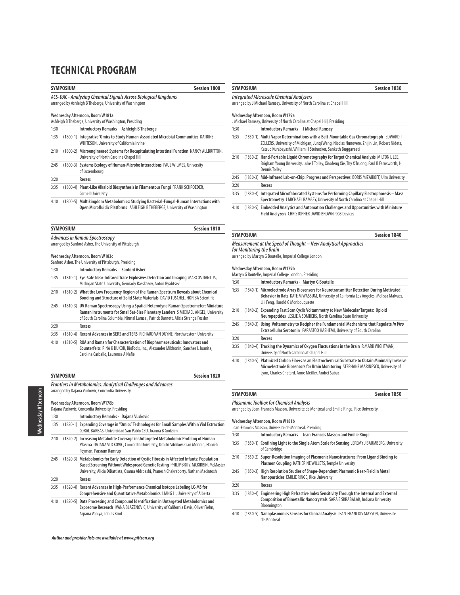| <b>SYMPOSIUM</b><br><b>Session 1800</b><br>ACS-DAC - Analyzing Chemical Signals Across Biological Kingdoms<br>arranged by Ashleigh B Theberge, University of Washington |           |                                                                                                                                                                    |
|-------------------------------------------------------------------------------------------------------------------------------------------------------------------------|-----------|--------------------------------------------------------------------------------------------------------------------------------------------------------------------|
|                                                                                                                                                                         |           |                                                                                                                                                                    |
|                                                                                                                                                                         |           | Ashleigh B Theberge, University of Washington, Presiding                                                                                                           |
| 1:30                                                                                                                                                                    |           | Introductory Remarks - Ashleigh B Theberge                                                                                                                         |
| 1:35                                                                                                                                                                    |           | (1800-1) Integrative 'Omics to Study Human-Associated Microbial Communities KATRINE<br>WHITESON, University of California Irvine                                   |
| 2:10                                                                                                                                                                    |           | (1800-2) Microengineered Systems for Recapitulating Intestinal Function NANCY ALLBRITTON,<br>University of North Carolina Chapel Hill                              |
| 2:45                                                                                                                                                                    |           | (1800-3) Systems Ecology of Human-Microbe Interactions PAUL WILMES, University<br>of Luxembourg                                                                    |
| 3:20                                                                                                                                                                    |           | Recess                                                                                                                                                             |
| 3:35                                                                                                                                                                    |           | (1800-4) Plant-Like Alkaloid Biosynthesis in Filamentous Fungi FRANK SCHROEDER,<br><b>Cornell University</b>                                                       |
| 4:10                                                                                                                                                                    |           | (1800-5) Multikingdom Metabolomics: Studying Bacterial-Fungal-Human Interactions with<br>Open Microfluidic Platforms ASHLEIGH B THEBERGE, University of Washington |
|                                                                                                                                                                         | SYMPOSIUM | <b>Session 1810</b>                                                                                                                                                |

|      | <b>Advances in Raman Spectroscopy</b><br>arranged by Sanford Asher, The University of Pittsburgh                                                      |
|------|-------------------------------------------------------------------------------------------------------------------------------------------------------|
|      | Wednesday Afternoon, Room W183c<br>Sanford Asher, The University of Pittsburgh, Presiding                                                             |
| 1:30 | <b>Introductory Remarks - Sanford Asher</b>                                                                                                           |
| 1:35 | (1810-1) Eye-Safe Near-Infrared Trace Explosives Detection and Imaging MARCOS DANTUS,<br>Michigan State University, Gennady Rasskazov, Anton Ryabtsev |
|      |                                                                                                                                                       |

| 2:10 | (1810-2) What the Low Frequency Region of the Raman Spectrum Reveals about Chemical     |
|------|-----------------------------------------------------------------------------------------|
|      | Bonding and Structure of Solid State Materials DAVID TUSCHEL, HORIBA Scientific         |
| 2:45 | (1810-3) UV Raman Spectroscopy Using a Spatial Heterodyne Raman Spectrometer: Miniature |

|      | Raman Instruments for SmallSat-Size Planetary Landers S MICHAEL ANGEL, University  |
|------|------------------------------------------------------------------------------------|
|      | of South Carolina Columbia, Nirmal Lamsal, Patrick Barnett, Alicia Strange Fessler |
| 3:20 | Recess                                                                             |

- 3:35 (1810-4) **Recent Advances in SERS and TERS** RICHARD VAN DUYNE, Northwestern University
- 4:10 (1810-5) **ROA and Raman for Characterization of Biopharmaceuticals: Innovators and Counterfeits** RINA K DUKOR, BioTools, Inc., Alexander Mikhonin, Sanchez L Juanita, Carolina Carballo, Laurence A Nafie

|      | <b>SYMPOSIUM</b> | Session 1820                                                                                                                                                                                                                                                                 |
|------|------------------|------------------------------------------------------------------------------------------------------------------------------------------------------------------------------------------------------------------------------------------------------------------------------|
|      |                  | <b>Frontiers in Metabolomics: Analytical Challenges and Advances</b><br>arranged by Dajana Vuckovic, Concordia University                                                                                                                                                    |
|      |                  | Wednesday Afternoon, Room W178b<br>Dajana Vuckovic, Concordia University, Presiding                                                                                                                                                                                          |
| 1:30 |                  | Introductory Remarks - Dajana Vuckovic                                                                                                                                                                                                                                       |
| 1:35 |                  | (1820-1) Expanding Coverage in "Omics" Technologies for Small Samples Within Vial Extraction<br>CORAL BARBAS, Universidad San Pablo CEU, Joanna B Godzien                                                                                                                    |
| 2:10 |                  | (1820-2) Increasing Metabolite Coverage in Untargeted Metabolomic Profiling of Human<br>Plasma DAJANA VUCKOVIC, Concordia University, Dmitri Sitnikov, Cian Monnin, Hanieh<br>Peyman, Parsram Ramrup                                                                         |
| 2:45 |                  | (1820-3) Metabolomics for Early Detection of Cystic Fibrosis in Affected Infants: Population-<br>Based Screening Without Widespread Genetic Testing PHILIP BRITZ-MCKIBBIN, McMaster<br>University, Alicia DiBattista, Osama Aldrbashi, Pranesh Chakraborty, Nathan Macintosh |
| 3:20 |                  | Recess                                                                                                                                                                                                                                                                       |
| 3:35 | $(1820-4)$       | Recent Advances in High-Performance Chemical Isotope Labeling LC-MS for<br>Comprehensive and Quantitative Metabolomics LIANG LI, University of Alberta                                                                                                                       |
| 4:10 | $(1820-5)$       | Data Processing and Compound Identification in Untargeted Metabolomics and<br>Exposome Research IVANA BLAZENOVIC, University of California Davis, Oliver Fiehn,<br>Arpana Vaniya, Tobias Kind                                                                                |

### **SYMPOSIUM** Session 1830

### **Integrated Microscale Chemical Analyzers**

arranged by J Michael Ramsey, University of North Carolina at Chapel Hill

#### **Wednesday Afternoon, Room W179a**

|      | J Michael Ramsey, University of North Carolina at Chapel Hill, Presiding                                                                                                                                                                          |
|------|---------------------------------------------------------------------------------------------------------------------------------------------------------------------------------------------------------------------------------------------------|
| 1:30 | <b>Introductory Remarks - J Michael Ramsey</b>                                                                                                                                                                                                    |
| 1:35 | (1830-1) Multi-Vapor Determinations with a Belt-Mountable Gas Chromatograph EDWARD T<br>ZELLERS, University of Michigan, Jungi Wang, Nicolas Nunovero, Zhijin Lin, Robert Nidetz,<br>Katsuo Kurabayashi, William H Steinecker, Sanketh Buggaveeti |
| 2:10 | (1830-2) Hand-Portable Liquid Chromatography for Target Chemical Analysis MILTON LLEE,<br>Brigham Young University, Luke T Tolley, Xiaofeng Xie, Thy X Truong, Paul B Farnsworth, H<br><b>Dennis Tolley</b>                                       |
| 2:45 | (1830-3) Mid-Infrared Lab-on-Chip: Progress and Perspectives BORIS MIZAIKOFF, Ulm University                                                                                                                                                      |
| 3:20 | Recess                                                                                                                                                                                                                                            |
| 3:35 | (1830-4) Integrated Microfabricated Systems for Performing Capillary Electrophoresis - Mass<br>Spectrometry J MICHAEL RAMSEY, University of North Carolina at Chapel Hill                                                                         |
| 4.10 | (1000 F). Furtherfled Aughstines and Automotive Challengers and Ongovision it is cuttle Ministerius.                                                                                                                                              |

4:10 (1830-5) **Embedded Analytics and Automation Challenges and Opportunities with Miniature Field Analyzers** CHRISTOPHER DAVID BROWN, 908 Devices

### **SYMPOSIUM Session 1840 Measurement at the Speed of Thought – New Analytical Approaches for Monitoring the Brain**

arranged by Martyn G Boutelle, Imperial College London

#### **Wednesday Afternoon, Room W179b**

| 1:30 | Introductory Remarks - Martyn G Boutelle                                                                                                                                                                                                |
|------|-----------------------------------------------------------------------------------------------------------------------------------------------------------------------------------------------------------------------------------------|
| 1:35 | (1840-1) Microelectrode Array Biosensors for Neurotransmitter Detection During Motivated<br>Behavior in Rats KATE M WASSUM, University of California Los Angeles, Melissa Malvaez,<br>Lili Feng, Harold G Monbouquette                  |
| 2:10 | (1840-2) Expanding Fast Scan Cyclic Voltammetry to New Molecular Targets: Opioid<br>Neuropeptides LESLIE A SOMBERS, North Carolina State University                                                                                     |
| 2:45 | (1840-3) Using Voltammetry to Decipher the Fundamental Mechanisms that Regulate In Vivo<br>Extracellular Serotonin PARASTOO HASHEMI, University of South Carolina                                                                       |
| 3:20 | Recess                                                                                                                                                                                                                                  |
| 3:35 | (1840-4) Tracking the Dynamics of Oxygen Fluctuations in the Brain R MARK WIGHTMAN,<br>University of North Carolina at Chapel Hill                                                                                                      |
| 4:10 | (1840-5) Platinized Carbon Fibers as an Electrochemical Substrate to Obtain Minimally Invasive<br>Microelectrode Biosensors for Brain Monitoring STEPHANE MARINESCO, University of<br>Lyon, Charles Chatard, Anne Meiller, Andrei Sabac |

### **SYMPOSIUM** Session 1850

**Plasmonic Toolbox for Chemical Analysis**

Bloomington

arranged by Jean-Francois Masson, Universite de Montreal and Emilie Ringe, Rice University

# **Wednesday Afternoon, Room W181b**

|      | Jean-Francois Masson, Universite de Montreal, Presiding                                                                                                                 |
|------|-------------------------------------------------------------------------------------------------------------------------------------------------------------------------|
| 1:30 | Introductory Remarks - Jean-Francois Masson and Emilie Ringe                                                                                                            |
| 1:35 | (1850-1) Confining Light to the Single Atom Scale for Sensing JEREMY J BAUMBERG, University<br>of Cambridge                                                             |
| 2:10 | (1850-2) Super-Resolution Imaging of Plasmonic Nanostructures: From Ligand Binding to<br>Plasmon Coupling KATHERINE WILLETS, Temple University                          |
| 2:45 | (1850-3) High Resolution Studies of Shape-Dependent Plasmonic Near-Field in Metal<br>Nanoparticles EMILIE RINGE, Rice University                                        |
| 3:20 | Recess                                                                                                                                                                  |
| 3:35 | (1850-4) Engineering High Refractive Index Sensitivity Through the Internal and External<br>Composition of Bimetallic Nanocrystals SARA E SKRABALAK, Indiana University |

4:10 (1850-5) **Nanoplasmonics Sensors for Clinical Analysis** JEAN-FRANCOIS MASSON, Universite de Montreal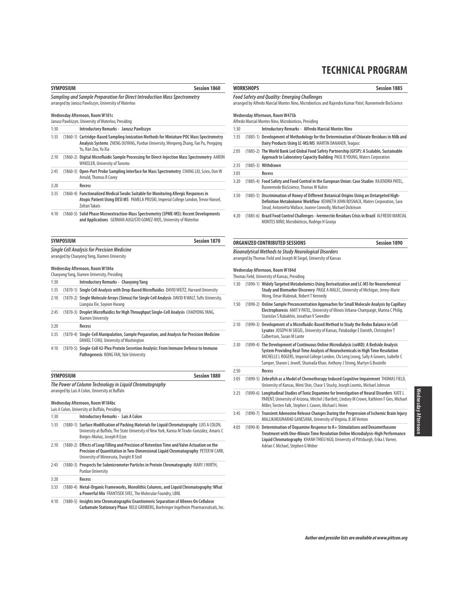|                                                                                                                                   | SYMPOSIUM        | <b>Session 1860</b>                                                                                                                                                                                                        | WORKS               |                           |
|-----------------------------------------------------------------------------------------------------------------------------------|------------------|----------------------------------------------------------------------------------------------------------------------------------------------------------------------------------------------------------------------------|---------------------|---------------------------|
| Sampling and Sample Preparation for Direct Introduction Mass Spectrometry<br>arranged by Janusz Pawliszyn, University of Waterloo |                  |                                                                                                                                                                                                                            |                     | Food Sc<br>arranged       |
|                                                                                                                                   |                  | Wednesday Afternoon, Room W181c<br>Janusz Pawliszyn, University of Waterloo, Presiding                                                                                                                                     | Wednes<br>Alfredo N |                           |
| 1:30                                                                                                                              |                  | Introductory Remarks - Janusz Pawliszyn                                                                                                                                                                                    | 1:30                |                           |
| 1:35                                                                                                                              |                  | (1860-1) Cartridge-Based Sampling lonization Methods for Miniature POC Mass Spectrometry<br>Analysis Systems ZHENG OUYANG, Purdue University, Wenpeng Zhang, Fan Pu, Pengqing<br>Yu, Ran Zou, Yu Xia                       | 1:35<br>2:05        | $\Gamma$<br>$\mathcal{L}$ |
| 2:10                                                                                                                              |                  | (1860-2) Digital Microfluidic Sample Processing for Direct-Injection Mass Spectrometry AARON<br><b>WHEELER, University of Toronto</b>                                                                                      |                     |                           |
| 2:45                                                                                                                              |                  | (1860-3) Open-Port Probe Sampling Interface for Mass Spectrometry CHANG LIU, Sciex, Don W<br>Arnold, Thomas R Covey                                                                                                        | 2:35<br>3:05        | C                         |
| 3:20                                                                                                                              |                  | Recess                                                                                                                                                                                                                     | 3:20                | C                         |
| 3:35                                                                                                                              |                  | (1860-4) Functionalized Medical Swabs Suitable for Monitoring Allergic Responses in<br>Atopic Patient Using DESI MS PAMELA PRUSKI, Imperial College London, Trevor Hansel,<br><b>Zoltan Takats</b>                         | 3:50                | C                         |
| 4:10                                                                                                                              |                  | (1860-5) Solid Phase Microextraction-Mass Spectrometry (SPME-MS): Recent Developments<br>and Applications GERMAN AUGUSTO GOMEZ-RIOS, University of Waterloo                                                                | 4:20                | C                         |
|                                                                                                                                   | <b>SYMPOSIUM</b> | <b>Session 1870</b>                                                                                                                                                                                                        | ORGAN               |                           |
|                                                                                                                                   |                  | <b>Single Cell Analysis for Precision Medicine</b>                                                                                                                                                                         | Bioana              |                           |
|                                                                                                                                   |                  | arranged by Chaoyong Yang, Xiamen University                                                                                                                                                                               | arranged            |                           |
|                                                                                                                                   |                  | Wednesday Afternoon, Room W184a<br>Chaoyong Yang, Xiamen University, Presiding                                                                                                                                             | Wednes              |                           |
| 1:30                                                                                                                              |                  | Introductory Remarks - Chaoyong Yang                                                                                                                                                                                       | Thomas I<br>1:30    |                           |
| 1:35                                                                                                                              |                  | (1870-1) Single Cell Analysis with Drop-Based Microfluidics DAVID WEITZ, Harvard University                                                                                                                                |                     | $\sqrt{2}$                |
| 2:10                                                                                                                              |                  | (1870-2) Single Molecule Arrays (Simoa) for Single Cell Analysis DAVID R WALT, Tufts University,<br>Liangxia Xie, Soyoon Hwang                                                                                             | 1:50                | $\Gamma$                  |
| 2:45                                                                                                                              |                  | (1870-3) Droplet Microfluidics for High Throughput Single-Cell Analysis CHAOYONG YANG,<br>Xiamen University                                                                                                                |                     |                           |
| 3:20                                                                                                                              |                  | Recess                                                                                                                                                                                                                     | 2:10                | $\left($                  |
| 3:35                                                                                                                              |                  | (1870-4) Single-Cell Manipulation, Sample Preparation, and Analysis for Precision Medicine<br>DANIEL T CHIU, University of Washington                                                                                      |                     |                           |
| 4:10                                                                                                                              |                  | (1870-5) Single-Cell 42-Plex Protein Secretion Analysis: From Immune Defense to Immuno<br>Pathogenesis RONG FAN, Yale University                                                                                           | 2:30                | $\Gamma$                  |
|                                                                                                                                   | <b>SYMPOSIUM</b> | <b>Session 1880</b>                                                                                                                                                                                                        | 2:50                |                           |
|                                                                                                                                   |                  |                                                                                                                                                                                                                            | 3:05                | C                         |
|                                                                                                                                   |                  | The Power of Column Technology in Liguid Chromatography<br>arranged by Luis A Colon, University at Buffalo                                                                                                                 | 3:25                | ľ                         |
|                                                                                                                                   |                  | Wednesday Afternoon, Room W184bc<br>Luis A Colon, University at Buffalo, Presiding                                                                                                                                         |                     |                           |
| 1:30                                                                                                                              |                  | Introductory Remarks - Luis A Colon                                                                                                                                                                                        | 3:45                | (                         |
| 1:35                                                                                                                              |                  | (1880-1) Surface Modification of Packing Materials for Liquid Chromatography LUIS A COLON,<br>University at Buffalo, The State University of New York, Karina M Tirado-González, Amaris C<br>Borges-Muñoz, Joseph R Ezzo   | 4:05                | $\left($                  |
| 2:10                                                                                                                              |                  | (1880-2) Effects of Loop Filling and Precision of Retention Time and Valve Actuation on the<br>Precision of Quantitation in Two-Dimensional Liquid Chromatography PETER W CARR,<br>University of Minnesota, Dwight R Stoll |                     |                           |
| 2:45                                                                                                                              |                  | (1880-3) Prospects for Submicrometer Particles in Protein Chromatography MARY JWIRTH,<br><b>Purdue University</b>                                                                                                          |                     |                           |
| 3:20                                                                                                                              |                  | <b>Recess</b>                                                                                                                                                                                                              |                     |                           |
| 3:35                                                                                                                              |                  | (1880-4) Metal-Organic Frameworks, Monolithic Columns, and Liquid Chromatography: What<br>a Powerful Mix FRANTISEK SVEC, The Molecular Foundry, LBNL                                                                       |                     |                           |
| 4:10                                                                                                                              |                  | (1880-5) Insights into Chromatographic Enantiomeric Separation of Allenes On Cellulose<br>Carbamate Stationary Phase NELU GRINBERG, Boehringer Ingelheim Pharmaceuticals, Inc.                                             |                     |                           |

| WORKSHOPS                                                                                                                                             | <b>Session 1885</b> |
|-------------------------------------------------------------------------------------------------------------------------------------------------------|---------------------|
| Food Safety and Ouality: Emeraina Challenaes<br>arranged by Alfredo Marcial Montes Nino. Microbioticos and Raiendra Kumar Patel. Runnemede BioScience |                     |
| Wednesday Afternoon, Room W475b                                                                                                                       |                     |

|      | Alfredo Marcial Montes Nino, Microbioticos, Presiding                                                                                                                                                                                               |
|------|-----------------------------------------------------------------------------------------------------------------------------------------------------------------------------------------------------------------------------------------------------|
| 1:30 | Introductory Remarks - Alfredo Marcial Montes Nino                                                                                                                                                                                                  |
| 1:35 | (1885-1) Development of Methodology for the Determination of Chlorate Residues in Milk and<br>Dairy Products Using LC-MS/MS MARTIN DANAHER, Teagasc                                                                                                 |
| 2:05 | (1885-2) The World Bank Led Global Food Safety Partnership (GFSP): A Scalable, Sustainable<br>Approach to Laboratory Capacity Building PAUL B YOUNG, Waters Corporation                                                                             |
| 2:35 | (1885-3) Withdrawn                                                                                                                                                                                                                                  |
| 3:05 | Recess                                                                                                                                                                                                                                              |
| 3:20 | (1885-4) Food Safety and Food Control in the European Union: Case Studies RAJENDRA PATEL,<br>Runnemede BioScience, Thomas W Kuhm                                                                                                                    |
| 3:50 | (1885-5) Discrimination of Honey of Different Botanical Origins Using an Untargeted High-<br><b>Definition Metabolomic Workflow KENNETH JOHN ROSNACK, Waters Corporation, Sara</b><br>Stead, Antonietta Wallace, Joanne Connolly, Michael Dickinson |

4:20 (1885-6) **Brazil Food Control Challenges - Ivermectin Residues Crisis in Brazil** ALFREDO MARCIAL MONTES NIÑO, Microbióticos, Rodrigo H Granja

# **CONTRIBUTED SESSIONS** Session 1890

Adrian C Michael, Stephen G Weber

**Bioanalytical Methods to Study Neurological Disorders** arranged by Thomas Field and Joseph M Siegel, University of Kansas

#### **Wednesday Afternoon, Room W184d**

Themas Field, University of Kansas, Presiding

| 1:30 | (1890-1) Widely Targeted Metabolomics Using Derivatization and LC-MS for Neurochemical<br>Study and Biomarker Discovery PAIGE A MALEC, University of Michigan, Jenny-Marie<br>Wong, Omar Mabrouk, Robert T Kennedy                                                                                                                               |
|------|--------------------------------------------------------------------------------------------------------------------------------------------------------------------------------------------------------------------------------------------------------------------------------------------------------------------------------------------------|
| 1:50 | (1890-2) Online Sample Preconcentration Approaches for Small Molecule Analysis by Capillary<br>Electrophoresis AMIT V PATEL, University of Illinois Urbana-Champaign, Marina C Philip,<br>Stanislav S Rubakhin, Jonathan V Sweedler                                                                                                              |
| 2:10 | (1890-3) Development of a Microfluidic-Based Method to Study the Redox Balance in Cell<br>Lysates JOSEPH M SIEGEL, University of Kansas, Patabadige E Damith, Christopher T<br>Culbertson, Susan M Lunte                                                                                                                                         |
| 2:30 | (1890-4) The Development of Continuous Online Microdialysis (coMD): A Bedside Analysis<br>System Providing Real-Time Analysis of Neurochemicals in High Time Resolution<br>MICHELLE L ROGERS, Imperial College London, Chi Leng Leong, Sally A Gowers, Isabelle C<br>Samper, Sharon L Jewell, Shumaila Khan, Anthony J Strong, Martyn G Boutelle |
| 2:50 | Recess                                                                                                                                                                                                                                                                                                                                           |
| 3:05 | (1890-5) Zebrafish as a Model of Chemotherapy Induced Cognitive Impairment THOMAS FIELD,<br>University of Kansas, Mimi Shin, Chase S Stucky, Joseph Loomis, Michael Johnson                                                                                                                                                                      |
| 3:25 | (1890-6) Longitudinal Studies of Tonic Dopamine for Investigation of Neural Disorders KATE L<br>PARENT, University of Arizona, Mitchel J Bartlett, Lindsey M Crown, Kathleen F Gies, Michael<br>Miller, Torsten Falk, Stephen L Cowen, Michael L Heien                                                                                           |
| 3:45 | (1890-7) Transient Adenosine Release Changes During the Progression of Ischemic Brain Injury<br>MALLIKARJUNARAO GANESANA, University of Virginia, B Jill Venton                                                                                                                                                                                  |
| 4:05 | (1890-8) Determination of Dopamine Response to K+ Stimulations and Dexamethasone<br>Treatment with One-Minute Time Resolution Online Microdialysis-High Performance<br>Liquid Chromatography KHANH THIEU NGO, University of Pittsburgh, Erika L Varner,                                                                                          |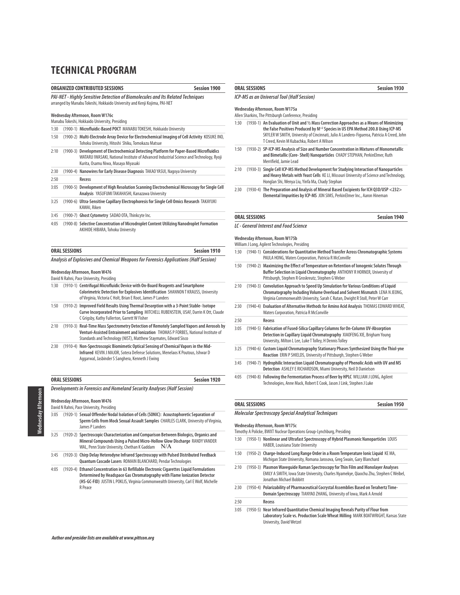### **ORGANIZED CONTRIBUTED SESSIONS Session 1900**

# **PAI-NET - Highly Sensitive Detection of Biomolecules and Its Related Techniques** arranged by Manabu Tokeshi, Hokkaido University and Kenji Kojima, PAI-NET **Wednesday Afternoon, Room W176c**

# Manabu Tokeshi, Hokkaido University, Presiding

|  | 1:30 (1900-1) Microfluidic-Based POCT MANABU TOKESHI. Hokkaido University |  |
|--|---------------------------------------------------------------------------|--|

|  | 1:50 (1900-2) Multi-Electrode Array Device for Electrochemical Imaging of Cell Activity KOSUKE INO, |  |
|--|-----------------------------------------------------------------------------------------------------|--|
|  | Tohoku University, Hitoshi, Shiku, Tomokazu Matsue                                                  |  |

- 2:10 (1900-3) **Development of Electrochemical Detecting Platform for Paper-Based Microfluidics** WATARU IWASAKI, National Institute of Advanced Industrial Science and Technology, Ryoji Kurita, Osamu Niwa, Masaya Miyasaki
- 2:30 (1900-4) **Nanowires for Early Disease Diagnosis** TAKAO YASUI, Nagoya University 2:50 **Recess**
- 3:05 (1900-5) **Development of High Resolution Scanning Electrochemical Microscopy for Single Cell Analysis** YASUFUMI TAKAHASHI, Kanazawa University
- 3:25 (1900-6) **Ultra-Sensitive Capillary Electrophoresis for Single Cell Omics Research** TAKAYUKI KAWAI, Riken
- 3:45 (1900-7) **Ghost Cytometry** SADAO OTA, Thinkcyte Inc.
- 4:05 (1900-8) **Selective Concentration of Microdroplet Content Utilizing Nanodroplet Formation** AKIHIDE HIBARA, Tohoku University

| <b>ORAL SESSIONS</b> | Session 1910 |
|----------------------|--------------|
|                      |              |

#### **Analysis of Explosives and Chemical Weapons for Forensics Applications (Half Session)**

**Wednesday Afternoon, Room W476**

#### David N Rahni, Pace University, Presiding

| $-0.00$ | $\{a\wedge a\wedge\wedge\cdots\}$ . The first field of the contract of the contract of the contract of the contract of the contract of the contract of the contract of the contract of the contract of the contract of the contract of the |
|---------|--------------------------------------------------------------------------------------------------------------------------------------------------------------------------------------------------------------------------------------------|
|         | of Virginia, Victoria C Holt, Brian E Root, James P Landers                                                                                                                                                                                |
|         | Colorimetric Detection for Explosives Identification SHANNON TKRAUSS, University                                                                                                                                                           |
| 1:30    | (1910-1) Centrifugal Microfluidic Device with On-Board Reagents and Smartphone                                                                                                                                                             |

- 1:50 (1910-2) **Improved Field Results Using Thermal Desorption with a 3-Point Stable- Isotope Curve Incorporated Prior to Sampling** MITCHELL RUBENSTEIN, USAF, Darrin K Ott, Claude C Grigsby, Kathy Fullerton, Garrett W Fisher
- 2:10 (1910-3) **Real-Time Mass Spectrometry Detection of Remotely Sampled Vapors and Aerosols by Venturi-Assisted Entrainment and Ionization** THOMAS P FORBES, National Institute of Standards and Technology (NIST), Matthew Staymates, Edward Sisco
- 2:30 (1910-4) **Non-Spectroscopic Biomimetic Optical Sensing of Chemical Vapors in the Mid-Infrared** KEVIN J MAJOR, Sotera Defense Solutions, Menelaos K Poutous, Ishwar D Aggarwal, Jasbinder S Sanghera, Kenneth J Ewing

|      | <b>ORAL SESSIONS</b><br><b>Session 1920</b><br>Developments in Forensics and Homeland Security Analyses (Half Session)                                                                                                    |  |  |
|------|---------------------------------------------------------------------------------------------------------------------------------------------------------------------------------------------------------------------------|--|--|
|      |                                                                                                                                                                                                                           |  |  |
|      | Wednesday Afternoon, Room W476<br>David N Rahni, Pace University, Presiding                                                                                                                                               |  |  |
| 3:05 | (1920-1) Sexual Offender Nodal Isolation of Cells (SONIC): Acoustophoretic Separation of<br>Sperm Cells from Mock Sexual Assault Samples CHARLES CLARK, University of Virginia,<br>James P Landers                        |  |  |
| 3:25 | (1920-2) Spectroscopic Characterization and Comparison Between Biologics, Organics and<br>Mineral Compounds Using a Pulsed Micro-Hollow Glow Discharge RANDY VANDER<br>WAL, Penn State University, Chethan K Gaddam $N/A$ |  |  |

- 3:45 (1920-3) **Chirp Delay Heterodyne Infrared Spectroscopy with Pulsed Distributed Feedback Quantum Cascade Lasers** ROMAIN BLANCHARD, Pendar Technologies
- 4:05 (1920-4) **Ethanol Concentration in 63 Refillable Electronic Cigarettes Liquid Formulations Determined by Headspace Gas Chromatography with Flame Ionization Detector (HS-GC-FID)** JUSTIN L POKLIS, Virginia Commonwealth University, Carl E Wolf, Michelle R Peace

# **ORAL SESSIONS Session 1930 ICP-MS as an Universal Tool (Half Session)**

#### **Wednesday Afternoon, Room W175a**

Allen Sharkins, The Pittsburgh Conference, Presiding

- 1:30 (1930-1) **An Evaluation of Unit and ½ Mass Correction Approaches as a Means of Minimizing the False Positives Produced by M+2 Species in US EPA Method 200.8 Using ICP-MS** SKYLER W SMITH, University of Cincinnati, Julio A Landero-Figueroa, Patricia A Creed, John T Creed, Kevin M Kubachka, Robert A Wilson
- 1:50 (1930-2) **SP-ICP-MS Analysis of Size and Number Concentration in Mixtures of Monometallic and Bimetallic (Core- Shell) Nanoparticles** CHADY STEPHAN, PerkinElmer, Ruth Merrifield, Jamie Lead
- 2:10 (1930-3) **Single Cell ICP-MS Method Development for Studying Interaction of Nanoparticles and Heavy Metals with Yeast Cells** KE LI, Missouri University of Science and Technology, Honglan Shi, Wenya Liu, Yinfa Ma, Chady Stephan
- 2:30 (1930-4) **The Preparation and Analysis of Mineral Based Excipients for ICH Q3D/USP <232> Elemental Impurities by ICP-MS** JON SIMS, PerkinElmer Inc., Aaron Hineman

#### **ORAL SESSIONS Session 1940**

#### **LC - General Interest and Food Science**

**Wednesday Afternoon, Room W175b**

|      | William J Long, Agilent Technologies, Presiding                                                                                                                                                                                                       |
|------|-------------------------------------------------------------------------------------------------------------------------------------------------------------------------------------------------------------------------------------------------------|
| 1:30 | (1940-1) Considerations for Quantitative Method Transfer Across Chromatographic Systems<br>PAULA HONG, Waters Corporation, Patricia R McConville                                                                                                      |
| 1:50 | (1940-2) Maximizing the Effect of Temperature on Retention of lonogenic Solutes Through<br>Buffer Selection in Liquid Chromatography ANTHONY R HORNER, University of<br>Pittsburgh, Stephen R Groskreutz, Stephen G Weber                             |
| 2:10 | (1940-3) Convolution Approach to Speed Up Simulation for Various Conditions of Liquid<br>Chromatography Including Volume Overload and Solvent Mismatch LENA N JEONG,<br>Virginia Commonwealth University, Sarah C Rutan, Dwight R Stoll, Peter W Carr |
| 2:30 | (1940-4) Evaluation of Alternative Methods for Amino Acid Analysis THOMAS EDWARD WHEAT,<br><b>Waters Corporation, Patricia R McConville</b>                                                                                                           |
| 2:50 | Recess                                                                                                                                                                                                                                                |
| 3:05 | (1940-5) Fabrication of Fused-Silica Capillary Columns for On-Column UV-Absorption<br>Detection in Capillary Liquid Chromatography XIAOFENG XIE, Brigham Young<br>University, Milton L Lee, Luke T Tolley, H Dennis Tolley                            |
| 3:25 | (1940-6) Custom Liquid Chromatography Stationary Phases Synthesized Using the Thiol-yne<br>Reaction ERIN P SHIELDS, University of Pittsburgh, Stephen G Weber                                                                                         |
| 3:45 | (1940-7) Hydrophilic Interaction Liquid Chromatography of Phenolic Acids with UV and MS<br>Detection ASHLEY E RICHARDSON, Miami University, Neil D Danielson                                                                                          |
| 4:05 | (1940-8) Following the Fermentation Process of Beer by HPLC WILLIAM J LONG, Agilent<br>Technologies, Anne Mack, Robert E Cook, Jason J Link, Stephen J Luke                                                                                           |

## **ORAL SESSIONS Session 1950**

#### **Molecular Spectroscopy Special Analytical Techniques**

#### **Wednesday Afternoon, Room W175c**

| Timothy A Policke, BWXT Nuclear Operations Group-Lynchburg, Presiding |  |
|-----------------------------------------------------------------------|--|
|-----------------------------------------------------------------------|--|

- 1:30 (1950-1) **Nonlinear and Ultrafast Spectroscopy of Hybrid Plasmonic Nanoparticles** LOUIS HABER, Louisiana State University
- 1:50 (1950-2) **Charge-Induced Long Range Order in a Room Temperature Ionic Liquid** KE MA, Michigan State University, Romana Jarosova, Greg Swain, Gary Blanchard
- 2:10 (1950-3) **Plasmon Waveguide Raman Spectroscopy for Thin Film and Monolayer Analyses** EMILY A SMITH, Iowa State University, Charles Nyamekye, Qiaochu Zhu, Stephen C Weibel, Jonathan Michael Bobbitt
- 2:30 (1950-4) **Polarizability of Pharmaceutical Cocrystal Assemblies Based on Terahertz Time-Domain Spectroscopy** TIANYAO ZHANG, University of Iowa, Mark A Arnold

2:50 **Recess**

3:05 (1950-5) **Near Infrared Quantitative Chemical Imaging Reveals Purity of Flour from Laboratory Scale vs. Production Scale Wheat Milling** MARK BOATWRIGHT, Kansas State University, David Wetzel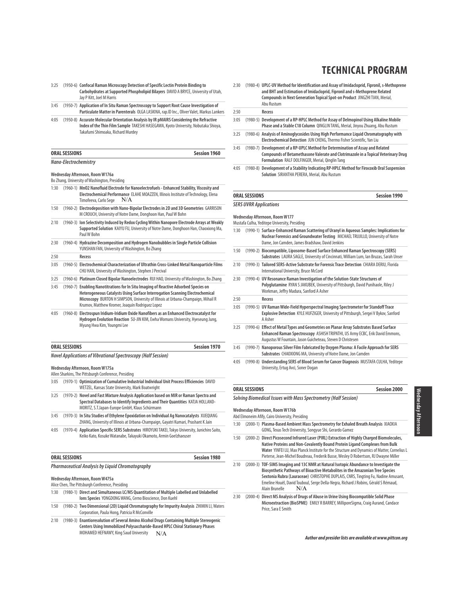### 3:25 (1950-6) **Confocal Raman Microscopy Detection of Specific Lectin Protein Binding to Carbohydrates at Supported Phospholipid Bilayers** DAVID A BRYCE, University of Utah, Jay P Kitt, Joel M Harris

- 3:45 (1950-7) **Application of In Situ Raman Spectroscopy to Support Root Cause Investigation of Particulate Matter in Parenterals** OLGA LASKINA, rap.ID Inc., Oliver Valet, Markus Lankers
- 4:05 (1950-8) **Accurate Molecular Orientation Analysis by IR pMAIRS Considering the Refractive Index of the Thin Film Sample** TAKESHI HASEGAWA, Kyoto University, Nobutaka Shioya, Takafumi Shimoaka, Richard Murdey

| <b>ORAL SESSIONS</b>  | Session 1960 |
|-----------------------|--------------|
| Nano-Electrochemistry |              |

# **Wednesday Afternoon, Room W176a**

Bo Zhang, University of Washington, Presiding

|      | <u>bo zilalių, Ulliversity vi Washington, Flesiulijų</u>                                                                                                                                                                                                                                                     |
|------|--------------------------------------------------------------------------------------------------------------------------------------------------------------------------------------------------------------------------------------------------------------------------------------------------------------|
| 1:30 | (1960-1) MnO2 Nanofluid Electrode for Nanoelectrofuels - Enhanced Stability, Viscosity and<br>Electrochemical Performance ELAHE MOAZZEN, Illinois Institute of Technology, Elena<br>N/A<br>Timofeeva, Carlo Sege                                                                                             |
| 1:50 | (1960-2) Electrodeposition with Nano-Bipolar Electrodes in 2D and 3D Geometries GARRISON<br>M CROUCH, University of Notre Dame, Donghoon Han, Paul W Bohn                                                                                                                                                    |
| 2:10 | (1960-3) Ion Selectivity Induced by Redox Cycling Within Nanopore Electrode Arrays at Weakly<br>Supported Solution KAIYU FU, University of Notre Dame, Donghoon Han, Chaoxiong Ma,<br>Paul W Bohn                                                                                                            |
| 2:30 | (1960-4) Hydrazine Decomposition and Hydrogen Nanobubbles in Single Particle Collision<br>YUNSHAN FAN, University of Washington, Bo Zhang                                                                                                                                                                    |
| 2:50 | Recess                                                                                                                                                                                                                                                                                                       |
| 3:05 | (1960-5) Electrochemical Characterization of Ultrathin Cross-Linked Metal Nanoparticle Films<br>CHU HAN, University of Washington, Stephen J Percival                                                                                                                                                        |
| 3:25 | (1960-6) Platinum Closed Bipolar Nanoelectrodes RUI HAO, University of Washington, Bo Zhang                                                                                                                                                                                                                  |
| 3:45 | (1960-7) Enabling Nanotitrations for In Situ Imaging of Reactive Adsorbed Species on<br>Heterogeneous Catalysts Using Surface Interrogation Scanning Electrochemical<br>Microscopy BURTON H SIMPSON, University of Illinois at Urbana-Champaign, Mihail R<br>Krumov, Matthew Kromer, Joaquín Rodriguez Lopez |
| 4:05 | (1960-8) Electrospun Iridium-Iridium Oxide Nanofibers as an Enhanced Electrocatalyst for<br>Hydrogen Evolution Reaction SU-JIN KIM, Ewha Womans University, Hyeseung Jung,<br>Myung Hwa Kim, Youngmi Lee                                                                                                     |

| ORAL SESSIONS                                                 | Session 1970 |
|---------------------------------------------------------------|--------------|
| Novel Applications of Vibrational Spectroscopy (Half Session) |              |

#### **Wednesday Afternoon, Room W175a**

Allen Sharkins, The Pittsburgh Conference, Presiding

- 3:05 (1970-1) **Optimization of Cumulative Industrial Individual Unit Process Efficiencies** DAVID WETZEL, Kansas State University, Mark Boatwright
- 3:25 (1970-2) **Novel and Fast Mixture Analysis Application based on MIR or Raman Spectra and Spectral Databases to Identify Ingredients and Their Quantities** KATJA HOLLAND-MORITZ, S.T.Japan-Europe GmbH, Klaus Schürmann
- 3:45 (1970-3) **In Situ Studies of Ethylene Epoxidation on Individual Ag Nanocatalysts** XUEQIANG ZHANG, University of Illinois at Urbana-Champaign, Gayatri Kumari, Prashant K Jain
- 4:05 (1970-4) **Application Specific SERS Substrates** HIROYUKI TAKEI, Tokyo University, Junichiro Saito, Keiko Kato, Kosuke Watanabe, Takayuki Okamoto, Armin Goelzhaeuser

## **ORAL SESSIONS Session 1980**

**Pharmaceutical Analysis by Liquid Chromatography**

#### **Wednesday Afternoon, Room W475a** Alice Chen, The Pittsburgh Conference, Presiding

- 1:30 (1980-1) **Direct and Simultaneous LC/MS Quantitation of Multiple Labelled and Unlabelled**
- **Ions Species** YONGDONG WANG, Cerno Bioscience, Don Kuehl
- 1:50 (1980-2) **Two Dimensional (2D) Liquid Chromatography for Impurity Analysis** ZHIMIN LI, Waters Corporation, Paula Hong, Patricia R McConville
- 2:10 (1980-3) **Enantioresolution of Several Amino Alcohol Drugs Containing Multiple Stereogenic Centers Using Immobilized Polysaccharide-Based HPLC Chiral Stationary Phases**  MOHAMED HEFNAWY, King Saud University  $N/A$

2:30 (1980-4) **UPLC-UV Method for Identification and Assay of Imidacloprid, Fipronil, s-Methoprene and BHT and Estimation of Imidacloprid, Fipronil and s-Methoprene Related** 

**TECHNICAL PROGRAM**

- **Compounds in Next Generation Topical Spot-on Product** JINGZHI TIAN, Merial, Abu Rustum 2:50 **Recess** 3:05 (1980-5) **Development of a RP-HPLC Method for Assay of Delmopinol Using Alkaline Mobile Phase and a Stable C18 Column** QINGLIN TANG, Merial, Jinyou Zhuang, Abu Rustum 3:25 (1980-6) **Analysis of Aminoglycosides Using High Performance Liquid Chromatography with Electrochemical Detection** JUN CHENG, Thermo Fisher Scientific, Yan Liu 3:45 (1980-7) **Development of a RP-UPLC Method for Determination of Assay and Related Compounds of Betamethasone Valerate and Clotrimazole in a Topical Veterinary Drug Formulation** RALF DOLFINGER, Merial, Qinglin Tang
- 4:05 (1980-8) **Development of a Stability Indicating RP-HPLC Method for Firocoxib Oral Suspension Solution** SIRANTHA PERERA, Merial, Abu Rustum

### **ORAL SESSIONS Session 1990 SERS UVRR Applications**

# **Wednesday Afternoon, Room W177**

Mustafa Culha, Yeditepe University, Presiding

- 1:30 (1990-1) **Surface-Enhanced Raman Scattering of Uranyl in Aqueous Samples: Implications for Nuclear Forensics and Groundwater Testing** MICHAEL TRUJILLO, University of Notre Dame, Jon Camden, James Bradshaw, David Jenkins
- 1:50 (1990-2) **Biocompatible, Liposome-Based Surface Enhanced Raman Spectroscopy (SERS) Substrates** LAURA SAGLE, University of Cincinnati, William Lum, Ian Bruzas, Sarah Unser 2:10 (1990-3) **Tailored SERS-Active Substrate for Forensic Trace Detection** CHIARA DERIU, Florida International University, Bruce McCord
- 2:30 (1990-4) **UV Resonance Raman Investigation of the Solution-State Structures of Polyglutamine** RYAN S JAKUBEK, University of Pittsburgh, David Punihaole, Riley J Workman, Jeffry Madura, Sanford A Asher

#### 2:50 **Recess**

- 3:05 (1990-5) **UV Raman Wide-Field Hyperspectral Imaging Spectrometer for Standoff Trace Explosive Detection** KYLE HUFZIGER, University of Pittsburgh, Sergei V Bykov, Sanford A Asher
- 3:25 (1990-6) **Effect of Metal Types and Geometries on Planar Array Substrates Based Surface Enhanced Raman Spectroscopy** ASHISH TRIPATHI, US Army ECBC, Erik David Emmons, Augustus W Fountain, Jason Guicheteau, Steven D Christesen
- 3:45 (1990-7) **Nanoporous Silver Film Fabricated by Oxygen Plasma: A Facile Approach for SERS Substrates** CHAOXIONG MA, University of Notre Dame, Jon Camden
- 4:05 (1990-8) **Understanding SERS of Blood Serum for Cancer Diagnosis** MUSTAFA CULHA, Yeditepe University, Ertug Avci, Soner Dogan

### **ORAL SESSIONS Session 2000**

**Solving Biomedical Issues with Mass Spectrometry (Half Session)**

#### **Wednesday Afternoon, Room W176b**

#### Abd Elmoneim Afify, Cairo University, Presiding

- 1:30 (2000-1) **Plasma-Based Ambient Mass Spectrometry for Exhaled Breath Analysis** XIAOXIA GONG, Texas Tech University, Songyue Shi, Gerardo Gamez
- 1:50 (2000-2) **Direct Picosecond Infrared Laser (PIRL) Extraction of Highly Charged Biomolecules, Native Proteins and Non-Covalently Bound Protein Ligand Complexes from Bulk Water** YINFEI LU, Max Planck Institute for the Structure and Dynamics of Matter, Cornelius L Pieterse, Jean-Michel Boudreau, Frederik Busse, Wesley D Robertson, RJ Dwayne Miller
- 2:10 (2000-3) **TOF-SIMS Imaging and 13C NMR at Natural Isotopic Abundance to Investigate the Biosynthetic Pathways of Bioactive Metabolites in the Amazonian Tree Species Sextonia Rubra (Lauraceae)** CHRISTOPHE DUPLAIS, CNRS, Tingting Fu, Nadine Amusant, Emeline Houël, David Touboul, Serge Della-Negra, Richard J Robins, Gérald S Rémaud, Alain Brunelle N/A
- 2:30 (2000-4) **Direct MS Analysis of Drugs of Abuse in Urine Using Biocompatible Solid Phase Microextraction (BioSPME)** EMILY R BARREY, MilliporeSigma, Craig Aurand, Candace Price, Sara E Smith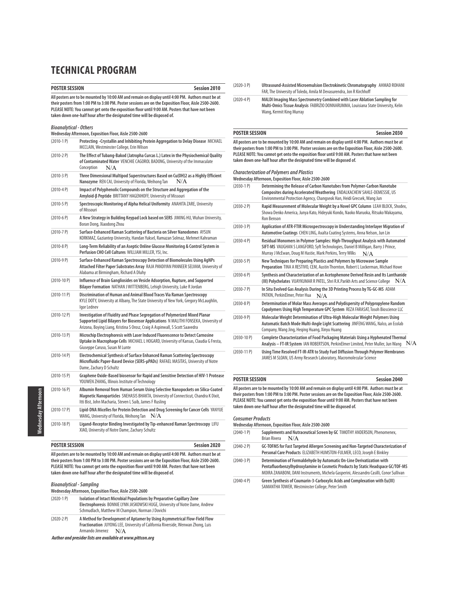### **POSTER SESSION** Session 2010

**All posters are to be mounted by 10:00 AM and remain on display until 4:00 PM. Authors must be at their posters from 1:00 PM to 3:00 PM. Poster sessions are on the Exposition Floor, Aisle 2500-2600. PLEASE NOTE: You cannot get onto the exposition floor until 9:00 AM. Posters that have not been**

| taken down one-half hour after the designated time will be disposed of. |                                                                                                                                                                                                                                                     |  |
|-------------------------------------------------------------------------|-----------------------------------------------------------------------------------------------------------------------------------------------------------------------------------------------------------------------------------------------------|--|
| <b>Bioanalytical - Others</b>                                           | Wednesday Afternoon, Exposition Floor, Aisle 2500-2600                                                                                                                                                                                              |  |
| $(2010-1)$                                                              | Protecting -Crystallin and Inhibiting Protein Aggregation to Delay Disease MICHAEL<br>MCCLAIN, Westminster College, Erin Wilson                                                                                                                     |  |
| $(2010-2P)$                                                             | The Effect of Tubang-Bakod (Jatropha Curcas L.) Latex in the Physiochemical Quality<br>of Contaminated Water VENCHIE CAGOROL BADONG, University of the Immaculate<br>Conception<br>N/A                                                              |  |
| $(2010-3 P)$                                                            | Three Dimensional Multipod Superstructures Based on Cu(OH)2 as a Highly Efficient<br>N/A<br>Nanozyme REN CAI, University of Florida, Weihong Tan                                                                                                    |  |
| $(2010-4P)$                                                             | Impact of Polyphenolic Compounds on the Structure and Aggregation of the<br>Amyloid-B Peptide BRITTANY HAGENHOFF, University of Missouri                                                                                                            |  |
| $(2010-5P)$                                                             | Spectroscopic Monitoring of Alpha Helical Uniformity ANAHITA ZARE, University<br>of Missouri                                                                                                                                                        |  |
| $(2010-6P)$                                                             | A New Strategy in Building Keypad Lock based on SERS JIMING HU, Wuhan University,<br>Boran Dong, Xiaodong Zhou                                                                                                                                      |  |
| $(2010 - 7P)$                                                           | Surface-Enhanced Raman Scattering of Bacteria on Silver Nanodomes AYSUN<br>KORKMAZ, Gaziantep University, Handan Yuksel, Ramazan Solmaz, Mehmet Kahraman                                                                                            |  |
| $(2010-8P)$                                                             | Long-Term Reliability of an Aseptic Online Glucose Monitoring & Control System in<br>Perfusion CHO Cell Cultures WILLIAM MILLER, YSI, Inc.                                                                                                          |  |
| $(2010-9P)$                                                             | Surface-Enhanced Raman Spectroscopy Detection of Biomolecules Using AgNPs<br>Attached Filter Paper Substrates Array RAJA PANDIYAN PANNEER SELVAM, University of<br>Alabama at Birmingham, Richard A Dluhy                                           |  |
| $(2010-10P)$                                                            | Influence of Brain Gangliosides on Vesicle Adsorption, Rupture, and Supported<br>Bilayer Formation NATHAN JWITTENBERG, Lehigh University, Luke R Jordan                                                                                             |  |
| $(2010-11 P)$                                                           | Discrimination of Human and Animal Blood Traces Via Raman Spectroscopy<br>KYLE DOTY, University at Albany, The State University of New York, Gregory McLaughlin,<br>Igor Lednev                                                                     |  |
| $(2010-12 P)$                                                           | Investigation of Fluidity and Phase Segregation of Polymerized Mixed Planar<br>Supported Lipid Bilayers for Biosensor Applications N MALITHI FONSEKA, University of<br>Arizona, Boying Liang, Kristina S Orosz, Craig A Aspinwall, S Scott Saavedra |  |
| $(2010-13 P)$                                                           | Microchip Electrophoresis with Laser Induced Fluorescence to Detect Carnosine<br>Uptake in Macrophage Cells MICHAEL L HOGARD, University of Kansas, Claudia G Fresta,<br>Giuseppe Caruso, Susan M Lunte                                             |  |
| $(2010-14P)$                                                            | Electrochemical Synthesis of Surface Enhanced Raman Scattering Spectroscopy<br>Microfluidic Paper-Based Device (SERS-µPADs) RAFAEL MASITAS, University of Notre<br>Dame, Zachary D Schultz                                                          |  |
| $(2010-15 P)$                                                           | Graphene Oxide-Based biosensor for Rapid and Sensitive Detection of HIV-1 Protease<br>YOUWEN ZHANG, Illinois Institute of Technology                                                                                                                |  |
| $(2010-16P)$                                                            | Albumin Removal from Human Serum Using Selective Nanopockets on Silica-Coated<br>Magnetic Nanoparticles SNEHASIS BHAKTA, University of Connecticut, Chandra K Dixit,<br>Itti Bist, John Macharia, Steven L Suib, James F Rusling                    |  |
| $(2010-17P)$                                                            | Lipid-DNA Micelles for Protein Detection and Drug Screening for Cancer Cells YANYUE<br>WANG, University of Florida, Weihong Tan $\rm\,N/A$                                                                                                          |  |
| $(2010-18 P)$                                                           | Ligand-Receptor Binding Investigated by Tip-enhanced Raman Spectroscopy LIFU<br>XIAO, University of Notre Dame, Zachary Schultz                                                                                                                     |  |

#### (2020-3 P) **Ultrasound-Assisted Microemulsion Electrokinetic Chromatography** AHMAD ROHANI FAR, The University of Toledo, Amila M Devasurendra, Jon R Kirchhoff

(2020-4 P) **MALDI Imaging Mass Spectrometry Combined with Laser Ablation Sampling for Multi-Omics Tissue Analysis** FABRIZIO DONNARUMMA, Louisiana State University, Kelin Wang, Kermit King Murray

#### **POSTER SESSION Session 2030**

**All posters are to be mounted by 10:00 AM and remain on display until 4:00 PM. Authors must be at their posters from 1:00 PM to 3:00 PM. Poster sessions are on the Exposition Floor, Aisle 2500-2600. PLEASE NOTE: You cannot get onto the exposition floor until 9:00 AM. Posters that have not been taken down one-half hour after the designated time will be disposed of.**

**Characterization of Polymers and Plastics Wednesday Afternoon, Exposition Floor, Aisle 2500-2600**

| $(2030-1)$    | Determining the Release of Carbon Nanotubes from Polymer-Carbon Nanotube<br>Composites during Accelerated Weathering ENDALKACHEW SAHLE-DEMESSIE, US<br>Environmental Protection Agency, Changseok Han, Heidi Grecsek, Wang Jun         |  |
|---------------|----------------------------------------------------------------------------------------------------------------------------------------------------------------------------------------------------------------------------------------|--|
| $(2030-2P)$   | Rapid Measurement of Molecular Weight by a Novel GPC Column LEAH BLOCK, Shodex,<br>Showa Denko America, Junya Kato, Hideyuki Kondo, Naoko Maruoka, Ritsuko Wakayama,<br>Ron Benson                                                     |  |
| $(2030-3P)$   | Application of ATR-FTIR Microspectroscopy in Understanding Interlayer Migration of<br>Automotive Coatings CHEN LING, Axalta Coating Systems, Anna Nelson, Jun Lin                                                                      |  |
| $(2030-4P)$   | Residual Monomers in Polymer Samples: High-Throughput Analysis with Automated<br>SIFT-MS VAUGHAN S LANGFORD, Syft Technologies, Daniel B Milligan, Barry J Prince,<br>Murray J McEwan, Doug M Hastie, Mark Perkins, Terry Wilks<br>N/A |  |
| $(2030-5P)$   | New Techniques for Preparing Plastics and Polymers by Microwave Sample<br>Preparation TINA A RESTIVO, CEM, Austin Thornton, Robert L Lockerman, Michael Howe                                                                           |  |
| $(2030-6P)$   | Synthesis and Characterization of an Acetophenone Derived Resin and Its Lanthanide<br>(III) Polychelates VIJAYKUMAR R PATEL, Shri R.K.Parikh Arts and Science College $N/A$                                                            |  |
| $(2030 - 7P)$ | In Situ Evolved Gas Analysis During the 3D Printing Process by TG-GC-MS ADAM<br>PATKIN, PerkinElmer, Peter Hua<br>N/A                                                                                                                  |  |
| $(2030-8P)$   | Determination of Molar Mass Averages and Polydispersity of Polypropylene Random<br>Copolymers Using High Temperature GPC System REZA FARASAT, Tosoh Bioscience LLC                                                                     |  |
| $(2030-9P)$   | Molecular Weight Determination of Ultra-High Molecular Weight Polymers Using<br>Automatic Batch Mode Multi-Angle Light Scattering JINFENG WANG, Nalco, an Ecolab<br>Company, Wang Jing, Heging Huang, Xinyu Huang                      |  |
| $(2030-10P)$  | Complete Characterization of Food Packaging Materials Using a Hyphenated Thermal<br>Analysis – FT-IR System IAN ROBERTSON, PerkinElmer Limited, Peter Muller, Jun Wang $N/A$                                                           |  |
| $(2030-11 P)$ | Using Time Resolved FT-IR-ATR to Study Fuel Diffusion Through Polymer Membranes<br>JAMES M SLOAN, US Army Research Laboratory, Macromolecular Science                                                                                  |  |

**POSTER SESSION Session 2040 All posters are to be mounted by 10:00 AM and remain on display until 4:00 PM. Authors must be at their posters from 1:00 PM to 3:00 PM. Poster sessions are on the Exposition Floor, Aisle 2500-2600. PLEASE NOTE: You cannot get onto the exposition floor until 9:00 AM. Posters that have not been taken down one-half hour after the designated time will be disposed of.**

#### **Consumer Products**

| Wednesday Afternoon, Exposition Floor, Aisle 2500-2600 |                                                                                                                                                                                                                                                       |  |
|--------------------------------------------------------|-------------------------------------------------------------------------------------------------------------------------------------------------------------------------------------------------------------------------------------------------------|--|
| $(2040-1)$                                             | Supplements and Nutraceutical Screen by GC TIMOTHY ANDERSON, Phenomenex,<br>N/A<br>Brian Rivera                                                                                                                                                       |  |
| $(2040-2P)$                                            | GC-TOFMS for Fast Targeted Allergen Screening and Non-Targeted Characterization of<br>Personal Care Products ELIZABETH HUMSTON-FULMER, LECO, Joseph E Binkley                                                                                         |  |
| $(2040-3)$ P)                                          | Determination of Formaldehyde by Automatic On-Line Derivatization with<br>Pentafluorbenzylhydroxylamine in Cosmetic Products by Static Headspace GC/TOF-MS<br>MOIRA ZANABONI, DANI Instruments, Michela Gasperini, Alessandro Casilli, Conor Sullivan |  |
| $(2040 - 4P)$                                          | Green Synthesis of Coumarin-3-Carboxylic Acids and Complexation with Eu(III)<br>SAMANTHA TOWER, Westminster College, Peter Smith                                                                                                                      |  |

**POSTER SESSION Session 2020**

**All posters are to be mounted by 10:00 AM and remain on display until 4:00 PM. Authors must be at their posters from 1:00 PM to 3:00 PM. Poster sessions are on the Exposition Floor, Aisle 2500-2600. PLEASE NOTE: You cannot get onto the exposition floor until 9:00 AM. Posters that have not been**

### **Bioanalytical - Sampling**

**Wednesday Afternoon, Exposition Floor, Aisle 2500-2600**

**taken down one-half hour after the designated time will be disposed of.**

| $(2020-1)$  | Isolation of Intact Microbial Populations by Preparative Capillary Zone<br>Electrophoresis BONNIE LYNN JASKOWSKI HUGE, University of Notre Dame, Andrew<br>Schmudlach, Matthew M Champion, Norman J Dovichi |
|-------------|-------------------------------------------------------------------------------------------------------------------------------------------------------------------------------------------------------------|
| $(2020-2P)$ | A Method for Development of Aptamer by Using Asymmetrical Flow-Field Flow<br>Fractionation JUYONG LEE, University of California Riverside, Wenwan Zhong, Luis                                               |

Armando Jimenez  $N/A$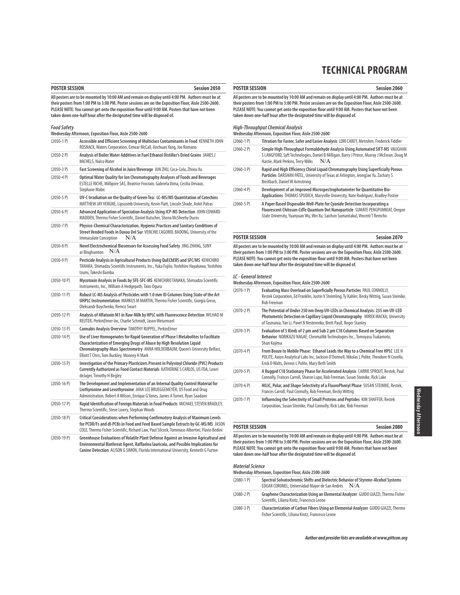| <b>POSTER SESSION</b> | <b>Session 2050</b> |
|-----------------------|---------------------|
|                       |                     |

**All posters are to be mounted by 10:00 AM and remain on display until 4:00 PM. Authors must be at their posters from 1:00 PM to 3:00 PM. Poster sessions are on the Exposition Floor, Aisle 2500-2600. PLEASE NOTE: You cannot get onto the exposition floor until 9:00 AM. Posters that have not been taken down one-half hour after the designated time will be disposed of.**

### **Food Safety**

|               | Wednesday Afternoon, Exposition Floor, Aisle 2500-2600                                                                                                                                                                                                                                      |
|---------------|---------------------------------------------------------------------------------------------------------------------------------------------------------------------------------------------------------------------------------------------------------------------------------------------|
| $(2050-1)$    | Accessible and Efficient Screening of Multiclass Contaminants in Food KENNETH JOHN<br>ROSNACK, Waters Corporation, Eimear McCall, Jinchuan Yang, Joe Romano                                                                                                                                 |
| $(2050-2P)$   | Analysis of Boiler Water Additives in Fuel Ethanol Distiller's Dried Grains JAMES J<br>MICHELS, Nalco Water                                                                                                                                                                                 |
| $(2050-3)$ P) | Fast Screening of Alcohol in Juice/Beverage JUN ZHU, Coca-Cola, Zhixiu Xu                                                                                                                                                                                                                   |
| $(2050-4P)$   | Optimal Water Quality for lon Chromatography Analyses of Foods and Beverages<br>ESTELLE RICHE, Millipore SAS, Beatrice Frocrain, Gabriela Dima, Cecilia Devaux,<br><b>Stephane Mabic</b>                                                                                                    |
| $(2050-5P)$   | UV-C Irradiation on the Quality of Green Tea: LC-MS/MS Quantitation of Catechins<br>MATTHEW JAY VERGNE, Lipscomb University, Kevin Flatt, Lincoln Shade, Ankit Patras                                                                                                                       |
| $(2050-6P)$   | Advanced Application of Speciation Analysis Using ICP-MS Detection JOHN EDWARD<br>MADDEN, Thermo Fisher Scientific, Daniel Kutscher, Shona McSheehy Ducos                                                                                                                                   |
| $(2050 - 7)$  | Physico-Chemical Characterization, Hygienic Practices and Sanitary Conditions of<br>Street Vended Foods in Davao Del Sur VENCHIE CAGOROL BADONG, University of the<br><b>Immaculate Conception</b><br>N/A                                                                                   |
| $(2050-8P)$   | Novel Electrochemical Biosensors for Assessing Food Safety JING ZHANG, SUNY<br>N/A<br>at Binghamton                                                                                                                                                                                         |
| $(2050-9P)$   | Pesticide Analysis in Agricultural Products Using QuEChERS and SFC/MS KENICHIRO<br>TANAKA, Shimadzu Scientific Instruments, Inc., Yuka Fujito, Yoshihiro Hayakawa, Yoshihiro<br>Izumi, Takeshi Bamba                                                                                        |
| $(2050-10 P)$ | Mycotoxin Analysis in Foods by SFE-SFC-MS KENICHIRO TANAKA, Shimadzu Scientific<br>Instruments, Inc., William A Hedgepath, Tairo Ogura                                                                                                                                                      |
| $(2050-11 P)$ | Robust LC-MS Analysis of Pesticides with 1.0 mm ID Columns Using State of the Art<br>UHPLC Instrumentation MARKUS M MARTIN, Thermo Fisher Scientific, Giorgia Greco,<br>Oleksandr Boychenko, Remco Swart                                                                                    |
| $(2050-12 P)$ | Analysis of Aflatoxin M1 in Raw Milk by HPLC with Fluorescence Detection WILHAD M<br>REUTER, PerkinElmer Inc, Charlie Schmidt, Jason Weisenseel                                                                                                                                             |
| $(2050-13 P)$ | Cannabis Analysis Overview TIMOTHY RUPPEL, PerkinElmer                                                                                                                                                                                                                                      |
| $(2050-14P)$  | Use of Liver Homogenates for Rapid Generation of Phase I Metabolites to Facilitate<br>Characterization of Emerging Drugs of Abuse by High Resolution Liguid<br>Chromatography-Mass Spectrometry ANNA HOLDERBAUM, Queen's University Belfast,<br>Elliott T Chris, Tom Buckley, Mooney H Mark |
| $(2050-15 P)$ | Investigation of the Primary Plasticizers Present in Polyvinyl Chloride (PVC) Products<br>Currently Authorized as Food Contact Materials KATHERINE S CARLOS, US FDA, Lowri<br>deJager, Timothy H Begley                                                                                     |
| $(2050-16P)$  | The Development and Implementation of an Internal Quality Control Material for<br>Liothyronine and Levothyroxine JANA LEE BRUEGGEMEYER, US Food and Drug<br>Administration, Robert A Wilson, Enrique G Yanes, James A Turner, Ryan Saadawi                                                  |
| $(2050-17P)$  | Rapid Identification of Foreign Materials in Food Products MICHAEL STEVEN BRADLEY,<br>Thermo Scientific, Steve Lowry, Stephan Woods                                                                                                                                                         |
| $(2050-18)$   | Critical Considerations when Performing Confirmatory Analysis of Maximum Levels<br>for PCDD/Fs and dl-PCBs in Food and Feed Based Sample Extracts by GC-MS/MS JASON<br>COLE, Thermo Fisher Scientific, Richard Law, Paul Silcock, Tommaso Albertini, Flavio Bedini                          |
| (2050, 100)   | Croophouse Evaluations of Velatile Blant Befonse Assinst an Invasive Assisultural and                                                                                                                                                                                                       |

(2050-19 P) **Greenhouse Evaluations of Volatile Plant Defense Against an Invasive Agricultural and Environmental Biothreat Agent, Raffaelea lauricola, and Possible Implications for Canine Detection** ALISON G SIMON, Florida International University, Kenneth G Furton

**POSTER SESSION Session 2060**

**All posters are to be mounted by 10:00 AM and remain on display until 4:00 PM. Authors must be at their posters from 1:00 PM to 3:00 PM. Poster sessions are on the Exposition Floor, Aisle 2500-2600. PLEASE NOTE: You cannot get onto the exposition floor until 9:00 AM. Posters that have not been taken down one-half hour after the designated time will be disposed of.**

# **High-Throughput Chemical Analysis Wednesday Afternoon, Exposition Floor, Aisle 2500-2600**

| $(2060-1)$    | Titration for Faster, Safer and Easier Analysis LORI CAREY, Metrohm, Frederick Fiddler                                                                                                                                                    |  |
|---------------|-------------------------------------------------------------------------------------------------------------------------------------------------------------------------------------------------------------------------------------------|--|
| $(2060 - 2P)$ | Simple High-Throughput Formaldehyde Analysis Using Automated SIFT-MS VAUGHAN<br>S LANGFORD, Syft Technologies, Daniel B Milligan, Barry J Prince, Murray J McEwan, Doug M<br>N/A<br>Hastie, Mark Perkins, Terry Wilks                     |  |
| $(2060-3P)$   | Rapid and High Efficiency Chiral Liquid Chromatography Using Superficially Porous<br>Particles DARSHAN PATEL, University of Texas at Arlington, JeongJae Yu, Zachary S<br>Breitbach, Daniel W Armstrong                                   |  |
| $(2060 - 4P)$ | Development of an Improved Microspectrophotometer for Quantitative Bio-<br>Applications THOMAS SPUDICH, Maryville University, Nate Rodriguez, Bradley Postier                                                                             |  |
| $(2060 - 5P)$ | A Paper Based Disposable Well-Plate for Cyanide Detection Incorporating a<br>Fluorescent Chitosan-CdTe Quantum Dot Nanoparticle SUMATE PENGPUMKIAT, Oregon<br>State University. Yuanyuan Wu. Wei Xu. Saichon Sumantakul. Vincent T Remcho |  |

#### **POSTER SESSION Session 2070**

**All posters are to be mounted by 10:00 AM and remain on display until 4:00 PM. Authors must be at their posters from 1:00 PM to 3:00 PM. Poster sessions are on the Exposition Floor, Aisle 2500-2600. PLEASE NOTE: You cannot get onto the exposition floor until 9:00 AM. Posters that have not been taken down one-half hour after the designated time will be disposed of.**

#### **LC - General Interest**

**Wednesday Afternoon, Exposition Floor, Aisle 2500-2600**

| $(2070-1)$    | Evaluating Mass Overload on Superficially Porous Particles PAUL CONNOLLY,<br>Restek Corporation, Ed Franklin, Justin V Steimling, Ty Kahler, Becky Wittrig, Susan Steinike,<br>Rob Freeman                                                |
|---------------|-------------------------------------------------------------------------------------------------------------------------------------------------------------------------------------------------------------------------------------------|
| $(2070-2P)$   | The Potential of Under 250 nm Deep UV-LEDs in Chemical Analysis: 235 nm UV-LED<br>Photometric Detection in Capillary Liquid Chromatography MIREK MACKA, University<br>of Tasmania, Yan Li, Pavel N Nesterenko, Brett Paull, Roger Stanley |
| $(2070-3 P)$  | Evaluation of 5 Kinds of 2 µm and Sub 2 µm C18 Columns Based on Separation<br>Behavior NORIKAZU NAGAE, ChromaNik Technologies Inc., Tomoyasu Tsukamoto,<br>Shun Kojima                                                                    |
| $(2070-4P)$   | From Booze to Mobile Phase: Ethanol Leads the Way to a Chemical Free HPLC LEE N<br>POLITE, Axion Analytical Labs Inc, Jackson O'Donnell, Nikolas L Polite, Theodore N Covello,<br>Erick D Walts, Dennis L Polite, Mary Beth Smith         |
| $(2070-5P)$   | A Rugged C18 Stationary Phase for Accelerated Analysis CARRIE SPROUT, Restek, Paul<br>Connolly, Frances Carroll, Sharon Lupo, Rob Freeman, Susan Steinike, Rick Lake                                                                      |
| $(2070-6P)$   | HILIC, Polar, and Shape Selectivity of a FluoroPhenyl Phase SUSAN STEINIKE, Restek,<br>Frances Carroll, Paul Connolly, Rob Freeman, Becky Wittrig                                                                                         |
| $(2070 - 7P)$ | Influencing the Selectivity of Small Proteins and Peptides KIM SHAFFER, Restek<br>Corporation, Susan Steinike, Paul Connolly, Rick Lake, Rob Freeman                                                                                      |

#### **POSTER SESSION Session 2080**

**All posters are to be mounted by 10:00 AM and remain on display until 4:00 PM. Authors must be at their posters from 1:00 PM to 3:00 PM. Poster sessions are on the Exposition Floor, Aisle 2500-2600. PLEASE NOTE: You cannot get onto the exposition floor until 9:00 AM. Posters that have not been taken down one-half hour after the designated time will be disposed of.**

### **Material Science**

**Wednesday Afternoon, Exposition Floor, Aisle 2500-2600** (2080-1 P) **Spectral Solvatochromic Shifts and Dielectric Behavior of Styrene-Alcohol Systems**

|             | EDGAR CORONEL, Universidad Mayor de San Andrés                                                                                  | N/A |
|-------------|---------------------------------------------------------------------------------------------------------------------------------|-----|
| $(2080-2P)$ | Graphene Characterization Using an Elemental Analyzer GUIDO GIAZZI, Thermo Fisher<br>Scientific, Liliana Krotz, Francesco Leone |     |

(2080-3 P) **Characterization of Carbon Fibers Using an Elemental Analyzer** GUIDO GIAZZI, Thermo Fisher Scientific, Liliana Krotz, Francesco Leone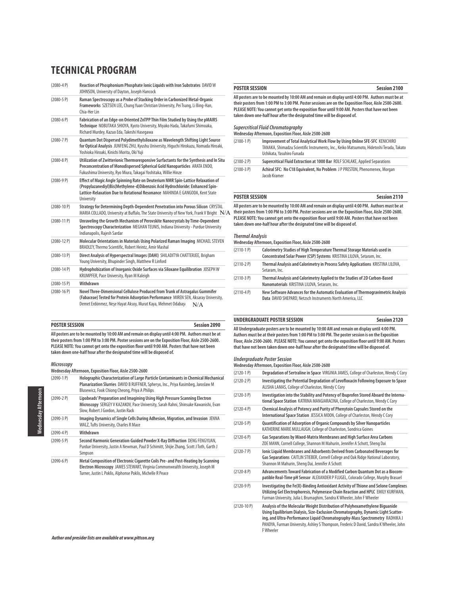| $(2080 - 4P)$   | Reaction of Phosphonium Phosphate Ionic Liquids with Iron Substrates DAVID W<br>JOHNSON, University of Dayton, Joseph Hancock                                                                                                                                  |
|-----------------|----------------------------------------------------------------------------------------------------------------------------------------------------------------------------------------------------------------------------------------------------------------|
| $(2080-5P)$     | Raman Spectroscopy as a Probe of Stacking Order in Carbonized Metal-Organic<br>Frameworks SZETSEN LEE, Chung Yuan Christian University, Pei Tsung, Li Bing-Han,<br>Chia-Her Lin                                                                                |
| $(2080-6P)$     | Fabrication of an Edge-on Oriented ZnTPP Thin Film Studied by Using the pMAIRS<br>Technique NOBUTAKA SHIOYA, Kyoto University, Miyako Hada, Takafumi Shimoaka,<br>Richard Murdey, Kazuo Eda, Takeshi Hasegawa                                                  |
| $(2080 - 7P)$   | Quantum Dot Dispersed Polydimethylsiloxane as Wavelength Shifting Light Source<br>for Optical Analysis JUNFENG ZHU, Kyushu University, Higuchi Hirokazu, Nomada Hiroaki,<br>Yoshioka Hiroaki, Kinichi Morita, Oki Yuji                                         |
| $(2080 - 8P)$   | Utilization of Zwitterionic Thermoresponsive Surfactants for the Synthesis and In Situ<br>Preconcentration of Monodispersed Spherical Gold Nanoparticles ARATA ENDO,<br>Fukushima University, Ryo Miura, Takagai Yoshitaka, Willie Hinze                       |
| $(2080 - 9P)$   | Effect of Magic Angle Spinning Rate on Deuterium NMR Spin-Lattice Relaxation of<br>(Propylazanediyl)Bis(Methylene-d)Dibenzoic Acid Hydrochloride: Enhanced Spin-<br>Lattice-Relaxation Due to Rotational Resonance MAHINDA E GANGODA, Kent State<br>University |
| $(2080 - 10P)$  | Strategy for Determining Depth-Dependent Penetration into Porous Silicon CRYSTAL<br>MARIA COLLADO, University at Buffalo, The State University of New York, Frank V Bright $\,$ N                                                                              |
| $(2080-11P)$    | Unraveling the Growth Mechanism of Perovskite Nanocrystals by Time-Dependent<br>Spectroscopy Characterization MEGHAN TEUNIS, Indiana University - Purdue University<br>Indianapolis, Rajesh Sardar                                                             |
| $(2080 - 12 P)$ | Molecular Orientations in Materials Using Polarized Raman Imaging MICHAEL STEVEN<br>BRADLEY. Thermo Scientific. Robert Heintz. Amir Mashal                                                                                                                     |
| $(2080-13)$ P)  | Direct Analysis of Hyperspectral Images (DAHI) SHILADITYA CHATTERJEE, Brigham<br>Young University, Bhupinder Singh, Matthew R Linford                                                                                                                          |
| $(2080-14P)$    | Hydrophobization of Inorganic Oxide Surfaces via Siloxane Equilibration JOSEPH W<br>KRUMPFER, Pace University, Ryan M Kaleigh                                                                                                                                  |
| $(2080 - 15 P)$ | Withdrawn                                                                                                                                                                                                                                                      |
| $(2080 - 16 P)$ | Novel Three-Dimensional Cellulose Produced from Trunk of Astragalus Gummifer<br>(Fabaceae) Tested for Protein Adsorption Performance MIREN SEN, Aksaray University,<br>Demet Erdönmez, Nese Hayat Aksoy, Murat Kaya, Mehmet Odabası<br>N/A                     |

# **POSTER SESSION Session 2090**

**All posters are to be mounted by 10:00 AM and remain on display until 4:00 PM. Authors must be at their posters from 1:00 PM to 3:00 PM. Poster sessions are on the Exposition Floor, Aisle 2500-2600. PLEASE NOTE: You cannot get onto the exposition floor until 9:00 AM. Posters that have not been taken down one-half hour after the designated time will be disposed of.**

#### **Microscopy**

**Wednesday Afternoon, Exposition Floor, Aisle 2500-2600**

| $(2090-1)$    | Holographic Characterization of Large Particle Contaminants in Chemical Mechanical<br>Planarization Slurries DAVID B RUFFNER, Spheryx, Inc., Priya Kasimbeg, Jaroslaw M<br>Blusewicz, Fook Chiong Cheong, Priya A Philips        |  |
|---------------|----------------------------------------------------------------------------------------------------------------------------------------------------------------------------------------------------------------------------------|--|
| $(2090 - 2P)$ | Lipobeads' Preparation and Imagining Using High Pressure Scanning Electron<br>Microscopy SERGEY V KAZAKOV, Pace University, Sarah Rahni, Shinsuke Kawanishi, Evan<br>Slow, Robert J Gordon, Justin Rack                          |  |
| $(2090-3)$ P) | Imaging Dynamics of Single Cells During Adhesion, Migration, and Invasion JENNA<br>WALZ, Tufts University, Charles R Mace                                                                                                        |  |
| $(2090 - 4P)$ | Withdrawn                                                                                                                                                                                                                        |  |
| $(2090-5P)$   | Second Harmonic Generation-Guided Powder X-Ray Diffraction DENG FENGYUAN,<br>Purdue University, Justin A Newman, Paul D Schimitt, Shijie Zhang, Scott J Toth, Garth J<br>Simpson                                                 |  |
| $(2090-6P)$   | Metal Composition of Electronic Cigarette Coils Pre- and Post-Heating by Scanning<br>Electron Microscopy JAMES STEWART, Virginia Commonwealth University, Joseph M<br>Turner, Justin L Poklis, Alphonse Poklis, Michelle R Peace |  |

#### **POSTER SESSION Session 2100**

**All posters are to be mounted by 10:00 AM and remain on display until 4:00 PM. Authors must be at their posters from 1:00 PM to 3:00 PM. Poster sessions are on the Exposition Floor, Aisle 2500-2600. PLEASE NOTE: You cannot get onto the exposition floor until 9:00 AM. Posters that have not been taken down one-half hour after the designated time will be disposed of.**

**Supercritical Fluid Chromatography Wednesday Afternoon, Exposition Floor, Aisle 2500-2600**

| <u>WEULLESURY ALLELIJOUL, EXPOSITIOIL FIUUL, AISIE ZJUU-ZUUU</u> |                                                                                                                                                                                                      |  |
|------------------------------------------------------------------|------------------------------------------------------------------------------------------------------------------------------------------------------------------------------------------------------|--|
| $(2100-1)$                                                       | Improvement of Total Analytical Work Flow by Using Online SFE-SFC KENICHIRO<br>TANAKA, Shimadzu Scientific Instruments, Inc., Keiko Matsumoto, Hidetoshi Terada, Takato<br>Uchikata, Yasuhiro Funada |  |
| $(2100-2P)$                                                      | Supercritical Fluid Extraction at 1000 Bar ROLF SCHLAKE, Applied Separations                                                                                                                         |  |
| $(2100-3P)$                                                      | Achiral SFC: No C18 Equivalent, No Problem JP PRESTON, Phenomenex, Morgan<br>Jacob Kramer                                                                                                            |  |

#### **POSTER SESSION Session 2110**

**All posters are to be mounted by 10:00 AM and remain on display until 4:00 PM. Authors must be at their posters from 1:00 PM to 3:00 PM. Poster sessions are on the Exposition Floor, Aisle 2500-2600.** N/A **PLEASE NOTE: You cannot get onto the exposition floor until 9:00 AM. Posters that have not been taken down one-half hour after the designated time will be disposed of.**

#### **Thermal Analysis**

| Wednesday Afternoon, Exposition Floor, Aisle 2500-2600 |                                                                                                                                                    |  |
|--------------------------------------------------------|----------------------------------------------------------------------------------------------------------------------------------------------------|--|
| $(2110-1)$                                             | Calorimetry Studies of High Temperature Thermal Storage Materials used in<br>Concentrated Solar Power (CSP) Systems KRISTINA LILOVA, Setaram, Inc. |  |
| $(2110-2P)$                                            | Thermal Analysis and Calorimetry in Process Safety Applications KRISTINA LILOVA,<br>Setaram, Inc.                                                  |  |
| $(2110-3P)$                                            | Thermal Analysis and Calorimetry Applied to the Studies of 2D Carbon-Based<br>Nanomaterials KRISTINA LILOVA, Setaram, Inc.                         |  |
| $(2110-4P)$                                            | New Software Advances for the Automatic Evaluation of Thermogravimetric Analysis<br>Data DAVID SHEPARD, Netzsch Instruments North America, LLC     |  |

#### **UNDERGRADUATE POSTER SESSION Session 2120**

**All Undergraduate posters are to be mounted by 10:00 AM and remain on display until 4:00 PM. Authors must be at their posters from 1:00 PM to 3:00 PM. The poster session is on the Exposition Floor, Aisle 2500-2600. PLEASE NOTE: You cannot get onto the exposition floor until 9:00 AM. Posters**

**that have not been taken down one-half hour after the designated time will be disposed of.**

### **Undergraduate Poster Session**

**Wednesday Afternoon, Exposition Floor, Aisle 2500-2600**

| $(2120-1)$    | Degradation of Sertraline in Space VIRGINIA JAMES, College of Charleston, Wendy C Cory                                                                                                                                                                                                                                                                          |  |
|---------------|-----------------------------------------------------------------------------------------------------------------------------------------------------------------------------------------------------------------------------------------------------------------------------------------------------------------------------------------------------------------|--|
| $(2120-2P)$   | Investigating the Potential Degradation of Levofloxacin Following Exposure to Space<br>ALISHA LAMAS, College of Charleston, Wendy C Cory                                                                                                                                                                                                                        |  |
| $(2120-3P)$   | Investigation into the Stability and Potency of Ibuprofen Stored Aboard the Interna-<br>tional Space Station KATRINA MANGIARACINA, College of Charleston, Wendy C Cory                                                                                                                                                                                          |  |
| $(2120-4P)$   | Chemical Analysis of Potency and Purity of Phenytoin Capsules Stored on the<br>International Space Station JESSICA MOON, College of Charleston, Wendy C Cory                                                                                                                                                                                                    |  |
| $(2120 - 5P)$ | Quantification of Adsorption of Organic Compounds by Silver Nanoparticles<br>KATHERINE MARIE MULLAUGH, College of Charleston, Sondrica Goines                                                                                                                                                                                                                   |  |
| $(2120-6P)$   | Gas Separations by Mixed-Matrix Membranes and High Surface Area Carbons<br>ZOE MANN, Cornell College, Shannon M Mahurin, Jennifer A Schott, Sheng Dai                                                                                                                                                                                                           |  |
| $(2120 - 7P)$ | Ionic Liquid Membranes and Adsorbents Derived from Carbonated Beverages for<br>Gas Separations CAITLIN STIEBER, Cornell College and Oak Ridge National Laboratory,<br>Shannon M Mahurin, Sheng Dai, Jennifer A Schott                                                                                                                                           |  |
| $(2120-8P)$   | Advancements Toward Fabrication of a Modified Carbon Quantum Dot as a Biocom-<br>patible Real-Time pH Sensor ALEXANDER P FLUGEL, Colorado College, Murphy Brasuel                                                                                                                                                                                               |  |
| $(2120-9P)$   | Investigating the Fe(II)-Binding Antioxidant Activity of Thione and Selone Complexes<br>Utilizing Gel Electrophoresis, Polymerase Chain Reaction and HPLC EMILY KURFMAN,<br>Furman University, Julia L Brumaghim, Sandra K Wheeler, John F Wheeler                                                                                                              |  |
| $(2120-10P)$  | Analysis of the Molecular Weight Distribution of Polyhexamethylene Biguanide<br>Using Equilibrium Dialysis, Size-Exclusion Chromatography, Dynamic Light Scatter-<br>ing, and Ultra-Performance Liquid Chromatography-Mass Spectrometry RADHIKA J<br>PANDYA, Furman University, Ashley S Thompson, Frederic D David, Sandra K Wheeler, John<br><b>F</b> Wheeler |  |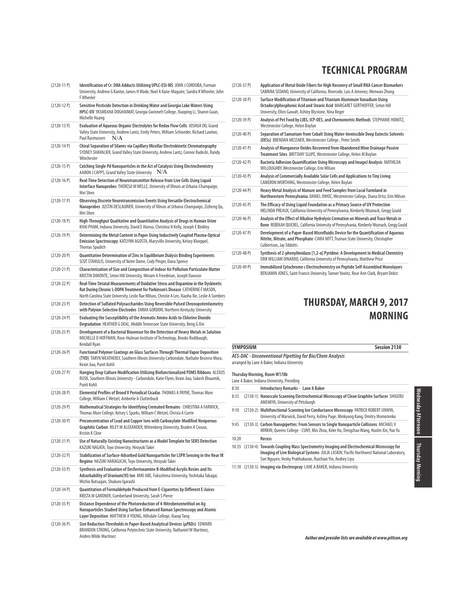| $(2120-11P)$   | Identification of Cr: DNA Adducts Utilizing UPLC-ESI-MS JOHN J CORDOBA, Furman<br>University, Andrew G Kantor, James H Wade, Noel A Kane-Maguire, Sandra K Wheeler, John<br>F Wheeler                                                                                    |
|----------------|--------------------------------------------------------------------------------------------------------------------------------------------------------------------------------------------------------------------------------------------------------------------------|
| $(2120-12P)$   | Sensitive Pesticide Detection in Drinking Water and Georgia Lake Waters Using<br>HPLC-UV YASMEANA DOGHAIMAT, Georgia Gwinnett College, Xiaoping Li, Sharon Guan,<br>Michelle Huang                                                                                       |
| $(2120-13 P)$  | Evaluation of Aqueous Organic Electrolytes for Redox Flow Cells JOSHUA DO, Grand<br>Valley State University, Andrew Lantz, Emily Peters, William Schroeder, Richard Lawton,<br>Paul Rasmussen<br>N/A                                                                     |
| $(2120-14P)$   | Chiral Separation of Silanes via Capillary Micellar Electrokinetic Chromatography<br>SYDNEY SHAVALIER, Grand Valley State University, Andrew Lantz, Connor Radecki, Randy<br>Winchester                                                                                  |
| $(2120-15P)$   | Catching Single Pd Nanoparticles in the Act of Catalysis Using Electrochemistry<br>AARON J CAPPS, Grand Valley State University<br>N/A                                                                                                                                   |
| $(2120-16P)$   | Real-Time Detection of Neurotransmitter Release from Live Cells Using Liquid<br>Interface Nanoprobes THERESA M WELLE, University of Illinois at Urbana-Champaign,<br>Mei Shen                                                                                            |
| $(2120-17P)$   | Observing Discrete Neurotransmission Events Using Versatile Electrochemical<br>Nanoprobes JUSTIN DESLAURIER, University of Illinois at Urbana-Champaign, Zizheng Qu,<br>Mei Shen                                                                                         |
| $(2120-18P)$   | High-Throughput Qualitative and Quantitative Analysis of Drugs in Human Urine<br>KHAI PHAM, Indiana University, David E Alonso, Christina N Kelly, Joseph E Binkley                                                                                                      |
| $(2120-19P)$   | Determining the Metal Content in Paper Using Inductively Coupled Plasma-Optical<br>Emission Spectroscopy KATLYNN AGOSTA, Maryville University, Kelsey Kloeppel,<br><b>Thomas Spudich</b>                                                                                 |
| $(2120-20P)$   | Quantitative Determination of Zinc in Equilibrium Dialysis Binding Experiments<br>SCOT STANULIS, University of Notre Dame, Cody Pinger, Dana Spence                                                                                                                      |
| $(2120-21P)$   | Characterization of Size and Composition of Indoor Air Pollution Particulate Matter<br>KRISTIN DIMONTE, Seton Hill University, Miriam A Freedman, Joseph Dawson                                                                                                          |
| $(2120-22P)$   | Real-Time Striatal Measurements of Oxidative Stress and Dopamine in the Dyskinetic<br>Rat During Chronic L-DOPA Treatment for Parkinson's Disease CATHERINE F MASON,<br>North Carolina State University, Leslie Rae Wilson, Christie A Lee, Xiaohu Xie, Leslie A Sombers |
| $(2120-23)$ P) | Detection of Sulfated Polysaccharides Using Reversible Pulsed Chronopotentiometry<br>with Polyion-Selective Electrodes EMMA GORDON, Northern Kentucky University                                                                                                         |
| $(2120-24P)$   | Evaluating the Susceptibility of the Aromatic Amino Acids to Chlorine Dioxide<br>Degradation HEATHER G DEAL, Middle Tennessee State University, Beng G Ooi                                                                                                               |
| $(2120-25P)$   | Development of a Bacterial Biosensor for the Detection of Heavy Metals in Solution<br>MICHELLE D HOFFMAN, Rose-Hulman Institute of Technology, Brooks Rodibaugh,<br>Kendall Ryan                                                                                         |
| $(2120-26)$    | Functional Polymer Coatings on Glass Surfaces Through Thermal Vapor Deposition<br>(TVD) TARYN WEATHERLY, Southern Illinois University Carbondale, Nathalie Becerra-Mora,<br>Kexin Jiao, Punit Kohli                                                                      |
| $(2120-27P)$   | Hanging Drop Culture Modification Utilizing Biofunctionalized PDMS Ribbons ALEXUS<br>RUSK, Southern Illinois University - Carbondale, Katie Flynn, Kexin Jiao, Sukesh Bhaumik,<br>Punit Kohli                                                                            |
| $(2120-28P)$   | Elemental Profiles of Brood V Periodical Cicadas THOMAS A PAYNE, Thomas More<br>College, William C Wetzel, Amberlie A Clutterbuck                                                                                                                                        |
| $(2120-29P)$   | Mathematical Strategies for Identifying Cremated Remains CHRISTINA A FARWICK,<br>Thomas More College, Kelsey L Sparks, William C Wetzel, Christa A Currie                                                                                                                |
| $(2120-30P)$   | Preconcentration of Lead and Copper lons with Carboxylate-Modified Nonporous<br>Graphitic Carbon RILEY M ALEXANDER, Wittenberg University, Braden A Crouse,<br>Kristin K Cline                                                                                           |
| $(2120-31P)$   | Use of Naturally-Existing Nanostructures as a Model Template for SERS Detection<br>KAZUKI NAGATA, Toyo University, Hiroyuki Takei                                                                                                                                        |
| $(2120-32P)$   | Stabilization of Surface-Adsorbed Gold Nanoparticles for LSPR Sensing in the Near IR<br>Regime HAZUKI HARAGUCHI, Toyo University, Hiroyuki Takei                                                                                                                         |
| $(2120-33P)$   | Synthesis and Evaluation of Desferrioxamine B-Modified Acrylic Resins and Its<br>Adsorbability of Uranium(VI) Ion MIKI ABE, Fukushima University, Yoshitaka Takagai,<br>Michio Butsugan, Shukuro Igarashi                                                                |
| $(2120-34P)$   | Quantitation of Formaldehyde Produced from E-Cigarettes by Different E-Juices<br>KRISTA M GARDNER, Cumberland University, Sarah S Pierce                                                                                                                                 |
| $(2120-35P)$   | Distance Dependence of the Photoreduction of 4-Nitrobenzenethiol on Aq<br>Nanoparticles Studied Using Surface-Enhanced Raman Spectroscopy and Atomic<br>Layer Deposition MATTHEW A YOUNG, Hillsdale College, Xiaoqi Tang                                                 |
| $(2120-36P)$   | Size Reduction Thresholds in Paper-Based Analytical Devices (µPADs) EDWARD<br>BRANDON STRONG, California Polytechnic State University, Nathaniel W Martinez,<br><b>Andres Wilde Martinez</b>                                                                             |

| $(2120-37P)$    | Application of Metal Oxide Fibers for High Recovery of Small RNA Cancer Biomarkers<br>SABRINA SEDANO, University of California, Riverside, Luis A Jimenez, Wenwan Zhong                                     |
|-----------------|-------------------------------------------------------------------------------------------------------------------------------------------------------------------------------------------------------------|
| $(2120-38P)$    | Surface Modification of Titanium and Titanium Aluminum Vanadium Using<br>Octadecylphosphonic Acid and Stearic Acid MARGARET GERTHOFFER, Seton Hill<br>University, Ellen Gawalt, Ashley Blystone, Nina Reger |
| $(2120-39P)$    | Analysis of Pet Food by LIBS, ICP-OES, and Chemometric Methods STEPHANIE HOMITZ,<br>Westminster College, Helen Boylan                                                                                       |
| $(2120 - 40 P)$ | Separation of Samarium from Cobalt Using Water-Immiscible Deep Eutectic Solvents<br>(DESs) BRENDAN MESSNER, Westminster College, Peter Smith                                                                |
| $(2120-41P)$    | Analysis of Manganese Oxides Recovered from Abandoned Mine Drainage Passive<br>Treatment Sites BRITTANY SLUPE, Westminster College, Helen M Boylan                                                          |
| $(2120 - 42P)$  | Bacteria Adhesion Quantification Using Microscopy and ImageJ Analysis MATHILDA<br>WILLOUGHBY, Westminster College, Erin Wilson                                                                              |
| $(2120-43P)$    | Analysis of Commercially Available Solar Cells and Applications to Tiny Living<br>CAMERON WORTHING, Westminster College, Helen Boylan                                                                       |
| $(2120 - 44 P)$ | Heavy Metal Analysis of Manure and Feed Samples from Local Farmland in<br>Northwestern Pennsylvania DANIEL OWOC, Westminster College, Diana Ortiz, Erin Wilson                                              |
| $(2120 - 45P)$  | The Efficacy of Using Liguid Foundation as a Primary Source of UV Protection<br>MELINDA PREAUX, California University of Pennsylvania, Kimberly Woznack, Gregg Gould                                        |
| $(2120 - 46P)$  | Analysis of the Effect of Alkaline Hydrolysis Cremation on Minerals and Trace Metals in<br>Bone REBEKAH QUICKEL, California University of Pennsylvania, Kimberly Woznack, Gregg Gould                       |
| $(2120-47P)$    | Development of a Paper-Based Microfluidic Device for the Quantification of Aqueous<br>Nitrite, Nitrate, and Phosphate CIARA WITT, Truman State University, Christopher<br>Culbertson, Jay Sibbitts          |
| $(2120 - 48P)$  | Synthesis of 2-phenylimidazo [1,2-a] Pyridine: A Development in Medical Chemistry<br>ERIK WILLIAM DINARDO, California University of Pennsylvania, Matthew Price                                             |
| $(2120-49P)$    | Immobilized Cytochrome c Electrochemistry on Peptide Self-Assembled Monolayers<br>BENJAMIN JONES, Saint Francis University, Tanner Yawitz, Rose Ann Clark, Bryant Onkst                                     |

# **THURSDAY, MARCH 9, 2017 MORNING**

# **SYMPOSIUM Session 2130**

**ACS-DAC - Unconventional Pipetting for Bio/Chem Analysis** arranged by Lane A Baker, Indiana University

#### **Thursday Morning, Room W178b**

|       | Lane A Baker, Indiana University, Presiding                                                                                                                                                                                                   |
|-------|-----------------------------------------------------------------------------------------------------------------------------------------------------------------------------------------------------------------------------------------------|
| 8:30  | <b>Introductory Remarks - Lane A Baker</b>                                                                                                                                                                                                    |
| 8:35  | (2130-1) Nanoscale Scanning Electrochemical Microscopy of Clean Graphite Surfaces SHIGERU<br>AMEMIYA, University of Pittsburgh                                                                                                                |
| 9:10  | (2130-2) Multifunctional Scanning Ion Conductance Microscopy PATRICK ROBERT UNWIN,<br>University of Warwick, David Perry, Ashley Page, Minkyung Kang, Dmitry Momotenko                                                                        |
| 9:45  | (2130-3) Carbon Nanopipettes: From Sensors to Single Nanoparticle Collisions MICHAEL V<br>MIRKIN, Queens College - CUNY, Min Zhou, Keke Hu, Dengchao Wang, Huolin Xin, Yun Yu                                                                 |
| 10:20 | Recess                                                                                                                                                                                                                                        |
| 10:35 | (2130-4) Towards Coupling Mass Spectrometry Imaging and Electrochemical Microscopy for<br>Imaging of Live Biological Systems JULIA LASKIN, Pacific Northwest National Laboratory,<br>Son Nguyen, Venky Prabhakaran, Ruichian Yin, Andrey Liyu |
|       | 11:10 (2130-5) Imaging via Electrospray LANE A BAKER, Indiana University                                                                                                                                                                      |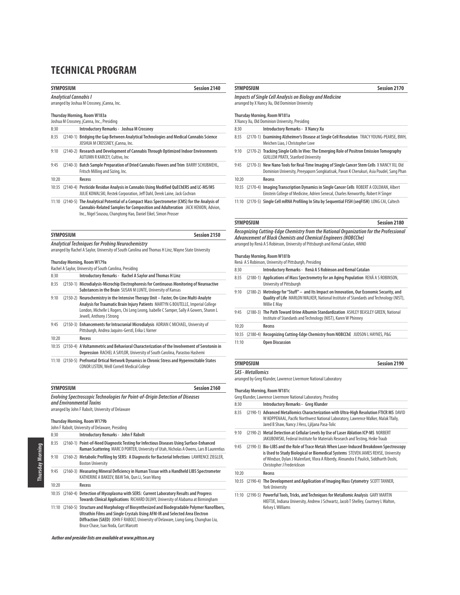### **SYMPOSIUM** Session 2140

### **Analytical Cannabis I** arranged by Joshua M Crossney, jCanna, Inc. **Thursday Morning, Room W183a** Joshua M Crossney, jCanna, Inc., Presiding 8:30 **Introductory Remarks - Joshua M Crossney**  8:35 (2140-1) **Bridging the Gap Between Analytical Technologies and Medical Cannabis Science** JOSHUA M CROSSNEY, jCanna, Inc. 9:10 (2140-2) **Research and Development of Cannabis Through Optimized Indoor Environments**  AUTUMN R KARCEY, Cultivo, Inc 9:45 (2140-3) **Batch Sample Preparation of Dried Cannabis Flowers and Trim** BARRY SCHUBMEHL, Fritsch Milling and Sizing, Inc.

10:20 **Recess** 10:35 (2140-4) **Pesticide Residue Analysis in Cannabis Using Modified QuEChERS and LC-MS/MS**  JULIE KOWALSKI, Restek Corporation, Jeff Dahl, Derek Laine, Jack Cochran

11:10 (2140-5) **The Analytical Potential of a Compact Mass Spectrometer (CMS) for the Analysis of Cannabis-Related Samples for Composition and Adulteration** JACK HENION, Advion, Inc., Nigel Sousou, Changtong Hao, Daniel Eikel, Simon Prosser

| <b>SYMPOSIUM</b>                                                                                                                                               | Session 2150 |
|----------------------------------------------------------------------------------------------------------------------------------------------------------------|--------------|
| <b>Analytical Techniques for Probing Neurochemistry</b><br>arranged by Rachel A Saylor. University of South Carolina and Thomas H Linz. Wayne State University |              |

#### **Thursday Morning, Room W179a**

|       | Rachel A Saylor, University of South Carolina, Presiding                                                                                                                                                                                                                                        |
|-------|-------------------------------------------------------------------------------------------------------------------------------------------------------------------------------------------------------------------------------------------------------------------------------------------------|
| 8:30  | Introductory Remarks - Rachel A Saylor and Thomas H Linz                                                                                                                                                                                                                                        |
| 8:35  | (2150-1) Microdialysis-Microchip Electrophoresis for Continuous Monitoring of Neuroactive<br>Substances in the Brain SUSAN M LUNTE, University of Kansas                                                                                                                                        |
| 9:10  | (2150-2) Neurochemistry in the Intensive Therapy Unit - Faster, On-Line Multi-Analyte<br>Analysis for Traumatic Brain Injury Patients MARTYN G BOUTELLE, Imperial College<br>London, Michelle L Rogers, Chi Leng Leong, Isabelle C Samper, Sally A Gowers, Sharon L<br>Jewell, Anthony J Strong |
| 9:45  | (2150-3) Enhancements for Intracranial Microdialysis ADRIAN C MICHAEL, University of<br>Pittsburgh, Andrea Jaguins-Gerstl, Erika L Varner                                                                                                                                                       |
| 10:20 | Recess                                                                                                                                                                                                                                                                                          |
| 10:35 | (2150-4) A Voltammetric and Behavioral Characterization of the Involvement of Serotonin in<br>Depression RACHEL A SAYLOR, University of South Carolina, Parastoo Hashemi                                                                                                                        |
|       | 11:10 (2150-5) Prefrontal Ortical Network Dynamics in Chronic Stress and Hyperexcitable States<br>CONOR LISTON, Weill Cornell Medical College                                                                                                                                                   |

| <b>SYMPOSIUM</b>                                                              | Session 2160 |  |
|-------------------------------------------------------------------------------|--------------|--|
| Evolving Spectroscopic Technologies for Point-of-Origin Detection of Diseases |              |  |
| and Environmental Toxins                                                      |              |  |
| arranged by John F Rabolt, University of Delaware                             |              |  |

# **Thursday Morning, Room W179b**

|       | John F Rabolt, University of Delaware, Presiding                                                                                                                                                                                                                                                              |
|-------|---------------------------------------------------------------------------------------------------------------------------------------------------------------------------------------------------------------------------------------------------------------------------------------------------------------|
| 8:30  | Introductory Remarks - John F Rabolt                                                                                                                                                                                                                                                                          |
| 8:35  | (2160-1) Point-of-Need Diagnostic Testing for Infectious Diseases Using Surface-Enhanced<br>Raman Scattering MARC D PORTER, University of Utah, Nicholas A Owens, Lars B Laurentius                                                                                                                           |
| 9:10  | (2160-2) Metabolic Profiling by SERS: A Diagnostic for Bacterial Infections LAWRENCE ZIEGLER,<br><b>Boston University</b>                                                                                                                                                                                     |
| 9:45  | (2160-3) Measuring Mineral Deficiency in Human Tissue with a Handheld LIBS Spectrometer<br>KATHERINE A BAKEEV, B&W Tek, Qun Li, Sean Wang                                                                                                                                                                     |
| 10:20 | Recess                                                                                                                                                                                                                                                                                                        |
|       | 10:35 (2160-4) Detection of Mycoplasma with SERS: Current Laboratory Results and Progress<br>Towards Clinical Applications RICHARD DLUHY, University of Alabama at Birmingham                                                                                                                                 |
|       | 11:10 (2160-5) Structure and Morphology of Biosynthesized and Biodegradable Polymer Nanofibers,<br>Ultrathin Films and Single Crystals Using AFM-IR and Selected Area Electron<br>Diffraction (SAED) JOHN F RABOLT, University of Delaware, Liang Gong, Changhao Liu,<br>Bruce Chase, Isao Noda, Curt Marcott |

**Author and presider lists are available at www.pittcon.org** 

# **SYMPOSIUM** Session 2170

## **Impacts of Single Cell Analysis on Biology and Medicine**

arranged by X Nancy Xu, Old Dominion University

## **Thursday Morning, Room W181a**

|       |  | X Nancy Xu, Old Dominion University, Presiding                                                                                                                                       |  |  |
|-------|--|--------------------------------------------------------------------------------------------------------------------------------------------------------------------------------------|--|--|
| 8:30  |  | <b>Introductory Remarks - X Nancy Xu</b>                                                                                                                                             |  |  |
| 8:35  |  | (2170-1) Examining Alzheimer's Disease at Single Cell Resolution TRACY YOUNG-PEARSE, BWH,<br>Meichen Liao, J Christopher Love                                                        |  |  |
| 9:10  |  | (2170-2) Tracking Single Cells In Vivo: The Emerging Role of Positron Emission Tomography<br><b>GUILLEM PRATX, Stanford University</b>                                               |  |  |
| 9:45  |  | (2170-3) New Nano Tools for Real-Time Imaging of Single Cancer Stem Cells X NANCY XU, Old<br>Dominion University, Preeyaporn Songkiatisak, Pavan K Cherukuri, Asia Poudel, Sang Phan |  |  |
| 10:20 |  | Recess                                                                                                                                                                               |  |  |
| 10:35 |  | (2170-4) Imaging Transcription Dynamics in Single Cancer Cells ROBERT A COLEMAN, Albert<br>Einstein College of Medicine, Adrien Senecal, Charles Kenworthy, Robert H Singer          |  |  |
| 11:10 |  | (2170-5) Single Cell mRNA Profiling In Situ by Seguential FISH (segFISH) LONG CAI, Caltech                                                                                           |  |  |

## **SYMPOSIUM** Session 2180

**Recognizing Cutting-Edge Chemistry from the National Organization for the Professional Advancement of Black Chemists and Chemical Engineers (NOBCChe)** arranged by Renã A S Robinson, University of Pittsburgh and Kemal Catalan, 4iNNO

### **Thursday Morning, Room W181b**

|       | Renã A S Robinson, University of Pittsburgh, Presiding |                                                                                                                                                                                                           |  |
|-------|--------------------------------------------------------|-----------------------------------------------------------------------------------------------------------------------------------------------------------------------------------------------------------|--|
| 8:30  |                                                        | Introductory Remarks - Renã A S Robinson and Kemal Catalan                                                                                                                                                |  |
| 8:35  |                                                        | (2180-1) Applications of Mass Spectrometry for an Aging Population RENÃ A S ROBINSON,<br>University of Pittsburgh                                                                                         |  |
| 9:10  |                                                        | (2180-2) Metrology for "Stuff" - and Its Impact on Innovation, Our Economic Security, and<br><b>Quality of Life</b> MARLON WALKER, National Institute of Standards and Technology (NIST),<br>Willie E May |  |
| 9:45  |                                                        | (2180-3) The Path Toward Urine Albumin Standardization ASHLEY BEASLEY GREEN, National<br>Institute of Standards and Technology (NIST), Karen W Phinney                                                    |  |
| 10:20 |                                                        | Recess                                                                                                                                                                                                    |  |
| 10:35 |                                                        | (2180-4) Recognizing Cutting-Edge Chemistry from NOBCChE JUDSON L HAYNES, P&G                                                                                                                             |  |
| 11:10 |                                                        | <b>Open Discussion</b>                                                                                                                                                                                    |  |

## **SYMPOSIUM** Session 2190 **SAS - Metallomics**

arranged by Greg Klunder, Lawrence Livermore National Laboratory

#### **Thursday Morning, Room W181c**

|       | Greg Klunder, Lawrence Livermore National Laboratory, Presiding |                                                                                                                                                                                                                                                                                                     |  |
|-------|-----------------------------------------------------------------|-----------------------------------------------------------------------------------------------------------------------------------------------------------------------------------------------------------------------------------------------------------------------------------------------------|--|
| 8:30  |                                                                 | Introductory Remarks - Greg Klunder                                                                                                                                                                                                                                                                 |  |
| 8:35  |                                                                 | (2190-1) Advanced Metallomics Characterization with Ultra-High Resolution FTICR MS DAVID<br>W KOPPENAAL, Pacific Northwest National Laboratory, Lawrence Walker, Malak Tfaily,<br>Jared B Shaw, Nancy J Hess, Ljiljana Pasa-Tolic                                                                   |  |
| 9:10  |                                                                 | (2190-2) Metal Detection at Cellular Levels by Use of Laser Ablation ICP-MS NORBERT<br>JAKUBOWSKI, Federal Institute for Materials Research and Testing, Heike Traub                                                                                                                                |  |
| 9:45  |                                                                 | (2190-3) Bio-LIBS and the Role of Trace Metals When Laser-Induced Breakdown Spectroscopy<br>is Used to Study Biological or Biomedical Systems STEVEN JAMES REHSE, University<br>of Windsor, Dylan J Malenfant, Vlora A Riberdy, Alexandra E Paulick, Siddharth Doshi,<br>Christopher J Frederickson |  |
| 10:20 |                                                                 | Recess                                                                                                                                                                                                                                                                                              |  |
|       |                                                                 | 10:35 (2190-4) The Development and Application of Imaging Mass Cytometry SCOTT TANNER,<br><b>York University</b>                                                                                                                                                                                    |  |
|       |                                                                 | 11:10 (2190-5) Powerful Tools, Tricks, and Techniques for Metallomic Analysis GARY MARTIN<br>HIEFTJE, Indiana University, Andrew J Schwartz, Jacob T Shelley, Courtney L Walton,<br>Kelsey L Williams                                                                                               |  |
|       |                                                                 |                                                                                                                                                                                                                                                                                                     |  |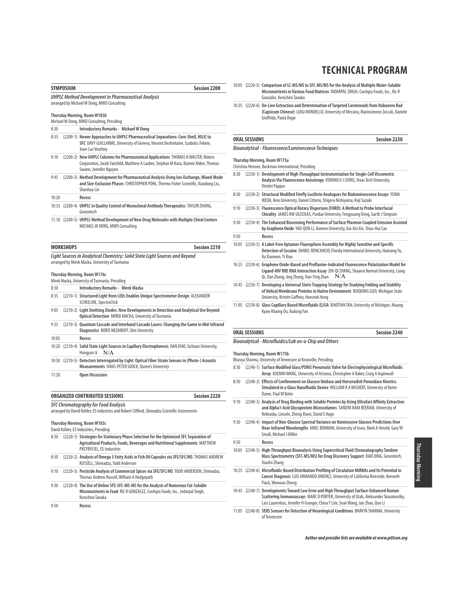# **SYMPOSIUM Session 2200 UHPLC Method Development in Pharmaceutical Analysis** arranged by Michael W Dong, MWD Consulting **Thursday Morning, Room W183b** Michael W Dong, MWD Consulting, Presiding 8:30 **Introductory Remarks - Michael W Dong**  8:35 (2200-1) **Newer Approaches to UHPLC Pharmaceutical Separations: Core-Shell, HILIC to SFC** DAVY GUILLARME, University of Geneva, Vincent Desfontaine, Szabolcs Fekete, Jean-Luc Veuthey 9:10 (2200-2) **New UHPLC Columns for Pharmaceutical Applications** THOMAS H WALTER, Waters Corporation, Jacob Fairchild, Matthew A Lauber, Stephan M Koza, Bonnie Alden, Thomas Swann, Jennifer Nguyen 9:45 (2200-3) **Method Development for Pharmaceutical Analysis Using Ion-Exchange, Mixed-Mode and Size-Exclusion Phases** CHRISTOPHER POHL, Thermo Fisher Scientific, Xiaodong Liu, Shanhua Lin 10:20 **Recess** 10:35 (2200-4) **UHPLC in Quality Control of Monoclonal Antibody Therapeutics** TAYLOR ZHANG, Genentech 11:10 (2200-5) **UHPLC Method Development of New Drug Molecules with Multiple Chiral Centers** MICHAEL W DONG, MWD Consulting **WORKSHOPS Session 2210 Light Sources in Analytical Chemistry: Solid State Light Sources and Beyond** arranged by Mirek Macka, University of Tasmania **Thursday Morning, Room W176c** Mirek Macka, University of Tasmania, Presiding 8:30 **Introductory Remarks - Mirek Macka**  8:35 (2210-1) **Structured Light from LEDs Enables Unique Spectrometer Design** ALEXANDER SCHEELINE, SpectroClick 9:05 (2210-2) **Light Emitting Diodes: New Developments in Detection and Analytical Use Beyond Optical Detection** MIREK MACKA, University of Tasmania 9:35 (2210-3) **Quantum Cascade and Interband Cascade Lasers: Changing the Game in Mid-Infrared Diagnostics** BORIS MIZAIKOFF, Ulm University 10:05 **Recess** 10:20 (2210-4) **Solid State Light Sources in Capillary Electrophoresis** DAN XIAO, Sichuan University, Hongyun Ji N/A 10:50 (2210-5) **Detectors Interrogated by Light: Optical Fiber Strain Sensors in (Photo-) Acoustic Measurements** HANS-PETER LOOCK, Queen's University 11:20 **Open Discussion ORGANIZED CONTRIBUTED SESSIONS Session 2220 SFC Chromatography for Food Analysis** arranged by David Kohler, ES Industries and Robert Clifford, Shimadzu Scientific Instruments **Thursday Morning, Room W183c**

|      | David Kohler, ES Industries, Presiding |                                                                                                                                                                                                    |  |
|------|----------------------------------------|----------------------------------------------------------------------------------------------------------------------------------------------------------------------------------------------------|--|
| 8:30 |                                        | (2220-1) Strategies for Stationary Phase Selection for the Optimized SFC Separation of<br>Agricultural Products, Foods, Beverages and Nutritional Supplements MATTHEW<br>PRZYBYCIEL, ES Industries |  |
| 8:50 |                                        | (2220-2) Analysis of Omega 3 Fatty Acids in Fish Oil Capsules via SFE/SFC/MS THOMAS ANDREW<br>RUSSELL, Shimadzu, Todd Anderson                                                                     |  |
| 9:10 |                                        | (2220-3) Pesticide Analysis of Commercial Spices via SFE/SFC/MS TODD ANDERSON, Shimadzu,<br>Thomas Andrew Russell, William A Hedgepath                                                             |  |
| 9:30 |                                        | (2220-4) The Use of Online SFE-SFC-MS-MS for the Analysis of Numerous Fat-Soluble<br>Micronutrients in Food RIC R GONZALEZ, ConAgra Foods, Inc., Indarpal Singh,<br>Kenichiro Tanaka               |  |
| 9:50 |                                        | Recess                                                                                                                                                                                             |  |

# **TECHNICAL PROGRAM**

- 10:05 (2220-5) **Comparison of LC-MS/MS to SFC-MS/MS for the Analysis of Multiple Water-Soluble Micronutrients in Various Food Matrices** INDARPAL SINGH, ConAgra Foods, Inc., Ric R Gonzalez, Kenichiro Tanaka
- 10:25 (2220-6) **On-Line Extraction and Determination of Targeted Carotenoids from Habanero Rad (Capsicum Chinese)** LUIGI MONDELLO, University of Messina, Mariosimone Zoccali, Daniele Giuffrida, Paola Dugo

# **ORAL SESSIONS Session 2230**

#### **Bioanalytical - Fluorescence/Luminescence Techniques**

**Thursday Morning, Room W175a**

Christina Henson, Buckman International, Presiding

| 8:30  | (2230-1) Development of High-Throughput Instrumentation for Single-Cell Viscometric<br>Analysis Via Fluorescence Anisotropy VERONICA J LYONS, Texas Tech University,<br>Dimitri Pappas                                               |  |
|-------|--------------------------------------------------------------------------------------------------------------------------------------------------------------------------------------------------------------------------------------|--|
| 8:50  | (2230-2) Structural Modified Firefly Luciferin Analogues for Bioluminescence Assays YUMA<br>IKEDA, Keio University, Daniel Citterio, Shigeru Nishiyama, Koji Suzuki                                                                  |  |
| 9:10  | (2230-3) Fluorescence Optical Rotary Dispersion (FORD): A Method to Probe Interfacial<br>Chirality JAMES RW ULCICKAS, Purdue University, Fengyuang Deng, Garth J Simpson                                                             |  |
| 9:30  | (2230-4) The Enhanced Biosensing Performance of Surface Plasmon Coupled Emission Assisted<br>by Graphene Oxide YAO-QUN LI, Xiamen University, Kai-Xin Xie, Shuo-Hui Cao                                                              |  |
| 9:50  | Recess                                                                                                                                                                                                                               |  |
| 10:05 | (2230-5) A Label-Free Aptamer-Fluorophore Assembly for Highly Sensitive and Specific<br>Detection of Cocaine DANIEL RONCANCIO, Florida International University, Haixiang Yu,<br>Xu Xiaowen, Yi Xiao                                 |  |
| 10:25 | (2230-6) Graphene Oxide-Based and Proflavine-Indicated Fluorescence Polarization Model for<br>Ligand-HIV RRE RNA Interaction Assay ZHI-QI ZHANG, Shaanxi Normal University, Liang<br>N/A<br>Qi, Dan Zhang, Jing Zhang, Han-Ying Zhan |  |
|       | 10:45 (2230-7) Developing a Universal Steric Trapping Strategy for Studying Folding and Stability<br>of Helical Membrane Proteins in Native Environment RUIQIONG GUO, Michigan State<br>University, Kristen Gaffney, Heeceok Hong    |  |
|       | 11:05 (2230-8) Glass Capillary Based Microfluidic ELISA XIAOTIAN TAN, University of Michigan, Maung<br>Kyaw Khaing Oo, Xudong Fan                                                                                                    |  |
|       |                                                                                                                                                                                                                                      |  |

#### **ORAL SESSIONS Session 2240**

**Bioanalytical - Microfluidics/Lab on-a-Chip and Others**

**Thursday Morning, Room W175b**

|       | Thursday Morning, Room W175b                                                                                                                                                                                                                                    |
|-------|-----------------------------------------------------------------------------------------------------------------------------------------------------------------------------------------------------------------------------------------------------------------|
|       | Bhavya Sharma, University of Tennessee at Knoxville, Presiding                                                                                                                                                                                                  |
| 8:30  | (2240-1) Surface Modified Glass/PDMS Pneumatic Valve for Electrophysiological Microfluidic<br>Array XUEMIN WANG, University of Arizona, Christopher A Baker, Craig A Aspinwall                                                                                  |
| 8:50  | (2240-2) Effects of Confinement on Glucose Oxidase and Horseradish Peroxidase Kinetics<br>Simulated in a Glass Nanofluidic Device WILLIAM R A WICHERT, University of Notre<br>Dame, Paul W Bohn                                                                 |
| 9:10  | (2240-3) Analysis of Drug Binding with Soluble Proteins by Using Ultrafast Affinity Extraction<br>and Alpha1-Acid Glycoprotein Microcolumns SANDYA RANI BEERAM, University of<br>Nebraska, Lincoln, Zheng Xiwei, David S Hage                                   |
| 9:30  | (2240-4) Impact of Non-Glucose Spectral Variance on Noninvasive Glucose Predictions Over<br>Near-Infrared Wavelengths ARIEL BOHMAN, University of Iowa, Mark A Arnold, Gary W<br>Small, Michael J Miller                                                        |
| 9:50  | Recess                                                                                                                                                                                                                                                          |
| 10:05 | (2240-5) High-Throughput Bioanalysis Using Supercritical Fluid Chromatography Tandem<br>Mass Spectrometry (SFC-MS/MS) for Drug Discovery Support XIAO DING, Genentech,<br>Xiaolin Zhang                                                                         |
| 10:25 | (2240-6) Microfluidic-Based Distribution Profiling of Circulation MiRNAs and Its Potential in<br>Cancer Diagnosis LUIS ARMANDO JIMENEZ, University of California Riverside, Kenneth<br>Flack, Wenwan Zhong                                                      |
|       | 10:45 (2240-7) Developments Toward Low Error and High Throughput Surface-Enhanced Raman<br>Scattering Immunoassays MARC D PORTER, University of Utah, Aleksander Skuratovslky,<br>Lars Laurentius, Jennifer H Granger, China Y Lim, Sean Wang, Jun Zhao, Qun Li |
| 11:05 | (2240-8) SERS Sensors for Detection of Neurological Conditions BHAVYA SHARMA, University<br>of Tennessee                                                                                                                                                        |

**Author and presider lists are available at www.pittcon.org** 

**Thursday Morning** Thursday Morning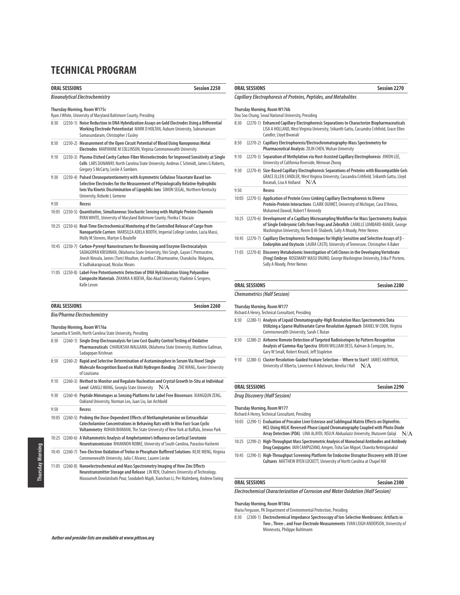| <b>ORAL SESSIONS</b><br>Session 2250                                                        |                                                                                                                                                                                                                                                             | <b>ORAL SESSIONS</b><br><b>Session 2270</b>                                                                                                                                                                                                                                                                              |              |  |
|---------------------------------------------------------------------------------------------|-------------------------------------------------------------------------------------------------------------------------------------------------------------------------------------------------------------------------------------------------------------|--------------------------------------------------------------------------------------------------------------------------------------------------------------------------------------------------------------------------------------------------------------------------------------------------------------------------|--------------|--|
|                                                                                             | <b>Bioanalytical Electrochemistry</b>                                                                                                                                                                                                                       | Capillary Electrophoresis of Proteins, Peptides, and Metabolites                                                                                                                                                                                                                                                         |              |  |
|                                                                                             | Thursday Morning, Room W175c<br>Ryan J White, University of Maryland Baltimore County, Presiding                                                                                                                                                            | Thursday Morning, Room W176b<br>Doo Soo Chung, Seoul National University, Presiding                                                                                                                                                                                                                                      |              |  |
| 8:30                                                                                        | (2250-1) Noise Reduction in DNA Hybridization Assays on Gold Electrodes Using a Differential<br>Working Electrode Potentiostat MARK D HOLTAN, Auburn University, Subramaniam<br>Somasundaram, Christopher J Easley                                          | (2270-1) Enhanced Capillary Electrophoresis Separations to Characterize Biopharmaceuticals<br>8:30<br>LISA A HOLLAND, West Virginia University, Srikanth Gattu, Cassandra Crihfield, Grace Ellen<br>Candler, Lloyd Bwanali                                                                                               |              |  |
| 8:50                                                                                        | (2250-2) Measurement of the Open Circuit Potential of Blood Using Nanoporous Metal<br>Electrodes MARYANNE M COLLINSON, Virginia Commonwealth University                                                                                                     | (2270-2) Capillary Electrophoresis/Electrochromatography-Mass Spectrometry for<br>8:50<br>Pharmaceutical Analysis ZILIN CHEN, Wuhan University                                                                                                                                                                           |              |  |
| 9:10                                                                                        | (2250-3) Plasma-Etched Cavity Carbon-Fiber Microelectrodes for Improved Sensitivity at Single<br>Cells LARS DUNAWAY, North Carolina State University, Andreas C Schmidt, James G Roberts,<br>Gregory S McCarty, Leslie A Sombers                            | (2270-3) Separation of Methylation via Host-Assisted Capillary Electrophoresis JIWON LEE,<br>9:10<br>University of California Riverside, Wenwan Zhong<br>(2270-4) Size-Based Capillary Electrophoresis Separations of Proteins with Biocompatible Gels<br>9:30                                                           |              |  |
| 9:30                                                                                        | (2250-4) Pulsed Chronopotentiometry with Asymmetric Cellulose Triacetate Based lon-<br>Selective Electrodes for the Measurement of Physiologically Relative Hydrophilic                                                                                     | GRACE ELLEN CANDLER, West Virginia University, Cassandra Crihfield, Srikanth Gattu, Lloyd<br>Bwanali, Lisa A Holland N/A                                                                                                                                                                                                 |              |  |
|                                                                                             | Ions Via Kinetic Discrimination of Lipophilic Ions SIMON SEGAL, Northern Kentucky<br>University, Kebede L Gemene                                                                                                                                            | 9:50<br>Recess                                                                                                                                                                                                                                                                                                           |              |  |
| 9:50                                                                                        | Recess                                                                                                                                                                                                                                                      | 10:05 (2270-5)<br>Application of Protein Cross-Linking Capillary Electrophoresis to Diverse<br>Protein-Protein Interactions CLAIRE OUIMET, University of Michigan, Cara D'Amico,                                                                                                                                         |              |  |
|                                                                                             | 10:05 (2250-5) Quantitative, Simultaneous Stochastic Sensing with Multiple Protein Channels                                                                                                                                                                 | Mohamed Dawod, Robert T Kennedy                                                                                                                                                                                                                                                                                          |              |  |
|                                                                                             | RYAN WHITE, University of Maryland Baltimore County, Florika C Macazo                                                                                                                                                                                       | 10:25 (2270-6) Development of a Capillary Microsampling Workflow for Mass Spectrometry Analysis                                                                                                                                                                                                                          |              |  |
|                                                                                             | 10:25 (2250-6) Real-Time Electrochemical Monitoring of the Controlled Release of Cargo from<br>Nanoparticle Carriers MARSILEA ADELA BOOTH, Imperial College London, Lucia Massi,                                                                            | of Single Embryonic Cells from Frogs and Zebrafish CAMILLE LOMBARD-BANEK, George<br>Washington University, Reem Q Al-Shabeeb, Sally A Moody, Peter Nemes                                                                                                                                                                 |              |  |
|                                                                                             | Molly M Stevens, Martyn G Boutelle                                                                                                                                                                                                                          | 10:45 (2270-7) Capillary Electrophoresis Techniques for Highly Sensitive and Selective Assays of β -                                                                                                                                                                                                                     |              |  |
|                                                                                             | 10:45 (2250-7) Carbon-Pyrenyl Nanostructures for Biosensing and Enzyme Electrocatalysis<br>SADAGOPAN KRISHNAN, Oklahoma State University, Vini Singh, Gayan C Premaratne,                                                                                   | Endorphin and Oxytocin LAURA CASTO, University of Tennessee, Christopher A Baker<br>11:05 (2270-8) Discovery Metabolomic Investigation of Cell Clones in the Developing Vertebrate                                                                                                                                       |              |  |
|                                                                                             | Jinesh Niroula, James (Tom) Moulton, Asantha C Dharmaratne, Charuksha Walgama,<br>K Sudhakaraprasad, Nicolas Means                                                                                                                                          | (Frog) Embryo ROSEMARY MASU ONJIKO, George Washington University, Erika P Portero,<br>Sally A Moody, Peter Nemes                                                                                                                                                                                                         |              |  |
|                                                                                             | 11:05 (2250-8) Label-Free Potentiometric Detection of DNA Hybridization Using Polyaniline                                                                                                                                                                   |                                                                                                                                                                                                                                                                                                                          |              |  |
| Composite Materials ZHANNA A BOEVA, Abo Akad University, Vladimir G Sergeev,<br>Kalle Levon |                                                                                                                                                                                                                                                             | <b>ORAL SESSIONS</b>                                                                                                                                                                                                                                                                                                     | Session 2280 |  |
|                                                                                             |                                                                                                                                                                                                                                                             | <b>Chemometrics (Half Session)</b>                                                                                                                                                                                                                                                                                       |              |  |
| <b>ORAL SESSIONS</b>                                                                        | Session 2260                                                                                                                                                                                                                                                | Thursday Morning, Room W177                                                                                                                                                                                                                                                                                              |              |  |
| <b>Bio/Pharma Electrochemistry</b>                                                          |                                                                                                                                                                                                                                                             | Richard A Henry, Technical Consultant, Presiding                                                                                                                                                                                                                                                                         |              |  |
|                                                                                             | Thursday Morning, Room W176a<br>Samantha K Smith, North Carolina State University, Presiding                                                                                                                                                                | (2280-1) Analysis of Liquid Chromatography-High Resolution Mass Spectrometric Data<br>8:30<br>Utilizing a Sparse Multivariate Curve Resolution Approach DANIEL W COOK, Virginia<br>Commonwealth University, Sarah C Rutan                                                                                                |              |  |
| 8:30                                                                                        | (2260-1) Single Drop Electroanalysis for Low Cost Quality Control Testing of Oxidative<br>Pharmaceuticals CHARUKSHA WALGAMA, Oklahoma State University, Matthew Gallman,<br>Sadagopan Krishnan                                                              | 8:50<br>(2280-2) Airborne Remote Detection of Targeted Radioisotopes by Pattern Recognition<br>Analysis of Gamma-Ray Spectra BRIAN WILLIAM DESS, Kalman & Company, Inc.,<br>Gary W Small, Robert Kroutil, Jeff Stapleton                                                                                                 |              |  |
| 8:50                                                                                        | (2260-2) Rapid and Selective Determination of Acetaminophen in Serum Via Novel Single<br>Molecule Recognition Based on Multi Hydrogen Bonding ZHE WANG, Xavier University<br>of Louisiana                                                                   | (2280-3) Cluster Resolution-Guided Feature Selection - Where to Start? JAMES HARYNUK,<br>9:10<br>University of Alberta, Lawrence A Adutwum, Amelia I Hall $N/A$                                                                                                                                                          |              |  |
| 9:10                                                                                        | (2260-3) Method to Monitor and Regulate Nucleation and Crystal Growth In-Situ at Individual<br>Level GANGLI WANG, Georgia State University<br>N/A                                                                                                           | <b>ORAL SESSIONS</b>                                                                                                                                                                                                                                                                                                     | Session 2290 |  |
| 9:30                                                                                        | (2260-4) Peptide Mimotopes as Sensing Platforms for Label Free Biosensors XIANGQUN ZENG,<br>Oakland University, Norman Leo, Juan Liu, Ian Archbold                                                                                                          | <b>Drug Discovery (Half Session)</b>                                                                                                                                                                                                                                                                                     |              |  |
| 9:50                                                                                        | Recess                                                                                                                                                                                                                                                      | Thursday Morning, Room W177                                                                                                                                                                                                                                                                                              |              |  |
|                                                                                             | 10:05 (2260-5) Probing the Dose-Dependent Effects of Methamphetamine on Extracellular<br>Catecholamine Concentrations in Behaving Rats with In Vivo Fast-Scan Cyclic<br>Voltammetry ROHAN BHIMANI, The State University of New York at Buffalo, Jinwoo Park | Richard A Henry, Technical Consultant, Presiding<br>10:05 (2290-1) Evaluation of Procaine Liver Esterase and Sublingual Matrix Effects on Dipivefrin.<br>HCL Using HILIC Reversed-Phase Liquid Chromatography Coupled with Photo Diode<br>Array Detection (PDA) LINA ALAYDI, NSU/K Abdualaziz University, Mutasem Qalaji | N/A          |  |
| 10:25                                                                                       | (2260-6) A Voltammetric Analysis of Amphetamine's Influence on Cortical Serotonin<br>Neurotransmission RHIANNON ROBKE, University of South Carolina, Parastoo Hashemi                                                                                       | 10:25 (2290-2) High-Throughput Mass Spectrometric Analysis of Monoclonal Antibodies and Antibody<br>Drug Conjugates IAIN CAMPUZANO, Amgen, Tisha San Miguel, Chawita Netirojjanakul                                                                                                                                      |              |  |
|                                                                                             | 10:45 (2260-7) Two-Electron Oxidation of Trolox in Phosphate Buffered Solutions KEJIE MENG, Virginia<br>Commonwealth University, Julio C Alvarez, Lauren Lieske                                                                                             | 10:45 (2290-3) High-Throughput Screening Platform for Endocrine Disruptor Discovery with 3D Liver                                                                                                                                                                                                                        |              |  |
|                                                                                             | 11:05 (2260-8) Nanoelectrochemical and Mass Spectrometry Imaging of How Zinc Effects<br>Neurotransmitter Storage and Release LIN REN, Chalmers University of Technology,                                                                                    | Cultures MATTHEW RYEN LOCKETT, University of North Carolina at Chapel Hill                                                                                                                                                                                                                                               |              |  |

**ORAL SESSIONS** Session 2300

**Electrochemical Characterization of Corrosion and Water Oxidation (Half Session)**

#### **Thursday Morning, Room W184a**

Maria Ferguson, PA Department of Environmental Protection, Presiding

8:30 (2300-1) **Electrochemical Impedance Spectroscopy of Ion-Selective Membranes: Artifacts in Two-, Three-, and Four-Electrode Measurements** EVAN LEIGH ANDERSON, University of Minnesota, Philippe Buhlmann

Masoumeh Dowlatshahi Pour, Soodabeh Majdi, Xianchan Li, Per Malmberg, Andrew Ewing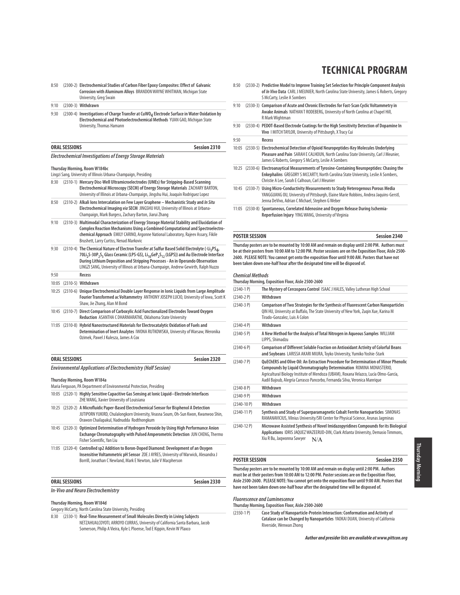8:50 (2300-2) **Electrochemical Studies of Carbon Fiber Epoxy Composites: Effect of Galvanic Corrosion with Aluminum Alloys** BRANDON WAYNE WHITMAN, Michigan State University, Greg Swain

# 9:10 (2300-3) **Withdrawn**  9:30 (2300-4) Investigations of Charge Transfer at CuWO<sub>4</sub> Electrode Surface in Water Oxidation by

**Electrochemical and Photoelectrochemical Methods** YUAN GAO, Michigan State University, Thomas Hamann

| <b>ORAL SESSIONS</b>                                              | Session 2310 |
|-------------------------------------------------------------------|--------------|
| <b>Electrochemical Investigations of Energy Storage Materials</b> |              |

### **Thursday Morning, Room W184bc**

Lingzi Sang, University of Illinois Urbana-Champaign, Presiding

- 8:30 (2310-1) **Mercury Disc-Well Ultramicroelectrodes (UMEs) for Stripping-Based Scanning Electrochemical Microscopy (SECM) of Energy Storage Materials** ZACHARY BARTON, University of Illinois at Urbana-Champaign, Jingshu Hui, Joaquín Rodriguez Lopez
- 8:50 (2310-2) **Alkali Ions Intercalation on Few Layer Graphene Mechanistic Study and In Situ Electrochemical Imaging via SECM** JINGSHU HUI, University of Illinois at Urbana-Champaign, Mark Burgess, Zachary Barton, Jiarui Zhang
- 9:10 (2310-3) **Multimodal Characterization of Energy Storage Material Stability and Elucidation of Complex Reaction Mechanisms Using a Combined Computational and Spectroelectrochemical Approach** EMILY CARINO, Argonne National Laboratory, Rajeev Assary, Fikile Brushett, Larry Curtiss, Nenad Markovic
- 9:30 (2310-4) The Chemical Nature of Electron Transfer at Sulfur Based Solid Electrolyte (-Li<sub>3</sub>PS<sub>4</sub>, **70Li2S-30P2S5 Glass Ceramic (LPS-GS), Li10GeP2S12 (LGPS)) and Au Electrode Interface During Lithium Deposition and Stripping Processes - An in Operando Observation** LINGZI SANG, University of Illinois at Urbana-Champaign, Andrew Gewirth, Ralph Nuzzo
- 9:50 **Recess** 10:05 (2310-5) **Withdrawn**
- 10:25 (2310-6) **Unique Electrochemical Double Layer Response in Ionic Liquids from Large Amplitude Fourier Transformed ac Voltammetry** ANTHONY JOSEPH LUCIO, University of Iowa, Scott K Shaw, Jie Zhang, Alan M Bond
- 10:45 (2310-7) **Direct Comparison of Carboxylic Acid Functionalized Electrodes Toward Oxygen Reduction** ASANTHA C DHARMARATNE, Oklahoma State University
- 11:05 (2310-8) **Hybrid Nanostructured Materials for Electrocatalytic Oxidation of Fuels and Determination of Inert Analytes** IWONA RUTKOWSKA, University of Warsaw, Weronika Ozimek, Pawel J Kulesza, James A Cox

# **ORAL SESSIONS Session 2320 Environmental Applications of Electrochemistry (Half Session)**

# **Thursday Morning, Room W184a**

- Maria Ferguson, PA Department of Environmental Protection, Presiding
- 10:05 (2320-1) **Highly Sensitive Capacitive Gas Sensing at Ionic Liquid−Electrode Interfaces**  ZHE WANG, Xavier University of Louisiana
- 10:25 (2320-2) **A Microfluidic Paper-Based Electrochemical Sensor for Bisphenol A Detection**  JUTIPORN YUKIRD, Chulalongkorn University, Veasna Soum, Oh-Sun Kwon, Kwanwoo Shin, Orawon Chailapakul, Nadnudda Rodthongkum
- 10:45 (2320-3) **Optimized Determination of Hydrogen Peroxide by Using High Performance Anion Exchange Chromatography with Pulsed Amperometric Detection** JUN CHENG, Thermo Fisher Scientific, Yan Liu
- 11:05 (2320-4) **Controlled sp2 Addition to Boron-Doped Diamond: Development of an Oxygen Insensitive Voltammetric pH Sensor** ZOE J AYRES, University of Warwick, Alexandra J Borrill, Jonathan C Newland, Mark E Newton, Julie V Macpherson

### **ORAL SESSIONS Session 2330**

# **In-Vivo and Neuro Electrochemistry**

**Thursday Morning, Room W184d**

- Gregory McCarty, North Carolina State University, Presiding
- 8:30 (2330-1) **Real-Time Measurement of Small Molecules Directly in Living Subjects**  NETZAHUALCOYOTL ARROYO CURRAS, University of California Santa Barbara, Jacob Somerson, Philip A Vieira, Kyle L Ploense, Tod E Kippin, Kevin W Plaxco

# **TECHNICAL PROGRAM**

8:50 (2330-2) **Predictive Model to Improve Training Set Selection for Principle Component Analysis of In Vivo Data** CARL J MEUNIER, North Carolina State University, James G Roberts, Gregory S McCarty, Leslie A Sombers 9:10 (2330-3) **Comparison of Acute and Chronic Electrodes for Fast-Scan Cyclic Voltammetry in Awake Animals** NATHAN T RODEBERG, University of North Carolina at Chapel Hill, R Mark Wightman 9:30 (2330-4) **PEDOT-Based Electrode Coatings for the High Sensitivity Detection of Dopamine In Vivo** I MITCH TAYLOR, University of Pittsburgh, X Tracy Cui

#### 9:50 **Recess**

- 10:05 (2330-5) **Electrochemical Detection of Opioid Neuropeptides-Key Molecules Underlying Pleasure and Pain** SARAH E CALHOUN, North Carolina State University, Carl J Meunier, James G Roberts, Gregory S McCarty, Leslie A Sombers
- 10:25 (2330-6) **Electroanaytical Measurements of Tyrosine-Containing Neuropeptides: Chasing the Enkephalins** GREGORY S MCCARTY, North Carolina State University, Leslie A Sombers, Christie A Lee, Sarah E Calhoun, Carl J Meunier
- 10:45 (2330-7) **Using Micro-Conductivity Measurements to Study Heterogenous Porous Media**  YANGGUANG OU, University of Pittsburgh, Elaine Marie Robbins, Andrea Jaquins-Gerstl, Jenna DeVivo, Adrian C Michael, Stephen G Weber
- 11:05 (2330-8) **Spontaneous, Correlated Adenosine and Oxygen Release During Ischemia-Reperfusion Injury** YING WANG, University of Virginia

#### **POSTER SESSION Session 2340**

**Thursday posters are to be mounted by 10:00 AM and remain on display until 2:00 PM. Authors must be at their posters from 10:00 AM to 12:00 PM. Poster sessions are on the Exposition Floor, Aisle 2500- 2600. PLEASE NOTE: You cannot get onto the exposition floor until 9:00 AM. Posters that have not been taken down one-half hour after the designated time will be disposed of.**

#### **Chemical Methods**

**Thursday Morning, Exposition Floor, Aisle 2500-2600**

| $(2340-1)$     | The Mystery of Cercospora Control ISAAC J HALES, Valley Lutheran High School                                                                                                                                                                                                                                                            |
|----------------|-----------------------------------------------------------------------------------------------------------------------------------------------------------------------------------------------------------------------------------------------------------------------------------------------------------------------------------------|
| $(2340-2)$ P)  | Withdrawn                                                                                                                                                                                                                                                                                                                               |
| $(2340-3)$ P)  | Comparison of Two Strategies for the Synthesis of Fluorescent Carbon Nanoparticles<br>QIN HU, University at Buffalo, The State University of New York, Zugin Xue, Karina M<br>Tirado-Gonzalez, Luis A Colon                                                                                                                             |
| $(2340 - 4P)$  | Withdrawn                                                                                                                                                                                                                                                                                                                               |
| $(2340-5P)$    | A New Method for the Analysis of Total Nitrogen in Aqueous Samples WILLIAM<br>LIPPS, Shimadzu                                                                                                                                                                                                                                           |
| $(2340-6P)$    | Comparison of Different Soluble Fraction on Antioxidant Activity of Colorful Beans<br>and Soybeans LARISSA AKARI MIURA, Toyko University, Yumiko Yoshie-Stark                                                                                                                                                                           |
| $(2340 - 7 P)$ | <b>OUECHERS and Olive Oil: An Extraction Procedure for Determination of Minor Phenolic</b><br>Compounds by Liquid Chromatography Determination ROMINA MONASTERIO,<br>Agricultural Biology Institute of Mendoza (UBAM), Roxana Velazco, Lucía Olmo-García,<br>Aadil Bajoub, Alegría Carrasco Pancorbo, Fernanda Silva, Veronica Manrique |
| $(2340-8P)$    | Withdrawn                                                                                                                                                                                                                                                                                                                               |
| $(2340-9P)$    | Withdrawn                                                                                                                                                                                                                                                                                                                               |
| $(2340-10 P)$  | Withdrawn                                                                                                                                                                                                                                                                                                                               |
| $(2340-11 P)$  | Synthesis and Study of Superparamagnetic Cobalt Ferrite Nanoparticles SIMONAS<br>RAMANAVICIUS, Vilnius University/SRI Center for Physical Science, Arunas Jagminas                                                                                                                                                                      |
| $(2340-12)$ P) | Microwave Assisted Synthesis of Novel Imidazopyridines Compounds for its Biological<br>Applications IDRIS JAQUEZ WAZEERUD-DIN, Clark Atlanta University, Demasio Timmons,<br>Xiu R Bu, Jagwonna Sawyer<br>N/A                                                                                                                           |

#### **POSTER SESSION Session 2350**

**Thursday posters are to be mounted by 10:00 AM and remain on display until 2:00 PM. Authors must be at their posters from 10:00 AM to 12:00 PM. Poster sessions are on the Exposition Floor, Aisle 2500-2600. PLEASE NOTE: You cannot get onto the exposition floor until 9:00 AM. Posters that have not been taken down one-half hour after the designated time will be disposed of.**

#### **Fluorescence and Luminescence**

**Thursday Morning, Exposition Floor, Aisle 2500-2600**

(2350-1 P) **Case Study of Nanoparticle-Protein Interaction: Conformation and Activity of Catalase can be Changed by Nanoparticles** YAOKAI DUAN, University of California Riverside, Wenwan Zhong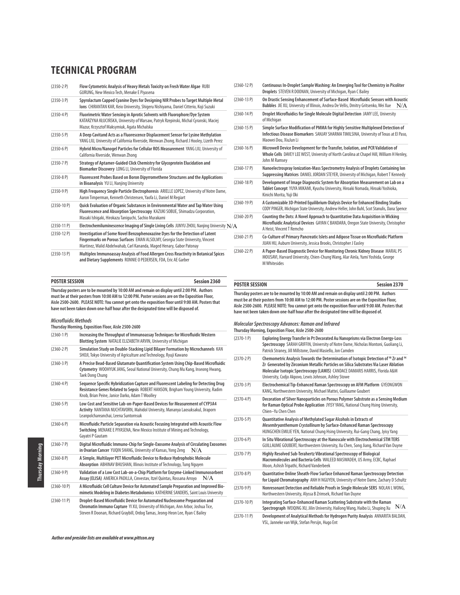| $(2350-2)$    | Flow Cytometric Analysis of Heavy Metals Toxicity on Fresh Water Algae RUBI<br>GURUNG, New Mexico Tech, Menake E Piyasena                                                                                                                |
|---------------|------------------------------------------------------------------------------------------------------------------------------------------------------------------------------------------------------------------------------------------|
| $(2350-3P)$   | Spyrolactum Capped Cyanine Dyes for Designing NIR Probes to Target Multiple Metal<br>Ions CHIRANTAN KAR, Keio University, Shigeru Nishiyama, Daniel Citterio, Koji Suzuki                                                                |
| $(2350-4P)$   | Fluorimetric Water Sensing in Aprotic Solvents with Fluorophore/Dye System<br>KATARZYNA KŁUCIŃSKA, University of Warsaw, Patryk Rzepinski, Michal Cyranski, Maciej<br>Mazur, Krzysztof Maksymiuk, Agata Michalska                        |
| $(2350-5P)$   | A Deep Cavitand Acts as a Fluorescence Displacement Sensor for Lysine Methylation<br>YANG LIU, University of California Riverside, Wenwan Zhong, Richard J Hooley, Lizeth Perez                                                          |
| $(2350-6P)$   | Hybrid Micro/Nanogel Particles for Cellular ROS Measurement YANG LIU, University of<br>California Riverside, Wenwan Zhong                                                                                                                |
| $(2350 - 7)$  | Strategy of Aptamer-Guided Click Chemistry for Glycoprotein Elucidation and<br>Biomarker Discovery LONG LI, University of Florida                                                                                                        |
| $(2350-8P)$   | Fluorescent Probes Based on Boron Dipyrromethene Structures and the Applications<br>in Bioanalysis YU LI, Nanjing University                                                                                                             |
| $(2350-9P)$   | High Frequency Single Particle Electrophoresis ARIELLE LOPEZ, University of Notre Dame,<br>Aaron Timperman, Kenneth Christensen, Yaofa Li, Daniel M Regiart                                                                              |
| $(2350-10 P)$ | Quick Evaluation of Organic Substances in Environmental Water and Tap Water Using<br>Fluorescence and Absorption Spectroscopy KAZUKI SOBUE, Shimadzu Corporation,<br>Masaki Ishigaki, Hirokazu Taniguchi, Sachio Murakami                |
| $(2350-11P)$  | Electrochemiluminescence Imaging of Single Living Cells JUNYU ZHOU, Nanjing University                                                                                                                                                   |
| $(2350-12)$   | Investigation of Some Novel Benzophenoxazine Dyes for the Detection of Latent<br>Fingermarks on Porous Surfaces EMAN ALSOLMY, Georgia State University, Vincent<br>Martinez, Walid Abdelwahab, Carl Kananda, Maged Henary, Gabor Patonay |
| $(2350-13 P)$ | Multiplex Immunoassay Analysis of Food Allergen Cross Reactivity in Botanical Spices<br>and Dietary Supplements RONNIE O PEDERSEN, FDA, Eric AE Garber                                                                                   |

**POSTER SESSION Session 2360**

**Thursday posters are to be mounted by 10:00 AM and remain on display until 2:00 PM. Authors**  must be at their posters from 10:00 AM to 12:00 PM. Poster sessions are on the Exposition Floor, **Aisle 2500-2600. PLEASE NOTE: You cannot get onto the exposition floor until 9:00 AM. Posters that have not been taken down one-half hour after the designated time will be disposed of.**

#### **Microfluidic Methods**

**Thursday Morning, Exposition Floor, Aisle 2500-2600**

| $(2360-1)$    | Increasing the Throughput of Immunoassay Techniques for Microfluidic Western<br>Blotting System NATALIE ELIZABETH ARVIN, University of Michigan                                                                                                |
|---------------|------------------------------------------------------------------------------------------------------------------------------------------------------------------------------------------------------------------------------------------------|
| $(2360 - 2P)$ | Simulation Study on Double-Stacking Lipid Bilayer Formation by Microchannels KAN<br>SHOJI. Tokyo University of Agriculture and Technology. Ryuji Kawano                                                                                        |
| $(2360-3P)$   | A Precise Bead-Based Glutamate Quantification System Using Chip-Based Microfluidic<br>Cytometry WOOHYUK JANG, Seoul National University, Chung Mu Kang, Inseong Hwang,<br><b>Taek Dong Chung</b>                                               |
| $(2360 - 4P)$ | Sequence Specific Hybridization Capture and Fluorescent Labeling for Detecting Drug<br>Resistance Genes Related to Sepsis ROBERT HANSON, Brigham Young University, Radim<br>Knob, Brian Peine, Janice Darko, Adam T Woolley                    |
| $(2360 - 5P)$ | Low Cost and Sensitive Lab-on-Paper-Based Devices for Measurement of CYP3A4<br>Activity NANTANA NUCHTAVORN, Mahidol University, Mananya Laosuksakul, Jiraporn<br>Leanpolchareanchai, Leena Suntornsuk                                          |
| $(2360-6P)$   | Microfluidic Particle Separation via Acoustic Focusing Integrated with Acoustic Flow<br>Switching MENAKE E PIYASENA, New Mexico Institute of Mining and Technology,<br>Gayatri P Gautam                                                        |
| $(2360 - 7P)$ | Digital Microfluidic Immuno-Chip for Single-Exosome Analysis of Circulating Exosomes<br>in Ovarian Cancer YUQIN SHANG, University of Kansas, Yong Zeng<br>N/A                                                                                  |
| $(2360-8P)$   | A Simple, Multilayer PET Microfluidic Device to Reduce Hydrophobic Molecule<br>Absorption ABHINAV BHUSHAN, Illinois Institute of Technology, Tung Nguyen                                                                                       |
| $(2360 - 9P)$ | Validation of a Low Cost Lab-on-a-Chip Platform for Enzyme-Linked Immunosorbent<br>Assay (ELISA) AMERICA PADILLA, Cinvestay, Itzel Quintas, Rossana Arroyo<br>N/A                                                                              |
| $(2360-10 P)$ | A Microfluidic Cell Culture Device for Automated Sample Preparation and Improved Bio-<br>mimetic Modeling in Diabetes Metabolomics KATHERINE SANDERS, Saint Louis University                                                                   |
| $(2360-11 P)$ | Droplet-Based Microfluidic Device for Automated Nucleosome Preparation and<br>Chromatin Immuno Capture YI XU, University of Michigan, Ann Arbor, Joshua Tice,<br>Steven R Doonan, Richard Graybill, Ordog Tamas, Jeong-Heon Lee, Ryan C Bailey |

| N/A | $(2360-12)$     | Continuous In-Droplet Sample Washing: An Emerging Tool for Chemistry in Picoliter<br>Droplets STEVEN R DOONAN, University of Michigan, Ryan C Bailey                                                  |
|-----|-----------------|-------------------------------------------------------------------------------------------------------------------------------------------------------------------------------------------------------|
|     | $(2360-13)$ P)  | On Drastic Sensing Enhancement of Surface-Based Microfluidic Sensors with Acoustic<br>Bubbles JIE XU, University of Illinois, Andrea De Vellis, Dmitry Gritsenko, Wei Xue<br>N/A                      |
|     | $(2360-14P)$    | Droplet Microfluidics for Single Molecule Digital Detection JAMY LEE, University<br>of Michigan                                                                                                       |
|     | $(2360 - 15 P)$ | Simple Surface Modification of PMMA for Highly Sensitive Multiplexed Detection of<br>Infectious Disease Biomarkers SANJAY SHARMA TIMILSINA, University of Texas at El Paso,<br>Maowei Dou, XiuJun Li  |
|     | $(2360 - 16P)$  | Microwell Device Development for the Transfer, Isolation, and PCR Validation of<br>Whole Cells DAVEY LEE WEST, University of North Carolina at Chapel Hill, William H Henley,<br>John M Ramsey        |
|     | $(2360-17P)$    | Nanoelectrospray lonization-Mass Spectrometry Analysis of Droplets Containing lon<br>Suppressing Matrices DANIEL JORDAN STEYER, University of Michigan, Robert T Kennedy                              |
|     | $(2360-18)$     | Development of Image Diagnostic System for Absorption Measurement on Lab on a<br>Tablet Concept YUYA MIKAMI, Kyushu University, Hiroaki Nomada, Hiroaki Yoshioka,<br>Kinichi Morita, Yuii Oki         |
|     | $(2360-19P)$    | A Customizable 3D-Printed Equilibrium-Dialysis Device for Enhanced Binding Studies<br>CODY PINGER, Michigan State University, Andrew Heller, John Buhl, Scot Stanulis, Dana Spence                    |
|     | $(2360 - 20 P)$ | Counting the Dots: A Novel Approach to Quantitative Data Acquisition in Wicking<br>Microfluidic Analytical Devices GAYAN C BANDARA, Oregon State University, Christopher<br>A Heist, Vincent T Remcho |
|     | $(2360-21)$     | Co-Culture of Primary Pancreatic Islets and Adipose Tissue on Microfluidic Platform<br>JUAN HU, Auburn University, Jessica Brooks, Christopher J Easley                                               |
|     | $(2360 - 22 P)$ | A Paper-Based Diagnostic Device for Monitoring Chronic Kidney Disease MARAL PS<br>MOUSAVI, Harvard University, Chien-Chung Wang, Alar Ainla, Yumi Yoshida, George<br><b>M</b> Whitesides              |

# **POSTER SESSION Session 2370 Thursday posters are to be mounted by 10:00 AM and remain on display until 2:00 PM. Authors**

**must be at their posters from 10:00 AM to 12:00 PM. Poster sessions are on the Exposition Floor, Aisle 2500-2600. PLEASE NOTE: You cannot get onto the exposition floor until 9:00 AM. Posters that have not been taken down one-half hour after the designated time will be disposed of.**

## **Molecular Spectroscopy Advances: Raman and Infrared**

**Thursday Morning, Exposition Floor, Aisle 2500-2600**

| $(2370-1)$    | Exploring Energy Transfer in Pt Decorated Au Nanoprisms via Electron Energy-Loss<br>Spectroscopy SARAH GRIFFIN, University of Notre Dame, Nicholas Montoni, Guoliang Li,<br>Patrick Straney, Jill Millstone, David Masiello, Jon Camden                                                                                                    |
|---------------|--------------------------------------------------------------------------------------------------------------------------------------------------------------------------------------------------------------------------------------------------------------------------------------------------------------------------------------------|
| $(2370-2P)$   | Chemometric Analysis Towards the Determination of Isotopic Detection of <sup>90</sup> Zr and <sup>94</sup><br>Zr Generated by Zirconium Metallic Particles on Silica Substrates Via Laser Ablation<br>Molecular Isotopic Spectroscopy (LAMIS) CANDACE DAMARIS HARRIS, Florida A&M<br>University, Codjo Akpovo, Lewis Johnson, Ashley Stowe |
| $(2370-3P)$   | Electrochemical Tip-Enhanced Raman Spectroscopy on AFM Platform GYEONGWON<br>KANG, Northwestern University, Michael Mattei, Guillaume Goubert                                                                                                                                                                                              |
| $(2370-4P)$   | Decoration of Silver Nanoparticles on Porous Polymer Substrate as a Sensing Medium<br>for Raman Optical Probe Application JYISY YANG, National Chung Hsing University,<br>Chien-Yu Chen Chen                                                                                                                                               |
| $(2370-5P)$   | Quantitative Analysis of Methylated Sugar Alcohols in Extracts of<br>Mesembryanthemum Crystallinum by Surface-Enhanced Raman Spectroscopy<br>HUNGCHEN EMILIE YEN, National Chung Hsing University, Rui-Gang Chang, Jyisy Yang                                                                                                              |
| $(2370-6P)$   | In Situ Vibrational Spectroscopy at the Nanoscale with Electrochemical STM TERS<br>GUILLAUME GOUBERT, Northwestern University, Xu Chen, Song Jiang, Richard Van Duyne                                                                                                                                                                      |
| $(2370 - 7)$  | Highly Resolved Sub-Terahertz Vibrational Spectroscopy of Biological<br>Macromolecules and Bacteria Cells WALEED MASWADEH, US Army, ECBC, Raphael<br>Moon, Ashish Tripathi, Richard Vanderbeek                                                                                                                                             |
| $(2370-8P)$   | Quantitative Online Sheath-Flow Surface Enhanced Raman Spectroscopy Detection<br>for Liquid Chromatography ANH H NGUYEN, University of Notre Dame, Zachary D Schultz                                                                                                                                                                       |
| $(2370-9P)$   | Nonresonant Detection and Reliable Proofs in Single Molecule SERS NOLAN LWONG,<br>Northwestern University, Alyssa B Zrimsek, Richard Van Duyne                                                                                                                                                                                             |
| $(2370-10 P)$ | Integrating Surface-Enhanced Raman Scattering Substrate with the Raman<br>N/A<br>Spectrograph WEIQING XU, Jilin University, Hailong Wang, Haibo Li, Shuping Xu                                                                                                                                                                             |
| $(2370-11P)$  | Development of Analytical Methods for Hydrogen Purity Analysis ANNARITA BALDAN,<br>VSL, Janneke van Wijk, Stefan Persijn, Hugo Ent                                                                                                                                                                                                         |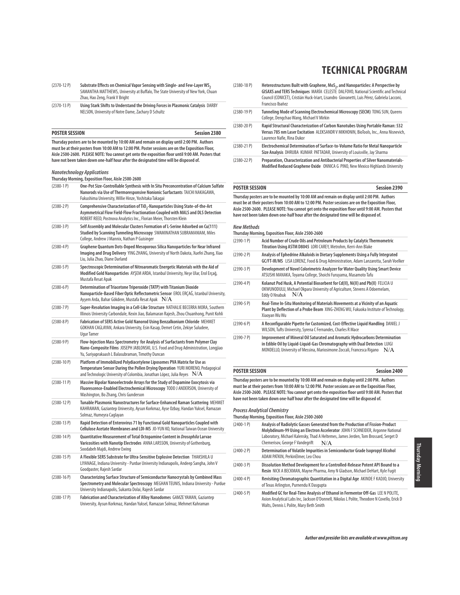- (2370-12 P) Substrate Effects on Chemical Vapor Sensing with Single- and Few-Layer WS<sub>2</sub> SAMANTHA MATTHEWS, University at Buffalo, The State University of New York, Chuan Zhao, Hao Zeng, Frank V Bright
- (2370-13 P) **Using Stark Shifts to Understand the Driving Forces in Plasmonic Catalysis** DARBY NELSON, University of Notre Dame, Zachary D Schultz

| POSTER SESSION | <b>Session 2380</b> |
|----------------|---------------------|
|----------------|---------------------|

**Thursday posters are to be mounted by 10:00 AM and remain on display until 2:00 PM. Authors must be at their posters from 10:00 AM to 12:00 PM. Poster sessions are on the Exposition Floor, Aisle 2500-2600. PLEASE NOTE: You cannot get onto the exposition floor until 9:00 AM. Posters that have not been taken down one-half hour after the designated time will be disposed of.**

# **Nanotechnology Applications**

**Thursday Morning, Exposition Floor, Aisle 2500-2600**

|               | <b>INVESTIGATION EXPOSITION LIGHT</b>                                                                                                                                                                                                             |
|---------------|---------------------------------------------------------------------------------------------------------------------------------------------------------------------------------------------------------------------------------------------------|
| $(2380-1)$    | One-Pot Size-Controllable Synthesis with In Situ Preconcentration of Calcium Sulfate<br>Nanorods via Use of Thermoresponsive Nonionic Surfactants TAICHI NAKAGAWA,<br>Fukushima University, Willie Hinze, Yoshitaka Takagai                       |
| $(2380-2)$ P) | Comprehensive Characterization of TiO <sub>2</sub> -Nanoparticles Using State-of-the-Art<br>Asymmetrical Flow Field-Flow Fractionation Coupled with MALS and DLS Detection<br>ROBERT REED, Postnova Analytics Inc., Florian Meier, Thorsten Klein |
| $(2380-3)$ P) | Self Assembly and Molecular Clusters Formation of L-Serine Adsorbed on Cu(111)<br>Studied by Scanning Tunneling Microscopy SWAMINATHAN SUBRAMANIAM, Miles<br>College, Andrew J Mannix, Nathan P Guisinger                                         |
| $(2380-4P)$   | Graphene Quantum Dots-Doped Mesoporous Silica Nanoparticles for Near Infrared<br>Imaging and Drug Delivery YING ZHANG, University of North Dakota, Xuefei Zhang, Xiao<br>Liu, Julia Zhao, Diane Darland                                           |
| $(2380-5P)$   | Spectroscopic Determination of Nitroaromatic Energetic Materials with the Aid of<br>Modified Gold Nanoparticles AYŞEM ARDA, Istanbul University, Neşe Ular, Erol Erçağ,<br>Mustafa Resat Apak                                                     |
| $(2380-6P)$   | Determination of Triacetone Triperoxide (TATP) with Titanium Dioxide<br>Nanoparticle-Based Fiber Optic Reflectometric Sensor EROL ERÇAĞ, Istanbul University,<br>Ayşem Arda, Bahar Gökdere, Mustafa Resat Apak $\;\;\mathrm{N/A}$                 |
| $(2380 - 7)$  | Super-Resolution Imaging in a Cell-Like Structure NATHALIE BECERRA MORA, Southern<br>Illinois University Carbondale, Kexin Jiao, Balamaran Rajesh, Zhou Chuanhong, Punit Kohli                                                                    |
| $(2380-8P)$   | Fabrication of SERS Active Gold Nanorod Using Benzalkonium Chloride MEHMET<br>GOKHAN CAGLAYAN, Ankara University, Esin Kasap, Demet Cetin, Zekiye Suludere,<br>Ugur Tamer                                                                         |
| $(2380-9P)$   | Flow-Injection Mass Spectrometry for Analysis of Surfactants from Polymer Clay<br>Nano-Composite Films JOSEPH JABLONSKI, U.S. Food and Drug Administration, Longjiao<br>Yu, Suriyaprakaash L Balasubraman, Timothy Duncan                         |
| $(2380-10P)$  | Platform of Immobilized Polydiacetylene Liposomes PVA Matrix for Use as<br>Temperature Sensor During the Pollen Drying Operation YURI MORENO, Pedagogical<br>and Technologic University of Colombia, Jonathan López, Julia Reyes $\,$ $\rm N/A$   |
| $(2380-11P)$  | Massive Bipolar Nanoelectrode Arrays for the Study of Dopamine Exocytosis via<br>Fluorescence-Enabled Electrochemical Microscopy TODD J ANDERSON, University of<br>Washington, Bo Zhang, Chris Gunderson                                          |
| $(2380-12P)$  | Tunable Plasmonic Nanostructures for Surface-Enhanced Raman Scattering MEHMET<br>KAHRAMAN, Gaziantep University, Aysun Korkmaz, Ayse Ozbay, Handan Yuksel, Ramazan<br>Solmaz, Humeyra Caglayan                                                    |
| $(2380-13P)$  | Rapid Detection of Enterovirus 71 by Functional Gold Nanoparticles Coupled with<br>Cellulose Acetate Membranes and LDI-MS JO-YUN KO, National Taiwan Ocean University                                                                             |
| $(2380-14P)$  | Quantitative Measurement of Total Octopamine Content in Drosophila Larvae<br>Varicosities with Nanotip Electrodes ANNA LARSSON, University of Gothenburg,<br>Soodabeh Majdi, Andrew Ewing                                                         |
| $(2380-15P)$  | A Flexible SERS Substrate for Ultra-Sensitive Explosive Detection THAKSHILA U<br>LIYANAGE, Indiana University - Purdue University Indianapolis, Andeep Sangha, John V<br>Goodpaster, Rajesh Sardar                                                |
| $(2380-16P)$  | Characterizing Surface Structure of Semiconductor Nanocrystals by Combined Mass<br>Spectrometry and Molecular Spectroscopy MEGHAN TEUNIS, Indiana University - Purdue<br>University Indianapolis, Sukanta Dolai, Rajesh Sardar                    |
| $(2380-17P)$  | Fabrication and Characterization of Alloy Nanodomes GAMZE YAMAN, Gaziantep<br>University, Aysun Korkmaz, Handan Yuksel, Ramazan Solmaz, Mehmet Kahraman                                                                                           |

# **TECHNICAL PROGRAM**

| $(2380 - 18P)$ | Heterostructures Built with Graphene, MoS <sub>2</sub> , and Nanoparticles: A Perspective by<br>GISAXS and TERS Techniques MARÍA CELESTE DALFOVO, National Scientific and Technical<br>Council (CONICET), Cristián Huck-Iriart, Lisandro Giovanetti, Luis Pérez, Gabriela Lacconi,<br>Francisco Ibañez |
|----------------|--------------------------------------------------------------------------------------------------------------------------------------------------------------------------------------------------------------------------------------------------------------------------------------------------------|
| $(2380-19P)$   | Tunneling Mode of Scanning Electrochemical Microscopy (SECM) TONG SUN, Queens<br>College, Dengchao Wang, Michael V Mirkin                                                                                                                                                                              |
| $(2380 - 20P)$ | Rapid Structural Characterization of Carbon Nanotubes Using Portable Raman: 532<br>Versus 785 nm Laser Excitation ALEKSANDR V MIKHONIN, BioTools, Inc., Anna Nisnevich,<br>Laurence Nafie, Rina Dukor                                                                                                  |
| $(2380 - 21P)$ | Electrochemical Determination of Surface-to-Volume Ratio for Metal Nanoparticle<br>Size Analysis DHRUBA KUMAR PATTADAR, University of Louisville, Jay Sharma                                                                                                                                           |
| $(2380 - 22P)$ | Preparation, Characterization and Antibacterial Properties of Silver Nanomaterials-<br>Modified Reduced Graphene Oxide ONNICA G PINO, New Mexico Highlands University                                                                                                                                  |

### **POSTER SESSION Session 2390**

**Thursday posters are to be mounted by 10:00 AM and remain on display until 2:00 PM. Authors must be at their posters from 10:00 AM to 12:00 PM. Poster sessions are on the Exposition Floor, Aisle 2500-2600. PLEASE NOTE: You cannot get onto the exposition floor until 9:00 AM. Posters that have not been taken down one-half hour after the designated time will be disposed of.**

### **New Methods**

|               | Thursday Morning, Exposition Floor, Aisle 2500-2600                                                                                                                                                                                          |  |
|---------------|----------------------------------------------------------------------------------------------------------------------------------------------------------------------------------------------------------------------------------------------|--|
| $(2390-1)$    | Acid Number of Crude Oils and Petroleum Products by Catalytic Thermometric<br>Titration Using ASTM D8045 LORI CAREY, Metrohm, Kerri-Ann Blake                                                                                                |  |
| $(2390-2P)$   | Analysis of Ephedrine Alkaloids in Dietary Supplements Using a Fully Integrated<br>GC/FT-IR/MS LISA LORENZ, Food & Drug Administration, Adam Lanzarotta, Sarah Voelker                                                                       |  |
| $(2390-3P)$   | Development of Novel Colorimetric Analyzer for Water Quality Using Smart Device<br>ATSUSHI MANAKA, Toyama College, Shoichi Furuyama, Masamoto Tafu                                                                                           |  |
| $(2390-4P)$   | Kolanut Pod Husk, A Potential Biosorbent for Cd(II), Ni(II) and Pb(II) FELICIA U<br>OKWUNODULU, Michael Okpara University of Agriculture, Stevens A Odoemelam,<br>N/A<br>Eddy O Nnabuk                                                       |  |
| $(2390-5P)$   | Real-Time In-Situ Monitoring of Materials Movements at a Vicinity of an Aquatic<br>Plant by Deflection of a Probe Beam XING-ZHENG WU, Fukuoka Institute of Technology,<br>Xiaoyan Wu Wu                                                      |  |
| $(2390-6P)$   | A Reconfigurable Pipette for Customized, Cost-Effective Liguid Handling DANIEL J<br>WILSON, Tufts University, Syrena C Fernandes, Charles R Mace                                                                                             |  |
| $(2390 - 7P)$ | Improvement of Mineral Oil Saturated and Aromatic Hydrocarbons Determination<br>in Edible Oil by Liquid-Liquid-Gas Chromatography with Dual Detection LUIGI<br>MONDELLO, University of Messina, Mariosimone Zoccali, Francesca Rigano<br>N/A |  |

### **POSTER SESSION Session 2400**

**Thursday posters are to be mounted by 10:00 AM and remain on display until 2:00 PM. Authors must be at their posters from 10:00 AM to 12:00 PM. Poster sessions are on the Exposition Floor, Aisle 2500-2600. PLEASE NOTE: You cannot get onto the exposition floor until 9:00 AM. Posters that have not been taken down one-half hour after the designated time will be disposed of.**

#### **Process Analytical Chemistry**

**Thursday Morning, Exposition Floor, Aisle 2500-2600**

| $(2400-1)$     | Analysis of Radiolytic Gasses Generated from the Production of Fission-Product<br>Molybdinum-99 Using an Electron Accelerator JOHN F SCHNEIDER, Argonne National<br>Laboratory, Michael Kalensky, Thad A Heltemes, James Jerden, Tom Brossard, Serget D<br>Chemerisov, George F Vandegrift<br>N/A |
|----------------|---------------------------------------------------------------------------------------------------------------------------------------------------------------------------------------------------------------------------------------------------------------------------------------------------|
| $(2400 - 2 P)$ | Determination of Volatile Impurities in Semiconductor Grade Isopropyl Alcohol<br>ADAM PATKIN, PerkinElmer, Leo Chou                                                                                                                                                                               |
| $(2400-3)$ P)  | Dissolution Method Development for a Controlled-Release Potent API Bound to a<br>Resin NICK A BECKMAN, Mayne Pharma, Amy N Gladson, Michael DeHart, Kyle Fugit                                                                                                                                    |
| $(2400 - 4P)$  | Revisiting Chromatographic Quantitation in a Digital Age AKINDE F KADJO, University<br>of Texas Arlington, Purnendu K Dasgupta                                                                                                                                                                    |
| $(2400-5P)$    | Modified GC for Real-Time Analysis of Ethanol in Fermentor Off-Gas LEE N POLITE,<br>Axion Analytical Labs Inc, Jackson O'Donnell, Nikolas L Polite, Theodore N Covello, Erick D<br>Walts, Dennis L Polite, Mary Beth Smith                                                                        |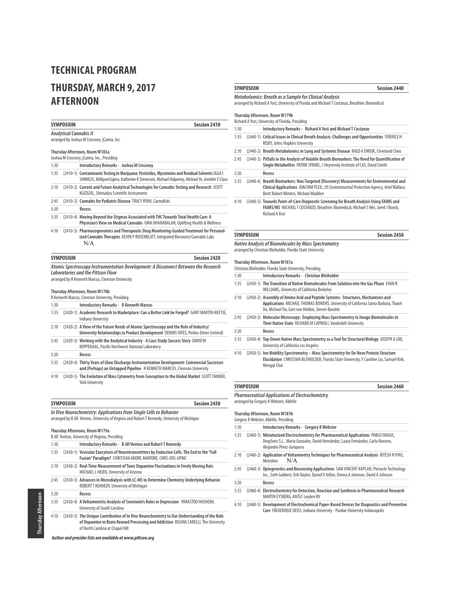# **THURSDAY, MARCH 9, 2017 AFTERNOON**

|                                                                                                                                                                      | SYMPOSIUM        | Session 2410                                                                                                                                                                                                           |
|----------------------------------------------------------------------------------------------------------------------------------------------------------------------|------------------|------------------------------------------------------------------------------------------------------------------------------------------------------------------------------------------------------------------------|
| Analytical Cannabis II<br>arranged by Joshua M Crossney, jCanna, Inc.                                                                                                |                  |                                                                                                                                                                                                                        |
| Thursday Afternoon, Room W183a<br>Joshua M Crossney, jCanna, Inc., Presiding                                                                                         |                  |                                                                                                                                                                                                                        |
| 1:30                                                                                                                                                                 |                  | Introductory Remarks - Joshua M Crossney                                                                                                                                                                               |
| 1:35                                                                                                                                                                 |                  | (2410-1) Contaminants Testing in Marijuana: Pesticides, Mycotoxins and Residual Solvents OLGA I<br>SHIMELIS, MilliporeSigma, Katherine K Stenerson, Michael Halpenny, Michael Ye, Jennifer E Claus                     |
| 2:10                                                                                                                                                                 |                  | (2410-2) Current and Future Analytical Technologies for Cannabis Testing and Research SCOTT<br>KUZDZAL, Shimadzu Scientific Instruments                                                                                |
| 2:45                                                                                                                                                                 |                  | (2410-3) Cannabis for Pediatric Disease TRACY RYAN, CannaKids                                                                                                                                                          |
| 3:20                                                                                                                                                                 |                  | Recess                                                                                                                                                                                                                 |
| 3:35                                                                                                                                                                 |                  | (2410-4) Moving Beyond the Stigmas Associated with THC Towards Total Health Care: A<br>Physician's View on Medical Cannabis UMA DHANABALAN, Uplifting Health & Wellness                                                |
| 4:10                                                                                                                                                                 |                  | (2410-5) Pharmacogenomics and Therapeutic Drug Monitoring-Guided Treatment for Personal-<br>ized Cannabis Therapies KEVIN P ROSENBLATT, Integrated Biosource/Cannabis Labs<br>N/A                                      |
|                                                                                                                                                                      | <b>SYMPOSIUM</b> | <b>Session 2420</b>                                                                                                                                                                                                    |
|                                                                                                                                                                      |                  | Atomic Spectroscopy Instrumentation Development: A Disconnect Between the Research<br>Laboratories and the Pittcon Floor<br>arranged by R Kenneth Marcus, Clemson University                                           |
|                                                                                                                                                                      |                  | Thursday Afternoon, Room W178b<br>R Kenneth Marcus, Clemson University, Presiding                                                                                                                                      |
| 1:30                                                                                                                                                                 |                  | <b>Introductory Remarks - R Kenneth Marcus</b>                                                                                                                                                                         |
| 1:35                                                                                                                                                                 |                  | (2420-1) Academic Research to Marketplace: Can a Better Link be Forged? GARY MARTIN HIEFTJE,<br>Indiana University                                                                                                     |
| 2:10                                                                                                                                                                 |                  | (2420-2) A View of the Future Needs of Atomic Spectroscopy and the Role of Industry/<br>University Relationships in Product Development DENNIS YATES, Perkin-Elmer (retired)                                           |
| 2:45                                                                                                                                                                 |                  | (2420-3) Working with the Analytical Industry - A Case Study Success Story DAVID W<br>KOPPENAAL, Pacific Northwest National Laboratory                                                                                 |
| 3:20                                                                                                                                                                 |                  | Recess                                                                                                                                                                                                                 |
| 3:35                                                                                                                                                                 |                  | (2420-4) Thirty Years of Glow Discharge Instrumentation Development: Commercial Successes<br>and (Perhaps) an Untapped Pipeline R KENNETH MARCUS, Clemson University                                                   |
| 4:10                                                                                                                                                                 |                  | (2420-5) The Evolution of Mass Cytometry from Conception to the Global Market SCOTT TANNER,<br><b>York University</b>                                                                                                  |
|                                                                                                                                                                      | SYMPOSIUM        | <b>Session 2430</b>                                                                                                                                                                                                    |
| In Vivo Neurochemistry: Applications from Single Cells to Behavior<br>arranged by B Jill Venton, University of Virginia and Robert T Kennedy, University of Michigan |                  |                                                                                                                                                                                                                        |
|                                                                                                                                                                      |                  | Thursday Afternoon, Room W179a                                                                                                                                                                                         |
| 1:30                                                                                                                                                                 |                  | B Jill Venton, University of Virginia, Presiding<br>Introductory Remarks - B Jill Venton and Robert T Kennedy                                                                                                          |
| 1:35                                                                                                                                                                 |                  | (2430-1) Vesicular Exocytosis of Neurotransmitters by Endocrine Cells: The End to the "Full<br>Fusion" Paradigm? CHRISTIAN ANDRE AMATORE, CNRS-ENS-UPMC                                                                |
| 2:10                                                                                                                                                                 |                  | (2430-2) Real-Time Measurement of Tonic Dopamine Fluctuations in Freely Moving Rats<br>MICHAEL L HEIEN, University of Arizona                                                                                          |
| 2:45                                                                                                                                                                 |                  | (2430-3) Advances in Microdialysis with LC-MS to Determine Chemistry Underlying Behavior<br>ROBERT T KENNEDY, University of Michigan                                                                                   |
| 3:20                                                                                                                                                                 |                  | Recess                                                                                                                                                                                                                 |
| 3:35                                                                                                                                                                 |                  | (2430-4) A Voltammetric Analysis of Serotonin's Roles in Depression PARASTOO HASHEMI,<br>University of South Carolina                                                                                                  |
| 4:10                                                                                                                                                                 |                  | (2430-5) The Unique Contribution of In Vivo Neurochemistry to Our Understanding of the Role<br>of Dopamine in Brain Reward Processing and Addiction REGINA CARELLI, The University<br>of North Carolina at Chapel Hill |

**Author and presider lists are available at www.pittcon.org** 

### **SYMPOSIUM Session 2440**

## **Metabolomics: Breath as a Sample for Clinical Analysis**

arranged by Richard A Yost, University of Florida and Michael T Costanzo, Breathtec Biomedical

## **Thursday Afternoon, Room W179b**

Richard A Yost, University of Florida, Presiding

| 1:30 | Introductory Remarks - Richard A Yost and Michael T Costanzo                                                                    |
|------|---------------------------------------------------------------------------------------------------------------------------------|
| 1:35 | (2440-1) Critical Issues in Clinical Breath Analysis: Challenges and Opportunities TERENCE H<br>RISBY, Johns Hopkins University |
| 2:10 | (2440-2) Breath Metabolomics in Lung and Systemic Disease RAED A DWEIK. Cleveland Clinic                                        |
| 2:45 | (2440-3) Pitfalls in the Analysis of Volatile Breath Biomarkers: The Need for Quantification of                                 |

**Single Metabolites** PATRIK SPANEL, J Heyrovsky Institute of CAS, David Smith

3:20 **Recess**

- 3:35 (2440-4) **Breath Biomarkers: Non-Targeted (Discovery) Measurements for Environmental and Clinical Applications** JOACHIM PLEIL, US Environmental Protection Agency, Ariel Wallace, Brett Robert Winters, Michael Madden
- 4:10 (2440-5) **Towards Point-of-Care Diagnostic Screening for Breath Analysis Using FAIMS and FAIMS/MS** MICHAEL T COSTANZO, Breathtec Biomedical, Michael S Wei, Jared J Boock, Richard A Yost

# **SYMPOSIUM Session 2450**

# **Native Analysis of Biomolecules by Mass Spectrometry**

arranged by Christian Bleiholder, Florida State University

#### **Thursday Afternoon, Room W181a**

|      | Christian Bleiholder, Florida State University, Presiding                                                                                                                                                                |
|------|--------------------------------------------------------------------------------------------------------------------------------------------------------------------------------------------------------------------------|
| 1:30 | Introductory Remarks - Christian Bleiholder                                                                                                                                                                              |
| 1:35 | (2450-1) The Transition of Native Biomolecules From Solution into the Gas Phase EVAN R<br><b>WILLIAMS, University of California Berkelev</b>                                                                             |
| 2:10 | (2450-2) Assembly of Amino Acid and Peptide Systems: Structures, Mechanisms and<br>Applications MICHAEL THOMAS BOWERS, University of California Santa Barbara, Thanh<br>Do. Michael Tro. Gert von Helden. Steven Buratto |
| 2:45 | (2450-3) Molecular Microscopy: Employing Mass Spectrometry to Image Biomolecules in<br>Their Native State RICHARD M CAPRIOLI, Vanderbilt University                                                                      |
| 3:20 | Recess                                                                                                                                                                                                                   |
| 3:35 | (2450-4) Top-Down Native Mass Spectrometry as a Tool for Structural Biology JOSEPH A LOO,<br>University of California Los Angeles                                                                                        |
| 4:10 | (2450-5) Ion Mobility Spectrometry - Mass Spectrometry for De Novo Protein Structure<br>Elucidation CHRISTIAN BLEIHOLDER, Florida State University, F Caroline Liu, Samuel Kirk,<br>Menggi Chai                          |

| SYMPOSIUM                                              | Session 2460 |
|--------------------------------------------------------|--------------|
| <b>Pharmaceutical Applications of Electrochemistry</b> |              |

arranged by Gregory K Webster, AbbVie

#### **Thursday Afternoon, Room W181b**

|      | Gregory K Webster, AbbVie, Presiding                                                                                                                                                                |
|------|-----------------------------------------------------------------------------------------------------------------------------------------------------------------------------------------------------|
| 1:30 | <b>Introductory Remarks - Gregory K Webster</b>                                                                                                                                                     |
| 1:35 | (2460-1) Miniaturized Electrochemistry for Pharmaceutical Applications PABLO FANJUL,<br>DropSens S.L., Maria Gonzalez, David Hernández, Laura Fernández, Carla Navarro,<br>Alejandro Pérez-Junquera |
| 2:10 | (2460-2) Application of Voltammetry Techniques for Pharmaceutical Analysis RITESH N VYAS,<br>N/A<br>Metrohm                                                                                         |
| 2:45 | (2460-3) Optogenetics and Biosensing Applications SAM VINCENT KAPLAN, Pinnacle Technology<br>Inc., Seth Gabbert, Erik Naylor, Daniel V Aillon, Donna A Johnson, David A Johnson                     |
| 3:20 | Recess                                                                                                                                                                                              |
| 3:35 | (2460-4) Electrochemistry for Detection, Reaction and Synthesis in Pharmaceutical Research<br>MARTIN EYSBERG, ANTEC Leyden BV                                                                       |

4:10 (2460-5) **Development of Electrochemical Paper-Based Devices for Diagnostics and Preventive Care** FREDERIQUE DEISS, Indiana University - Purdue University Indianapolis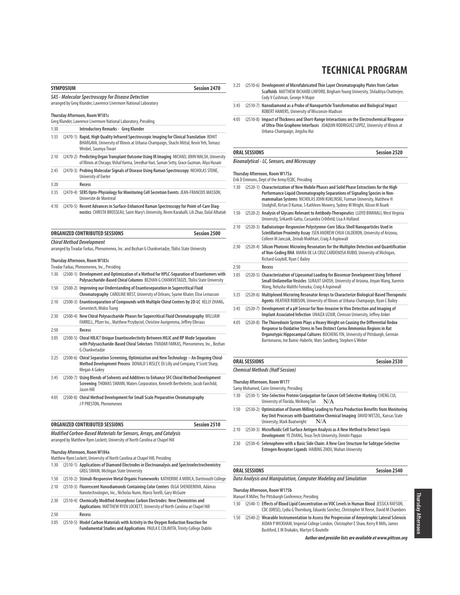| <b>SYMPOSIUM</b> |  | <b>Session 2470</b>                                                                                                                                                                                           |
|------------------|--|---------------------------------------------------------------------------------------------------------------------------------------------------------------------------------------------------------------|
|                  |  | SAS - Molecular Spectroscopy for Disease Detection                                                                                                                                                            |
|                  |  | arranged by Greg Klunder, Lawrence Livermore National Laboratory                                                                                                                                              |
|                  |  | Thursday Afternoon, Room W181c                                                                                                                                                                                |
|                  |  | Greg Klunder, Lawrence Livermore National Laboratory, Presiding                                                                                                                                               |
| 1:30             |  | Introductory Remarks - Greg Klunder                                                                                                                                                                           |
| 1:35             |  | (2470-1) Rapid, High Quality Infrared Spectroscopic Imaging for Clinical Translation ROHIT<br>BHARGAVA, University of Illinois at Urbana-Champaign, Shachi Mittal, Kevin Yeh, Tomasz<br>Wrobel, Saumya Tiwari |
| 2:10             |  | (2470-2) Predicting Organ Transplant Outcome Using IR Imaging MICHAEL JOHN WALSH, University<br>of Illinois at Chicago, Vishal Varma, Sreedhar Hari, Suman Setty, Grace Guzman, Aliya Husain                  |
| 2:45             |  | (2470-3) Probing Molecular Signals of Disease Using Raman Spectroscopy NICHOLAS STONE,<br>University of Exeter                                                                                                |
| 3:20             |  | Recess                                                                                                                                                                                                        |
| 3:35             |  | (2470-4) SERS Opto-Physiology for Monitoring Cell Secretion Events JEAN-FRANCOIS MASSON,<br>Universite de Montreal                                                                                            |

4:10 (2470-5) **Recent Advances in Surface-Enhanced Raman Spectroscopy for Point-of-Care Diagnostics** CHRISTA BROSSEAU, Saint Mary's University, Reem Karaballi, Lili Zhao, Dalal Alhatab

| ORGANIZED CONTRIBUTED SESSIONS                                                                   | Session 2500 |
|--------------------------------------------------------------------------------------------------|--------------|
| <b>Chiral Method Development</b>                                                                 |              |
| arranged by Tivadar Farkas, Phenomenex, Inc. and Bezhan G Chankvetadze, Tbilisi State University |              |

#### **Thursday Afternoon, Room W183c**

Tivadar Farkas, Phenomenex, Inc., Presiding

| 1:30 | (2500-1) Development and Optimization of a Method for HPLC-Separation of Enantiomers with<br>Polysaccharide-Based Chiral Columns BEZHAN G CHANKVETADZE, Tbilisi State University                |
|------|-------------------------------------------------------------------------------------------------------------------------------------------------------------------------------------------------|
| 1:50 | (2500-2) Improving our Understanding of Enantioseparation in Supercritical Fluid<br>Chromatography CAROLINE WEST, University of Orleans, Syame Khater, Elise Lemasson                           |
| 2:10 | (2500-3) Enantioseparation of Compounds with Multiple Chiral Centers by 2D-LC KELLY ZHANG,<br>Genentech, Midco Tsang                                                                            |
| 2:30 | (2500-4) New Chiral Polysaccharide Phases for Supercritical Fluid Chromatography WILLIAM<br>FARRELL, Pfizer Inc., Matthew Przybyciel, Christine Aurigemma, Jeffrey Elleraas                     |
| 2:50 | Recess                                                                                                                                                                                          |
| 3:05 | (2500-5) Chiral HILIC? Unique Enantioselectivity Between HILIC and RP Mode Separations<br>with Polysaccharide-Based Chiral Selectors TIVADAR FARKAS, Phenomenex, Inc., Bezhan<br>G Chankvetadze |
| 3:25 | (2500-6) Chiral Separation Screening, Optimization and New Technology - An Ongoing Chiral<br>Method Development Process DONALD S RISLEY, Eli Lilly and Company, V Scott Sharp,<br>Megan A Gokey |
| 3:45 | (2500-7) Using Blends of Solvents and Additives to Enhance SFC Chiral Method Development                                                                                                        |

**Screening** THOMAS SWANN, Waters Corporation, Kenneth Berthelette, Jacob Fairchild, Jason Hill

4:05 (2500-8) **Chiral Method Development for Small Scale Preparative Chromatography**  J P PRESTON, Phenomenex

**Modified Carbon-Based Materials for Sensors, Arrays, and Catalysis** arranged by Matthew Ryen Lockett, University of North Carolina at Chapel Hill

#### **Thursday Afternoon, Room W184a**

|      | Matthew Ryen Lockett, University of North Carolina at Chapel Hill, Presiding                                                                                        |
|------|---------------------------------------------------------------------------------------------------------------------------------------------------------------------|
| 1:30 | (2510-1) Applications of Diamond Electrodes in Electroanalysis and Spectroelectrochemistry<br><b>GREG SWAIN, Michigan State University</b>                          |
| 1:50 | (2510-2) Stimuli-Responsive Metal Organic Frameworks KATHERINE A MIRICA, Dartmouth College                                                                          |
| 2:10 | (2510-3) Fluorescent Nanodiamonds Containing Color Centers OLGA SHENDEROVA, Adámas<br>Nanotechnologies, Inc., Nicholas Nunn, Marco Torelli, Gary McGuire            |
| 2:30 | (2510-4) Chemically Modified Amorphous Carbon Electrodes: New Chemistries and<br>Applications MATTHEW RYEN LOCKETT, University of North Carolina at Chapel Hill     |
| 2:50 | Recess                                                                                                                                                              |
| 3:05 | (2510-5) Model Carbon Materials with Activity in the Oxygen Reduction Reaction for<br>Fundamental Studies and Applications PAULA E COLAVITA, Trinity College Dublin |

- **TECHNICAL PROGRAM**
- 3:25 (2510-6) **Development of Microfabricated Thin Layer Chromatography Plates from Carbon Scaffolds** MATTHEW RICHARD LINFORD, Brigham Young University, Shiladitya Chatterjee, Cody V Cushman, George H Major
- 3:45 (2510-7) **Nanodiamond as a Probe of Nanoparticle Transformation and Biological Impact** ROBERT HAMERS, University of Wisconsin-Madison
- 4:05 (2510-8) **Impact of Thickness and Short-Range Interactions on the Electrochemical Response of Ultra-Thin Graphene Interfaces** JOAQUIN RODRIGUEZ LOPEZ, University of Illinois at Urbana-Champaign, Jingshu Hui

# **ORAL SESSIONS Session 2520**

### **Bioanalytical - LC, Sensors, and Microscopy**

#### **Thursday Afternoon, Room W175a**

Erik D Emmons, Dept of the Army/ECBC, Presiding

| 1:30 |            | (2520-1) Characterization of New Mobile Phases and Solid Phase Extractions for the High<br>Performance Liquid Chromatography Separations of Signaling Species in Non-<br>mammalian Systems NICHOLAS JOHN KUKLINSKI, Furman University, Matthew H<br>Stodghill, Kirtan D Kumar, S Kathleen Mowery, Sydney M Wright, Alison M Roark |
|------|------------|-----------------------------------------------------------------------------------------------------------------------------------------------------------------------------------------------------------------------------------------------------------------------------------------------------------------------------------|
| 1:50 | $(2520-2)$ | Analysis of Glycans Relevant to Antibody-Therapeutics LLOYD BWANALI, West Virginia<br>University, Srikanth Gattu, Cassandra Crihfield, Lisa A Holland                                                                                                                                                                             |
| 2:10 |            | (2520-3) Radioisotope-Responsive Polystyrene-Core Silica-Shell Nanoparticles Used in<br>Scintillation Proximity Assay ISEN ANDREW CHUA CALDERON, University of Arizona,<br>Colleen M Janczak, Zeinab Mokhtari, Craig A Aspinwall                                                                                                  |
| 2:30 | $(2520-4)$ | Silicon Photonic Microring Resonators for the Multiplex Detection and Quantification<br>of Non-Coding RNA MARIA DE LA CRUZ CARDENOSA RUBIO, University of Michigan,<br>Richard Graybill, Ryan C Bailey                                                                                                                            |
| 2:50 |            | Recess                                                                                                                                                                                                                                                                                                                            |
| 3:05 |            | (2520-5) Characterization of Liposomal Loading for Biosensor Development Using Tethered<br>Small Unilamellar Vesicles SURAJIT GHOSH, University of Arizona, Jinyan Wang, Xuemin<br>Wang, Nelusha Malithi Fonseka, Craig A Aspinwall                                                                                               |
| 3:25 |            | (2520-6) Multiplexed Microring Resonator Arrays to Characterize Biological-Based Therapeutic<br>Agents HEATHER ROBISON, University of Illinois at Urbana-Champaign, Ryan C Bailey                                                                                                                                                 |
| 3:45 | $(2520-7)$ | Development of a pH Sensor for Non-Invasive In Vivo Detection and Imaging of<br>Implant Associated Infection UNAIZA UZAIR, Clemson University, Jeffrey Anker                                                                                                                                                                      |
| 4:05 | $(2520-8)$ | The Thioredoxin System Plays a Heavy Weight on Causing the Differential Redox<br>Response to Oxidative Stress in Two Distinct Cornu Ammonius Regions in Rat<br>Organotypic Hippocampal Cultures BOCHENG YIN, University of Pittsburgh, Germán<br>Barrionuevo, Ine Bainic-Haberle, Mats Sandberg, Stephen G Weber                  |

### **ORAL SESSIONS Session 2530 Chemical Methods (Half Session)**

**Thursday Afternoon, Room W177**

Samy Mohamed, Cairo University, Presiding

- 1:30 (2530-1) **Site-Selective Protein Conjugation for Cancer Cell Selective Marking** CHENG CUI, University of Florida, Weihong Tan  $N/A$
- 1:50 (2530-2) **Optimization of Durum Milling Leading to Pasta Production Benefits from Monitoring Key Unit Processes with Quantitative Chemical Imaging** DAVID WETZEL, Kansas State University, Mark Boatwright N/A
- 2:10 (2530-3) **Microfluidic Cell Surface Antigen Analysis as A New Method to Detect Sepsis Development** YE ZHANG, Texas Tech University, Dimitri Pappas
- 2:30 (2530-4) **Selenophene with a Basic Side Chain: A New Core Structure for Subtype-Selective Estrogen Receptor Ligands** HAIBING ZHOU, Wuhan University

#### **ORAL SESSIONS** Session 2540

#### **Data Analysis and Manipulation, Computer Modeling and Simulation**

# **Thursday Afternoon, Room W175b**

Manuel R Miller, The Pittsburgh Conference, Presiding

- 1:30 (2540-1) **Effects of Blood Lipid Concentration on VOC Levels in Human Blood** JESSICA RAFSON, CDC (ORISE), Lydia G Thornburg, Eduardo Sanchez, Christopher M Reese, David M Chambers
- 1:50 (2540-2) **Wearable Instrumentation to Assess the Progression of Amyotrophic Lateral Sclerosis** AIDAN P WICKHAM, Imperial College London, Christopher E Shaw, Kerry R Mills, James Bashford, E M Drakakis, Martyn G Boutelle